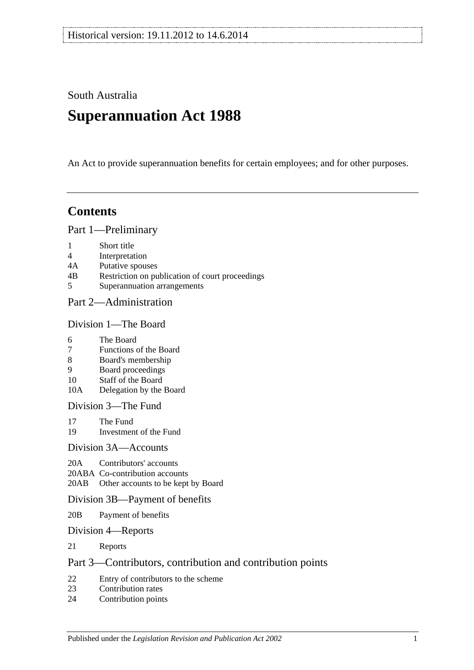South Australia

# **Superannuation Act 1988**

An Act to provide superannuation benefits for certain employees; and for other purposes.

# **Contents**

[Part 1—Preliminary](#page-6-0)

- 1 [Short title](#page-6-1)
- 4 [Interpretation](#page-6-2)
- 4A [Putative spouses](#page-13-0)
- 4B [Restriction on publication of court proceedings](#page-14-0)
- 5 [Superannuation arrangements](#page-15-0)

## [Part 2—Administration](#page-18-0)

#### [Division 1—The Board](#page-18-1)

- 6 [The Board](#page-18-2)
- 7 [Functions of the Board](#page-18-3)
- 8 [Board's membership](#page-18-4)
- 9 [Board proceedings](#page-19-0)
- 10 [Staff of the Board](#page-19-1)
- 10A [Delegation by the Board](#page-20-0)

[Division 3—The Fund](#page-20-1)

- 17 [The Fund](#page-20-2)<br>19 Investmen
- [Investment of the Fund](#page-21-0)

#### [Division 3A—Accounts](#page-21-1)

- 20A [Contributors' accounts](#page-21-2)
- 20ABA [Co-contribution accounts](#page-22-0)
- 20AB [Other accounts to be kept by Board](#page-23-0)

#### [Division 3B—Payment of benefits](#page-23-1)

- 20B [Payment of benefits](#page-23-2)
- [Division 4—Reports](#page-23-3)
- 21 [Reports](#page-23-4)

## [Part 3—Contributors, contribution and contribution points](#page-24-0)

- 22 [Entry of contributors to the scheme](#page-24-1)<br>23 Contribution rates
- [Contribution rates](#page-26-0)
- 24 [Contribution points](#page-28-0)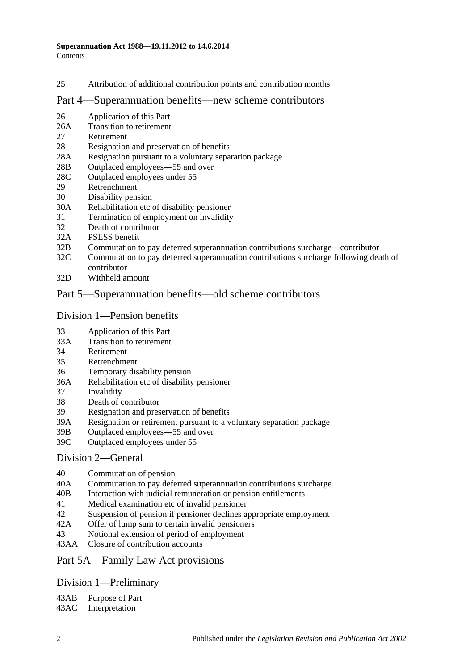25 [Attribution of additional contribution points and contribution months](#page-29-0)

#### [Part 4—Superannuation benefits—new scheme contributors](#page-30-0)

- 26 [Application of this Part](#page-30-1)
- 26A [Transition to retirement](#page-30-2)
- 27 [Retirement](#page-33-0)
- 28 [Resignation and preservation of benefits](#page-34-0)
- 28A [Resignation pursuant to a voluntary separation package](#page-38-0)
- 28B [Outplaced employees—55 and over](#page-39-0)
- 28C [Outplaced employees under 55](#page-39-1)
- 29 [Retrenchment](#page-40-0)
- 30 [Disability pension](#page-41-0)
- 30A [Rehabilitation etc of disability pensioner](#page-42-0)
- 31 [Termination of employment on invalidity](#page-42-1)
- 32 [Death of contributor](#page-45-0)
- 32A [PSESS benefit](#page-50-0)
- 32B [Commutation to pay deferred superannuation contributions surcharge—contributor](#page-51-0)
- 32C [Commutation to pay deferred superannuation contributions surcharge following death of](#page-52-0)  [contributor](#page-52-0)
- 32D [Withheld amount](#page-54-0)

### [Part 5—Superannuation benefits—old scheme contributors](#page-56-0)

#### [Division 1—Pension benefits](#page-56-1)

- 33 [Application of this Part](#page-56-2)
- 33A [Transition to retirement](#page-56-3)
- 34 [Retirement](#page-59-0)
- 35 [Retrenchment](#page-61-0)
- 36 [Temporary disability pension](#page-63-0)
- 36A [Rehabilitation etc of disability pensioner](#page-64-0)
- 37 [Invalidity](#page-65-0)
- 38 [Death of contributor](#page-68-0)
- 39 [Resignation and preservation of benefits](#page-71-0)
- 39A [Resignation or retirement pursuant to a voluntary separation package](#page-77-0)
- 39B [Outplaced employees—55 and over](#page-79-0)
- 39C [Outplaced employees under 55](#page-80-0)

#### [Division 2—General](#page-81-0)

- 40 [Commutation of pension](#page-81-1)
- 40A [Commutation to pay deferred superannuation contributions surcharge](#page-81-2)
- 40B [Interaction with judicial remuneration or pension entitlements](#page-82-0)
- 41 [Medical examination etc of invalid pensioner](#page-83-0)
- 42 [Suspension of pension if pensioner declines appropriate employment](#page-83-1)
- 42A [Offer of lump sum to certain invalid pensioners](#page-84-0)
- 43 [Notional extension of period of employment](#page-85-0)
- 43AA [Closure of contribution accounts](#page-85-1)

#### [Part 5A—Family Law Act provisions](#page-86-0)

## [Division 1—Preliminary](#page-86-1)

43AB [Purpose of Part](#page-86-2)

43AC [Interpretation](#page-86-3)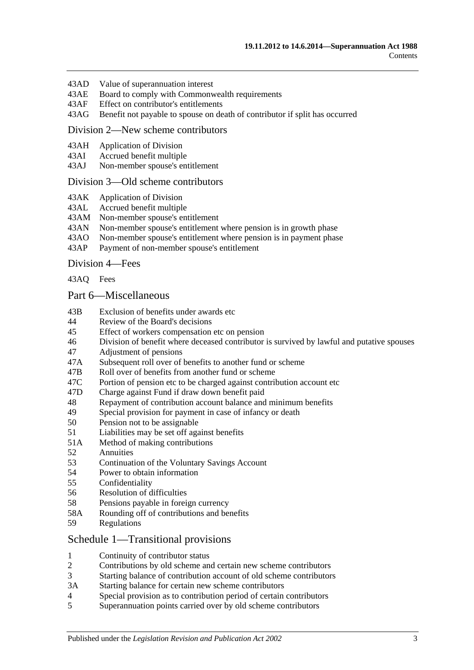- 43AD [Value of superannuation interest](#page-87-0)
- 43AE [Board to comply with Commonwealth requirements](#page-87-1)
- 43AF [Effect on contributor's entitlements](#page-87-2)
- 43AG [Benefit not payable to spouse on death of contributor if split has occurred](#page-88-0)

#### [Division 2—New scheme contributors](#page-88-1)

- 43AH [Application of Division](#page-88-2)
- 43AI [Accrued benefit multiple](#page-88-3)
- 43AJ [Non-member spouse's entitlement](#page-89-0)

#### [Division 3—Old scheme contributors](#page-89-1)

- 43AK [Application of Division](#page-89-2)
- 43AL [Accrued benefit multiple](#page-89-3)
- 43AM [Non-member spouse's entitlement](#page-90-0)
- 43AN [Non-member spouse's entitlement where pension is in growth phase](#page-90-1)
- 43AO [Non-member spouse's entitlement where pension is in payment phase](#page-90-2)<br>43AP Payment of non-member spouse's entitlement
- [Payment of non-member spouse's entitlement](#page-92-0)

[Division 4—Fees](#page-92-1)

[43AQ](#page-92-2) Fees

#### [Part 6—Miscellaneous](#page-94-0)

- 43B [Exclusion of benefits under awards etc](#page-94-1)
- 44 [Review of the Board's decisions](#page-94-2)
- 45 [Effect of workers compensation etc on pension](#page-94-3)
- 46 [Division of benefit where deceased contributor is survived by lawful and putative spouses](#page-96-0)
- 47 [Adjustment of pensions](#page-97-0)
- 47A [Subsequent roll over of benefits to another fund or scheme](#page-98-0)
- 47B [Roll over of benefits from another fund or scheme](#page-98-1)
- 47C [Portion of pension etc to be charged against contribution account etc](#page-98-2)
- 47D [Charge against Fund if draw down benefit paid](#page-98-3)
- 48 [Repayment of contribution account balance and minimum benefits](#page-98-4)
- 49 [Special provision for payment in case of infancy or death](#page-100-0)
- 50 [Pension not to be assignable](#page-100-1)
- 51 [Liabilities may be set off against benefits](#page-100-2)
- 51A [Method of making contributions](#page-100-3)
- 52 [Annuities](#page-100-4)
- 53 [Continuation of the Voluntary Savings Account](#page-100-5)
- 54 [Power to obtain information](#page-101-0)
- 55 [Confidentiality](#page-101-1)
- 56 [Resolution of difficulties](#page-102-0)
- 58 [Pensions payable in foreign currency](#page-103-0)
- 58A [Rounding off of contributions and benefits](#page-103-1)
- 59 [Regulations](#page-103-2)

#### [Schedule 1—Transitional provisions](#page-104-0)

- 1 [Continuity of contributor status](#page-104-1)
- 2 [Contributions by old scheme and certain new scheme contributors](#page-104-2)
- 3 [Starting balance of contribution account of old scheme contributors](#page-105-0)
- 3A [Starting balance for certain new scheme contributors](#page-105-1)
- 4 [Special provision as to contribution period of certain contributors](#page-105-2)
- 5 [Superannuation points carried over by old scheme contributors](#page-106-0)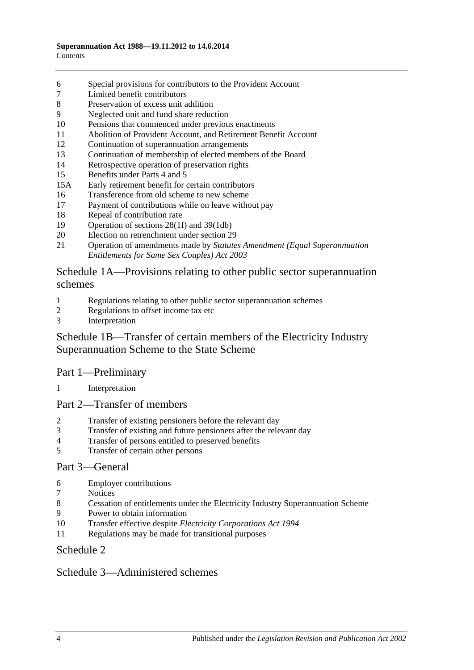- [Special provisions for contributors to the Provident Account](#page-107-0)
- [Limited benefit contributors](#page-108-0)
- [Preservation of excess unit addition](#page-109-0)
- [Neglected unit and fund share reduction](#page-109-1)
- [Pensions that commenced under previous enactments](#page-109-2)
- [Abolition of Provident Account, and Retirement Benefit Account](#page-110-0)
- [Continuation of superannuation arrangements](#page-110-1)
- [Continuation of membership of elected members of the Board](#page-110-2)
- [Retrospective operation of preservation rights](#page-110-3)
- [Benefits under Parts 4](#page-110-4) and [5](#page-110-4)
- 15A [Early retirement benefit for certain contributors](#page-111-0)
- [Transference from old scheme to new scheme](#page-112-0)
- [Payment of contributions while on leave without pay](#page-113-0)
- [Repeal of contribution rate](#page-113-1)
- [Operation of sections](#page-114-0) 28(1f) and [39\(1db\)](#page-114-0)
- [Election on retrenchment under section](#page-114-1) 29
- Operation of amendments made by *[Statutes Amendment \(Equal Superannuation](#page-114-2)  [Entitlements for Same Sex Couples\) Act 2003](#page-114-2)*

### [Schedule 1A—Provisions relating to other public sector superannuation](#page-114-3)  [schemes](#page-114-3)

- [Regulations relating to other public sector superannuation schemes](#page-114-4)
- [Regulations to offset income tax etc](#page-115-0)
- [Interpretation](#page-115-1)

## [Schedule 1B—Transfer of certain members of the Electricity Industry](#page-115-2)  [Superannuation Scheme to the State Scheme](#page-115-2)

## Part 1—Preliminary

[Interpretation](#page-115-3)

#### Part 2—Transfer of members

- [Transfer of existing pensioners before the relevant day](#page-116-0)
- [Transfer of existing and future pensioners after the relevant day](#page-117-0)
- [Transfer of persons entitled to preserved benefits](#page-119-0)<br>5 Transfer of certain other persons
- [Transfer of certain other persons](#page-121-0)

## Part 3—General

- [Employer contributions](#page-122-0)
- [Notices](#page-123-0)
- [Cessation of entitlements under the Electricity Industry Superannuation Scheme](#page-123-1)
- [Power to obtain information](#page-123-2)
- Transfer effective despite *[Electricity Corporations Act](#page-123-3) 1994*
- [Regulations may be made for transitional purposes](#page-123-4)

## [Schedule 2](#page-124-0)

## [Schedule 3—Administered schemes](#page-128-0)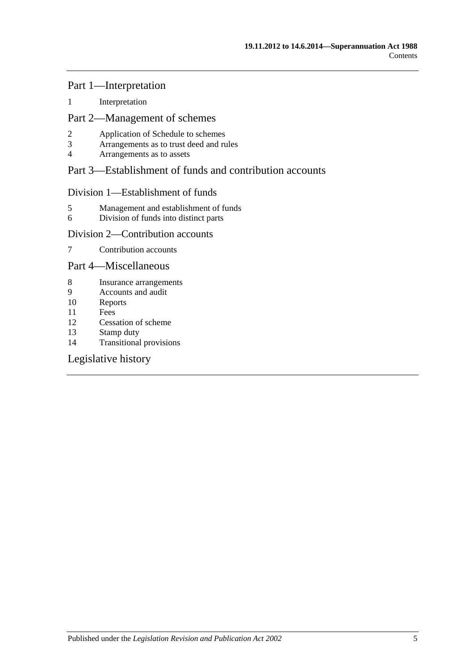## Part 1—Interpretation

1 [Interpretation](#page-128-1)

## Part 2—Management of schemes

- 2 [Application of Schedule to schemes](#page-129-0)<br>3 Arrangements as to trust deed and ru
- 3 [Arrangements as to trust deed and rules](#page-130-0)<br>4 Arrangements as to assets
- 4 [Arrangements as to assets](#page-131-0)

## Part 3—Establishment of funds and contribution accounts

## Division 1—Establishment of funds

- 5 [Management and establishment of funds](#page-131-1)
- 6 [Division of funds into distinct parts](#page-132-0)

## Division 2—Contribution accounts

7 [Contribution accounts](#page-133-0)

### Part 4—Miscellaneous

- 8 [Insurance arrangements](#page-133-1)<br>9 Accounts and audit
- 9 [Accounts and audit](#page-134-0)<br>10 Reports
- **[Reports](#page-134-1)**
- 11 [Fees](#page-134-2)
- 12 [Cessation of scheme](#page-135-0)
- 13 [Stamp duty](#page-135-1)
- 14 [Transitional provisions](#page-135-2)

## [Legislative history](#page-136-0)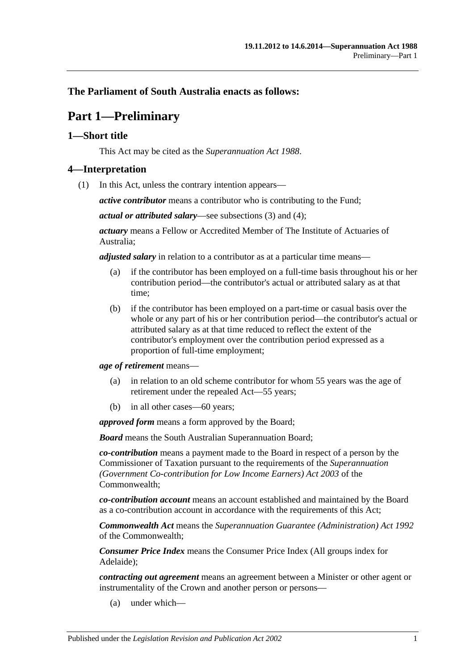## <span id="page-6-0"></span>**The Parliament of South Australia enacts as follows:**

# **Part 1—Preliminary**

## <span id="page-6-1"></span>**1—Short title**

This Act may be cited as the *Superannuation Act 1988*.

### <span id="page-6-3"></span><span id="page-6-2"></span>**4—Interpretation**

(1) In this Act, unless the contrary intention appears—

*active contributor* means a contributor who is contributing to the Fund;

*actual or attributed salary*—see [subsections](#page-11-0) (3) and [\(4\);](#page-11-1)

*actuary* means a Fellow or Accredited Member of The Institute of Actuaries of Australia;

*adjusted salary* in relation to a contributor as at a particular time means—

- (a) if the contributor has been employed on a full-time basis throughout his or her contribution period—the contributor's actual or attributed salary as at that time;
- (b) if the contributor has been employed on a part-time or casual basis over the whole or any part of his or her contribution period—the contributor's actual or attributed salary as at that time reduced to reflect the extent of the contributor's employment over the contribution period expressed as a proportion of full-time employment;

*age of retirement* means—

- (a) in relation to an old scheme contributor for whom 55 years was the age of retirement under the repealed Act—55 years;
- (b) in all other cases—60 years;

*approved form* means a form approved by the Board;

*Board* means the South Australian Superannuation Board;

*co-contribution* means a payment made to the Board in respect of a person by the Commissioner of Taxation pursuant to the requirements of the *Superannuation (Government Co-contribution for Low Income Earners) Act 2003* of the Commonwealth;

*co-contribution account* means an account established and maintained by the Board as a co-contribution account in accordance with the requirements of this Act;

*Commonwealth Act* means the *Superannuation Guarantee (Administration) Act 1992* of the Commonwealth;

*Consumer Price Index* means the Consumer Price Index (All groups index for Adelaide);

*contracting out agreement* means an agreement between a Minister or other agent or instrumentality of the Crown and another person or persons—

(a) under which—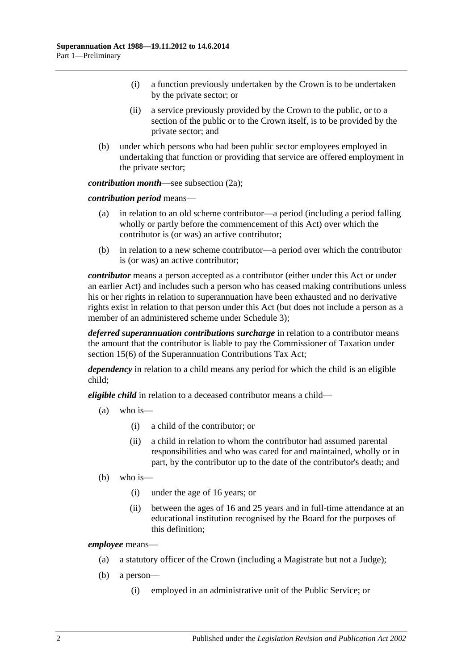- (i) a function previously undertaken by the Crown is to be undertaken by the private sector; or
- (ii) a service previously provided by the Crown to the public, or to a section of the public or to the Crown itself, is to be provided by the private sector; and
- (b) under which persons who had been public sector employees employed in undertaking that function or providing that service are offered employment in the private sector;

*contribution month*—see [subsection](#page-10-0) (2a);

*contribution period* means—

- (a) in relation to an old scheme contributor—a period (including a period falling wholly or partly before the commencement of this Act) over which the contributor is (or was) an active contributor;
- (b) in relation to a new scheme contributor—a period over which the contributor is (or was) an active contributor;

*contributor* means a person accepted as a contributor (either under this Act or under an earlier Act) and includes such a person who has ceased making contributions unless his or her rights in relation to superannuation have been exhausted and no derivative rights exist in relation to that person under this Act (but does not include a person as a member of an administered scheme under [Schedule](#page-128-0) 3);

*deferred superannuation contributions surcharge* in relation to a contributor means the amount that the contributor is liable to pay the Commissioner of Taxation under section 15(6) of the Superannuation Contributions Tax Act;

*dependency* in relation to a child means any period for which the child is an eligible child;

*eligible child* in relation to a deceased contributor means a child—

- (a) who is—
	- (i) a child of the contributor; or
	- (ii) a child in relation to whom the contributor had assumed parental responsibilities and who was cared for and maintained, wholly or in part, by the contributor up to the date of the contributor's death; and
- (b) who is—
	- (i) under the age of 16 years; or
	- (ii) between the ages of 16 and 25 years and in full-time attendance at an educational institution recognised by the Board for the purposes of this definition;

*employee* means—

- (a) a statutory officer of the Crown (including a Magistrate but not a Judge);
- (b) a person—
	- (i) employed in an administrative unit of the Public Service; or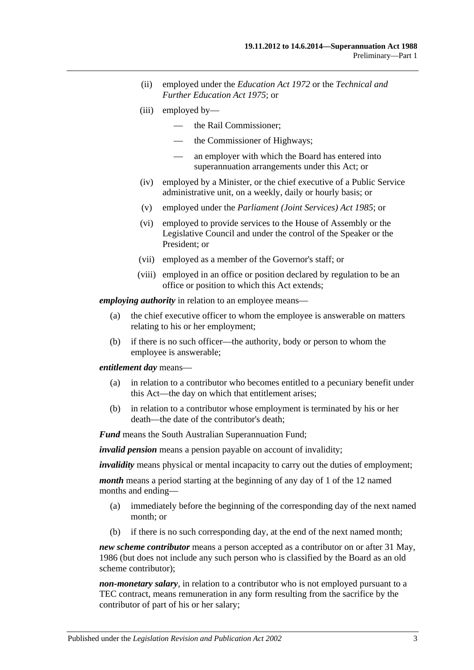- (ii) employed under the *[Education Act](http://www.legislation.sa.gov.au/index.aspx?action=legref&type=act&legtitle=Education%20Act%201972) 1972* or the *[Technical and](http://www.legislation.sa.gov.au/index.aspx?action=legref&type=act&legtitle=Technical%20and%20Further%20Education%20Act%201975)  [Further Education Act](http://www.legislation.sa.gov.au/index.aspx?action=legref&type=act&legtitle=Technical%20and%20Further%20Education%20Act%201975) 1975*; or
- (iii) employed by—
	- the Rail Commissioner;
	- the Commissioner of Highways;
	- an employer with which the Board has entered into superannuation arrangements under this Act; or
- (iv) employed by a Minister, or the chief executive of a Public Service administrative unit, on a weekly, daily or hourly basis; or
- (v) employed under the *[Parliament \(Joint Services\) Act](http://www.legislation.sa.gov.au/index.aspx?action=legref&type=act&legtitle=Parliament%20(Joint%20Services)%20Act%201985) 1985*; or
- (vi) employed to provide services to the House of Assembly or the Legislative Council and under the control of the Speaker or the President; or
- (vii) employed as a member of the Governor's staff; or
- (viii) employed in an office or position declared by regulation to be an office or position to which this Act extends;

*employing authority* in relation to an employee means—

- (a) the chief executive officer to whom the employee is answerable on matters relating to his or her employment;
- (b) if there is no such officer—the authority, body or person to whom the employee is answerable;

#### *entitlement day* means—

- (a) in relation to a contributor who becomes entitled to a pecuniary benefit under this Act—the day on which that entitlement arises;
- (b) in relation to a contributor whose employment is terminated by his or her death—the date of the contributor's death;

*Fund* means the South Australian Superannuation Fund;

*invalid pension* means a pension payable on account of invalidity;

*invalidity* means physical or mental incapacity to carry out the duties of employment;

*month* means a period starting at the beginning of any day of 1 of the 12 named months and ending—

- (a) immediately before the beginning of the corresponding day of the next named month; or
- (b) if there is no such corresponding day, at the end of the next named month;

*new scheme contributor* means a person accepted as a contributor on or after 31 May, 1986 (but does not include any such person who is classified by the Board as an old scheme contributor);

*non-monetary salary*, in relation to a contributor who is not employed pursuant to a TEC contract, means remuneration in any form resulting from the sacrifice by the contributor of part of his or her salary;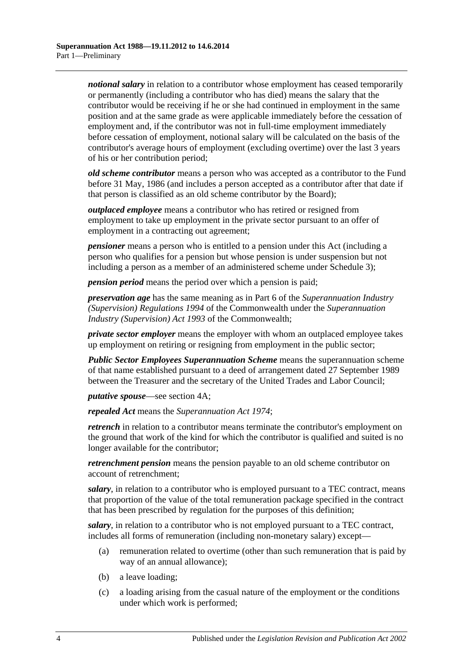*notional salary* in relation to a contributor whose employment has ceased temporarily or permanently (including a contributor who has died) means the salary that the contributor would be receiving if he or she had continued in employment in the same position and at the same grade as were applicable immediately before the cessation of employment and, if the contributor was not in full-time employment immediately before cessation of employment, notional salary will be calculated on the basis of the contributor's average hours of employment (excluding overtime) over the last 3 years of his or her contribution period;

*old scheme contributor* means a person who was accepted as a contributor to the Fund before 31 May, 1986 (and includes a person accepted as a contributor after that date if that person is classified as an old scheme contributor by the Board);

*outplaced employee* means a contributor who has retired or resigned from employment to take up employment in the private sector pursuant to an offer of employment in a contracting out agreement;

*pensioner* means a person who is entitled to a pension under this Act (including a person who qualifies for a pension but whose pension is under suspension but not including a person as a member of an administered scheme under [Schedule 3\)](#page-128-0);

*pension period* means the period over which a pension is paid;

*preservation age* has the same meaning as in Part 6 of the *Superannuation Industry (Supervision) Regulations 1994* of the Commonwealth under the *Superannuation Industry (Supervision) Act 1993* of the Commonwealth;

*private sector employer* means the employer with whom an outplaced employee takes up employment on retiring or resigning from employment in the public sector;

*Public Sector Employees Superannuation Scheme* means the superannuation scheme of that name established pursuant to a deed of arrangement dated 27 September 1989 between the Treasurer and the secretary of the United Trades and Labor Council;

*putative spouse*—see [section](#page-13-0) 4A;

*repealed Act* means the *[Superannuation Act](http://www.legislation.sa.gov.au/index.aspx?action=legref&type=act&legtitle=Superannuation%20Act%201974) 1974*;

*retrench* in relation to a contributor means terminate the contributor's employment on the ground that work of the kind for which the contributor is qualified and suited is no longer available for the contributor;

*retrenchment pension* means the pension payable to an old scheme contributor on account of retrenchment;

*salary*, in relation to a contributor who is employed pursuant to a TEC contract, means that proportion of the value of the total remuneration package specified in the contract that has been prescribed by regulation for the purposes of this definition;

*salary*, in relation to a contributor who is not employed pursuant to a TEC contract, includes all forms of remuneration (including non-monetary salary) except—

- (a) remuneration related to overtime (other than such remuneration that is paid by way of an annual allowance);
- (b) a leave loading;
- (c) a loading arising from the casual nature of the employment or the conditions under which work is performed;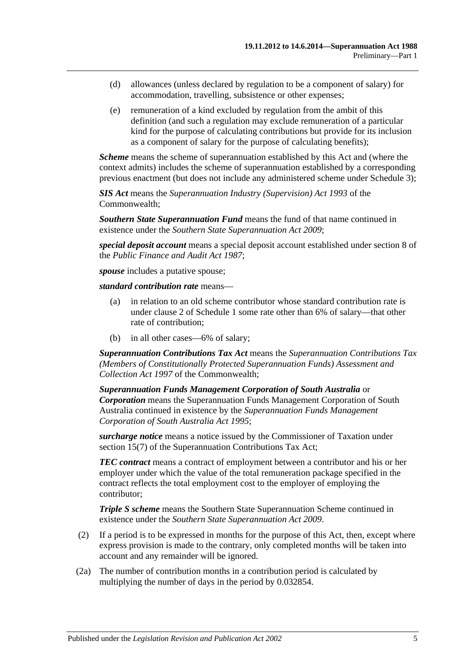- (d) allowances (unless declared by regulation to be a component of salary) for accommodation, travelling, subsistence or other expenses;
- (e) remuneration of a kind excluded by regulation from the ambit of this definition (and such a regulation may exclude remuneration of a particular kind for the purpose of calculating contributions but provide for its inclusion as a component of salary for the purpose of calculating benefits);

*Scheme* means the scheme of superannuation established by this Act and (where the context admits) includes the scheme of superannuation established by a corresponding previous enactment (but does not include any administered scheme under [Schedule 3\)](#page-128-0);

*SIS Act* means the *Superannuation Industry (Supervision) Act 1993* of the Commonwealth;

*Southern State Superannuation Fund* means the fund of that name continued in existence under the *[Southern State Superannuation Act](http://www.legislation.sa.gov.au/index.aspx?action=legref&type=act&legtitle=Southern%20State%20Superannuation%20Act%202009) 2009*;

*special deposit account* means a special deposit account established under section 8 of the *[Public Finance and Audit Act](http://www.legislation.sa.gov.au/index.aspx?action=legref&type=act&legtitle=Public%20Finance%20and%20Audit%20Act%201987) 1987*;

*spouse* includes a putative spouse;

*standard contribution rate* means—

- (a) in relation to an old scheme contributor whose standard contribution rate is under [clause](#page-104-2) 2 of [Schedule 1](#page-104-0) some rate other than 6% of salary—that other rate of contribution;
- (b) in all other cases—6% of salary;

*Superannuation Contributions Tax Act* means the *Superannuation Contributions Tax (Members of Constitutionally Protected Superannuation Funds) Assessment and Collection Act 1997* of the Commonwealth;

*Superannuation Funds Management Corporation of South Australia* or *Corporation* means the Superannuation Funds Management Corporation of South Australia continued in existence by the *[Superannuation Funds Management](http://www.legislation.sa.gov.au/index.aspx?action=legref&type=act&legtitle=Superannuation%20Funds%20Management%20Corporation%20of%20South%20Australia%20Act%201995)  [Corporation of South Australia Act](http://www.legislation.sa.gov.au/index.aspx?action=legref&type=act&legtitle=Superannuation%20Funds%20Management%20Corporation%20of%20South%20Australia%20Act%201995) 1995*;

*surcharge notice* means a notice issued by the Commissioner of Taxation under section 15(7) of the Superannuation Contributions Tax Act;

*TEC contract* means a contract of employment between a contributor and his or her employer under which the value of the total remuneration package specified in the contract reflects the total employment cost to the employer of employing the contributor;

*Triple S scheme* means the Southern State Superannuation Scheme continued in existence under the *[Southern State Superannuation Act](http://www.legislation.sa.gov.au/index.aspx?action=legref&type=act&legtitle=Southern%20State%20Superannuation%20Act%202009) 2009*.

- (2) If a period is to be expressed in months for the purpose of this Act, then, except where express provision is made to the contrary, only completed months will be taken into account and any remainder will be ignored.
- <span id="page-10-0"></span>(2a) The number of contribution months in a contribution period is calculated by multiplying the number of days in the period by 0.032854.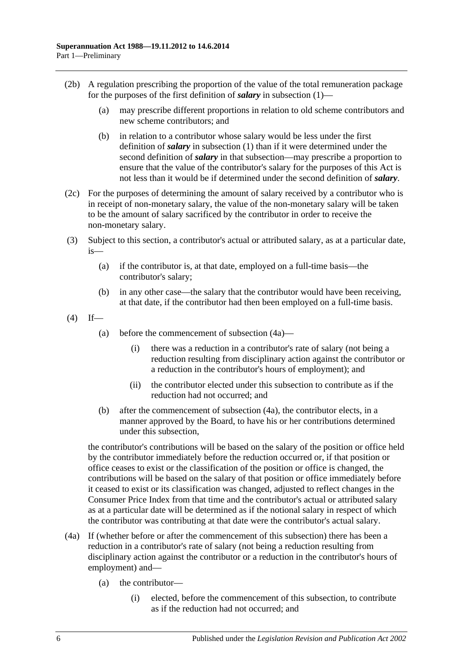- (2b) A regulation prescribing the proportion of the value of the total remuneration package for the purposes of the first definition of *salary* in [subsection](#page-6-3) (1)—
	- (a) may prescribe different proportions in relation to old scheme contributors and new scheme contributors; and
	- (b) in relation to a contributor whose salary would be less under the first definition of *salary* in [subsection](#page-6-3) (1) than if it were determined under the second definition of *salary* in that subsection—may prescribe a proportion to ensure that the value of the contributor's salary for the purposes of this Act is not less than it would be if determined under the second definition of *salary*.
- (2c) For the purposes of determining the amount of salary received by a contributor who is in receipt of non-monetary salary, the value of the non-monetary salary will be taken to be the amount of salary sacrificed by the contributor in order to receive the non-monetary salary.
- <span id="page-11-0"></span>(3) Subject to this section, a contributor's actual or attributed salary, as at a particular date, is—
	- (a) if the contributor is, at that date, employed on a full-time basis—the contributor's salary;
	- (b) in any other case—the salary that the contributor would have been receiving, at that date, if the contributor had then been employed on a full-time basis.
- <span id="page-11-1"></span> $(4)$  If—
	- (a) before the commencement of [subsection](#page-11-2) (4a)—
		- (i) there was a reduction in a contributor's rate of salary (not being a reduction resulting from disciplinary action against the contributor or a reduction in the contributor's hours of employment); and
		- (ii) the contributor elected under this subsection to contribute as if the reduction had not occurred; and
	- (b) after the commencement of [subsection](#page-11-2) (4a), the contributor elects, in a manner approved by the Board, to have his or her contributions determined under this subsection,

<span id="page-11-3"></span>the contributor's contributions will be based on the salary of the position or office held by the contributor immediately before the reduction occurred or, if that position or office ceases to exist or the classification of the position or office is changed, the contributions will be based on the salary of that position or office immediately before it ceased to exist or its classification was changed, adjusted to reflect changes in the Consumer Price Index from that time and the contributor's actual or attributed salary as at a particular date will be determined as if the notional salary in respect of which the contributor was contributing at that date were the contributor's actual salary.

- <span id="page-11-2"></span>(4a) If (whether before or after the commencement of this subsection) there has been a reduction in a contributor's rate of salary (not being a reduction resulting from disciplinary action against the contributor or a reduction in the contributor's hours of employment) and—
	- (a) the contributor—
		- (i) elected, before the commencement of this subsection, to contribute as if the reduction had not occurred; and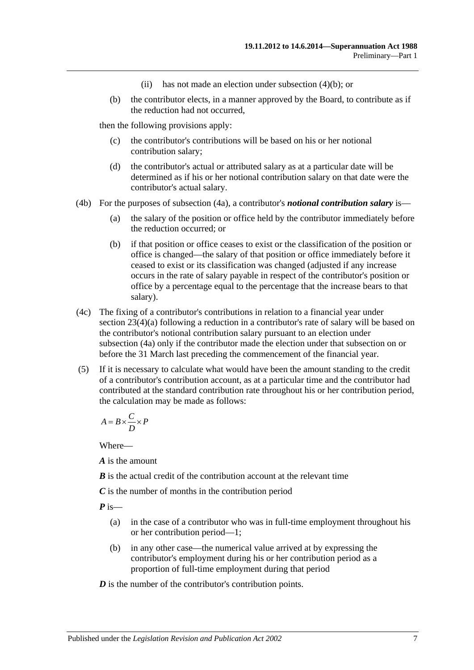- (ii) has not made an election under [subsection](#page-11-3) (4)(b); or
- (b) the contributor elects, in a manner approved by the Board, to contribute as if the reduction had not occurred,

then the following provisions apply:

- (c) the contributor's contributions will be based on his or her notional contribution salary;
- (d) the contributor's actual or attributed salary as at a particular date will be determined as if his or her notional contribution salary on that date were the contributor's actual salary.
- (4b) For the purposes of [subsection](#page-11-2) (4a), a contributor's *notional contribution salary* is—
	- (a) the salary of the position or office held by the contributor immediately before the reduction occurred; or
	- (b) if that position or office ceases to exist or the classification of the position or office is changed—the salary of that position or office immediately before it ceased to exist or its classification was changed (adjusted if any increase occurs in the rate of salary payable in respect of the contributor's position or office by a percentage equal to the percentage that the increase bears to that salary).
- (4c) The fixing of a contributor's contributions in relation to a financial year under section [23\(4\)\(a\)](#page-27-0) following a reduction in a contributor's rate of salary will be based on the contributor's notional contribution salary pursuant to an election under [subsection](#page-11-2) (4a) only if the contributor made the election under that subsection on or before the 31 March last preceding the commencement of the financial year.
- (5) If it is necessary to calculate what would have been the amount standing to the credit of a contributor's contribution account, as at a particular time and the contributor had contributed at the standard contribution rate throughout his or her contribution period, the calculation may be made as follows:

$$
A = B \times \frac{C}{D} \times P
$$

Where—

*A* is the amount

*B* is the actual credit of the contribution account at the relevant time

*C* is the number of months in the contribution period

*P* is—

- (a) in the case of a contributor who was in full-time employment throughout his or her contribution period—1;
- (b) in any other case—the numerical value arrived at by expressing the contributor's employment during his or her contribution period as a proportion of full-time employment during that period

*D* is the number of the contributor's contribution points.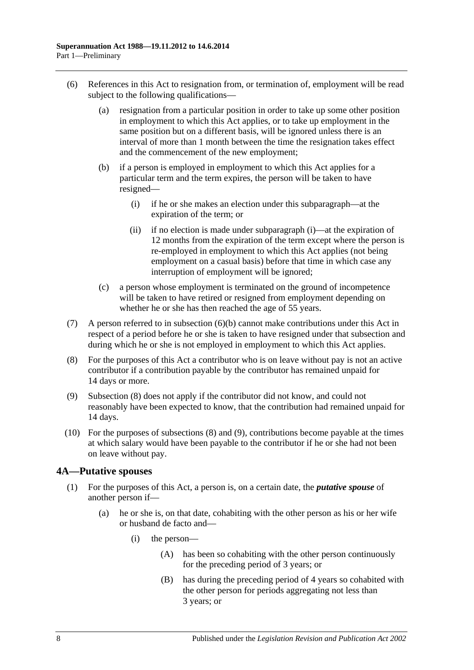- <span id="page-13-2"></span><span id="page-13-1"></span>(6) References in this Act to resignation from, or termination of, employment will be read subject to the following qualifications—
	- (a) resignation from a particular position in order to take up some other position in employment to which this Act applies, or to take up employment in the same position but on a different basis, will be ignored unless there is an interval of more than 1 month between the time the resignation takes effect and the commencement of the new employment;
	- (b) if a person is employed in employment to which this Act applies for a particular term and the term expires, the person will be taken to have resigned—
		- (i) if he or she makes an election under this subparagraph—at the expiration of the term; or
		- (ii) if no election is made under [subparagraph](#page-13-1) (i)—at the expiration of 12 months from the expiration of the term except where the person is re-employed in employment to which this Act applies (not being employment on a casual basis) before that time in which case any interruption of employment will be ignored;
	- (c) a person whose employment is terminated on the ground of incompetence will be taken to have retired or resigned from employment depending on whether he or she has then reached the age of 55 years.
- (7) A person referred to in [subsection](#page-13-2) (6)(b) cannot make contributions under this Act in respect of a period before he or she is taken to have resigned under that subsection and during which he or she is not employed in employment to which this Act applies.
- <span id="page-13-3"></span>(8) For the purposes of this Act a contributor who is on leave without pay is not an active contributor if a contribution payable by the contributor has remained unpaid for 14 days or more.
- <span id="page-13-4"></span>(9) [Subsection](#page-13-3) (8) does not apply if the contributor did not know, and could not reasonably have been expected to know, that the contribution had remained unpaid for 14 days.
- (10) For the purposes of [subsections](#page-13-3) (8) and [\(9\),](#page-13-4) contributions become payable at the times at which salary would have been payable to the contributor if he or she had not been on leave without pay.

## <span id="page-13-5"></span><span id="page-13-0"></span>**4A—Putative spouses**

- (1) For the purposes of this Act, a person is, on a certain date, the *putative spouse* of another person if—
	- (a) he or she is, on that date, cohabiting with the other person as his or her wife or husband de facto and—
		- (i) the person—
			- (A) has been so cohabiting with the other person continuously for the preceding period of 3 years; or
			- (B) has during the preceding period of 4 years so cohabited with the other person for periods aggregating not less than 3 years; or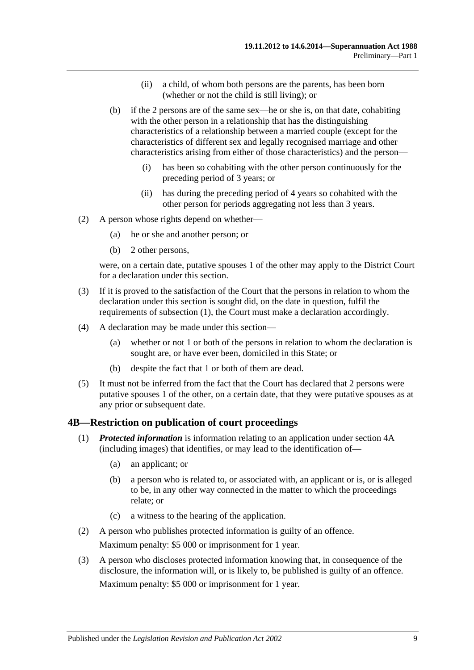- (ii) a child, of whom both persons are the parents, has been born (whether or not the child is still living); or
- (b) if the 2 persons are of the same sex—he or she is, on that date, cohabiting with the other person in a relationship that has the distinguishing characteristics of a relationship between a married couple (except for the characteristics of different sex and legally recognised marriage and other characteristics arising from either of those characteristics) and the person—
	- (i) has been so cohabiting with the other person continuously for the preceding period of 3 years; or
	- (ii) has during the preceding period of 4 years so cohabited with the other person for periods aggregating not less than 3 years.
- (2) A person whose rights depend on whether—
	- (a) he or she and another person; or
	- (b) 2 other persons,

were, on a certain date, putative spouses 1 of the other may apply to the District Court for a declaration under this section.

- (3) If it is proved to the satisfaction of the Court that the persons in relation to whom the declaration under this section is sought did, on the date in question, fulfil the requirements of [subsection](#page-13-5) (1), the Court must make a declaration accordingly.
- (4) A declaration may be made under this section—
	- (a) whether or not 1 or both of the persons in relation to whom the declaration is sought are, or have ever been, domiciled in this State; or
	- (b) despite the fact that 1 or both of them are dead.
- (5) It must not be inferred from the fact that the Court has declared that 2 persons were putative spouses 1 of the other, on a certain date, that they were putative spouses as at any prior or subsequent date.

#### <span id="page-14-0"></span>**4B—Restriction on publication of court proceedings**

- (1) *Protected information* is information relating to an application under [section](#page-13-0) 4A (including images) that identifies, or may lead to the identification of—
	- (a) an applicant; or
	- (b) a person who is related to, or associated with, an applicant or is, or is alleged to be, in any other way connected in the matter to which the proceedings relate; or
	- (c) a witness to the hearing of the application.
- (2) A person who publishes protected information is guilty of an offence.

Maximum penalty: \$5 000 or imprisonment for 1 year.

(3) A person who discloses protected information knowing that, in consequence of the disclosure, the information will, or is likely to, be published is guilty of an offence.

Maximum penalty: \$5 000 or imprisonment for 1 year.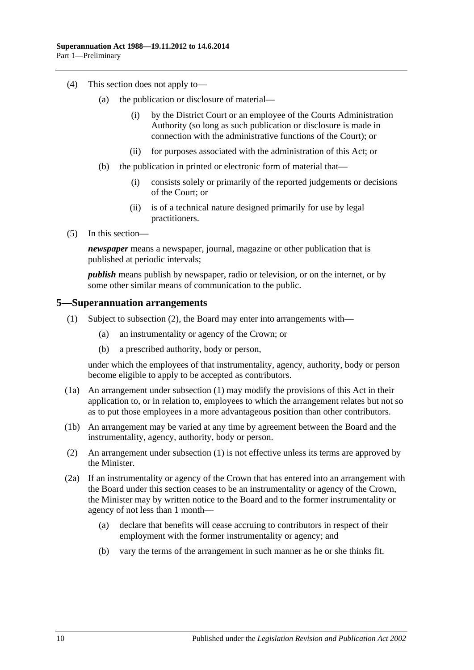- (4) This section does not apply to—
	- (a) the publication or disclosure of material—
		- (i) by the District Court or an employee of the Courts Administration Authority (so long as such publication or disclosure is made in connection with the administrative functions of the Court); or
		- (ii) for purposes associated with the administration of this Act; or
	- (b) the publication in printed or electronic form of material that—
		- (i) consists solely or primarily of the reported judgements or decisions of the Court; or
		- (ii) is of a technical nature designed primarily for use by legal practitioners.
- (5) In this section—

*newspaper* means a newspaper, journal, magazine or other publication that is published at periodic intervals;

*publish* means publish by newspaper, radio or television, or on the internet, or by some other similar means of communication to the public.

#### <span id="page-15-2"></span><span id="page-15-0"></span>**5—Superannuation arrangements**

- (1) Subject to [subsection](#page-15-1) (2), the Board may enter into arrangements with—
	- (a) an instrumentality or agency of the Crown; or
	- (b) a prescribed authority, body or person,

under which the employees of that instrumentality, agency, authority, body or person become eligible to apply to be accepted as contributors.

- (1a) An arrangement under [subsection](#page-15-2) (1) may modify the provisions of this Act in their application to, or in relation to, employees to which the arrangement relates but not so as to put those employees in a more advantageous position than other contributors.
- (1b) An arrangement may be varied at any time by agreement between the Board and the instrumentality, agency, authority, body or person.
- <span id="page-15-1"></span>(2) An arrangement under [subsection](#page-15-2) (1) is not effective unless its terms are approved by the Minister.
- <span id="page-15-3"></span>(2a) If an instrumentality or agency of the Crown that has entered into an arrangement with the Board under this section ceases to be an instrumentality or agency of the Crown, the Minister may by written notice to the Board and to the former instrumentality or agency of not less than 1 month—
	- (a) declare that benefits will cease accruing to contributors in respect of their employment with the former instrumentality or agency; and
	- (b) vary the terms of the arrangement in such manner as he or she thinks fit.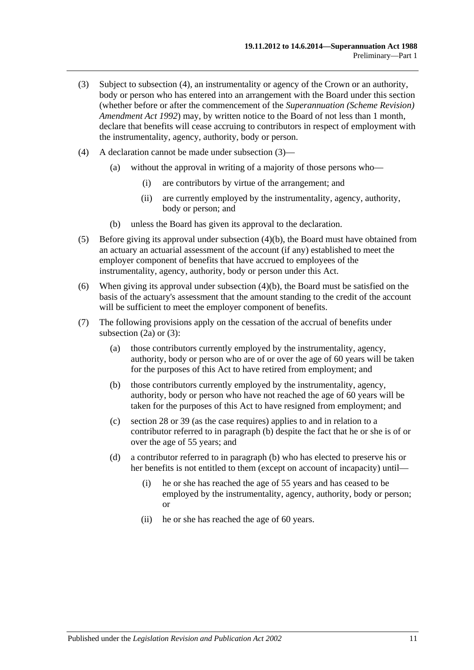- <span id="page-16-1"></span>(3) Subject to [subsection](#page-16-0) (4), an instrumentality or agency of the Crown or an authority, body or person who has entered into an arrangement with the Board under this section (whether before or after the commencement of the *[Superannuation \(Scheme Revision\)](http://www.legislation.sa.gov.au/index.aspx?action=legref&type=act&legtitle=Superannuation%20(Scheme%20Revision)%20Amendment%20Act%201992)  [Amendment Act](http://www.legislation.sa.gov.au/index.aspx?action=legref&type=act&legtitle=Superannuation%20(Scheme%20Revision)%20Amendment%20Act%201992) 1992*) may, by written notice to the Board of not less than 1 month, declare that benefits will cease accruing to contributors in respect of employment with the instrumentality, agency, authority, body or person.
- <span id="page-16-0"></span>(4) A declaration cannot be made under [subsection](#page-16-1) (3)—
	- (a) without the approval in writing of a majority of those persons who—
		- (i) are contributors by virtue of the arrangement; and
		- (ii) are currently employed by the instrumentality, agency, authority, body or person; and
	- (b) unless the Board has given its approval to the declaration.
- <span id="page-16-2"></span>(5) Before giving its approval under [subsection](#page-16-2) (4)(b), the Board must have obtained from an actuary an actuarial assessment of the account (if any) established to meet the employer component of benefits that have accrued to employees of the instrumentality, agency, authority, body or person under this Act.
- (6) When giving its approval under [subsection](#page-16-2) (4)(b), the Board must be satisfied on the basis of the actuary's assessment that the amount standing to the credit of the account will be sufficient to meet the employer component of benefits.
- <span id="page-16-3"></span>(7) The following provisions apply on the cessation of the accrual of benefits under [subsection](#page-15-3)  $(2a)$  or  $(3)$ :
	- (a) those contributors currently employed by the instrumentality, agency, authority, body or person who are of or over the age of 60 years will be taken for the purposes of this Act to have retired from employment; and
	- (b) those contributors currently employed by the instrumentality, agency, authority, body or person who have not reached the age of 60 years will be taken for the purposes of this Act to have resigned from employment; and
	- (c) [section](#page-34-0) 28 or [39](#page-71-0) (as the case requires) applies to and in relation to a contributor referred to in [paragraph](#page-16-3) (b) despite the fact that he or she is of or over the age of 55 years; and
	- (d) a contributor referred to in [paragraph](#page-16-3) (b) who has elected to preserve his or her benefits is not entitled to them (except on account of incapacity) until—
		- (i) he or she has reached the age of 55 years and has ceased to be employed by the instrumentality, agency, authority, body or person; or
		- (ii) he or she has reached the age of 60 years.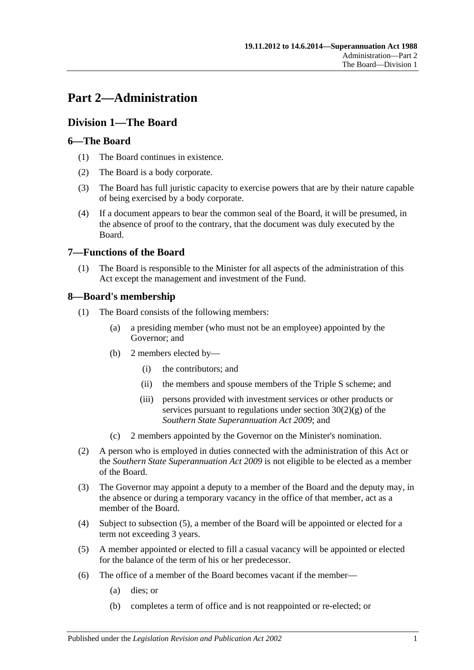# <span id="page-18-0"></span>**Part 2—Administration**

## <span id="page-18-1"></span>**Division 1—The Board**

## <span id="page-18-2"></span>**6—The Board**

- (1) The Board continues in existence.
- (2) The Board is a body corporate.
- (3) The Board has full juristic capacity to exercise powers that are by their nature capable of being exercised by a body corporate.
- (4) If a document appears to bear the common seal of the Board, it will be presumed, in the absence of proof to the contrary, that the document was duly executed by the Board.

## <span id="page-18-3"></span>**7—Functions of the Board**

(1) The Board is responsible to the Minister for all aspects of the administration of this Act except the management and investment of the Fund.

## <span id="page-18-4"></span>**8—Board's membership**

- (1) The Board consists of the following members:
	- (a) a presiding member (who must not be an employee) appointed by the Governor; and
	- (b) 2 members elected by—
		- (i) the contributors; and
		- (ii) the members and spouse members of the Triple S scheme; and
		- (iii) persons provided with investment services or other products or services pursuant to regulations under section  $30(2)(g)$  of the *[Southern State Superannuation Act](http://www.legislation.sa.gov.au/index.aspx?action=legref&type=act&legtitle=Southern%20State%20Superannuation%20Act%202009) 2009*; and
	- (c) 2 members appointed by the Governor on the Minister's nomination.
- (2) A person who is employed in duties connected with the administration of this Act or the *[Southern State Superannuation Act](http://www.legislation.sa.gov.au/index.aspx?action=legref&type=act&legtitle=Southern%20State%20Superannuation%20Act%202009) 2009* is not eligible to be elected as a member of the Board.
- (3) The Governor may appoint a deputy to a member of the Board and the deputy may, in the absence or during a temporary vacancy in the office of that member, act as a member of the Board.
- (4) Subject to [subsection](#page-18-5) (5), a member of the Board will be appointed or elected for a term not exceeding 3 years.
- <span id="page-18-5"></span>(5) A member appointed or elected to fill a casual vacancy will be appointed or elected for the balance of the term of his or her predecessor.
- (6) The office of a member of the Board becomes vacant if the member—
	- (a) dies; or
	- (b) completes a term of office and is not reappointed or re-elected; or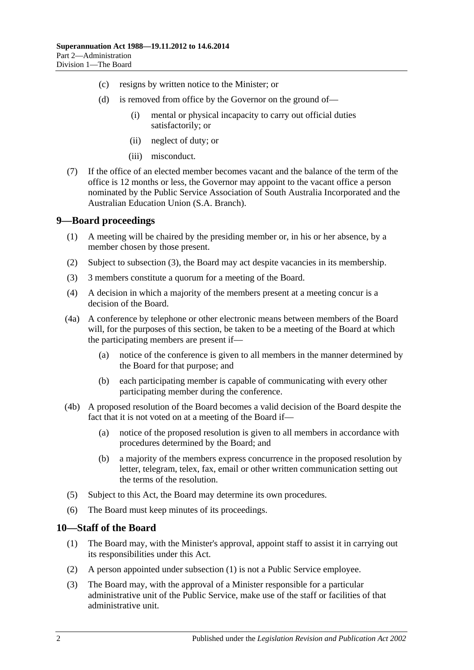- (c) resigns by written notice to the Minister; or
- (d) is removed from office by the Governor on the ground of—
	- (i) mental or physical incapacity to carry out official duties satisfactorily; or
	- (ii) neglect of duty; or
	- (iii) misconduct.
- (7) If the office of an elected member becomes vacant and the balance of the term of the office is 12 months or less, the Governor may appoint to the vacant office a person nominated by the Public Service Association of South Australia Incorporated and the Australian Education Union (S.A. Branch).

### <span id="page-19-0"></span>**9—Board proceedings**

- (1) A meeting will be chaired by the presiding member or, in his or her absence, by a member chosen by those present.
- (2) Subject to [subsection](#page-19-2) (3), the Board may act despite vacancies in its membership.
- <span id="page-19-2"></span>(3) 3 members constitute a quorum for a meeting of the Board.
- (4) A decision in which a majority of the members present at a meeting concur is a decision of the Board.
- (4a) A conference by telephone or other electronic means between members of the Board will, for the purposes of this section, be taken to be a meeting of the Board at which the participating members are present if—
	- (a) notice of the conference is given to all members in the manner determined by the Board for that purpose; and
	- (b) each participating member is capable of communicating with every other participating member during the conference.
- (4b) A proposed resolution of the Board becomes a valid decision of the Board despite the fact that it is not voted on at a meeting of the Board if—
	- (a) notice of the proposed resolution is given to all members in accordance with procedures determined by the Board; and
	- (b) a majority of the members express concurrence in the proposed resolution by letter, telegram, telex, fax, email or other written communication setting out the terms of the resolution.
- (5) Subject to this Act, the Board may determine its own procedures.
- (6) The Board must keep minutes of its proceedings.

## <span id="page-19-3"></span><span id="page-19-1"></span>**10—Staff of the Board**

- (1) The Board may, with the Minister's approval, appoint staff to assist it in carrying out its responsibilities under this Act.
- (2) A person appointed under [subsection](#page-19-3) (1) is not a Public Service employee.
- (3) The Board may, with the approval of a Minister responsible for a particular administrative unit of the Public Service, make use of the staff or facilities of that administrative unit.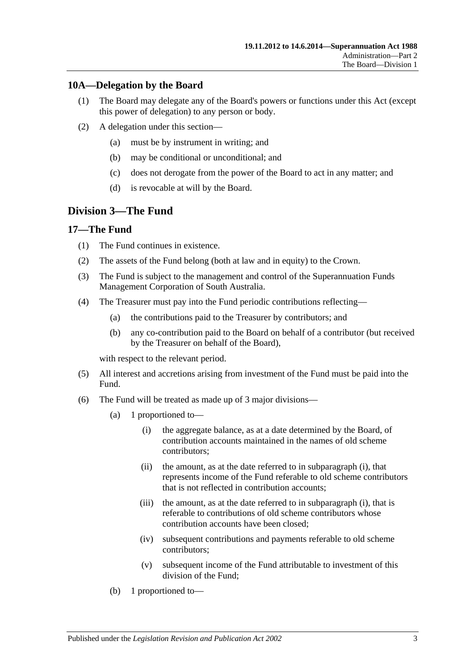## <span id="page-20-0"></span>**10A—Delegation by the Board**

- (1) The Board may delegate any of the Board's powers or functions under this Act (except this power of delegation) to any person or body.
- (2) A delegation under this section—
	- (a) must be by instrument in writing; and
	- (b) may be conditional or unconditional; and
	- (c) does not derogate from the power of the Board to act in any matter; and
	- (d) is revocable at will by the Board.

## <span id="page-20-1"></span>**Division 3—The Fund**

## <span id="page-20-2"></span>**17—The Fund**

- (1) The Fund continues in existence.
- (2) The assets of the Fund belong (both at law and in equity) to the Crown.
- (3) The Fund is subject to the management and control of the Superannuation Funds Management Corporation of South Australia.
- (4) The Treasurer must pay into the Fund periodic contributions reflecting—
	- (a) the contributions paid to the Treasurer by contributors; and
	- (b) any co-contribution paid to the Board on behalf of a contributor (but received by the Treasurer on behalf of the Board),

with respect to the relevant period.

- (5) All interest and accretions arising from investment of the Fund must be paid into the Fund.
- <span id="page-20-3"></span>(6) The Fund will be treated as made up of 3 major divisions—
	- (a) 1 proportioned to—
		- (i) the aggregate balance, as at a date determined by the Board, of contribution accounts maintained in the names of old scheme contributors;
		- (ii) the amount, as at the date referred to in [subparagraph](#page-20-3) (i), that represents income of the Fund referable to old scheme contributors that is not reflected in contribution accounts;
		- (iii) the amount, as at the date referred to in [subparagraph](#page-20-3) (i), that is referable to contributions of old scheme contributors whose contribution accounts have been closed;
		- (iv) subsequent contributions and payments referable to old scheme contributors;
		- (v) subsequent income of the Fund attributable to investment of this division of the Fund;
	- (b) 1 proportioned to—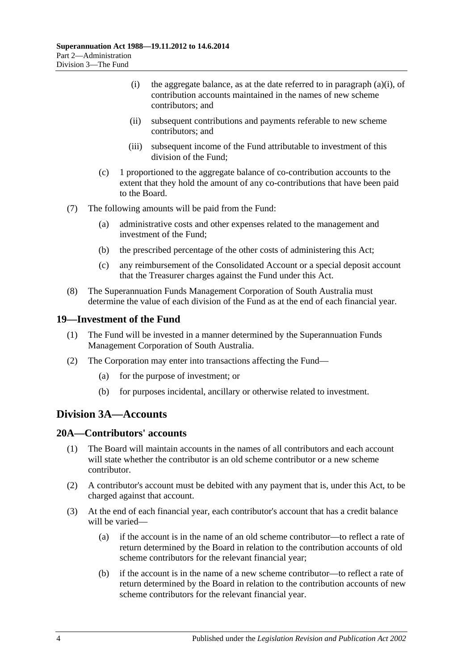- (i) the aggregate balance, as at the date referred to in [paragraph](#page-20-3) (a)(i), of contribution accounts maintained in the names of new scheme contributors; and
- (ii) subsequent contributions and payments referable to new scheme contributors; and
- (iii) subsequent income of the Fund attributable to investment of this division of the Fund;
- (c) 1 proportioned to the aggregate balance of co-contribution accounts to the extent that they hold the amount of any co-contributions that have been paid to the Board.
- (7) The following amounts will be paid from the Fund:
	- (a) administrative costs and other expenses related to the management and investment of the Fund;
	- (b) the prescribed percentage of the other costs of administering this Act;
	- (c) any reimbursement of the Consolidated Account or a special deposit account that the Treasurer charges against the Fund under this Act.
- (8) The Superannuation Funds Management Corporation of South Australia must determine the value of each division of the Fund as at the end of each financial year.

#### <span id="page-21-0"></span>**19—Investment of the Fund**

- (1) The Fund will be invested in a manner determined by the Superannuation Funds Management Corporation of South Australia.
- (2) The Corporation may enter into transactions affecting the Fund—
	- (a) for the purpose of investment; or
	- (b) for purposes incidental, ancillary or otherwise related to investment.

## <span id="page-21-1"></span>**Division 3A—Accounts**

### <span id="page-21-2"></span>**20A—Contributors' accounts**

- (1) The Board will maintain accounts in the names of all contributors and each account will state whether the contributor is an old scheme contributor or a new scheme contributor.
- (2) A contributor's account must be debited with any payment that is, under this Act, to be charged against that account.
- <span id="page-21-3"></span>(3) At the end of each financial year, each contributor's account that has a credit balance will be varied—
	- (a) if the account is in the name of an old scheme contributor—to reflect a rate of return determined by the Board in relation to the contribution accounts of old scheme contributors for the relevant financial year;
	- (b) if the account is in the name of a new scheme contributor—to reflect a rate of return determined by the Board in relation to the contribution accounts of new scheme contributors for the relevant financial year.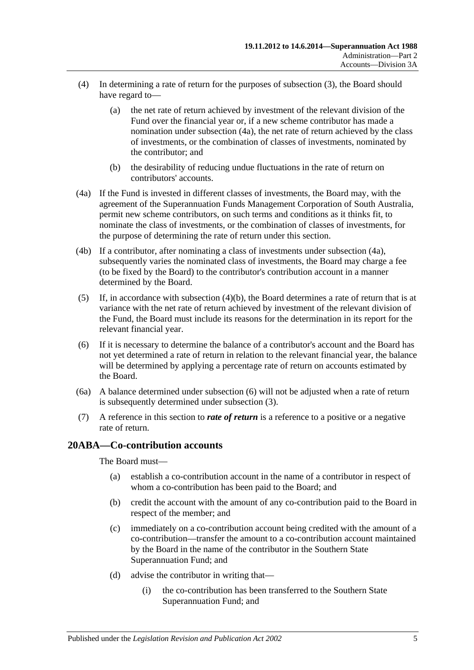- (4) In determining a rate of return for the purposes of [subsection](#page-21-3) (3), the Board should have regard to—
	- (a) the net rate of return achieved by investment of the relevant division of the Fund over the financial year or, if a new scheme contributor has made a nomination under [subsection](#page-22-1) (4a), the net rate of return achieved by the class of investments, or the combination of classes of investments, nominated by the contributor; and
	- (b) the desirability of reducing undue fluctuations in the rate of return on contributors' accounts.
- <span id="page-22-2"></span><span id="page-22-1"></span>(4a) If the Fund is invested in different classes of investments, the Board may, with the agreement of the Superannuation Funds Management Corporation of South Australia, permit new scheme contributors, on such terms and conditions as it thinks fit, to nominate the class of investments, or the combination of classes of investments, for the purpose of determining the rate of return under this section.
- (4b) If a contributor, after nominating a class of investments under [subsection](#page-22-1) (4a), subsequently varies the nominated class of investments, the Board may charge a fee (to be fixed by the Board) to the contributor's contribution account in a manner determined by the Board.
- (5) If, in accordance with [subsection](#page-22-2)  $(4)(b)$ , the Board determines a rate of return that is at variance with the net rate of return achieved by investment of the relevant division of the Fund, the Board must include its reasons for the determination in its report for the relevant financial year.
- <span id="page-22-3"></span>(6) If it is necessary to determine the balance of a contributor's account and the Board has not yet determined a rate of return in relation to the relevant financial year, the balance will be determined by applying a percentage rate of return on accounts estimated by the Board.
- (6a) A balance determined under [subsection](#page-22-3) (6) will not be adjusted when a rate of return is subsequently determined under [subsection](#page-21-3) (3).
- (7) A reference in this section to *rate of return* is a reference to a positive or a negative rate of return.

## <span id="page-22-0"></span>**20ABA—Co-contribution accounts**

The Board must—

- (a) establish a co-contribution account in the name of a contributor in respect of whom a co-contribution has been paid to the Board; and
- (b) credit the account with the amount of any co-contribution paid to the Board in respect of the member; and
- (c) immediately on a co-contribution account being credited with the amount of a co-contribution—transfer the amount to a co-contribution account maintained by the Board in the name of the contributor in the Southern State Superannuation Fund; and
- (d) advise the contributor in writing that—
	- (i) the co-contribution has been transferred to the Southern State Superannuation Fund; and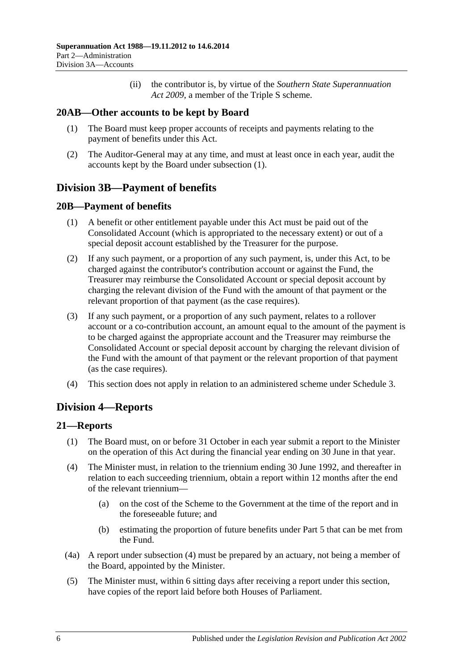(ii) the contributor is, by virtue of the *[Southern State Superannuation](http://www.legislation.sa.gov.au/index.aspx?action=legref&type=act&legtitle=Southern%20State%20Superannuation%20Act%202009)  Act [2009](http://www.legislation.sa.gov.au/index.aspx?action=legref&type=act&legtitle=Southern%20State%20Superannuation%20Act%202009)*, a member of the Triple S scheme.

## <span id="page-23-5"></span><span id="page-23-0"></span>**20AB—Other accounts to be kept by Board**

- (1) The Board must keep proper accounts of receipts and payments relating to the payment of benefits under this Act.
- (2) The Auditor-General may at any time, and must at least once in each year, audit the accounts kept by the Board under [subsection](#page-23-5) (1).

## <span id="page-23-1"></span>**Division 3B—Payment of benefits**

## <span id="page-23-2"></span>**20B—Payment of benefits**

- (1) A benefit or other entitlement payable under this Act must be paid out of the Consolidated Account (which is appropriated to the necessary extent) or out of a special deposit account established by the Treasurer for the purpose.
- (2) If any such payment, or a proportion of any such payment, is, under this Act, to be charged against the contributor's contribution account or against the Fund, the Treasurer may reimburse the Consolidated Account or special deposit account by charging the relevant division of the Fund with the amount of that payment or the relevant proportion of that payment (as the case requires).
- (3) If any such payment, or a proportion of any such payment, relates to a rollover account or a co-contribution account, an amount equal to the amount of the payment is to be charged against the appropriate account and the Treasurer may reimburse the Consolidated Account or special deposit account by charging the relevant division of the Fund with the amount of that payment or the relevant proportion of that payment (as the case requires).
- (4) This section does not apply in relation to an administered scheme under [Schedule 3.](#page-128-0)

## <span id="page-23-3"></span>**Division 4—Reports**

## <span id="page-23-4"></span>**21—Reports**

- (1) The Board must, on or before 31 October in each year submit a report to the Minister on the operation of this Act during the financial year ending on 30 June in that year.
- <span id="page-23-6"></span>(4) The Minister must, in relation to the triennium ending 30 June 1992, and thereafter in relation to each succeeding triennium, obtain a report within 12 months after the end of the relevant triennium—
	- (a) on the cost of the Scheme to the Government at the time of the report and in the foreseeable future; and
	- (b) estimating the proportion of future benefits under [Part 5](#page-56-0) that can be met from the Fund.
- (4a) A report under [subsection](#page-23-6) (4) must be prepared by an actuary, not being a member of the Board, appointed by the Minister.
- (5) The Minister must, within 6 sitting days after receiving a report under this section, have copies of the report laid before both Houses of Parliament.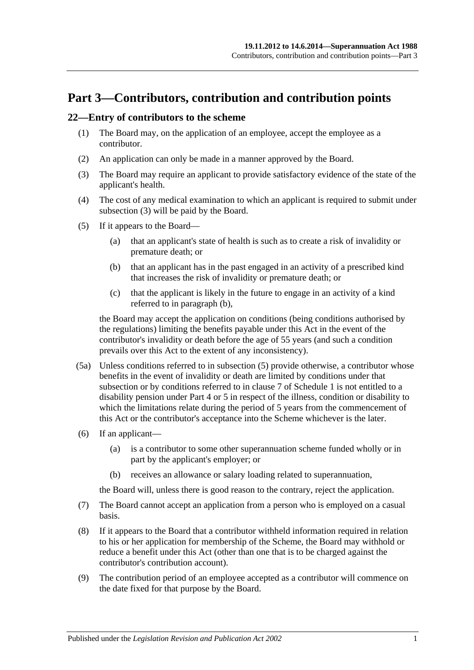# <span id="page-24-0"></span>**Part 3—Contributors, contribution and contribution points**

### <span id="page-24-5"></span><span id="page-24-1"></span>**22—Entry of contributors to the scheme**

- (1) The Board may, on the application of an employee, accept the employee as a contributor.
- (2) An application can only be made in a manner approved by the Board.
- <span id="page-24-2"></span>(3) The Board may require an applicant to provide satisfactory evidence of the state of the applicant's health.
- (4) The cost of any medical examination to which an applicant is required to submit under [subsection](#page-24-2) (3) will be paid by the Board.
- <span id="page-24-4"></span><span id="page-24-3"></span>(5) If it appears to the Board—
	- (a) that an applicant's state of health is such as to create a risk of invalidity or premature death; or
	- (b) that an applicant has in the past engaged in an activity of a prescribed kind that increases the risk of invalidity or premature death; or
	- (c) that the applicant is likely in the future to engage in an activity of a kind referred to in [paragraph](#page-24-3) (b),

the Board may accept the application on conditions (being conditions authorised by the regulations) limiting the benefits payable under this Act in the event of the contributor's invalidity or death before the age of 55 years (and such a condition prevails over this Act to the extent of any inconsistency).

- (5a) Unless conditions referred to in [subsection](#page-24-4) (5) provide otherwise, a contributor whose benefits in the event of invalidity or death are limited by conditions under that subsection or by conditions referred to in [clause](#page-108-0) 7 of [Schedule 1](#page-104-0) is not entitled to a disability pension under [Part 4](#page-30-0) or [5](#page-56-0) in respect of the illness, condition or disability to which the limitations relate during the period of 5 years from the commencement of this Act or the contributor's acceptance into the Scheme whichever is the later.
- (6) If an applicant—
	- (a) is a contributor to some other superannuation scheme funded wholly or in part by the applicant's employer; or
	- (b) receives an allowance or salary loading related to superannuation,

the Board will, unless there is good reason to the contrary, reject the application.

- (7) The Board cannot accept an application from a person who is employed on a casual basis.
- (8) If it appears to the Board that a contributor withheld information required in relation to his or her application for membership of the Scheme, the Board may withhold or reduce a benefit under this Act (other than one that is to be charged against the contributor's contribution account).
- (9) The contribution period of an employee accepted as a contributor will commence on the date fixed for that purpose by the Board.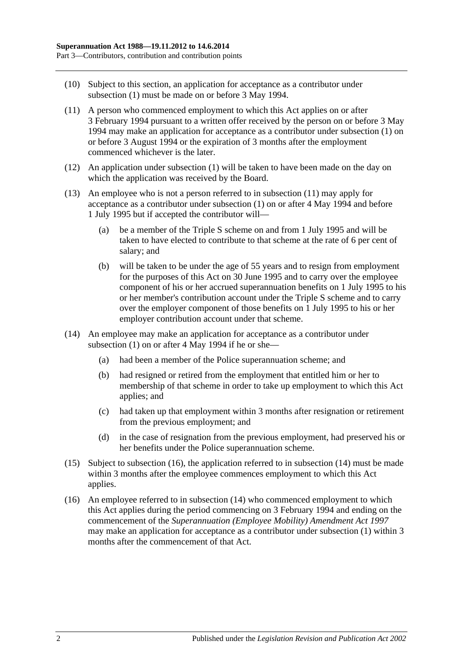- (10) Subject to this section, an application for acceptance as a contributor under [subsection](#page-24-5) (1) must be made on or before 3 May 1994.
- <span id="page-25-0"></span>(11) A person who commenced employment to which this Act applies on or after 3 February 1994 pursuant to a written offer received by the person on or before 3 May 1994 may make an application for acceptance as a contributor under [subsection](#page-24-5) (1) on or before 3 August 1994 or the expiration of 3 months after the employment commenced whichever is the later.
- (12) An application under [subsection](#page-24-5) (1) will be taken to have been made on the day on which the application was received by the Board.
- (13) An employee who is not a person referred to in [subsection](#page-25-0) (11) may apply for acceptance as a contributor under [subsection](#page-24-5) (1) on or after 4 May 1994 and before 1 July 1995 but if accepted the contributor will—
	- (a) be a member of the Triple S scheme on and from 1 July 1995 and will be taken to have elected to contribute to that scheme at the rate of 6 per cent of salary; and
	- (b) will be taken to be under the age of 55 years and to resign from employment for the purposes of this Act on 30 June 1995 and to carry over the employee component of his or her accrued superannuation benefits on 1 July 1995 to his or her member's contribution account under the Triple S scheme and to carry over the employer component of those benefits on 1 July 1995 to his or her employer contribution account under that scheme.
- <span id="page-25-2"></span>(14) An employee may make an application for acceptance as a contributor under [subsection](#page-24-5) (1) on or after 4 May 1994 if he or she—
	- (a) had been a member of the Police superannuation scheme; and
	- (b) had resigned or retired from the employment that entitled him or her to membership of that scheme in order to take up employment to which this Act applies; and
	- (c) had taken up that employment within 3 months after resignation or retirement from the previous employment; and
	- (d) in the case of resignation from the previous employment, had preserved his or her benefits under the Police superannuation scheme.
- (15) Subject to [subsection](#page-25-1) (16), the application referred to in [subsection](#page-25-2) (14) must be made within 3 months after the employee commences employment to which this Act applies.
- <span id="page-25-1"></span>(16) An employee referred to in [subsection](#page-25-2) (14) who commenced employment to which this Act applies during the period commencing on 3 February 1994 and ending on the commencement of the *[Superannuation \(Employee Mobility\) Amendment Act](http://www.legislation.sa.gov.au/index.aspx?action=legref&type=act&legtitle=Superannuation%20(Employee%20Mobility)%20Amendment%20Act%201997) 1997* may make an application for acceptance as a contributor under [subsection](#page-24-5) (1) within 3 months after the commencement of that Act.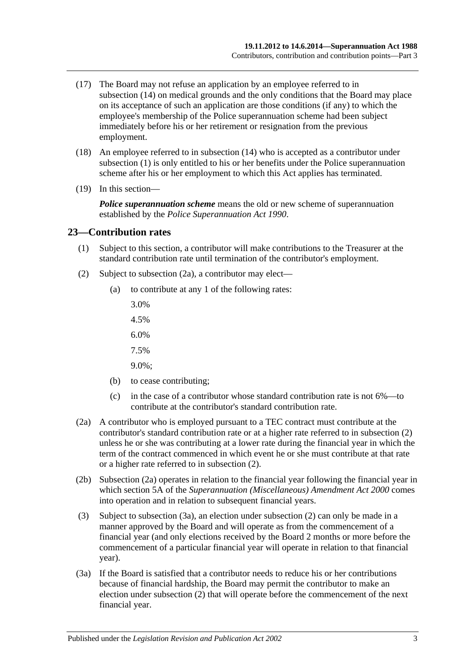- (17) The Board may not refuse an application by an employee referred to in [subsection](#page-25-2) (14) on medical grounds and the only conditions that the Board may place on its acceptance of such an application are those conditions (if any) to which the employee's membership of the Police superannuation scheme had been subject immediately before his or her retirement or resignation from the previous employment.
- (18) An employee referred to in [subsection](#page-25-2) (14) who is accepted as a contributor under [subsection](#page-24-5) (1) is only entitled to his or her benefits under the Police superannuation scheme after his or her employment to which this Act applies has terminated.
- (19) In this section—

*Police superannuation scheme* means the old or new scheme of superannuation established by the *[Police Superannuation Act](http://www.legislation.sa.gov.au/index.aspx?action=legref&type=act&legtitle=Police%20Superannuation%20Act%201990) 1990*.

#### <span id="page-26-0"></span>**23—Contribution rates**

- (1) Subject to this section, a contributor will make contributions to the Treasurer at the standard contribution rate until termination of the contributor's employment.
- <span id="page-26-2"></span>(2) Subject to [subsection](#page-26-1) (2a), a contributor may elect—
	- (a) to contribute at any 1 of the following rates:
		- 3.0%
		- 4.5%
		- 6.0%
		- 7.5%
		- 9.0%;
	- (b) to cease contributing;
	- (c) in the case of a contributor whose standard contribution rate is not 6%—to contribute at the contributor's standard contribution rate.
- <span id="page-26-1"></span>(2a) A contributor who is employed pursuant to a TEC contract must contribute at the contributor's standard contribution rate or at a higher rate referred to in [subsection](#page-26-2) (2) unless he or she was contributing at a lower rate during the financial year in which the term of the contract commenced in which event he or she must contribute at that rate or a higher rate referred to in [subsection](#page-26-2) (2).
- (2b) [Subsection](#page-26-1) (2a) operates in relation to the financial year following the financial year in which section 5A of the *[Superannuation \(Miscellaneous\) Amendment Act](http://www.legislation.sa.gov.au/index.aspx?action=legref&type=act&legtitle=Superannuation%20(Miscellaneous)%20Amendment%20Act%202000) 2000* comes into operation and in relation to subsequent financial years.
- (3) Subject to [subsection](#page-26-3) (3a), an election under [subsection](#page-26-2) (2) can only be made in a manner approved by the Board and will operate as from the commencement of a financial year (and only elections received by the Board 2 months or more before the commencement of a particular financial year will operate in relation to that financial year).
- <span id="page-26-3"></span>(3a) If the Board is satisfied that a contributor needs to reduce his or her contributions because of financial hardship, the Board may permit the contributor to make an election under [subsection](#page-26-2) (2) that will operate before the commencement of the next financial year.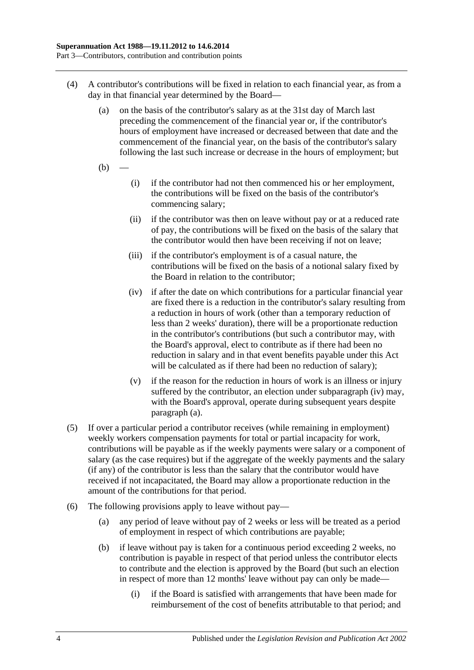- <span id="page-27-0"></span>(4) A contributor's contributions will be fixed in relation to each financial year, as from a day in that financial year determined by the Board—
	- (a) on the basis of the contributor's salary as at the 31st day of March last preceding the commencement of the financial year or, if the contributor's hours of employment have increased or decreased between that date and the commencement of the financial year, on the basis of the contributor's salary following the last such increase or decrease in the hours of employment; but
	- $(b)$
- (i) if the contributor had not then commenced his or her employment, the contributions will be fixed on the basis of the contributor's commencing salary;
- (ii) if the contributor was then on leave without pay or at a reduced rate of pay, the contributions will be fixed on the basis of the salary that the contributor would then have been receiving if not on leave;
- (iii) if the contributor's employment is of a casual nature, the contributions will be fixed on the basis of a notional salary fixed by the Board in relation to the contributor;
- <span id="page-27-1"></span>(iv) if after the date on which contributions for a particular financial year are fixed there is a reduction in the contributor's salary resulting from a reduction in hours of work (other than a temporary reduction of less than 2 weeks' duration), there will be a proportionate reduction in the contributor's contributions (but such a contributor may, with the Board's approval, elect to contribute as if there had been no reduction in salary and in that event benefits payable under this Act will be calculated as if there had been no reduction of salary);
- (v) if the reason for the reduction in hours of work is an illness or injury suffered by the contributor, an election under [subparagraph](#page-27-1) (iv) may, with the Board's approval, operate during subsequent years despite [paragraph](#page-27-0) (a).
- (5) If over a particular period a contributor receives (while remaining in employment) weekly workers compensation payments for total or partial incapacity for work, contributions will be payable as if the weekly payments were salary or a component of salary (as the case requires) but if the aggregate of the weekly payments and the salary (if any) of the contributor is less than the salary that the contributor would have received if not incapacitated, the Board may allow a proportionate reduction in the amount of the contributions for that period.
- <span id="page-27-2"></span>(6) The following provisions apply to leave without pay—
	- (a) any period of leave without pay of 2 weeks or less will be treated as a period of employment in respect of which contributions are payable;
	- (b) if leave without pay is taken for a continuous period exceeding 2 weeks, no contribution is payable in respect of that period unless the contributor elects to contribute and the election is approved by the Board (but such an election in respect of more than 12 months' leave without pay can only be made—
		- (i) if the Board is satisfied with arrangements that have been made for reimbursement of the cost of benefits attributable to that period; and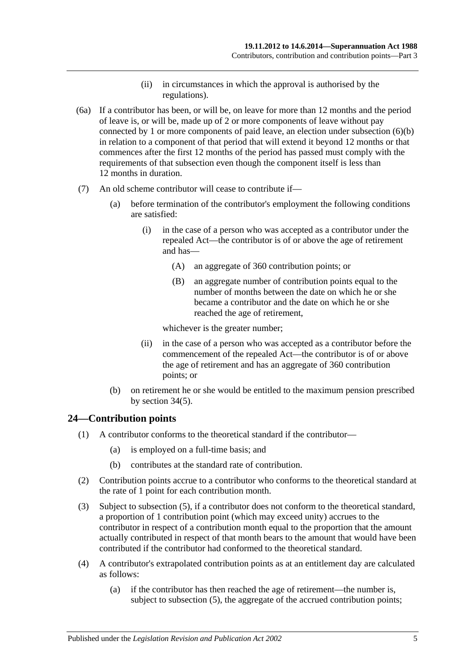- (ii) in circumstances in which the approval is authorised by the regulations).
- (6a) If a contributor has been, or will be, on leave for more than 12 months and the period of leave is, or will be, made up of 2 or more components of leave without pay connected by 1 or more components of paid leave, an election under [subsection](#page-27-2) (6)(b) in relation to a component of that period that will extend it beyond 12 months or that commences after the first 12 months of the period has passed must comply with the requirements of that subsection even though the component itself is less than 12 months in duration.
- (7) An old scheme contributor will cease to contribute if—
	- (a) before termination of the contributor's employment the following conditions are satisfied:
		- (i) in the case of a person who was accepted as a contributor under the repealed Act—the contributor is of or above the age of retirement and has—
			- (A) an aggregate of 360 contribution points; or
			- (B) an aggregate number of contribution points equal to the number of months between the date on which he or she became a contributor and the date on which he or she reached the age of retirement,

whichever is the greater number;

- (ii) in the case of a person who was accepted as a contributor before the commencement of the repealed Act—the contributor is of or above the age of retirement and has an aggregate of 360 contribution points; or
- (b) on retirement he or she would be entitled to the maximum pension prescribed by [section](#page-60-0) 34(5).

## <span id="page-28-0"></span>**24—Contribution points**

- (1) A contributor conforms to the theoretical standard if the contributor—
	- (a) is employed on a full-time basis; and
	- (b) contributes at the standard rate of contribution.
- (2) Contribution points accrue to a contributor who conforms to the theoretical standard at the rate of 1 point for each contribution month.
- (3) Subject to [subsection](#page-29-1) (5), if a contributor does not conform to the theoretical standard, a proportion of 1 contribution point (which may exceed unity) accrues to the contributor in respect of a contribution month equal to the proportion that the amount actually contributed in respect of that month bears to the amount that would have been contributed if the contributor had conformed to the theoretical standard.
- <span id="page-28-1"></span>(4) A contributor's extrapolated contribution points as at an entitlement day are calculated as follows:
	- (a) if the contributor has then reached the age of retirement—the number is, subject to [subsection](#page-29-1) (5), the aggregate of the accrued contribution points;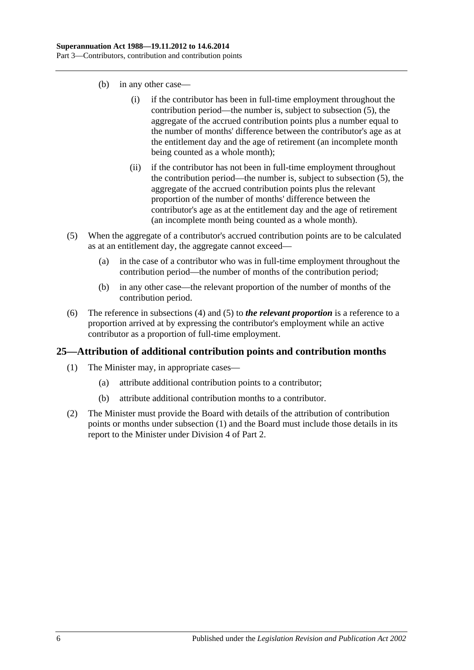- (b) in any other case—
	- (i) if the contributor has been in full-time employment throughout the contribution period—the number is, subject to [subsection](#page-29-1) (5), the aggregate of the accrued contribution points plus a number equal to the number of months' difference between the contributor's age as at the entitlement day and the age of retirement (an incomplete month being counted as a whole month);
	- (ii) if the contributor has not been in full-time employment throughout the contribution period—the number is, subject to [subsection](#page-29-1) (5), the aggregate of the accrued contribution points plus the relevant proportion of the number of months' difference between the contributor's age as at the entitlement day and the age of retirement (an incomplete month being counted as a whole month).
- <span id="page-29-1"></span>(5) When the aggregate of a contributor's accrued contribution points are to be calculated as at an entitlement day, the aggregate cannot exceed—
	- (a) in the case of a contributor who was in full-time employment throughout the contribution period—the number of months of the contribution period;
	- (b) in any other case—the relevant proportion of the number of months of the contribution period.
- (6) The reference in [subsections](#page-28-1) (4) and [\(5\)](#page-29-1) to *the relevant proportion* is a reference to a proportion arrived at by expressing the contributor's employment while an active contributor as a proportion of full-time employment.

## <span id="page-29-2"></span><span id="page-29-0"></span>**25—Attribution of additional contribution points and contribution months**

- (1) The Minister may, in appropriate cases—
	- (a) attribute additional contribution points to a contributor;
	- (b) attribute additional contribution months to a contributor.
- (2) The Minister must provide the Board with details of the attribution of contribution points or months under [subsection](#page-29-2) (1) and the Board must include those details in its report to the Minister under [Division 4](#page-23-3) of [Part 2.](#page-18-0)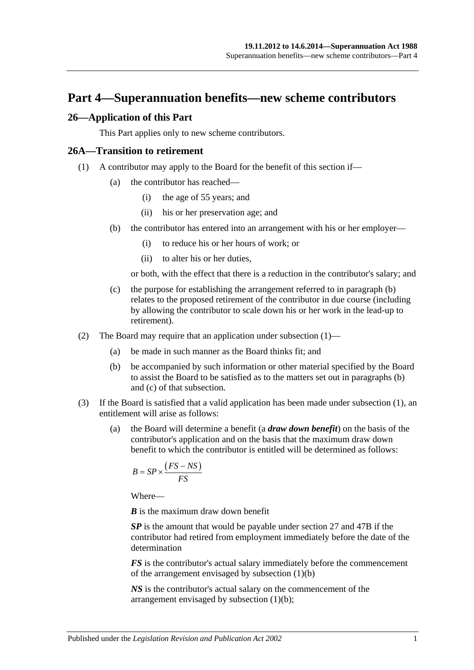## <span id="page-30-0"></span>**Part 4—Superannuation benefits—new scheme contributors**

#### <span id="page-30-1"></span>**26—Application of this Part**

This Part applies only to new scheme contributors.

#### <span id="page-30-4"></span><span id="page-30-2"></span>**26A—Transition to retirement**

- <span id="page-30-3"></span>(1) A contributor may apply to the Board for the benefit of this section if—
	- (a) the contributor has reached—
		- (i) the age of 55 years; and
		- (ii) his or her preservation age; and
	- (b) the contributor has entered into an arrangement with his or her employer—
		- (i) to reduce his or her hours of work; or
		- (ii) to alter his or her duties,

or both, with the effect that there is a reduction in the contributor's salary; and

- <span id="page-30-5"></span>(c) the purpose for establishing the arrangement referred to in [paragraph](#page-30-3) (b) relates to the proposed retirement of the contributor in due course (including by allowing the contributor to scale down his or her work in the lead-up to retirement).
- (2) The Board may require that an application under [subsection](#page-30-4) (1)—
	- (a) be made in such manner as the Board thinks fit; and
	- (b) be accompanied by such information or other material specified by the Board to assist the Board to be satisfied as to the matters set out in [paragraphs](#page-30-3) (b) and [\(c\)](#page-30-5) of that subsection.
- <span id="page-30-7"></span><span id="page-30-6"></span>(3) If the Board is satisfied that a valid application has been made under [subsection](#page-30-4) (1), an entitlement will arise as follows:
	- (a) the Board will determine a benefit (a *draw down benefit*) on the basis of the contributor's application and on the basis that the maximum draw down benefit to which the contributor is entitled will be determined as follows:

$$
B = SP \times \frac{(FS - NS)}{FS}
$$

Where—

*B* is the maximum draw down benefit

*SP* is the amount that would be payable under [section](#page-33-0) 27 and [47B](#page-98-1) if the contributor had retired from employment immediately before the date of the determination

*FS* is the contributor's actual salary immediately before the commencement of the arrangement envisaged by [subsection](#page-30-3) (1)(b)

*NS* is the contributor's actual salary on the commencement of the arrangement envisaged by [subsection](#page-30-3) (1)(b);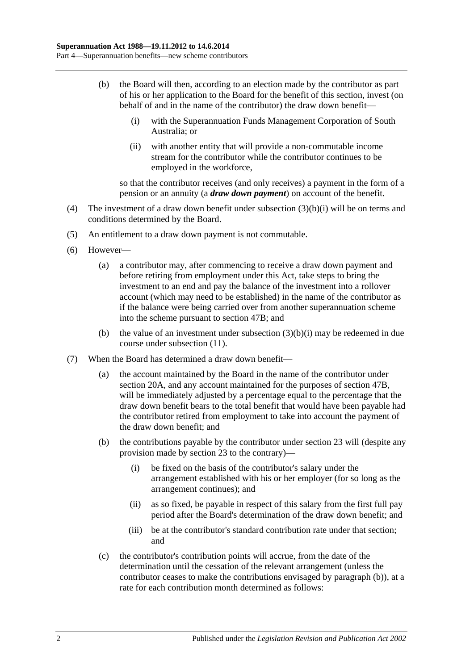- <span id="page-31-2"></span><span id="page-31-0"></span>(b) the Board will then, according to an election made by the contributor as part of his or her application to the Board for the benefit of this section, invest (on behalf of and in the name of the contributor) the draw down benefit—
	- (i) with the Superannuation Funds Management Corporation of South Australia; or
	- (ii) with another entity that will provide a non-commutable income stream for the contributor while the contributor continues to be employed in the workforce,

so that the contributor receives (and only receives) a payment in the form of a pension or an annuity (a *draw down payment*) on account of the benefit.

- (4) The investment of a draw down benefit under [subsection](#page-31-0) (3)(b)(i) will be on terms and conditions determined by the Board.
- (5) An entitlement to a draw down payment is not commutable.
- (6) However—
	- (a) a contributor may, after commencing to receive a draw down payment and before retiring from employment under this Act, take steps to bring the investment to an end and pay the balance of the investment into a rollover account (which may need to be established) in the name of the contributor as if the balance were being carried over from another superannuation scheme into the scheme pursuant to [section](#page-98-1) 47B; and
	- (b) the value of an investment under [subsection](#page-31-0)  $(3)(b)(i)$  may be redeemed in due course under [subsection](#page-32-0) (11).
- <span id="page-31-1"></span>(7) When the Board has determined a draw down benefit—
	- (a) the account maintained by the Board in the name of the contributor under [section](#page-21-2) 20A, and any account maintained for the purposes of [section](#page-98-1) 47B, will be immediately adjusted by a percentage equal to the percentage that the draw down benefit bears to the total benefit that would have been payable had the contributor retired from employment to take into account the payment of the draw down benefit; and
	- (b) the contributions payable by the contributor under [section](#page-26-0) 23 will (despite any provision made by [section](#page-26-0) 23 to the contrary)—
		- (i) be fixed on the basis of the contributor's salary under the arrangement established with his or her employer (for so long as the arrangement continues); and
		- (ii) as so fixed, be payable in respect of this salary from the first full pay period after the Board's determination of the draw down benefit; and
		- (iii) be at the contributor's standard contribution rate under that section; and
	- (c) the contributor's contribution points will accrue, from the date of the determination until the cessation of the relevant arrangement (unless the contributor ceases to make the contributions envisaged by [paragraph](#page-31-1) (b)), at a rate for each contribution month determined as follows: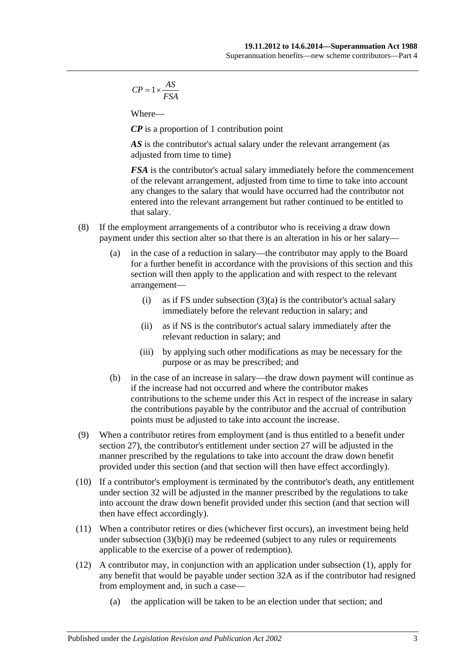$$
CP = 1 \times \frac{AS}{FSA}
$$

Where—

*CP* is a proportion of 1 contribution point

AS is the contributor's actual salary under the relevant arrangement (as adjusted from time to time)

*FSA* is the contributor's actual salary immediately before the commencement of the relevant arrangement, adjusted from time to time to take into account any changes to the salary that would have occurred had the contributor not entered into the relevant arrangement but rather continued to be entitled to that salary.

- (8) If the employment arrangements of a contributor who is receiving a draw down payment under this section alter so that there is an alteration in his or her salary—
	- (a) in the case of a reduction in salary—the contributor may apply to the Board for a further benefit in accordance with the provisions of this section and this section will then apply to the application and with respect to the relevant arrangement
		- (i) as if FS under [subsection](#page-30-6)  $(3)(a)$  is the contributor's actual salary immediately before the relevant reduction in salary; and
		- (ii) as if NS is the contributor's actual salary immediately after the relevant reduction in salary; and
		- (iii) by applying such other modifications as may be necessary for the purpose or as may be prescribed; and
	- (b) in the case of an increase in salary—the draw down payment will continue as if the increase had not occurred and where the contributor makes contributions to the scheme under this Act in respect of the increase in salary the contributions payable by the contributor and the accrual of contribution points must be adjusted to take into account the increase.
- (9) When a contributor retires from employment (and is thus entitled to a benefit under [section](#page-33-0) 27), the contributor's entitlement under [section](#page-33-0) 27 will be adjusted in the manner prescribed by the regulations to take into account the draw down benefit provided under this section (and that section will then have effect accordingly).
- (10) If a contributor's employment is terminated by the contributor's death, any entitlement under [section](#page-45-0) 32 will be adjusted in the manner prescribed by the regulations to take into account the draw down benefit provided under this section (and that section will then have effect accordingly).
- <span id="page-32-0"></span>(11) When a contributor retires or dies (whichever first occurs), an investment being held under [subsection](#page-31-0)  $(3)(b)(i)$  may be redeemed (subject to any rules or requirements applicable to the exercise of a power of redemption).
- (12) A contributor may, in conjunction with an application under [subsection](#page-30-4) (1), apply for any benefit that would be payable under [section](#page-50-0) 32A as if the contributor had resigned from employment and, in such a case—
	- (a) the application will be taken to be an election under that section; and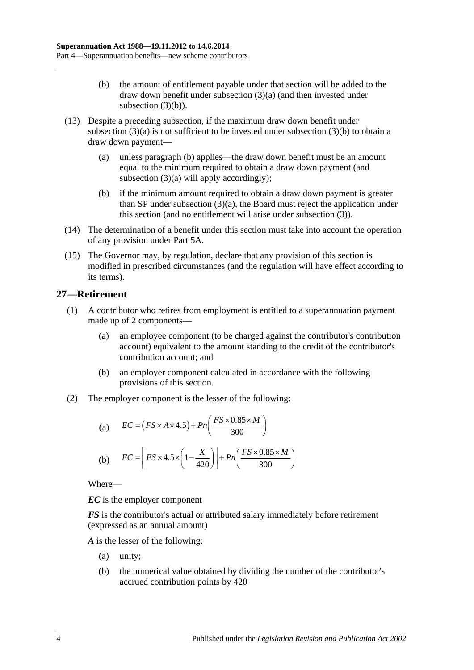- (b) the amount of entitlement payable under that section will be added to the draw down benefit under [subsection](#page-30-6) (3)(a) (and then invested under [subsection](#page-31-2)  $(3)(b)$ ).
- (13) Despite a preceding subsection, if the maximum draw down benefit under [subsection](#page-30-6)  $(3)(a)$  is not sufficient to be invested under [subsection](#page-31-2)  $(3)(b)$  to obtain a draw down payment—
	- (a) unless [paragraph](#page-33-1) (b) applies—the draw down benefit must be an amount equal to the minimum required to obtain a draw down payment (and [subsection](#page-30-6) (3)(a) will apply accordingly);
	- (b) if the minimum amount required to obtain a draw down payment is greater than SP under [subsection](#page-30-6) (3)(a), the Board must reject the application under this section (and no entitlement will arise under [subsection](#page-30-7) (3)).
- <span id="page-33-1"></span>(14) The determination of a benefit under this section must take into account the operation of any provision under [Part 5A.](#page-86-0)
- (15) The Governor may, by regulation, declare that any provision of this section is modified in prescribed circumstances (and the regulation will have effect according to its terms).

## <span id="page-33-0"></span>**27—Retirement**

- (1) A contributor who retires from employment is entitled to a superannuation payment made up of 2 components—
	- (a) an employee component (to be charged against the contributor's contribution account) equivalent to the amount standing to the credit of the contributor's contribution account; and
	- (b) an employer component calculated in accordance with the following provisions of this section.
- (2) The employer component is the lesser of the following:

(a) 
$$
EC = (FS \times A \times 4.5) + Pn\left(\frac{FS \times 0.85 \times M}{300}\right)
$$
  
(b) 
$$
EC = \left[FS \times 4.5 \times \left(1 - \frac{X}{420}\right)\right] + Pn\left(\frac{FS \times 0.85 \times M}{300}\right)
$$

Where—

*EC* is the employer component

*FS* is the contributor's actual or attributed salary immediately before retirement (expressed as an annual amount)

*A* is the lesser of the following:

- (a) unity;
- (b) the numerical value obtained by dividing the number of the contributor's accrued contribution points by 420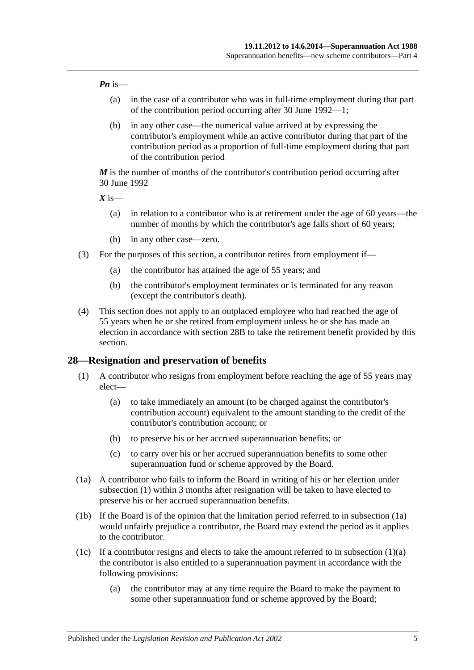#### *Pn* is—

- (a) in the case of a contributor who was in full-time employment during that part of the contribution period occurring after 30 June 1992—1;
- (b) in any other case—the numerical value arrived at by expressing the contributor's employment while an active contributor during that part of the contribution period as a proportion of full-time employment during that part of the contribution period

*M* is the number of months of the contributor's contribution period occurring after 30 June 1992

 $X$  is—

- (a) in relation to a contributor who is at retirement under the age of 60 years—the number of months by which the contributor's age falls short of 60 years;
- (b) in any other case—zero.
- (3) For the purposes of this section, a contributor retires from employment if—
	- (a) the contributor has attained the age of 55 years; and
	- (b) the contributor's employment terminates or is terminated for any reason (except the contributor's death).
- (4) This section does not apply to an outplaced employee who had reached the age of 55 years when he or she retired from employment unless he or she has made an election in accordance with [section](#page-39-0) 28B to take the retirement benefit provided by this section.

#### <span id="page-34-1"></span><span id="page-34-0"></span>**28—Resignation and preservation of benefits**

- <span id="page-34-3"></span>(1) A contributor who resigns from employment before reaching the age of 55 years may elect—
	- (a) to take immediately an amount (to be charged against the contributor's contribution account) equivalent to the amount standing to the credit of the contributor's contribution account; or
	- (b) to preserve his or her accrued superannuation benefits; or
	- (c) to carry over his or her accrued superannuation benefits to some other superannuation fund or scheme approved by the Board.
- <span id="page-34-2"></span>(1a) A contributor who fails to inform the Board in writing of his or her election under [subsection](#page-34-1) (1) within 3 months after resignation will be taken to have elected to preserve his or her accrued superannuation benefits.
- (1b) If the Board is of the opinion that the limitation period referred to in [subsection](#page-34-2) (1a) would unfairly prejudice a contributor, the Board may extend the period as it applies to the contributor.
- <span id="page-34-4"></span>(1c) If a contributor resigns and elects to take the amount referred to in [subsection](#page-34-3)  $(1)(a)$ the contributor is also entitled to a superannuation payment in accordance with the following provisions:
	- (a) the contributor may at any time require the Board to make the payment to some other superannuation fund or scheme approved by the Board;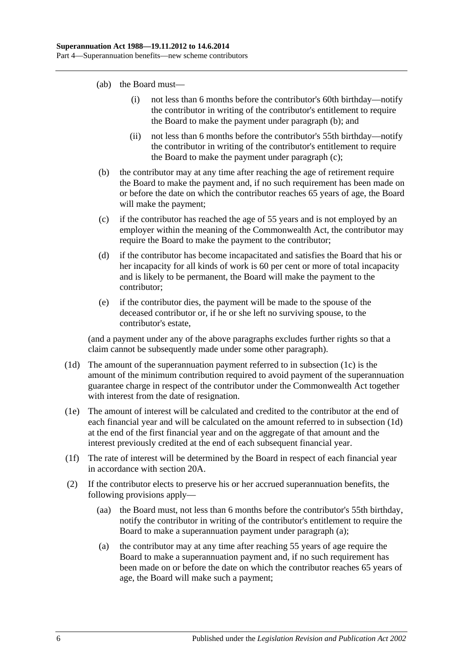- (ab) the Board must—
	- (i) not less than 6 months before the contributor's 60th birthday—notify the contributor in writing of the contributor's entitlement to require the Board to make the payment under [paragraph](#page-35-0) (b); and
	- (ii) not less than 6 months before the contributor's 55th birthday—notify the contributor in writing of the contributor's entitlement to require the Board to make the payment under [paragraph](#page-35-1) (c);
- <span id="page-35-0"></span>(b) the contributor may at any time after reaching the age of retirement require the Board to make the payment and, if no such requirement has been made on or before the date on which the contributor reaches 65 years of age, the Board will make the payment;
- <span id="page-35-1"></span>(c) if the contributor has reached the age of 55 years and is not employed by an employer within the meaning of the Commonwealth Act, the contributor may require the Board to make the payment to the contributor;
- (d) if the contributor has become incapacitated and satisfies the Board that his or her incapacity for all kinds of work is 60 per cent or more of total incapacity and is likely to be permanent, the Board will make the payment to the contributor;
- (e) if the contributor dies, the payment will be made to the spouse of the deceased contributor or, if he or she left no surviving spouse, to the contributor's estate,

(and a payment under any of the above paragraphs excludes further rights so that a claim cannot be subsequently made under some other paragraph).

- <span id="page-35-2"></span>(1d) The amount of the superannuation payment referred to in [subsection](#page-34-4) (1c) is the amount of the minimum contribution required to avoid payment of the superannuation guarantee charge in respect of the contributor under the Commonwealth Act together with interest from the date of resignation.
- (1e) The amount of interest will be calculated and credited to the contributor at the end of each financial year and will be calculated on the amount referred to in [subsection](#page-35-2) (1d) at the end of the first financial year and on the aggregate of that amount and the interest previously credited at the end of each subsequent financial year.
- (1f) The rate of interest will be determined by the Board in respect of each financial year in accordance with [section](#page-21-2) 20A.
- <span id="page-35-3"></span>(2) If the contributor elects to preserve his or her accrued superannuation benefits, the following provisions apply—
	- (aa) the Board must, not less than 6 months before the contributor's 55th birthday, notify the contributor in writing of the contributor's entitlement to require the Board to make a superannuation payment under [paragraph](#page-35-3) (a);
	- (a) the contributor may at any time after reaching 55 years of age require the Board to make a superannuation payment and, if no such requirement has been made on or before the date on which the contributor reaches 65 years of age, the Board will make such a payment;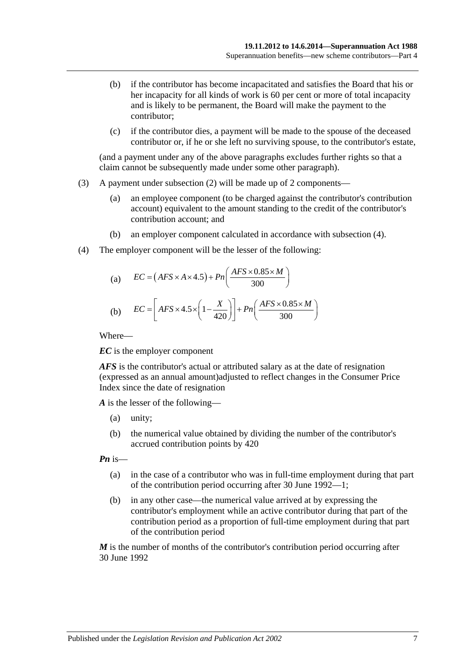- (b) if the contributor has become incapacitated and satisfies the Board that his or her incapacity for all kinds of work is 60 per cent or more of total incapacity and is likely to be permanent, the Board will make the payment to the contributor;
- (c) if the contributor dies, a payment will be made to the spouse of the deceased contributor or, if he or she left no surviving spouse, to the contributor's estate,

(and a payment under any of the above paragraphs excludes further rights so that a claim cannot be subsequently made under some other paragraph).

- (3) A payment under [subsection](#page-35-0) (2) will be made up of 2 components—
	- (a) an employee component (to be charged against the contributor's contribution account) equivalent to the amount standing to the credit of the contributor's contribution account; and
	- (b) an employer component calculated in accordance with [subsection](#page-36-0) (4).
- <span id="page-36-0"></span>(4) The employer component will be the lesser of the following:

(a) 
$$
EC = (AFS \times A \times 4.5) + Pn\left(\frac{AFS \times 0.85 \times M}{300}\right)
$$
  
(b) 
$$
EC = \left[ AFS \times 4.5 \times \left(1 - \frac{X}{420}\right)\right] + Pn\left(\frac{AFS \times 0.85 \times M}{300}\right)
$$

Where—

*EC* is the employer component

*AFS* is the contributor's actual or attributed salary as at the date of resignation (expressed as an annual amount)adjusted to reflect changes in the Consumer Price Index since the date of resignation

*A* is the lesser of the following—

- (a) unity;
- (b) the numerical value obtained by dividing the number of the contributor's accrued contribution points by 420

*Pn* is—

- (a) in the case of a contributor who was in full-time employment during that part of the contribution period occurring after 30 June 1992—1;
- (b) in any other case—the numerical value arrived at by expressing the contributor's employment while an active contributor during that part of the contribution period as a proportion of full-time employment during that part of the contribution period

*M* is the number of months of the contributor's contribution period occurring after 30 June 1992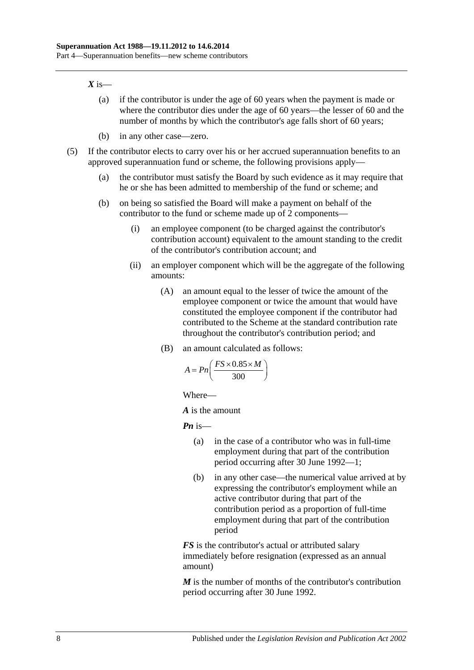#### $X$  is—

- (a) if the contributor is under the age of 60 years when the payment is made or where the contributor dies under the age of 60 years—the lesser of 60 and the number of months by which the contributor's age falls short of 60 years;
- (b) in any other case—zero.
- (5) If the contributor elects to carry over his or her accrued superannuation benefits to an approved superannuation fund or scheme, the following provisions apply—
	- (a) the contributor must satisfy the Board by such evidence as it may require that he or she has been admitted to membership of the fund or scheme; and
	- (b) on being so satisfied the Board will make a payment on behalf of the contributor to the fund or scheme made up of 2 components—
		- (i) an employee component (to be charged against the contributor's contribution account) equivalent to the amount standing to the credit of the contributor's contribution account; and
		- (ii) an employer component which will be the aggregate of the following amounts:
			- (A) an amount equal to the lesser of twice the amount of the employee component or twice the amount that would have constituted the employee component if the contributor had contributed to the Scheme at the standard contribution rate throughout the contributor's contribution period; and
			- (B) an amount calculated as follows:

$$
A = P_n\left(\frac{FS \times 0.85 \times M}{300}\right)
$$

Where—

*A* is the amount

*Pn* is—

- (a) in the case of a contributor who was in full-time employment during that part of the contribution period occurring after 30 June 1992—1;
- (b) in any other case—the numerical value arrived at by expressing the contributor's employment while an active contributor during that part of the contribution period as a proportion of full-time employment during that part of the contribution period

*FS* is the contributor's actual or attributed salary immediately before resignation (expressed as an annual amount)

*M* is the number of months of the contributor's contribution period occurring after 30 June 1992.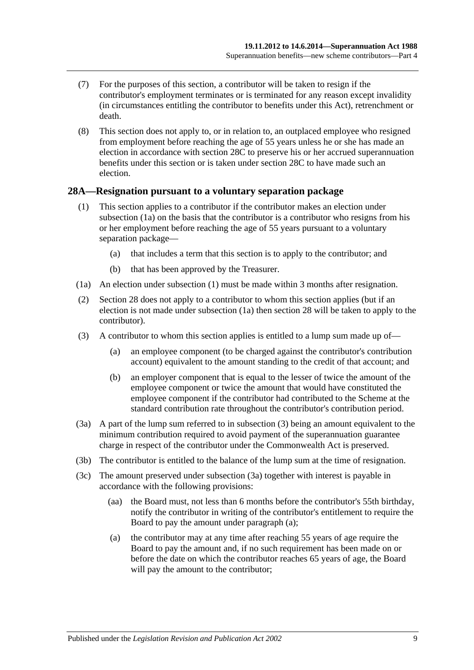- (7) For the purposes of this section, a contributor will be taken to resign if the contributor's employment terminates or is terminated for any reason except invalidity (in circumstances entitling the contributor to benefits under this Act), retrenchment or death.
- (8) This section does not apply to, or in relation to, an outplaced employee who resigned from employment before reaching the age of 55 years unless he or she has made an election in accordance with [section](#page-39-0) 28C to preserve his or her accrued superannuation benefits under this section or is taken under [section](#page-39-0) 28C to have made such an election.

#### <span id="page-38-5"></span><span id="page-38-1"></span>**28A—Resignation pursuant to a voluntary separation package**

- (1) This section applies to a contributor if the contributor makes an election under [subsection](#page-38-0) (1a) on the basis that the contributor is a contributor who resigns from his or her employment before reaching the age of 55 years pursuant to a voluntary separation package—
	- (a) that includes a term that this section is to apply to the contributor; and
	- (b) that has been approved by the Treasurer.
- <span id="page-38-0"></span>(1a) An election under [subsection](#page-38-1) (1) must be made within 3 months after resignation.
- (2) [Section](#page-34-0) 28 does not apply to a contributor to whom this section applies (but if an election is not made under subsection (1a) then section 28 will be taken to apply to the contributor).
- <span id="page-38-2"></span>(3) A contributor to whom this section applies is entitled to a lump sum made up of—
	- (a) an employee component (to be charged against the contributor's contribution account) equivalent to the amount standing to the credit of that account; and
	- (b) an employer component that is equal to the lesser of twice the amount of the employee component or twice the amount that would have constituted the employee component if the contributor had contributed to the Scheme at the standard contribution rate throughout the contributor's contribution period.
- <span id="page-38-3"></span>(3a) A part of the lump sum referred to in [subsection](#page-38-2) (3) being an amount equivalent to the minimum contribution required to avoid payment of the superannuation guarantee charge in respect of the contributor under the Commonwealth Act is preserved.
- (3b) The contributor is entitled to the balance of the lump sum at the time of resignation.
- <span id="page-38-4"></span>(3c) The amount preserved under [subsection](#page-38-3) (3a) together with interest is payable in accordance with the following provisions:
	- (aa) the Board must, not less than 6 months before the contributor's 55th birthday, notify the contributor in writing of the contributor's entitlement to require the Board to pay the amount under [paragraph](#page-38-4) (a);
	- (a) the contributor may at any time after reaching 55 years of age require the Board to pay the amount and, if no such requirement has been made on or before the date on which the contributor reaches 65 years of age, the Board will pay the amount to the contributor;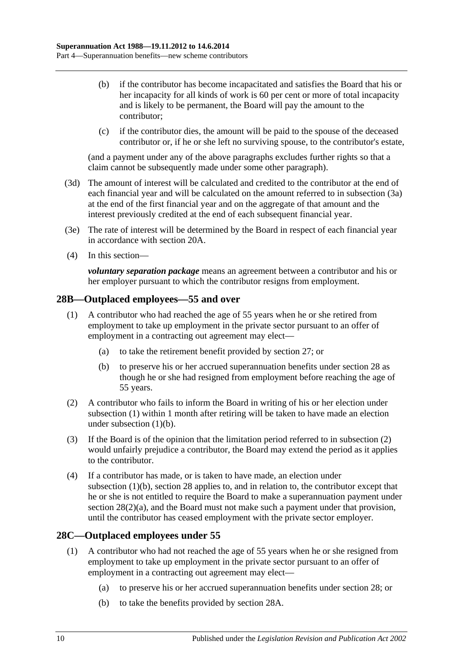- (b) if the contributor has become incapacitated and satisfies the Board that his or her incapacity for all kinds of work is 60 per cent or more of total incapacity and is likely to be permanent, the Board will pay the amount to the contributor;
- (c) if the contributor dies, the amount will be paid to the spouse of the deceased contributor or, if he or she left no surviving spouse, to the contributor's estate,

(and a payment under any of the above paragraphs excludes further rights so that a claim cannot be subsequently made under some other paragraph).

- (3d) The amount of interest will be calculated and credited to the contributor at the end of each financial year and will be calculated on the amount referred to in [subsection](#page-38-3) (3a) at the end of the first financial year and on the aggregate of that amount and the interest previously credited at the end of each subsequent financial year.
- (3e) The rate of interest will be determined by the Board in respect of each financial year in accordance with [section](#page-21-0) 20A.
- (4) In this section—

*voluntary separation package* means an agreement between a contributor and his or her employer pursuant to which the contributor resigns from employment.

## <span id="page-39-1"></span>**28B—Outplaced employees—55 and over**

- (1) A contributor who had reached the age of 55 years when he or she retired from employment to take up employment in the private sector pursuant to an offer of employment in a contracting out agreement may elect—
	- (a) to take the retirement benefit provided by [section](#page-33-0) 27; or
	- (b) to preserve his or her accrued superannuation benefits under [section](#page-34-0) 28 as though he or she had resigned from employment before reaching the age of 55 years.
- <span id="page-39-3"></span><span id="page-39-2"></span>(2) A contributor who fails to inform the Board in writing of his or her election under [subsection](#page-39-1) (1) within 1 month after retiring will be taken to have made an election under [subsection](#page-39-2) (1)(b).
- (3) If the Board is of the opinion that the limitation period referred to in [subsection](#page-39-3) (2) would unfairly prejudice a contributor, the Board may extend the period as it applies to the contributor.
- (4) If a contributor has made, or is taken to have made, an election under [subsection](#page-39-2) (1)(b), [section](#page-34-0) 28 applies to, and in relation to, the contributor except that he or she is not entitled to require the Board to make a superannuation payment under section [28\(2\)\(a\),](#page-35-1) and the Board must not make such a payment under that provision, until the contributor has ceased employment with the private sector employer.

## <span id="page-39-4"></span><span id="page-39-0"></span>**28C—Outplaced employees under 55**

- <span id="page-39-6"></span><span id="page-39-5"></span>(1) A contributor who had not reached the age of 55 years when he or she resigned from employment to take up employment in the private sector pursuant to an offer of employment in a contracting out agreement may elect—
	- (a) to preserve his or her accrued superannuation benefits under [section](#page-34-0) 28; or
	- (b) to take the benefits provided by [section](#page-38-5) 28A.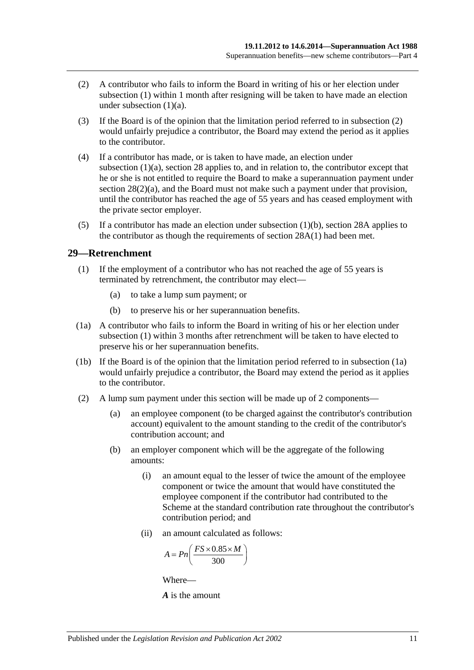- <span id="page-40-0"></span>(2) A contributor who fails to inform the Board in writing of his or her election under [subsection](#page-39-4) (1) within 1 month after resigning will be taken to have made an election under [subsection](#page-39-5)  $(1)(a)$ .
- (3) If the Board is of the opinion that the limitation period referred to in [subsection](#page-40-0) (2) would unfairly prejudice a contributor, the Board may extend the period as it applies to the contributor.
- (4) If a contributor has made, or is taken to have made, an election under [subsection](#page-39-5) (1)(a), [section](#page-34-0) 28 applies to, and in relation to, the contributor except that he or she is not entitled to require the Board to make a superannuation payment under section [28\(2\)\(a\),](#page-35-1) and the Board must not make such a payment under that provision, until the contributor has reached the age of 55 years and has ceased employment with the private sector employer.
- (5) If a contributor has made an election under [subsection](#page-39-6)  $(1)(b)$ , [section](#page-38-5) 28A applies to the contributor as though the requirements of [section](#page-38-1) 28A(1) had been met.

#### <span id="page-40-1"></span>**29—Retrenchment**

- (1) If the employment of a contributor who has not reached the age of 55 years is terminated by retrenchment, the contributor may elect—
	- (a) to take a lump sum payment; or
	- (b) to preserve his or her superannuation benefits.
- <span id="page-40-2"></span>(1a) A contributor who fails to inform the Board in writing of his or her election under [subsection](#page-40-1) (1) within 3 months after retrenchment will be taken to have elected to preserve his or her superannuation benefits.
- (1b) If the Board is of the opinion that the limitation period referred to in [subsection](#page-40-2) (1a) would unfairly prejudice a contributor, the Board may extend the period as it applies to the contributor.
- (2) A lump sum payment under this section will be made up of 2 components—
	- (a) an employee component (to be charged against the contributor's contribution account) equivalent to the amount standing to the credit of the contributor's contribution account; and
	- (b) an employer component which will be the aggregate of the following amounts:
		- (i) an amount equal to the lesser of twice the amount of the employee component or twice the amount that would have constituted the employee component if the contributor had contributed to the Scheme at the standard contribution rate throughout the contributor's contribution period; and
		- (ii) an amount calculated as follows:

$$
A = P n \left( \frac{FS \times 0.85 \times M}{300} \right)
$$

Where—

*A* is the amount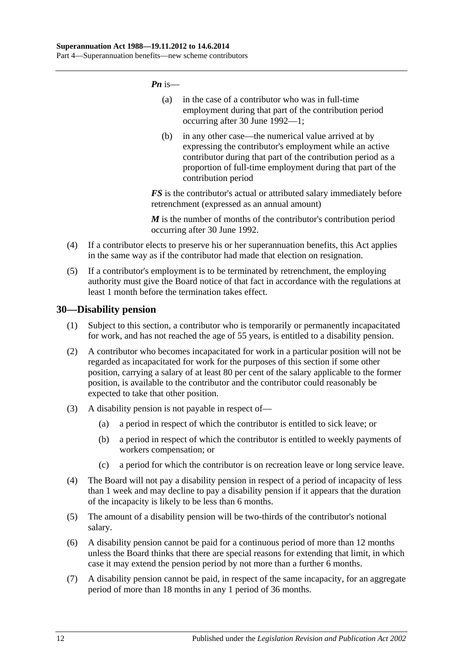*Pn* is—

- (a) in the case of a contributor who was in full-time employment during that part of the contribution period occurring after 30 June 1992—1;
- (b) in any other case—the numerical value arrived at by expressing the contributor's employment while an active contributor during that part of the contribution period as a proportion of full-time employment during that part of the contribution period

*FS* is the contributor's actual or attributed salary immediately before retrenchment (expressed as an annual amount)

*M* is the number of months of the contributor's contribution period occurring after 30 June 1992.

- (4) If a contributor elects to preserve his or her superannuation benefits, this Act applies in the same way as if the contributor had made that election on resignation.
- (5) If a contributor's employment is to be terminated by retrenchment, the employing authority must give the Board notice of that fact in accordance with the regulations at least 1 month before the termination takes effect.

## **30—Disability pension**

- (1) Subject to this section, a contributor who is temporarily or permanently incapacitated for work, and has not reached the age of 55 years, is entitled to a disability pension.
- (2) A contributor who becomes incapacitated for work in a particular position will not be regarded as incapacitated for work for the purposes of this section if some other position, carrying a salary of at least 80 per cent of the salary applicable to the former position, is available to the contributor and the contributor could reasonably be expected to take that other position.
- (3) A disability pension is not payable in respect of—
	- (a) a period in respect of which the contributor is entitled to sick leave; or
	- (b) a period in respect of which the contributor is entitled to weekly payments of workers compensation; or
	- (c) a period for which the contributor is on recreation leave or long service leave.
- (4) The Board will not pay a disability pension in respect of a period of incapacity of less than 1 week and may decline to pay a disability pension if it appears that the duration of the incapacity is likely to be less than 6 months.
- (5) The amount of a disability pension will be two-thirds of the contributor's notional salary.
- (6) A disability pension cannot be paid for a continuous period of more than 12 months unless the Board thinks that there are special reasons for extending that limit, in which case it may extend the pension period by not more than a further 6 months.
- (7) A disability pension cannot be paid, in respect of the same incapacity, for an aggregate period of more than 18 months in any 1 period of 36 months.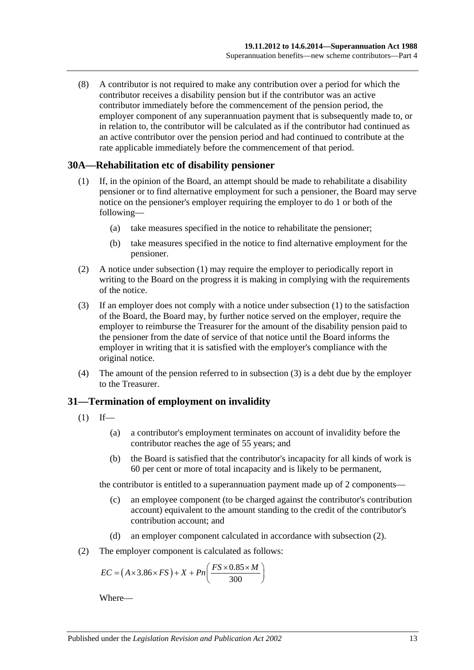(8) A contributor is not required to make any contribution over a period for which the contributor receives a disability pension but if the contributor was an active contributor immediately before the commencement of the pension period, the employer component of any superannuation payment that is subsequently made to, or in relation to, the contributor will be calculated as if the contributor had continued as an active contributor over the pension period and had continued to contribute at the rate applicable immediately before the commencement of that period.

#### <span id="page-42-0"></span>**30A—Rehabilitation etc of disability pensioner**

- (1) If, in the opinion of the Board, an attempt should be made to rehabilitate a disability pensioner or to find alternative employment for such a pensioner, the Board may serve notice on the pensioner's employer requiring the employer to do 1 or both of the following—
	- (a) take measures specified in the notice to rehabilitate the pensioner;
	- (b) take measures specified in the notice to find alternative employment for the pensioner.
- (2) A notice under [subsection](#page-42-0) (1) may require the employer to periodically report in writing to the Board on the progress it is making in complying with the requirements of the notice.
- <span id="page-42-1"></span>(3) If an employer does not comply with a notice under [subsection](#page-42-0) (1) to the satisfaction of the Board, the Board may, by further notice served on the employer, require the employer to reimburse the Treasurer for the amount of the disability pension paid to the pensioner from the date of service of that notice until the Board informs the employer in writing that it is satisfied with the employer's compliance with the original notice.
- (4) The amount of the pension referred to in [subsection](#page-42-1) (3) is a debt due by the employer to the Treasurer.

## **31—Termination of employment on invalidity**

- <span id="page-42-3"></span> $(1)$  If—
	- (a) a contributor's employment terminates on account of invalidity before the contributor reaches the age of 55 years; and
	- (b) the Board is satisfied that the contributor's incapacity for all kinds of work is 60 per cent or more of total incapacity and is likely to be permanent,

the contributor is entitled to a superannuation payment made up of 2 components—

- (c) an employee component (to be charged against the contributor's contribution account) equivalent to the amount standing to the credit of the contributor's contribution account; and
- (d) an employer component calculated in accordance with [subsection](#page-42-2) (2).
- <span id="page-42-2"></span>(2) The employer component is calculated as follows:

$$
EC = (A \times 3.86 \times FS) + X + Pn\left(\frac{FS \times 0.85 \times M}{300}\right)
$$

Where—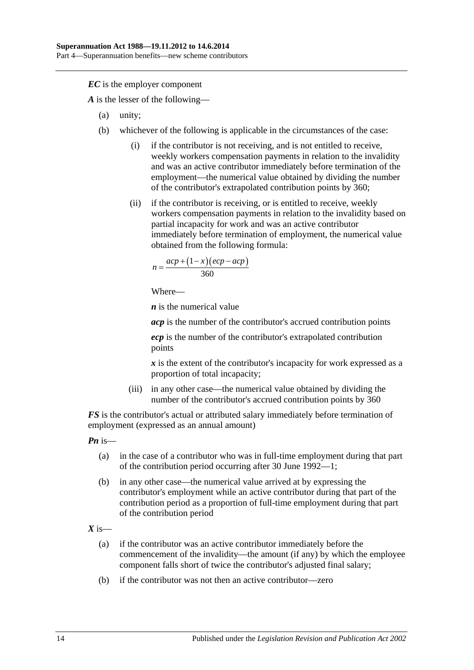*EC* is the employer component

*A* is the lesser of the following—

- (a) unity;
- (b) whichever of the following is applicable in the circumstances of the case:
	- (i) if the contributor is not receiving, and is not entitled to receive, weekly workers compensation payments in relation to the invalidity and was an active contributor immediately before termination of the employment—the numerical value obtained by dividing the number of the contributor's extrapolated contribution points by 360;
	- (ii) if the contributor is receiving, or is entitled to receive, weekly workers compensation payments in relation to the invalidity based on partial incapacity for work and was an active contributor immediately before termination of employment, the numerical value obtained from the following formula:

$$
n = \frac{acp + (1 - x)(ecp - acp)}{360}
$$

Where—

*n* is the numerical value

*acp* is the number of the contributor's accrued contribution points

*ecp* is the number of the contributor's extrapolated contribution points

*x* is the extent of the contributor's incapacity for work expressed as a proportion of total incapacity;

(iii) in any other case—the numerical value obtained by dividing the number of the contributor's accrued contribution points by 360

*FS* is the contributor's actual or attributed salary immediately before termination of employment (expressed as an annual amount)

*Pn* is—

- (a) in the case of a contributor who was in full-time employment during that part of the contribution period occurring after 30 June 1992—1;
- (b) in any other case—the numerical value arrived at by expressing the contributor's employment while an active contributor during that part of the contribution period as a proportion of full-time employment during that part of the contribution period

 $X$  is—

- (a) if the contributor was an active contributor immediately before the commencement of the invalidity—the amount (if any) by which the employee component falls short of twice the contributor's adjusted final salary;
- (b) if the contributor was not then an active contributor—zero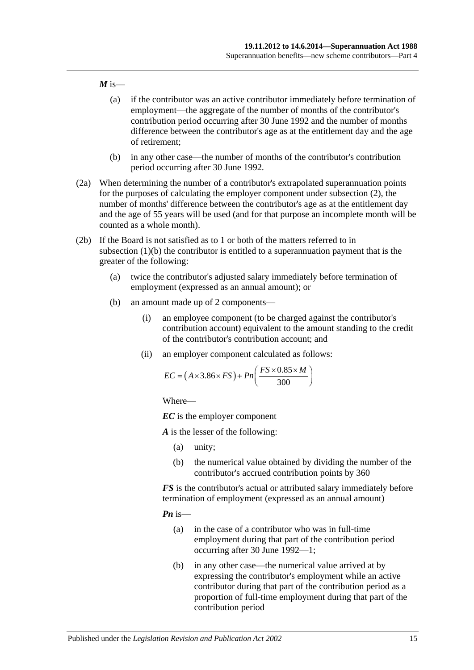#### $M$  is—

- (a) if the contributor was an active contributor immediately before termination of employment—the aggregate of the number of months of the contributor's contribution period occurring after 30 June 1992 and the number of months difference between the contributor's age as at the entitlement day and the age of retirement;
- (b) in any other case—the number of months of the contributor's contribution period occurring after 30 June 1992.
- (2a) When determining the number of a contributor's extrapolated superannuation points for the purposes of calculating the employer component under [subsection](#page-42-2) (2), the number of months' difference between the contributor's age as at the entitlement day and the age of 55 years will be used (and for that purpose an incomplete month will be counted as a whole month).
- <span id="page-44-0"></span>(2b) If the Board is not satisfied as to 1 or both of the matters referred to in [subsection](#page-42-3) (1)(b) the contributor is entitled to a superannuation payment that is the greater of the following:
	- (a) twice the contributor's adjusted salary immediately before termination of employment (expressed as an annual amount); or
	- (b) an amount made up of 2 components—
		- (i) an employee component (to be charged against the contributor's contribution account) equivalent to the amount standing to the credit of the contributor's contribution account; and
		- (ii) an employer component calculated as follows:

$$
EC = (A \times 3.86 \times FS) + Pn\left(\frac{FS \times 0.85 \times M}{300}\right)
$$

Where—

*EC* is the employer component

*A* is the lesser of the following:

- (a) unity;
- (b) the numerical value obtained by dividing the number of the contributor's accrued contribution points by 360

*FS* is the contributor's actual or attributed salary immediately before termination of employment (expressed as an annual amount)

*Pn* is—

- (a) in the case of a contributor who was in full-time employment during that part of the contribution period occurring after 30 June 1992—1;
- (b) in any other case—the numerical value arrived at by expressing the contributor's employment while an active contributor during that part of the contribution period as a proportion of full-time employment during that part of the contribution period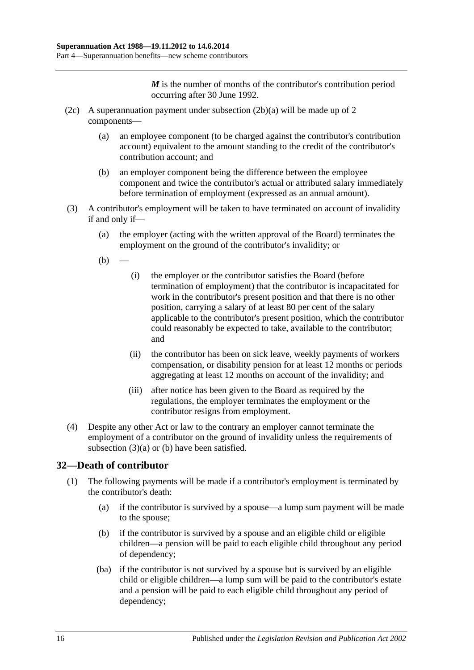*M* is the number of months of the contributor's contribution period occurring after 30 June 1992.

- (2c) A superannuation payment under [subsection](#page-44-0) (2b)(a) will be made up of 2 components—
	- (a) an employee component (to be charged against the contributor's contribution account) equivalent to the amount standing to the credit of the contributor's contribution account; and
	- (b) an employer component being the difference between the employee component and twice the contributor's actual or attributed salary immediately before termination of employment (expressed as an annual amount).
- <span id="page-45-1"></span><span id="page-45-0"></span>(3) A contributor's employment will be taken to have terminated on account of invalidity if and only if—
	- (a) the employer (acting with the written approval of the Board) terminates the employment on the ground of the contributor's invalidity; or
	- $(b)$
- (i) the employer or the contributor satisfies the Board (before termination of employment) that the contributor is incapacitated for work in the contributor's present position and that there is no other position, carrying a salary of at least 80 per cent of the salary applicable to the contributor's present position, which the contributor could reasonably be expected to take, available to the contributor; and
- (ii) the contributor has been on sick leave, weekly payments of workers compensation, or disability pension for at least 12 months or periods aggregating at least 12 months on account of the invalidity; and
- (iii) after notice has been given to the Board as required by the regulations, the employer terminates the employment or the contributor resigns from employment.
- (4) Despite any other Act or law to the contrary an employer cannot terminate the employment of a contributor on the ground of invalidity unless the requirements of [subsection](#page-45-0)  $(3)(a)$  or  $(b)$  have been satisfied.

# **32—Death of contributor**

- (1) The following payments will be made if a contributor's employment is terminated by the contributor's death:
	- (a) if the contributor is survived by a spouse—a lump sum payment will be made to the spouse;
	- (b) if the contributor is survived by a spouse and an eligible child or eligible children—a pension will be paid to each eligible child throughout any period of dependency;
	- (ba) if the contributor is not survived by a spouse but is survived by an eligible child or eligible children—a lump sum will be paid to the contributor's estate and a pension will be paid to each eligible child throughout any period of dependency;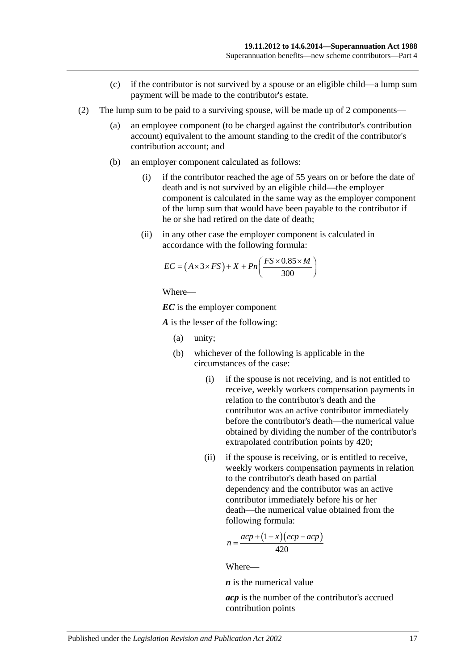- (c) if the contributor is not survived by a spouse or an eligible child—a lump sum payment will be made to the contributor's estate.
- (2) The lump sum to be paid to a surviving spouse, will be made up of 2 components—
	- (a) an employee component (to be charged against the contributor's contribution account) equivalent to the amount standing to the credit of the contributor's contribution account; and
	- (b) an employer component calculated as follows:
		- (i) if the contributor reached the age of 55 years on or before the date of death and is not survived by an eligible child—the employer component is calculated in the same way as the employer component of the lump sum that would have been payable to the contributor if he or she had retired on the date of death;
		- (ii) in any other case the employer component is calculated in accordance with the following formula:

$$
EC = (A \times 3 \times FS) + X + Pn\left(\frac{FS \times 0.85 \times M}{300}\right)
$$

Where—

*EC* is the employer component

*A* is the lesser of the following:

- (a) unity;
- (b) whichever of the following is applicable in the circumstances of the case:
	- (i) if the spouse is not receiving, and is not entitled to receive, weekly workers compensation payments in relation to the contributor's death and the contributor was an active contributor immediately before the contributor's death—the numerical value obtained by dividing the number of the contributor's extrapolated contribution points by 420;
	- (ii) if the spouse is receiving, or is entitled to receive, weekly workers compensation payments in relation to the contributor's death based on partial dependency and the contributor was an active contributor immediately before his or her death—the numerical value obtained from the following formula:

$$
n = \frac{acp + (1 - x)(ecp - acp)}{420}
$$

Where—

*n* is the numerical value

*acp* is the number of the contributor's accrued contribution points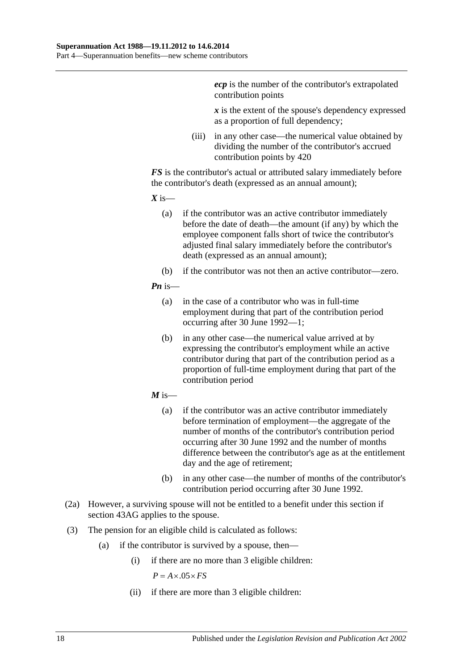*ecp* is the number of the contributor's extrapolated contribution points

*x* is the extent of the spouse's dependency expressed as a proportion of full dependency;

(iii) in any other case—the numerical value obtained by dividing the number of the contributor's accrued contribution points by 420

*FS* is the contributor's actual or attributed salary immediately before the contributor's death (expressed as an annual amount);

 $X$  is—

- (a) if the contributor was an active contributor immediately before the date of death—the amount (if any) by which the employee component falls short of twice the contributor's adjusted final salary immediately before the contributor's death (expressed as an annual amount);
- (b) if the contributor was not then an active contributor—zero.

#### *Pn* is—

- (a) in the case of a contributor who was in full-time employment during that part of the contribution period occurring after 30 June 1992—1;
- (b) in any other case—the numerical value arrived at by expressing the contributor's employment while an active contributor during that part of the contribution period as a proportion of full-time employment during that part of the contribution period
- $M$  is—
	- (a) if the contributor was an active contributor immediately before termination of employment—the aggregate of the number of months of the contributor's contribution period occurring after 30 June 1992 and the number of months difference between the contributor's age as at the entitlement day and the age of retirement;
	- (b) in any other case—the number of months of the contributor's contribution period occurring after 30 June 1992.
- (2a) However, a surviving spouse will not be entitled to a benefit under this section if [section](#page-88-0) 43AG applies to the spouse.
- (3) The pension for an eligible child is calculated as follows:
	- (a) if the contributor is survived by a spouse, then—
		- (i) if there are no more than 3 eligible children:

 $P = A \times .05 \times FS$ 

(ii) if there are more than 3 eligible children: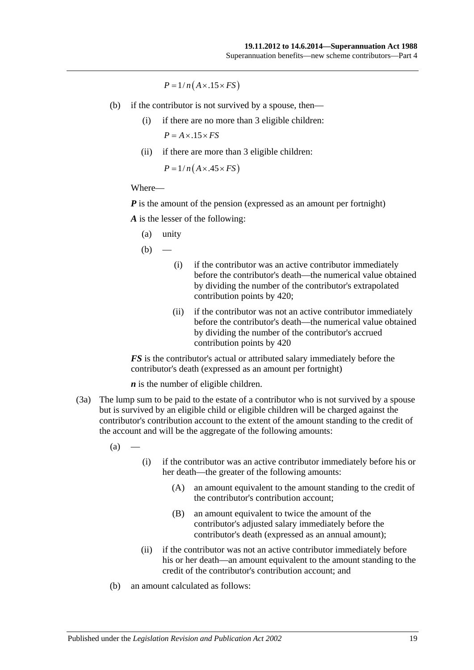$P = 1/n(A \times .15 \times FS)$ 

- (b) if the contributor is not survived by a spouse, then—
	- (i) if there are no more than 3 eligible children:  $P = A \times .15 \times FS$
	- (ii) if there are more than 3 eligible children:

 $P = 1/n(A \times .45 \times FS)$ 

#### Where—

*P* is the amount of the pension (expressed as an amount per fortnight)

*A* is the lesser of the following:

(a) unity

 $(b)$ 

- (i) if the contributor was an active contributor immediately before the contributor's death—the numerical value obtained by dividing the number of the contributor's extrapolated contribution points by 420;
- (ii) if the contributor was not an active contributor immediately before the contributor's death—the numerical value obtained by dividing the number of the contributor's accrued contribution points by 420

*FS* is the contributor's actual or attributed salary immediately before the contributor's death (expressed as an amount per fortnight)

*n* is the number of eligible children.

(3a) The lump sum to be paid to the estate of a contributor who is not survived by a spouse but is survived by an eligible child or eligible children will be charged against the contributor's contribution account to the extent of the amount standing to the credit of the account and will be the aggregate of the following amounts:

 $(a)$ 

- (i) if the contributor was an active contributor immediately before his or her death—the greater of the following amounts:
	- (A) an amount equivalent to the amount standing to the credit of the contributor's contribution account;
	- (B) an amount equivalent to twice the amount of the contributor's adjusted salary immediately before the contributor's death (expressed as an annual amount);
- (ii) if the contributor was not an active contributor immediately before his or her death—an amount equivalent to the amount standing to the credit of the contributor's contribution account; and
- (b) an amount calculated as follows: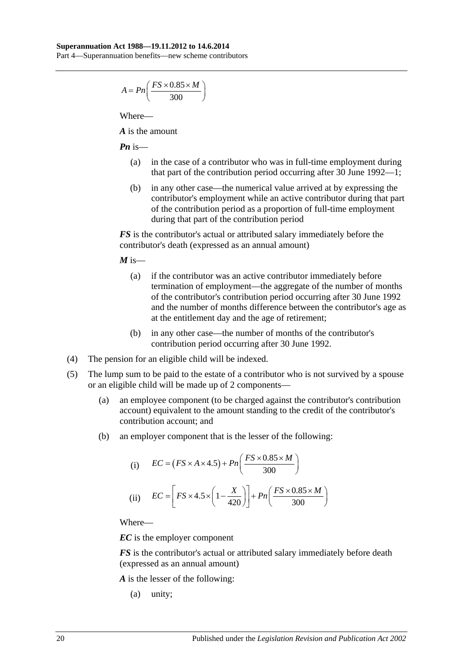Part 4—Superannuation benefits—new scheme contributors

$$
A = P n \left( \frac{FS \times 0.85 \times M}{300} \right)
$$

Where—

*A* is the amount

*Pn* is—

- (a) in the case of a contributor who was in full-time employment during that part of the contribution period occurring after 30 June 1992—1;
- (b) in any other case—the numerical value arrived at by expressing the contributor's employment while an active contributor during that part of the contribution period as a proportion of full-time employment during that part of the contribution period

*FS* is the contributor's actual or attributed salary immediately before the contributor's death (expressed as an annual amount)

 $M$  is—

- (a) if the contributor was an active contributor immediately before termination of employment—the aggregate of the number of months of the contributor's contribution period occurring after 30 June 1992 and the number of months difference between the contributor's age as at the entitlement day and the age of retirement;
- (b) in any other case—the number of months of the contributor's contribution period occurring after 30 June 1992.
- (4) The pension for an eligible child will be indexed.
- (5) The lump sum to be paid to the estate of a contributor who is not survived by a spouse or an eligible child will be made up of 2 components—
	- (a) an employee component (to be charged against the contributor's contribution account) equivalent to the amount standing to the credit of the contributor's contribution account; and
	- (b) an employer component that is the lesser of the following:

(i) 
$$
EC = (FS \times A \times 4.5) + Pn\left(\frac{FS \times 0.85 \times M}{300}\right)
$$
  
(ii) 
$$
EC = \left[FS \times 4.5 \times \left(1 - \frac{X}{420}\right)\right] + Pn\left(\frac{FS \times 0.85 \times M}{300}\right)
$$

Where—

*EC* is the employer component

*FS* is the contributor's actual or attributed salary immediately before death (expressed as an annual amount)

*A* is the lesser of the following:

(a) unity;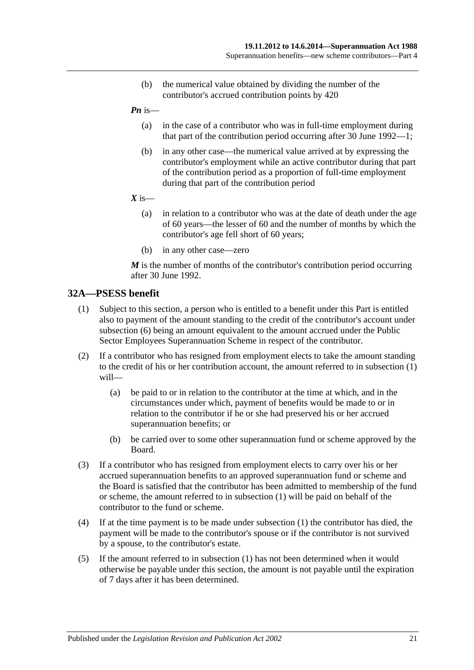- (b) the numerical value obtained by dividing the number of the contributor's accrued contribution points by 420
- *Pn* is—
	- (a) in the case of a contributor who was in full-time employment during that part of the contribution period occurring after 30 June 1992—1;
	- (b) in any other case—the numerical value arrived at by expressing the contributor's employment while an active contributor during that part of the contribution period as a proportion of full-time employment during that part of the contribution period
- $X$  is—
	- (a) in relation to a contributor who was at the date of death under the age of 60 years—the lesser of 60 and the number of months by which the contributor's age fell short of 60 years;
	- (b) in any other case—zero

*M* is the number of months of the contributor's contribution period occurring after 30 June 1992.

## <span id="page-50-0"></span>**32A—PSESS benefit**

- (1) Subject to this section, a person who is entitled to a benefit under this Part is entitled also to payment of the amount standing to the credit of the contributor's account under [subsection](#page-51-0) (6) being an amount equivalent to the amount accrued under the Public Sector Employees Superannuation Scheme in respect of the contributor.
- (2) If a contributor who has resigned from employment elects to take the amount standing to the credit of his or her contribution account, the amount referred to in [subsection](#page-50-0) (1) will—
	- (a) be paid to or in relation to the contributor at the time at which, and in the circumstances under which, payment of benefits would be made to or in relation to the contributor if he or she had preserved his or her accrued superannuation benefits; or
	- (b) be carried over to some other superannuation fund or scheme approved by the Board.
- (3) If a contributor who has resigned from employment elects to carry over his or her accrued superannuation benefits to an approved superannuation fund or scheme and the Board is satisfied that the contributor has been admitted to membership of the fund or scheme, the amount referred to in [subsection](#page-50-0) (1) will be paid on behalf of the contributor to the fund or scheme.
- (4) If at the time payment is to be made under [subsection](#page-50-0) (1) the contributor has died, the payment will be made to the contributor's spouse or if the contributor is not survived by a spouse, to the contributor's estate.
- (5) If the amount referred to in [subsection](#page-50-0) (1) has not been determined when it would otherwise be payable under this section, the amount is not payable until the expiration of 7 days after it has been determined.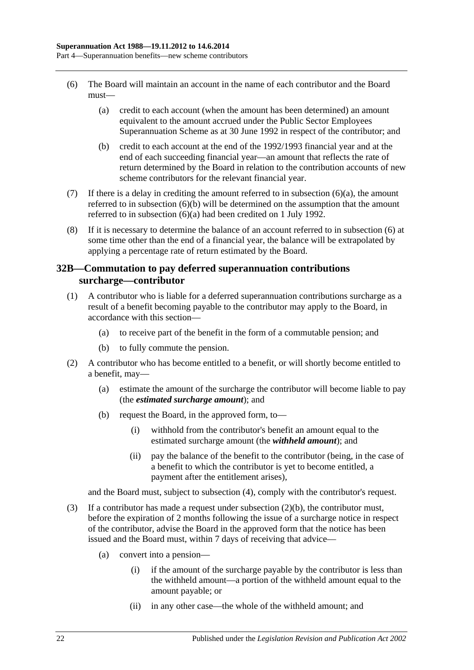- <span id="page-51-1"></span><span id="page-51-0"></span>(6) The Board will maintain an account in the name of each contributor and the Board must—
	- (a) credit to each account (when the amount has been determined) an amount equivalent to the amount accrued under the Public Sector Employees Superannuation Scheme as at 30 June 1992 in respect of the contributor; and
	- (b) credit to each account at the end of the 1992/1993 financial year and at the end of each succeeding financial year—an amount that reflects the rate of return determined by the Board in relation to the contribution accounts of new scheme contributors for the relevant financial year.
- <span id="page-51-2"></span>(7) If there is a delay in crediting the amount referred to in [subsection](#page-51-1)  $(6)(a)$ , the amount referred to in [subsection](#page-51-2) (6)(b) will be determined on the assumption that the amount referred to in [subsection](#page-51-1) (6)(a) had been credited on 1 July 1992.
- (8) If it is necessary to determine the balance of an account referred to in [subsection](#page-51-0) (6) at some time other than the end of a financial year, the balance will be extrapolated by applying a percentage rate of return estimated by the Board.

## <span id="page-51-6"></span>**32B—Commutation to pay deferred superannuation contributions surcharge—contributor**

- <span id="page-51-5"></span>(1) A contributor who is liable for a deferred superannuation contributions surcharge as a result of a benefit becoming payable to the contributor may apply to the Board, in accordance with this section—
	- (a) to receive part of the benefit in the form of a commutable pension; and
	- (b) to fully commute the pension.
- <span id="page-51-3"></span>(2) A contributor who has become entitled to a benefit, or will shortly become entitled to a benefit, may—
	- (a) estimate the amount of the surcharge the contributor will become liable to pay (the *estimated surcharge amount*); and
	- (b) request the Board, in the approved form, to—
		- (i) withhold from the contributor's benefit an amount equal to the estimated surcharge amount (the *withheld amount*); and
		- (ii) pay the balance of the benefit to the contributor (being, in the case of a benefit to which the contributor is yet to become entitled, a payment after the entitlement arises),

and the Board must, subject to [subsection](#page-52-0) (4), comply with the contributor's request.

- <span id="page-51-4"></span>(3) If a contributor has made a request under [subsection](#page-51-3)  $(2)(b)$ , the contributor must, before the expiration of 2 months following the issue of a surcharge notice in respect of the contributor, advise the Board in the approved form that the notice has been issued and the Board must, within 7 days of receiving that advice—
	- (a) convert into a pension—
		- (i) if the amount of the surcharge payable by the contributor is less than the withheld amount—a portion of the withheld amount equal to the amount payable; or
		- (ii) in any other case—the whole of the withheld amount; and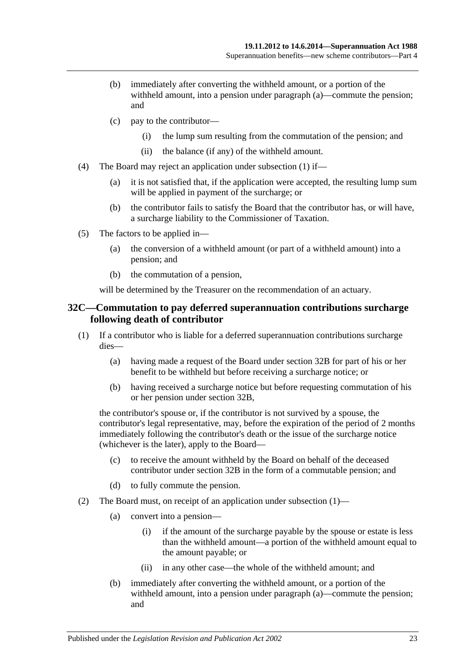- (b) immediately after converting the withheld amount, or a portion of the withheld amount, into a pension under [paragraph](#page-51-4) (a)—commute the pension; and
- (c) pay to the contributor—
	- (i) the lump sum resulting from the commutation of the pension; and
	- (ii) the balance (if any) of the withheld amount.
- <span id="page-52-0"></span>(4) The Board may reject an application under [subsection](#page-51-5) (1) if—
	- (a) it is not satisfied that, if the application were accepted, the resulting lump sum will be applied in payment of the surcharge; or
	- (b) the contributor fails to satisfy the Board that the contributor has, or will have, a surcharge liability to the Commissioner of Taxation.
- (5) The factors to be applied in—
	- (a) the conversion of a withheld amount (or part of a withheld amount) into a pension; and
	- (b) the commutation of a pension,

will be determined by the Treasurer on the recommendation of an actuary.

#### <span id="page-52-3"></span>**32C—Commutation to pay deferred superannuation contributions surcharge following death of contributor**

- <span id="page-52-1"></span>(1) If a contributor who is liable for a deferred superannuation contributions surcharge dies—
	- (a) having made a request of the Board under [section](#page-51-6) 32B for part of his or her benefit to be withheld but before receiving a surcharge notice; or
	- (b) having received a surcharge notice but before requesting commutation of his or her pension under [section](#page-51-6) 32B,

the contributor's spouse or, if the contributor is not survived by a spouse, the contributor's legal representative, may, before the expiration of the period of 2 months immediately following the contributor's death or the issue of the surcharge notice (whichever is the later), apply to the Board—

- (c) to receive the amount withheld by the Board on behalf of the deceased contributor under [section](#page-51-6) 32B in the form of a commutable pension; and
- (d) to fully commute the pension.
- <span id="page-52-2"></span>(2) The Board must, on receipt of an application under [subsection](#page-52-1) (1)—
	- (a) convert into a pension—
		- (i) if the amount of the surcharge payable by the spouse or estate is less than the withheld amount—a portion of the withheld amount equal to the amount payable; or
		- (ii) in any other case—the whole of the withheld amount; and
	- (b) immediately after converting the withheld amount, or a portion of the withheld amount, into a pension under [paragraph](#page-52-2) (a)—commute the pension; and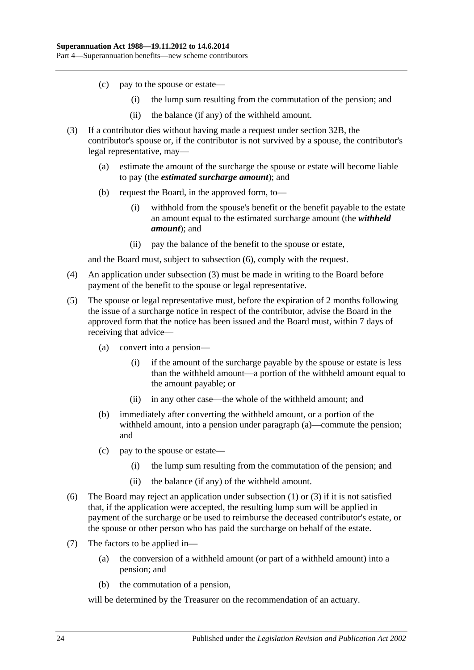- (c) pay to the spouse or estate—
	- (i) the lump sum resulting from the commutation of the pension; and
	- (ii) the balance (if any) of the withheld amount.
- <span id="page-53-1"></span>(3) If a contributor dies without having made a request under [section](#page-51-6) 32B, the contributor's spouse or, if the contributor is not survived by a spouse, the contributor's legal representative, may—
	- (a) estimate the amount of the surcharge the spouse or estate will become liable to pay (the *estimated surcharge amount*); and
	- (b) request the Board, in the approved form, to—
		- (i) withhold from the spouse's benefit or the benefit payable to the estate an amount equal to the estimated surcharge amount (the *withheld amount*); and
		- (ii) pay the balance of the benefit to the spouse or estate,

and the Board must, subject to [subsection](#page-53-0) (6), comply with the request.

- (4) An application under [subsection](#page-53-1) (3) must be made in writing to the Board before payment of the benefit to the spouse or legal representative.
- <span id="page-53-2"></span>(5) The spouse or legal representative must, before the expiration of 2 months following the issue of a surcharge notice in respect of the contributor, advise the Board in the approved form that the notice has been issued and the Board must, within 7 days of receiving that advice—
	- (a) convert into a pension—
		- (i) if the amount of the surcharge payable by the spouse or estate is less than the withheld amount—a portion of the withheld amount equal to the amount payable; or
		- (ii) in any other case—the whole of the withheld amount; and
	- (b) immediately after converting the withheld amount, or a portion of the withheld amount, into a pension under [paragraph](#page-53-2) (a)—commute the pension; and
	- (c) pay to the spouse or estate—
		- (i) the lump sum resulting from the commutation of the pension; and
		- (ii) the balance (if any) of the withheld amount.
- <span id="page-53-0"></span>(6) The Board may reject an application under [subsection](#page-52-1) (1) or [\(3\)](#page-53-1) if it is not satisfied that, if the application were accepted, the resulting lump sum will be applied in payment of the surcharge or be used to reimburse the deceased contributor's estate, or the spouse or other person who has paid the surcharge on behalf of the estate.
- (7) The factors to be applied in—
	- (a) the conversion of a withheld amount (or part of a withheld amount) into a pension; and
	- (b) the commutation of a pension,

will be determined by the Treasurer on the recommendation of an actuary.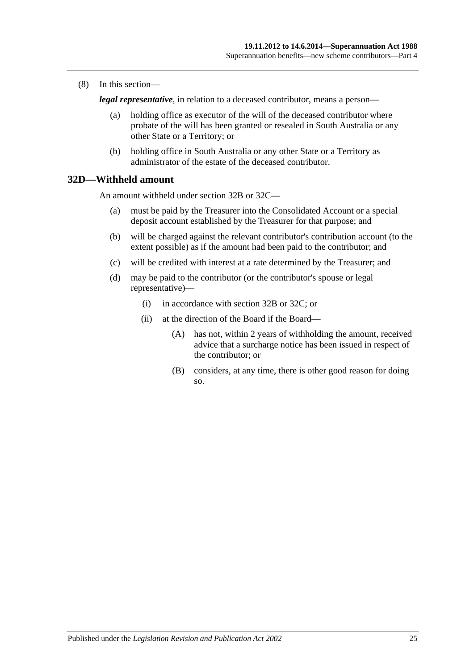(8) In this section—

*legal representative*, in relation to a deceased contributor, means a person—

- (a) holding office as executor of the will of the deceased contributor where probate of the will has been granted or resealed in South Australia or any other State or a Territory; or
- (b) holding office in South Australia or any other State or a Territory as administrator of the estate of the deceased contributor.

## **32D—Withheld amount**

An amount withheld under [section](#page-51-6) 32B or [32C—](#page-52-3)

- (a) must be paid by the Treasurer into the Consolidated Account or a special deposit account established by the Treasurer for that purpose; and
- (b) will be charged against the relevant contributor's contribution account (to the extent possible) as if the amount had been paid to the contributor; and
- (c) will be credited with interest at a rate determined by the Treasurer; and
- (d) may be paid to the contributor (or the contributor's spouse or legal representative)—
	- (i) in accordance with [section](#page-51-6) 32B or [32C;](#page-52-3) or
	- (ii) at the direction of the Board if the Board—
		- (A) has not, within 2 years of withholding the amount, received advice that a surcharge notice has been issued in respect of the contributor; or
		- (B) considers, at any time, there is other good reason for doing so.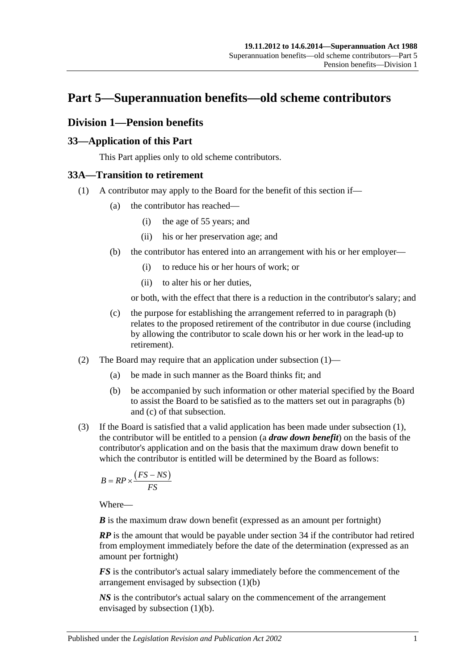# **Part 5—Superannuation benefits—old scheme contributors**

# **Division 1—Pension benefits**

## **33—Application of this Part**

This Part applies only to old scheme contributors.

## <span id="page-56-1"></span>**33A—Transition to retirement**

- <span id="page-56-0"></span>(1) A contributor may apply to the Board for the benefit of this section if—
	- (a) the contributor has reached—
		- (i) the age of 55 years; and
		- (ii) his or her preservation age; and
	- (b) the contributor has entered into an arrangement with his or her employer—
		- (i) to reduce his or her hours of work; or
		- (ii) to alter his or her duties,

or both, with the effect that there is a reduction in the contributor's salary; and

- (c) the purpose for establishing the arrangement referred to in [paragraph](#page-56-0) (b) relates to the proposed retirement of the contributor in due course (including by allowing the contributor to scale down his or her work in the lead-up to retirement).
- (2) The Board may require that an application under [subsection](#page-30-0) (1)—
	- (a) be made in such manner as the Board thinks fit; and
	- (b) be accompanied by such information or other material specified by the Board to assist the Board to be satisfied as to the matters set out in [paragraphs](#page-30-1) (b) and [\(c\)](#page-30-2) of that subsection.
- <span id="page-56-2"></span>(3) If the Board is satisfied that a valid application has been made under [subsection](#page-56-1) (1), the contributor will be entitled to a pension (a *draw down benefit*) on the basis of the contributor's application and on the basis that the maximum draw down benefit to which the contributor is entitled will be determined by the Board as follows:

$$
B = RP \times \frac{(FS - NS)}{FS}
$$

Where—

*B* is the maximum draw down benefit (expressed as an amount per fortnight)

*RP* is the amount that would be payable under section 34 if the contributor had retired from employment immediately before the date of the determination (expressed as an amount per fortnight)

*FS* is the contributor's actual salary immediately before the commencement of the arrangement envisaged by [subsection](#page-56-0) (1)(b)

*NS* is the contributor's actual salary on the commencement of the arrangement envisaged by [subsection](#page-56-0) (1)(b).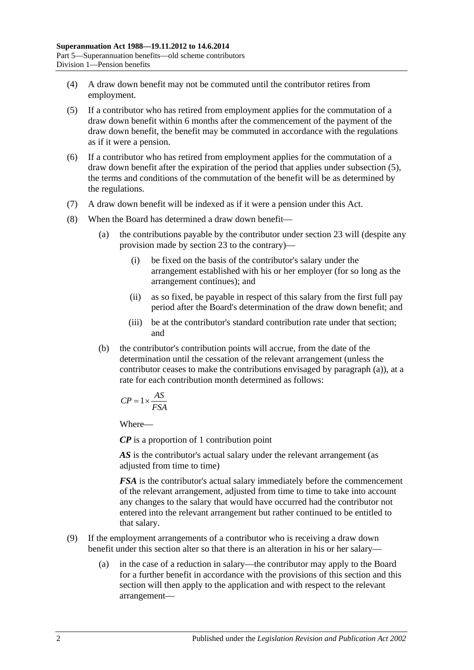- (4) A draw down benefit may not be commuted until the contributor retires from employment.
- <span id="page-57-0"></span>(5) If a contributor who has retired from employment applies for the commutation of a draw down benefit within 6 months after the commencement of the payment of the draw down benefit, the benefit may be commuted in accordance with the regulations as if it were a pension.
- (6) If a contributor who has retired from employment applies for the commutation of a draw down benefit after the expiration of the period that applies under [subsection](#page-57-0) (5), the terms and conditions of the commutation of the benefit will be as determined by the regulations.
- (7) A draw down benefit will be indexed as if it were a pension under this Act.
- <span id="page-57-1"></span>(8) When the Board has determined a draw down benefit—
	- (a) the contributions payable by the contributor under section 23 will (despite any provision made by section 23 to the contrary)—
		- (i) be fixed on the basis of the contributor's salary under the arrangement established with his or her employer (for so long as the arrangement continues); and
		- (ii) as so fixed, be payable in respect of this salary from the first full pay period after the Board's determination of the draw down benefit; and
		- (iii) be at the contributor's standard contribution rate under that section; and
	- (b) the contributor's contribution points will accrue, from the date of the determination until the cessation of the relevant arrangement (unless the contributor ceases to make the contributions envisaged by [paragraph](#page-57-1) (a)), at a rate for each contribution month determined as follows:

$$
CP = 1 \times \frac{AS}{FSA}
$$

Where—

*CP* is a proportion of 1 contribution point

AS is the contributor's actual salary under the relevant arrangement (as adjusted from time to time)

*FSA* is the contributor's actual salary immediately before the commencement of the relevant arrangement, adjusted from time to time to take into account any changes to the salary that would have occurred had the contributor not entered into the relevant arrangement but rather continued to be entitled to that salary.

- (9) If the employment arrangements of a contributor who is receiving a draw down benefit under this section alter so that there is an alteration in his or her salary—
	- (a) in the case of a reduction in salary—the contributor may apply to the Board for a further benefit in accordance with the provisions of this section and this section will then apply to the application and with respect to the relevant arrangement—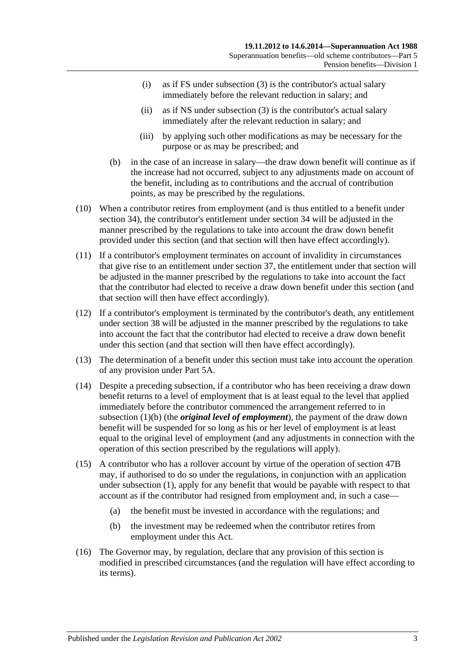- (i) as if FS under [subsection](#page-56-2) (3) is the contributor's actual salary immediately before the relevant reduction in salary; and
- (ii) as if NS under [subsection](#page-56-2) (3) is the contributor's actual salary immediately after the relevant reduction in salary; and
- (iii) by applying such other modifications as may be necessary for the purpose or as may be prescribed; and
- (b) in the case of an increase in salary—the draw down benefit will continue as if the increase had not occurred, subject to any adjustments made on account of the benefit, including as to contributions and the accrual of contribution points, as may be prescribed by the regulations.
- (10) When a contributor retires from employment (and is thus entitled to a benefit under section 34), the contributor's entitlement under section 34 will be adjusted in the manner prescribed by the regulations to take into account the draw down benefit provided under this section (and that section will then have effect accordingly).
- (11) If a contributor's employment terminates on account of invalidity in circumstances that give rise to an entitlement under section 37, the entitlement under that section will be adjusted in the manner prescribed by the regulations to take into account the fact that the contributor had elected to receive a draw down benefit under this section (and that section will then have effect accordingly).
- (12) If a contributor's employment is terminated by the contributor's death, any entitlement under section 38 will be adjusted in the manner prescribed by the regulations to take into account the fact that the contributor had elected to receive a draw down benefit under this section (and that section will then have effect accordingly).
- (13) The determination of a benefit under this section must take into account the operation of any provision under Part 5A.
- (14) Despite a preceding subsection, if a contributor who has been receiving a draw down benefit returns to a level of employment that is at least equal to the level that applied immediately before the contributor commenced the arrangement referred to in [subsection](#page-56-0) (1)(b) (the *original level of employment*), the payment of the draw down benefit will be suspended for so long as his or her level of employment is at least equal to the original level of employment (and any adjustments in connection with the operation of this section prescribed by the regulations will apply).
- (15) A contributor who has a rollover account by virtue of the operation of section 47B may, if authorised to do so under the regulations, in conjunction with an application under [subsection](#page-56-1) (1), apply for any benefit that would be payable with respect to that account as if the contributor had resigned from employment and, in such a case—
	- (a) the benefit must be invested in accordance with the regulations; and
	- (b) the investment may be redeemed when the contributor retires from employment under this Act.
- (16) The Governor may, by regulation, declare that any provision of this section is modified in prescribed circumstances (and the regulation will have effect according to its terms).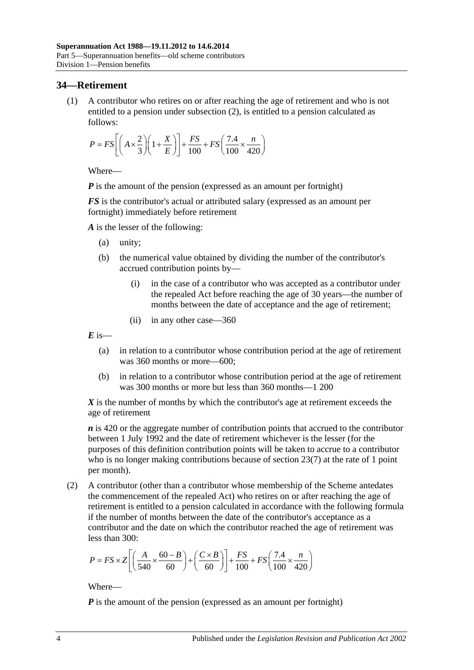## **34—Retirement**

(1) A contributor who retires on or after reaching the age of retirement and who is not entitled to a pension under [subsection](#page-59-0) (2), is entitled to a pension calculated as follows:

$$
P = FS \left[ \left( A \times \frac{2}{3} \right) \left( 1 + \frac{X}{E} \right) \right] + \frac{FS}{100} + FS \left( \frac{7.4}{100} \times \frac{n}{420} \right)
$$

Where—

*P* is the amount of the pension (expressed as an amount per fortnight)

*FS* is the contributor's actual or attributed salary (expressed as an amount per fortnight) immediately before retirement

*A* is the lesser of the following:

- (a) unity;
- (b) the numerical value obtained by dividing the number of the contributor's accrued contribution points by—
	- (i) in the case of a contributor who was accepted as a contributor under the repealed Act before reaching the age of 30 years—the number of months between the date of acceptance and the age of retirement;
	- (ii) in any other case—360

 $E$  is—

- (a) in relation to a contributor whose contribution period at the age of retirement was 360 months or more—600;
- (b) in relation to a contributor whose contribution period at the age of retirement was 300 months or more but less than 360 months—1 200

*X* is the number of months by which the contributor's age at retirement exceeds the age of retirement

*n* is 420 or the aggregate number of contribution points that accrued to the contributor between 1 July 1992 and the date of retirement whichever is the lesser (for the purposes of this definition contribution points will be taken to accrue to a contributor who is no longer making contributions because of [section](#page-28-0) 23(7) at the rate of 1 point per month).

<span id="page-59-0"></span>(2) A contributor (other than a contributor whose membership of the Scheme antedates the commencement of the repealed Act) who retires on or after reaching the age of retirement is entitled to a pension calculated in accordance with the following formula if the number of months between the date of the contributor's acceptance as a contributor and the date on which the contributor reached the age of retirement was less than 300:

$$
P = FS \times Z \left[ \left( \frac{A}{540} \times \frac{60 - B}{60} \right) + \left( \frac{C \times B}{60} \right) \right] + \frac{FS}{100} + FS \left( \frac{7.4}{100} \times \frac{n}{420} \right)
$$

Where—

*P* is the amount of the pension (expressed as an amount per fortnight)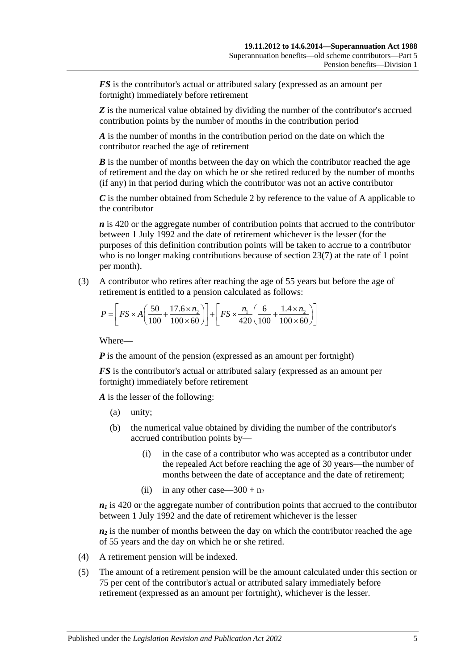*FS* is the contributor's actual or attributed salary (expressed as an amount per fortnight) immediately before retirement

**Z** is the numerical value obtained by dividing the number of the contributor's accrued contribution points by the number of months in the contribution period

*A* is the number of months in the contribution period on the date on which the contributor reached the age of retirement

*B* is the number of months between the day on which the contributor reached the age of retirement and the day on which he or she retired reduced by the number of months (if any) in that period during which the contributor was not an active contributor

*C* is the number obtained from [Schedule 2](#page-124-0) by reference to the value of A applicable to the contributor

*n* is 420 or the aggregate number of contribution points that accrued to the contributor between 1 July 1992 and the date of retirement whichever is the lesser (for the purposes of this definition contribution points will be taken to accrue to a contributor who is no longer making contributions because of [section](#page-28-0) 23(7) at the rate of 1 point per month).

(3) A contributor who retires after reaching the age of 55 years but before the age of retirement is entitled to a pension calculated as follows:

$$
P = \left[ FS \times A \left( \frac{50}{100} + \frac{17.6 \times n_2}{100 \times 60} \right) \right] + \left[ FS \times \frac{n_1}{420} \left( \frac{6}{100} + \frac{1.4 \times n_2}{100 \times 60} \right) \right]
$$

Where—

*P* is the amount of the pension (expressed as an amount per fortnight)

*FS* is the contributor's actual or attributed salary (expressed as an amount per fortnight) immediately before retirement

*A* is the lesser of the following:

- (a) unity;
- (b) the numerical value obtained by dividing the number of the contributor's accrued contribution points by—
	- (i) in the case of a contributor who was accepted as a contributor under the repealed Act before reaching the age of 30 years—the number of months between the date of acceptance and the date of retirement;
	- (ii) in any other case—300 +  $n_2$

 $n_1$  is 420 or the aggregate number of contribution points that accrued to the contributor between 1 July 1992 and the date of retirement whichever is the lesser

 $n_2$  is the number of months between the day on which the contributor reached the age of 55 years and the day on which he or she retired.

- (4) A retirement pension will be indexed.
- (5) The amount of a retirement pension will be the amount calculated under this section or 75 per cent of the contributor's actual or attributed salary immediately before retirement (expressed as an amount per fortnight), whichever is the lesser.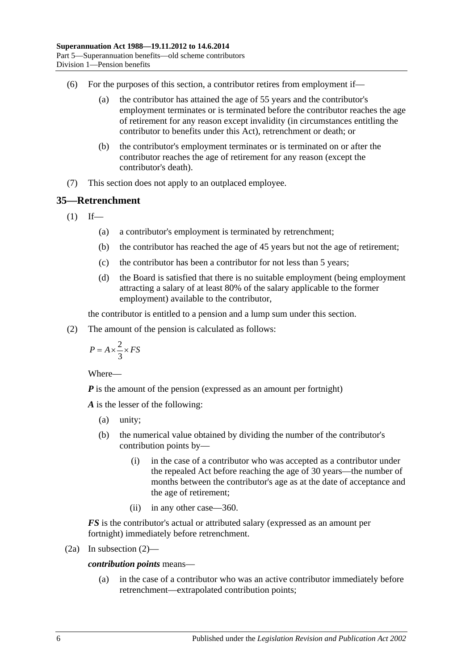- (6) For the purposes of this section, a contributor retires from employment if—
	- (a) the contributor has attained the age of 55 years and the contributor's employment terminates or is terminated before the contributor reaches the age of retirement for any reason except invalidity (in circumstances entitling the contributor to benefits under this Act), retrenchment or death; or
	- (b) the contributor's employment terminates or is terminated on or after the contributor reaches the age of retirement for any reason (except the contributor's death).
- (7) This section does not apply to an outplaced employee.

## <span id="page-61-1"></span>**35—Retrenchment**

 $(1)$  If—

- (a) a contributor's employment is terminated by retrenchment;
- (b) the contributor has reached the age of 45 years but not the age of retirement;
- (c) the contributor has been a contributor for not less than 5 years;
- (d) the Board is satisfied that there is no suitable employment (being employment attracting a salary of at least 80% of the salary applicable to the former employment) available to the contributor,

the contributor is entitled to a pension and a lump sum under this section.

<span id="page-61-0"></span>(2) The amount of the pension is calculated as follows:

$$
P = A \times \frac{2}{3} \times FS
$$

Where—

*P* is the amount of the pension (expressed as an amount per fortnight)

*A* is the lesser of the following:

- (a) unity;
- (b) the numerical value obtained by dividing the number of the contributor's contribution points by—
	- (i) in the case of a contributor who was accepted as a contributor under the repealed Act before reaching the age of 30 years—the number of months between the contributor's age as at the date of acceptance and the age of retirement;
	- (ii) in any other case—360.

*FS* is the contributor's actual or attributed salary (expressed as an amount per fortnight) immediately before retrenchment.

$$
(2a) In subsection (2)—
$$

*contribution points* means—

(a) in the case of a contributor who was an active contributor immediately before retrenchment—extrapolated contribution points;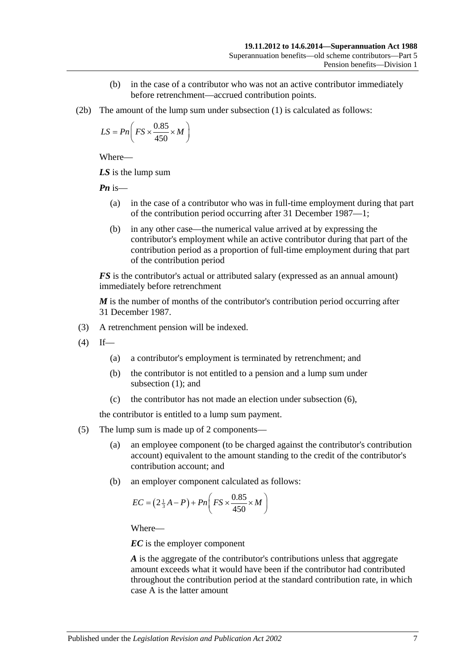- (b) in the case of a contributor who was not an active contributor immediately before retrenchment—accrued contribution points.
- (2b) The amount of the lump sum under [subsection](#page-61-1) (1) is calculated as follows:

$$
LS = Pn\left(FS \times \frac{0.85}{450} \times M\right)
$$

Where—

*LS* is the lump sum

*Pn* is—

- (a) in the case of a contributor who was in full-time employment during that part of the contribution period occurring after 31 December 1987—1;
- (b) in any other case—the numerical value arrived at by expressing the contributor's employment while an active contributor during that part of the contribution period as a proportion of full-time employment during that part of the contribution period

*FS* is the contributor's actual or attributed salary (expressed as an annual amount) immediately before retrenchment

*M* is the number of months of the contributor's contribution period occurring after 31 December 1987.

- (3) A retrenchment pension will be indexed.
- $(4)$  If—
	- (a) a contributor's employment is terminated by retrenchment; and
	- (b) the contributor is not entitled to a pension and a lump sum under [subsection](#page-61-1) (1); and
	- (c) the contributor has not made an election under [subsection](#page-63-0) (6),

the contributor is entitled to a lump sum payment.

- (5) The lump sum is made up of 2 components—
	- (a) an employee component (to be charged against the contributor's contribution account) equivalent to the amount standing to the credit of the contributor's contribution account; and
	- (b) an employer component calculated as follows:

$$
EC = \left(2\frac{1}{3}A - P\right) + Pn\left(FS \times \frac{0.85}{450} \times M\right)
$$

Where—

*EC* is the employer component

*A* is the aggregate of the contributor's contributions unless that aggregate amount exceeds what it would have been if the contributor had contributed throughout the contribution period at the standard contribution rate, in which case A is the latter amount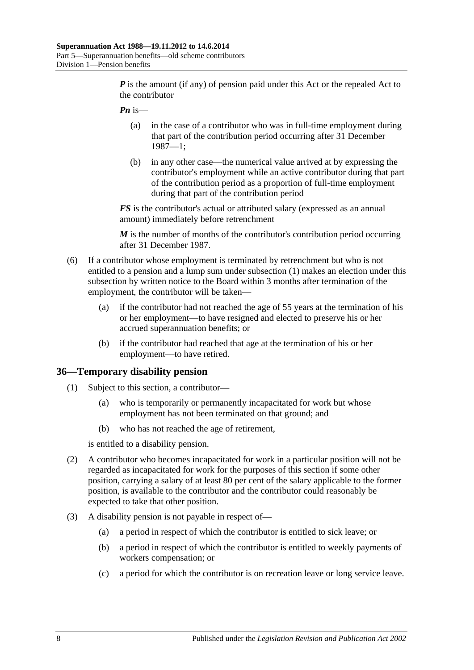*P* is the amount (if any) of pension paid under this Act or the repealed Act to the contributor

- *Pn* is—
	- (a) in the case of a contributor who was in full-time employment during that part of the contribution period occurring after 31 December 1987—1;
	- (b) in any other case—the numerical value arrived at by expressing the contributor's employment while an active contributor during that part of the contribution period as a proportion of full-time employment during that part of the contribution period

*FS* is the contributor's actual or attributed salary (expressed as an annual amount) immediately before retrenchment

*M* is the number of months of the contributor's contribution period occurring after 31 December 1987.

- <span id="page-63-0"></span>(6) If a contributor whose employment is terminated by retrenchment but who is not entitled to a pension and a lump sum under [subsection](#page-61-1) (1) makes an election under this subsection by written notice to the Board within 3 months after termination of the employment, the contributor will be taken—
	- (a) if the contributor had not reached the age of 55 years at the termination of his or her employment—to have resigned and elected to preserve his or her accrued superannuation benefits; or
	- (b) if the contributor had reached that age at the termination of his or her employment—to have retired.

#### **36—Temporary disability pension**

- (1) Subject to this section, a contributor—
	- (a) who is temporarily or permanently incapacitated for work but whose employment has not been terminated on that ground; and
	- (b) who has not reached the age of retirement,

is entitled to a disability pension.

- (2) A contributor who becomes incapacitated for work in a particular position will not be regarded as incapacitated for work for the purposes of this section if some other position, carrying a salary of at least 80 per cent of the salary applicable to the former position, is available to the contributor and the contributor could reasonably be expected to take that other position.
- (3) A disability pension is not payable in respect of—
	- (a) a period in respect of which the contributor is entitled to sick leave; or
	- (b) a period in respect of which the contributor is entitled to weekly payments of workers compensation; or
	- (c) a period for which the contributor is on recreation leave or long service leave.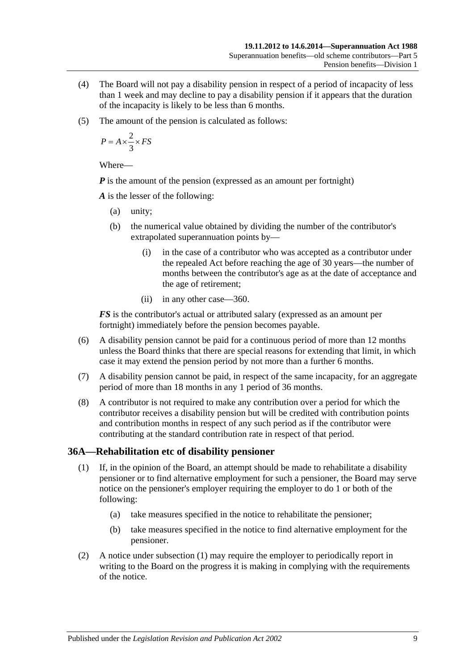- (4) The Board will not pay a disability pension in respect of a period of incapacity of less than 1 week and may decline to pay a disability pension if it appears that the duration of the incapacity is likely to be less than 6 months.
- (5) The amount of the pension is calculated as follows:

$$
P = A \times \frac{2}{3} \times FS
$$

Where—

*P* is the amount of the pension (expressed as an amount per fortnight)

*A* is the lesser of the following:

- (a) unity;
- (b) the numerical value obtained by dividing the number of the contributor's extrapolated superannuation points by—
	- (i) in the case of a contributor who was accepted as a contributor under the repealed Act before reaching the age of 30 years—the number of months between the contributor's age as at the date of acceptance and the age of retirement;
	- (ii) in any other case—360.

*FS* is the contributor's actual or attributed salary (expressed as an amount per fortnight) immediately before the pension becomes payable.

- (6) A disability pension cannot be paid for a continuous period of more than 12 months unless the Board thinks that there are special reasons for extending that limit, in which case it may extend the pension period by not more than a further 6 months.
- (7) A disability pension cannot be paid, in respect of the same incapacity, for an aggregate period of more than 18 months in any 1 period of 36 months.
- (8) A contributor is not required to make any contribution over a period for which the contributor receives a disability pension but will be credited with contribution points and contribution months in respect of any such period as if the contributor were contributing at the standard contribution rate in respect of that period.

## <span id="page-64-0"></span>**36A—Rehabilitation etc of disability pensioner**

- (1) If, in the opinion of the Board, an attempt should be made to rehabilitate a disability pensioner or to find alternative employment for such a pensioner, the Board may serve notice on the pensioner's employer requiring the employer to do 1 or both of the following:
	- (a) take measures specified in the notice to rehabilitate the pensioner;
	- (b) take measures specified in the notice to find alternative employment for the pensioner.
- (2) A notice under [subsection](#page-64-0) (1) may require the employer to periodically report in writing to the Board on the progress it is making in complying with the requirements of the notice.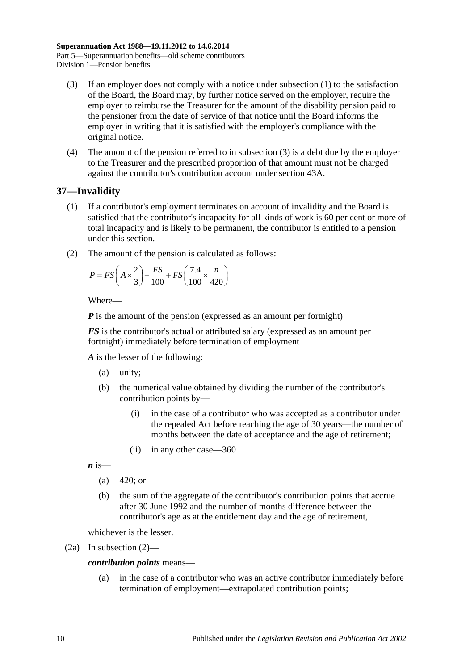- <span id="page-65-0"></span>(3) If an employer does not comply with a notice under [subsection](#page-64-0) (1) to the satisfaction of the Board, the Board may, by further notice served on the employer, require the employer to reimburse the Treasurer for the amount of the disability pension paid to the pensioner from the date of service of that notice until the Board informs the employer in writing that it is satisfied with the employer's compliance with the original notice.
- (4) The amount of the pension referred to in [subsection](#page-65-0) (3) is a debt due by the employer to the Treasurer and the prescribed proportion of that amount must not be charged against the contributor's contribution account under section 43A.

# <span id="page-65-2"></span>**37—Invalidity**

- (1) If a contributor's employment terminates on account of invalidity and the Board is satisfied that the contributor's incapacity for all kinds of work is 60 per cent or more of total incapacity and is likely to be permanent, the contributor is entitled to a pension under this section.
- <span id="page-65-1"></span>(2) The amount of the pension is calculated as follows:

$$
P = FS\left(A \times \frac{2}{3}\right) + \frac{FS}{100} + FS\left(\frac{7.4}{100} \times \frac{n}{420}\right)
$$

Where—

*P* is the amount of the pension (expressed as an amount per fortnight)

*FS* is the contributor's actual or attributed salary (expressed as an amount per fortnight) immediately before termination of employment

*A* is the lesser of the following:

- (a) unity;
- (b) the numerical value obtained by dividing the number of the contributor's contribution points by—
	- (i) in the case of a contributor who was accepted as a contributor under the repealed Act before reaching the age of 30 years—the number of months between the date of acceptance and the age of retirement;
	- (ii) in any other case—360

 $\boldsymbol{n}$  is—

- (a)  $420$ ; or
- (b) the sum of the aggregate of the contributor's contribution points that accrue after 30 June 1992 and the number of months difference between the contributor's age as at the entitlement day and the age of retirement,

whichever is the lesser.

(2a) In [subsection](#page-65-1) (2)—

## *contribution points* means—

(a) in the case of a contributor who was an active contributor immediately before termination of employment—extrapolated contribution points;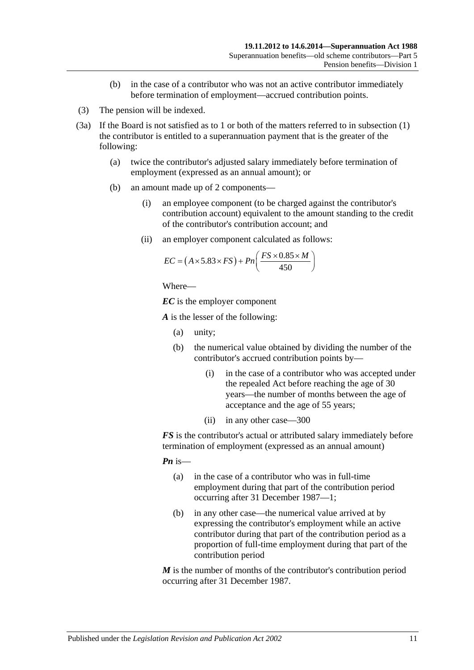- (b) in the case of a contributor who was not an active contributor immediately before termination of employment—accrued contribution points.
- (3) The pension will be indexed.
- <span id="page-66-0"></span>(3a) If the Board is not satisfied as to 1 or both of the matters referred to in [subsection](#page-65-2) (1) the contributor is entitled to a superannuation payment that is the greater of the following:
	- (a) twice the contributor's adjusted salary immediately before termination of employment (expressed as an annual amount); or
	- (b) an amount made up of 2 components—
		- (i) an employee component (to be charged against the contributor's contribution account) equivalent to the amount standing to the credit of the contributor's contribution account; and
		- (ii) an employer component calculated as follows:

$$
EC = (A \times 5.83 \times FS) + Pn\left(\frac{FS \times 0.85 \times M}{450}\right)
$$

```
Where—
```
*EC* is the employer component

*A* is the lesser of the following:

- (a) unity;
- (b) the numerical value obtained by dividing the number of the contributor's accrued contribution points by—
	- (i) in the case of a contributor who was accepted under the repealed Act before reaching the age of 30 years—the number of months between the age of acceptance and the age of 55 years;
	- (ii) in any other case—300

*FS* is the contributor's actual or attributed salary immediately before termination of employment (expressed as an annual amount)

*Pn* is—

- (a) in the case of a contributor who was in full-time employment during that part of the contribution period occurring after 31 December 1987—1;
- (b) in any other case—the numerical value arrived at by expressing the contributor's employment while an active contributor during that part of the contribution period as a proportion of full-time employment during that part of the contribution period

*M* is the number of months of the contributor's contribution period occurring after 31 December 1987.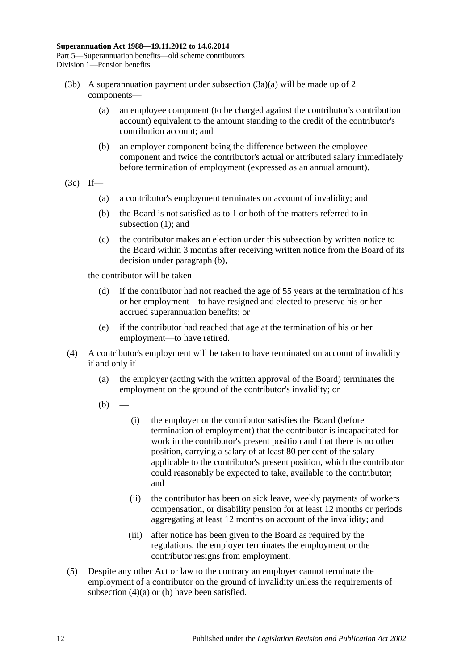- (3b) A superannuation payment under [subsection](#page-66-0)  $(3a)(a)$  will be made up of 2 components—
	- (a) an employee component (to be charged against the contributor's contribution account) equivalent to the amount standing to the credit of the contributor's contribution account; and
	- (b) an employer component being the difference between the employee component and twice the contributor's actual or attributed salary immediately before termination of employment (expressed as an annual amount).
- <span id="page-67-0"></span> $(3c)$  If—
	- (a) a contributor's employment terminates on account of invalidity; and
	- (b) the Board is not satisfied as to 1 or both of the matters referred to in [subsection](#page-65-2) (1); and
	- (c) the contributor makes an election under this subsection by written notice to the Board within 3 months after receiving written notice from the Board of its decision under [paragraph](#page-67-0) (b),

the contributor will be taken—

- (d) if the contributor had not reached the age of 55 years at the termination of his or her employment—to have resigned and elected to preserve his or her accrued superannuation benefits; or
- (e) if the contributor had reached that age at the termination of his or her employment—to have retired.
- <span id="page-67-2"></span><span id="page-67-1"></span>(4) A contributor's employment will be taken to have terminated on account of invalidity if and only if—
	- (a) the employer (acting with the written approval of the Board) terminates the employment on the ground of the contributor's invalidity; or
	- $(b)$
- (i) the employer or the contributor satisfies the Board (before termination of employment) that the contributor is incapacitated for work in the contributor's present position and that there is no other position, carrying a salary of at least 80 per cent of the salary applicable to the contributor's present position, which the contributor could reasonably be expected to take, available to the contributor; and
- (ii) the contributor has been on sick leave, weekly payments of workers compensation, or disability pension for at least 12 months or periods aggregating at least 12 months on account of the invalidity; and
- (iii) after notice has been given to the Board as required by the regulations, the employer terminates the employment or the contributor resigns from employment.
- (5) Despite any other Act or law to the contrary an employer cannot terminate the employment of a contributor on the ground of invalidity unless the requirements of [subsection](#page-67-1) (4)(a) or [\(b\)](#page-67-2) have been satisfied.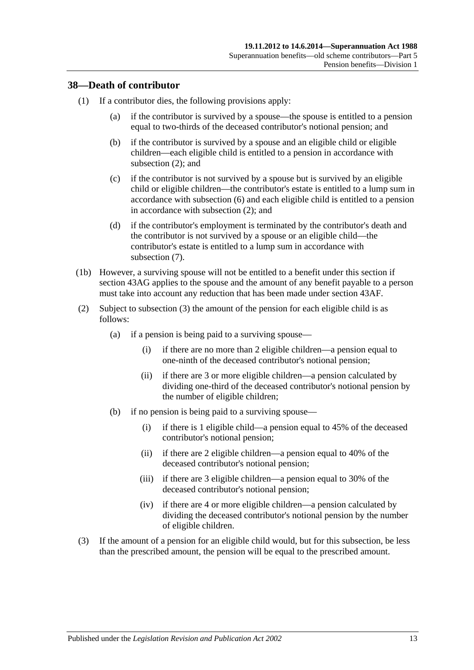## **38—Death of contributor**

- (1) If a contributor dies, the following provisions apply:
	- (a) if the contributor is survived by a spouse—the spouse is entitled to a pension equal to two-thirds of the deceased contributor's notional pension; and
	- (b) if the contributor is survived by a spouse and an eligible child or eligible children—each eligible child is entitled to a pension in accordance with [subsection](#page-68-0) (2); and
	- (c) if the contributor is not survived by a spouse but is survived by an eligible child or eligible children—the contributor's estate is entitled to a lump sum in accordance with [subsection](#page-70-0) (6) and each eligible child is entitled to a pension in accordance with [subsection](#page-68-0) (2); and
	- (d) if the contributor's employment is terminated by the contributor's death and the contributor is not survived by a spouse or an eligible child—the contributor's estate is entitled to a lump sum in accordance with [subsection](#page-70-1) (7).
- (1b) However, a surviving spouse will not be entitled to a benefit under this section if [section](#page-88-0) 43AG applies to the spouse and the amount of any benefit payable to a person must take into account any reduction that has been made under [section](#page-87-0) 43AF.
- <span id="page-68-0"></span>(2) Subject to [subsection](#page-68-1) (3) the amount of the pension for each eligible child is as follows:
	- (a) if a pension is being paid to a surviving spouse—
		- (i) if there are no more than 2 eligible children—a pension equal to one-ninth of the deceased contributor's notional pension;
		- (ii) if there are 3 or more eligible children—a pension calculated by dividing one-third of the deceased contributor's notional pension by the number of eligible children;
	- (b) if no pension is being paid to a surviving spouse—
		- (i) if there is 1 eligible child—a pension equal to 45% of the deceased contributor's notional pension;
		- (ii) if there are 2 eligible children—a pension equal to 40% of the deceased contributor's notional pension;
		- (iii) if there are 3 eligible children—a pension equal to 30% of the deceased contributor's notional pension;
		- (iv) if there are 4 or more eligible children—a pension calculated by dividing the deceased contributor's notional pension by the number of eligible children.
- <span id="page-68-1"></span>(3) If the amount of a pension for an eligible child would, but for this subsection, be less than the prescribed amount, the pension will be equal to the prescribed amount.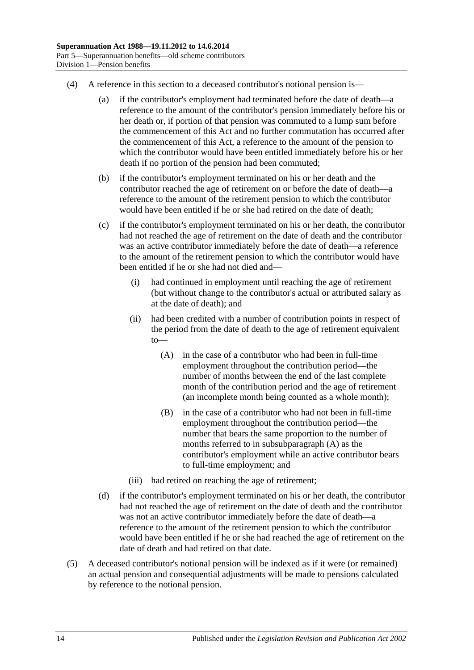- (4) A reference in this section to a deceased contributor's notional pension is—
	- (a) if the contributor's employment had terminated before the date of death—a reference to the amount of the contributor's pension immediately before his or her death or, if portion of that pension was commuted to a lump sum before the commencement of this Act and no further commutation has occurred after the commencement of this Act, a reference to the amount of the pension to which the contributor would have been entitled immediately before his or her death if no portion of the pension had been commuted;
	- (b) if the contributor's employment terminated on his or her death and the contributor reached the age of retirement on or before the date of death—a reference to the amount of the retirement pension to which the contributor would have been entitled if he or she had retired on the date of death;
	- (c) if the contributor's employment terminated on his or her death, the contributor had not reached the age of retirement on the date of death and the contributor was an active contributor immediately before the date of death—a reference to the amount of the retirement pension to which the contributor would have been entitled if he or she had not died and—
		- (i) had continued in employment until reaching the age of retirement (but without change to the contributor's actual or attributed salary as at the date of death); and
		- (ii) had been credited with a number of contribution points in respect of the period from the date of death to the age of retirement equivalent to—
			- (A) in the case of a contributor who had been in full-time employment throughout the contribution period—the number of months between the end of the last complete month of the contribution period and the age of retirement (an incomplete month being counted as a whole month);
			- (B) in the case of a contributor who had not been in full-time employment throughout the contribution period—the number that bears the same proportion to the number of months referred to in [subsubparagraph](#page-69-0) (A) as the contributor's employment while an active contributor bears to full-time employment; and
		- (iii) had retired on reaching the age of retirement;
	- (d) if the contributor's employment terminated on his or her death, the contributor had not reached the age of retirement on the date of death and the contributor was not an active contributor immediately before the date of death—a reference to the amount of the retirement pension to which the contributor would have been entitled if he or she had reached the age of retirement on the date of death and had retired on that date.
- <span id="page-69-0"></span>(5) A deceased contributor's notional pension will be indexed as if it were (or remained) an actual pension and consequential adjustments will be made to pensions calculated by reference to the notional pension.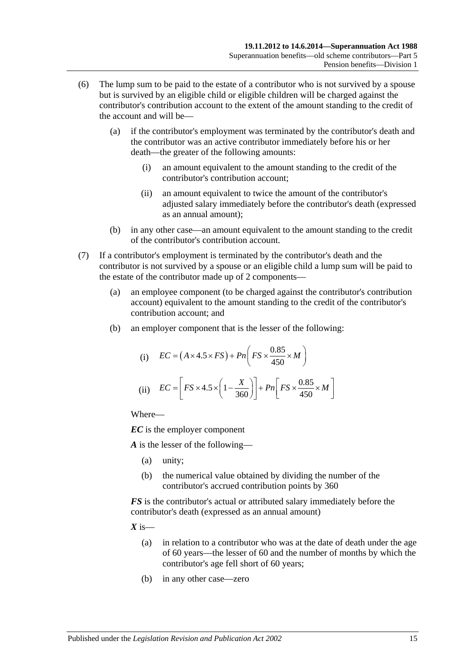- <span id="page-70-0"></span>(6) The lump sum to be paid to the estate of a contributor who is not survived by a spouse but is survived by an eligible child or eligible children will be charged against the contributor's contribution account to the extent of the amount standing to the credit of the account and will be—
	- (a) if the contributor's employment was terminated by the contributor's death and the contributor was an active contributor immediately before his or her death—the greater of the following amounts:
		- (i) an amount equivalent to the amount standing to the credit of the contributor's contribution account;
		- (ii) an amount equivalent to twice the amount of the contributor's adjusted salary immediately before the contributor's death (expressed as an annual amount);
	- (b) in any other case—an amount equivalent to the amount standing to the credit of the contributor's contribution account.
- <span id="page-70-1"></span>(7) If a contributor's employment is terminated by the contributor's death and the contributor is not survived by a spouse or an eligible child a lump sum will be paid to the estate of the contributor made up of 2 components—
	- (a) an employee component (to be charged against the contributor's contribution account) equivalent to the amount standing to the credit of the contributor's contribution account; and
	- (b) an employer component that is the lesser of the following:

(i) 
$$
EC = (A \times 4.5 \times FS) + Pn\left(FS \times \frac{0.85}{450} \times M\right)
$$
  
(ii) 
$$
EC = \left[FS \times 4.5 \times \left(1 - \frac{X}{360}\right)\right] + Pn\left[FS \times \frac{0.85}{450} \times M\right]
$$

Where—

*EC* is the employer component

*A* is the lesser of the following—

- (a) unity;
- (b) the numerical value obtained by dividing the number of the contributor's accrued contribution points by 360

*FS* is the contributor's actual or attributed salary immediately before the contributor's death (expressed as an annual amount)

 $X$  is—

- (a) in relation to a contributor who was at the date of death under the age of 60 years—the lesser of 60 and the number of months by which the contributor's age fell short of 60 years;
- (b) in any other case—zero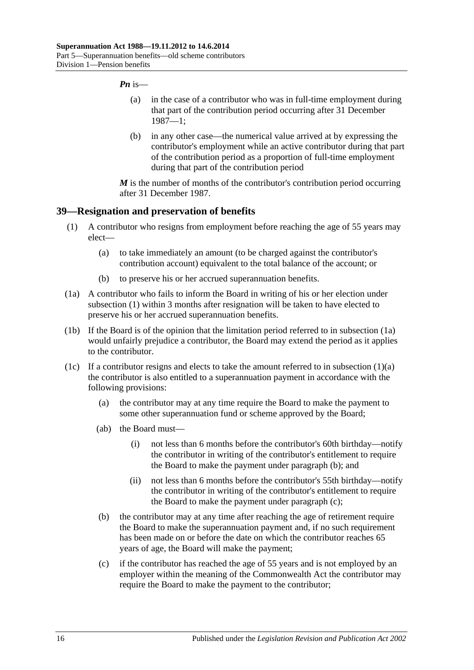#### *Pn* is—

- (a) in the case of a contributor who was in full-time employment during that part of the contribution period occurring after 31 December 1987—1;
- (b) in any other case—the numerical value arrived at by expressing the contributor's employment while an active contributor during that part of the contribution period as a proportion of full-time employment during that part of the contribution period

*M* is the number of months of the contributor's contribution period occurring after 31 December 1987.

#### <span id="page-71-0"></span>**39—Resignation and preservation of benefits**

- <span id="page-71-2"></span>(1) A contributor who resigns from employment before reaching the age of 55 years may elect—
	- (a) to take immediately an amount (to be charged against the contributor's contribution account) equivalent to the total balance of the account; or
	- (b) to preserve his or her accrued superannuation benefits.
- <span id="page-71-1"></span>(1a) A contributor who fails to inform the Board in writing of his or her election under [subsection](#page-71-0) (1) within 3 months after resignation will be taken to have elected to preserve his or her accrued superannuation benefits.
- (1b) If the Board is of the opinion that the limitation period referred to in [subsection](#page-71-1) (1a) would unfairly prejudice a contributor, the Board may extend the period as it applies to the contributor.
- <span id="page-71-4"></span><span id="page-71-3"></span>(1c) If a contributor resigns and elects to take the amount referred to in [subsection](#page-71-2)  $(1)(a)$ the contributor is also entitled to a superannuation payment in accordance with the following provisions:
	- (a) the contributor may at any time require the Board to make the payment to some other superannuation fund or scheme approved by the Board;
	- (ab) the Board must—
		- (i) not less than 6 months before the contributor's 60th birthday—notify the contributor in writing of the contributor's entitlement to require the Board to make the payment under [paragraph](#page-71-3) (b); and
		- (ii) not less than 6 months before the contributor's 55th birthday—notify the contributor in writing of the contributor's entitlement to require the Board to make the payment under [paragraph](#page-71-4) (c);
	- (b) the contributor may at any time after reaching the age of retirement require the Board to make the superannuation payment and, if no such requirement has been made on or before the date on which the contributor reaches 65 years of age, the Board will make the payment;
	- (c) if the contributor has reached the age of 55 years and is not employed by an employer within the meaning of the Commonwealth Act the contributor may require the Board to make the payment to the contributor;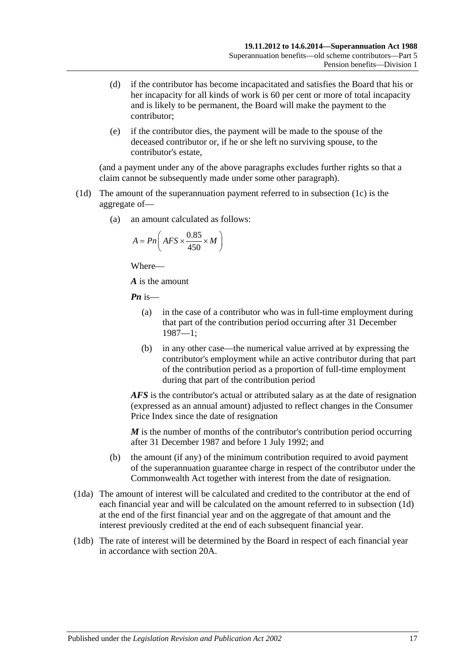- (d) if the contributor has become incapacitated and satisfies the Board that his or her incapacity for all kinds of work is 60 per cent or more of total incapacity and is likely to be permanent, the Board will make the payment to the contributor;
- (e) if the contributor dies, the payment will be made to the spouse of the deceased contributor or, if he or she left no surviving spouse, to the contributor's estate,

(and a payment under any of the above paragraphs excludes further rights so that a claim cannot be subsequently made under some other paragraph).

- <span id="page-72-0"></span>(1d) The amount of the superannuation payment referred to in [subsection](#page-71-0) (1c) is the aggregate of—
	- (a) an amount calculated as follows:

$$
A = P n \left( AFS \times \frac{0.85}{450} \times M \right)
$$

Where—

*A* is the amount

*Pn* is—

- (a) in the case of a contributor who was in full-time employment during that part of the contribution period occurring after 31 December 1987—1;
- (b) in any other case—the numerical value arrived at by expressing the contributor's employment while an active contributor during that part of the contribution period as a proportion of full-time employment during that part of the contribution period

*AFS* is the contributor's actual or attributed salary as at the date of resignation (expressed as an annual amount) adjusted to reflect changes in the Consumer Price Index since the date of resignation

*M* is the number of months of the contributor's contribution period occurring after 31 December 1987 and before 1 July 1992; and

- (b) the amount (if any) of the minimum contribution required to avoid payment of the superannuation guarantee charge in respect of the contributor under the Commonwealth Act together with interest from the date of resignation.
- (1da) The amount of interest will be calculated and credited to the contributor at the end of each financial year and will be calculated on the amount referred to in [subsection](#page-72-0) (1d) at the end of the first financial year and on the aggregate of that amount and the interest previously credited at the end of each subsequent financial year.
- (1db) The rate of interest will be determined by the Board in respect of each financial year in accordance with [section](#page-21-0) 20A.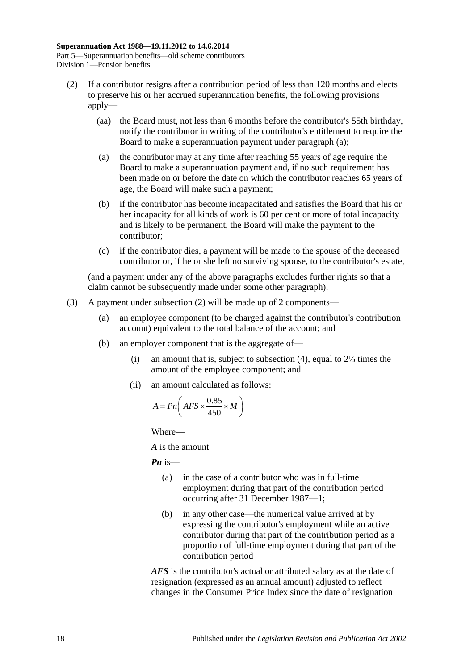- <span id="page-73-1"></span><span id="page-73-0"></span>(2) If a contributor resigns after a contribution period of less than 120 months and elects to preserve his or her accrued superannuation benefits, the following provisions apply—
	- (aa) the Board must, not less than 6 months before the contributor's 55th birthday, notify the contributor in writing of the contributor's entitlement to require the Board to make a superannuation payment under [paragraph](#page-73-0) (a);
	- (a) the contributor may at any time after reaching 55 years of age require the Board to make a superannuation payment and, if no such requirement has been made on or before the date on which the contributor reaches 65 years of age, the Board will make such a payment;
	- (b) if the contributor has become incapacitated and satisfies the Board that his or her incapacity for all kinds of work is 60 per cent or more of total incapacity and is likely to be permanent, the Board will make the payment to the contributor;
	- (c) if the contributor dies, a payment will be made to the spouse of the deceased contributor or, if he or she left no surviving spouse, to the contributor's estate,

(and a payment under any of the above paragraphs excludes further rights so that a claim cannot be subsequently made under some other paragraph).

- <span id="page-73-2"></span>(3) A payment under [subsection](#page-73-1) (2) will be made up of 2 components—
	- (a) an employee component (to be charged against the contributor's contribution account) equivalent to the total balance of the account; and
	- (b) an employer component that is the aggregate of—
		- (i) an amount that is, subject to [subsection](#page-74-0) (4), equal to 2⅓ times the amount of the employee component; and
		- (ii) an amount calculated as follows:

$$
A = P n \left( AFS \times \frac{0.85}{450} \times M \right)
$$

Where—

*A* is the amount

*Pn* is—

- (a) in the case of a contributor who was in full-time employment during that part of the contribution period occurring after 31 December 1987—1;
- (b) in any other case—the numerical value arrived at by expressing the contributor's employment while an active contributor during that part of the contribution period as a proportion of full-time employment during that part of the contribution period

*AFS* is the contributor's actual or attributed salary as at the date of resignation (expressed as an annual amount) adjusted to reflect changes in the Consumer Price Index since the date of resignation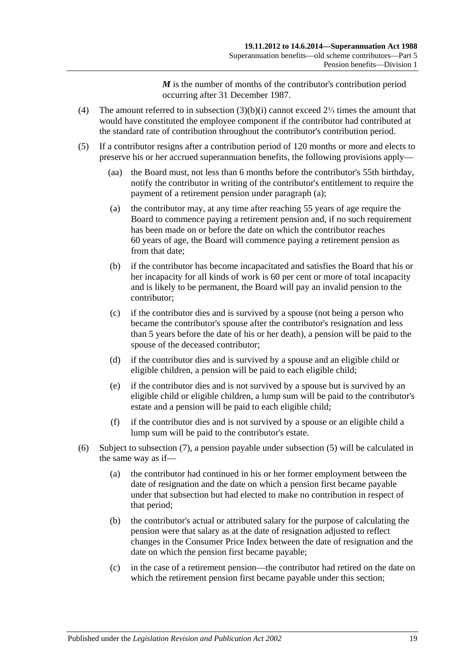*M* is the number of months of the contributor's contribution period occurring after 31 December 1987.

- <span id="page-74-0"></span>(4) The amount referred to in [subsection](#page-73-2) (3)(b)(i) cannot exceed 2⅓ times the amount that would have constituted the employee component if the contributor had contributed at the standard rate of contribution throughout the contributor's contribution period.
- <span id="page-74-3"></span><span id="page-74-2"></span><span id="page-74-1"></span>(5) If a contributor resigns after a contribution period of 120 months or more and elects to preserve his or her accrued superannuation benefits, the following provisions apply—
	- (aa) the Board must, not less than 6 months before the contributor's 55th birthday, notify the contributor in writing of the contributor's entitlement to require the payment of a retirement pension under [paragraph](#page-74-1) (a);
	- (a) the contributor may, at any time after reaching 55 years of age require the Board to commence paying a retirement pension and, if no such requirement has been made on or before the date on which the contributor reaches 60 years of age, the Board will commence paying a retirement pension as from that date:
	- (b) if the contributor has become incapacitated and satisfies the Board that his or her incapacity for all kinds of work is 60 per cent or more of total incapacity and is likely to be permanent, the Board will pay an invalid pension to the contributor;
	- (c) if the contributor dies and is survived by a spouse (not being a person who became the contributor's spouse after the contributor's resignation and less than 5 years before the date of his or her death), a pension will be paid to the spouse of the deceased contributor;
	- (d) if the contributor dies and is survived by a spouse and an eligible child or eligible children, a pension will be paid to each eligible child;
	- (e) if the contributor dies and is not survived by a spouse but is survived by an eligible child or eligible children, a lump sum will be paid to the contributor's estate and a pension will be paid to each eligible child;
	- (f) if the contributor dies and is not survived by a spouse or an eligible child a lump sum will be paid to the contributor's estate.
- <span id="page-74-4"></span>(6) Subject to [subsection](#page-75-0) (7), a pension payable under [subsection](#page-74-2) (5) will be calculated in the same way as if—
	- (a) the contributor had continued in his or her former employment between the date of resignation and the date on which a pension first became payable under that subsection but had elected to make no contribution in respect of that period;
	- (b) the contributor's actual or attributed salary for the purpose of calculating the pension were that salary as at the date of resignation adjusted to reflect changes in the Consumer Price Index between the date of resignation and the date on which the pension first became payable;
	- (c) in the case of a retirement pension—the contributor had retired on the date on which the retirement pension first became payable under this section;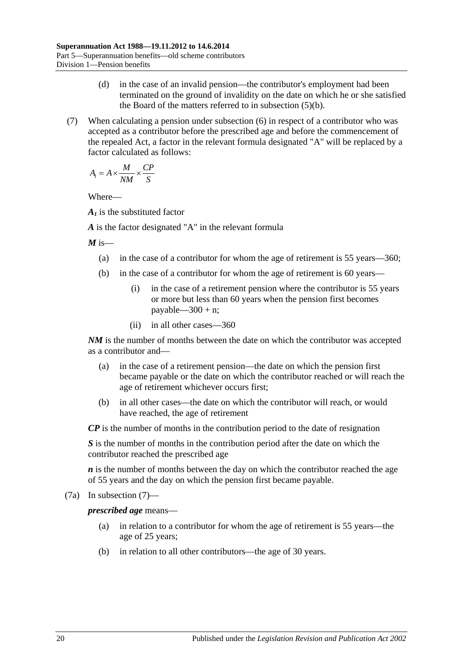- (d) in the case of an invalid pension—the contributor's employment had been terminated on the ground of invalidity on the date on which he or she satisfied the Board of the matters referred to in [subsection](#page-74-3) (5)(b).
- <span id="page-75-0"></span>(7) When calculating a pension under [subsection](#page-74-4) (6) in respect of a contributor who was accepted as a contributor before the prescribed age and before the commencement of the repealed Act, a factor in the relevant formula designated "A" will be replaced by a factor calculated as follows:

$$
A_1 = A \times \frac{M}{NM} \times \frac{CP}{S}
$$

Where—

*A1* is the substituted factor

*A* is the factor designated "A" in the relevant formula

 $M$  is—

- (a) in the case of a contributor for whom the age of retirement is 55 years—360;
- (b) in the case of a contributor for whom the age of retirement is 60 years—
	- (i) in the case of a retirement pension where the contributor is 55 years or more but less than 60 years when the pension first becomes payable— $300 + n$ ;
	- (ii) in all other cases—360

*NM* is the number of months between the date on which the contributor was accepted as a contributor and—

- (a) in the case of a retirement pension—the date on which the pension first became payable or the date on which the contributor reached or will reach the age of retirement whichever occurs first;
- (b) in all other cases—the date on which the contributor will reach, or would have reached, the age of retirement

*CP* is the number of months in the contribution period to the date of resignation

*S* is the number of months in the contribution period after the date on which the contributor reached the prescribed age

*n* is the number of months between the day on which the contributor reached the age of 55 years and the day on which the pension first became payable.

(7a) In [subsection](#page-75-0) (7)—

*prescribed age* means—

- (a) in relation to a contributor for whom the age of retirement is 55 years—the age of 25 years;
- (b) in relation to all other contributors—the age of 30 years.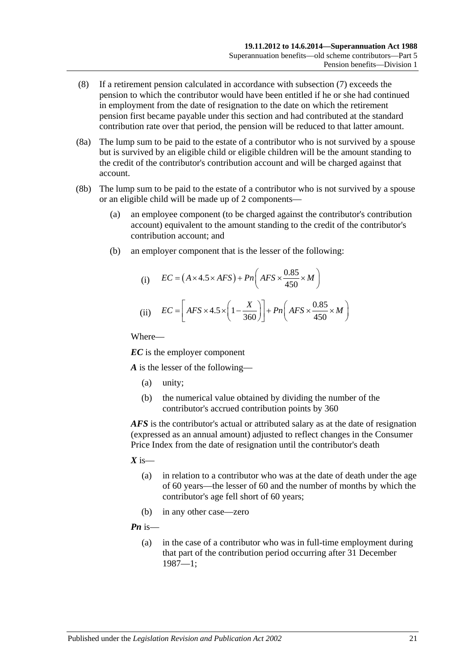- (8) If a retirement pension calculated in accordance with [subsection](#page-75-0) (7) exceeds the pension to which the contributor would have been entitled if he or she had continued in employment from the date of resignation to the date on which the retirement pension first became payable under this section and had contributed at the standard contribution rate over that period, the pension will be reduced to that latter amount.
- (8a) The lump sum to be paid to the estate of a contributor who is not survived by a spouse but is survived by an eligible child or eligible children will be the amount standing to the credit of the contributor's contribution account and will be charged against that account.
- (8b) The lump sum to be paid to the estate of a contributor who is not survived by a spouse or an eligible child will be made up of 2 components—
	- (a) an employee component (to be charged against the contributor's contribution account) equivalent to the amount standing to the credit of the contributor's contribution account; and
	- (b) an employer component that is the lesser of the following:

(i) 
$$
EC = (A \times 4.5 \times AFS) + Pn\left(AFS \times \frac{0.85}{450} \times M\right)
$$
  
(ii) 
$$
EC = \left[AFS \times 4.5 \times \left(1 - \frac{X}{360}\right)\right] + Pn\left(AFS \times \frac{0.85}{450} \times M\right)
$$

Where—

*EC* is the employer component

*A* is the lesser of the following—

- (a) unity;
- (b) the numerical value obtained by dividing the number of the contributor's accrued contribution points by 360

*AFS* is the contributor's actual or attributed salary as at the date of resignation (expressed as an annual amount) adjusted to reflect changes in the Consumer Price Index from the date of resignation until the contributor's death

- $X$  is—
	- (a) in relation to a contributor who was at the date of death under the age of 60 years—the lesser of 60 and the number of months by which the contributor's age fell short of 60 years;
	- (b) in any other case—zero

*Pn* is—

(a) in the case of a contributor who was in full-time employment during that part of the contribution period occurring after 31 December 1987—1;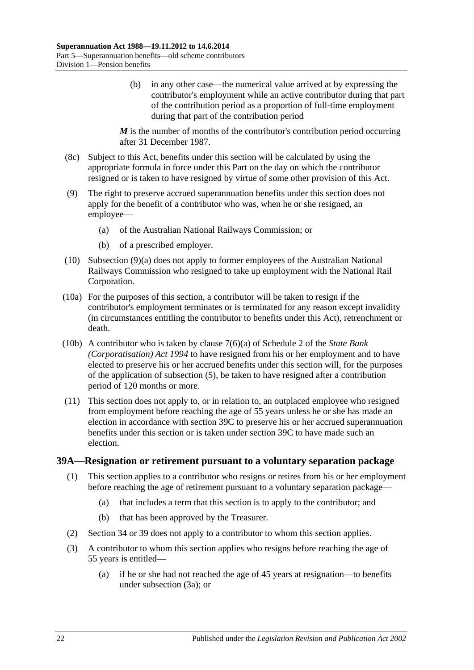(b) in any other case—the numerical value arrived at by expressing the contributor's employment while an active contributor during that part of the contribution period as a proportion of full-time employment during that part of the contribution period

*M* is the number of months of the contributor's contribution period occurring after 31 December 1987.

- (8c) Subject to this Act, benefits under this section will be calculated by using the appropriate formula in force under this Part on the day on which the contributor resigned or is taken to have resigned by virtue of some other provision of this Act.
- <span id="page-77-0"></span>(9) The right to preserve accrued superannuation benefits under this section does not apply for the benefit of a contributor who was, when he or she resigned, an employee—
	- (a) of the Australian National Railways Commission; or
	- (b) of a prescribed employer.
- (10) [Subsection](#page-77-0) (9)(a) does not apply to former employees of the Australian National Railways Commission who resigned to take up employment with the National Rail Corporation.
- (10a) For the purposes of this section, a contributor will be taken to resign if the contributor's employment terminates or is terminated for any reason except invalidity (in circumstances entitling the contributor to benefits under this Act), retrenchment or death.
- (10b) A contributor who is taken by clause 7(6)(a) of Schedule 2 of the *[State Bank](http://www.legislation.sa.gov.au/index.aspx?action=legref&type=act&legtitle=State%20Bank%20(Corporatisation)%20Act%201994)  [\(Corporatisation\) Act](http://www.legislation.sa.gov.au/index.aspx?action=legref&type=act&legtitle=State%20Bank%20(Corporatisation)%20Act%201994) 1994* to have resigned from his or her employment and to have elected to preserve his or her accrued benefits under this section will, for the purposes of the application of [subsection](#page-74-2) (5), be taken to have resigned after a contribution period of 120 months or more.
- (11) This section does not apply to, or in relation to, an outplaced employee who resigned from employment before reaching the age of 55 years unless he or she has made an election in accordance with [section](#page-80-0) 39C to preserve his or her accrued superannuation benefits under this section or is taken under [section](#page-80-0) 39C to have made such an election.

#### <span id="page-77-2"></span><span id="page-77-1"></span>**39A—Resignation or retirement pursuant to a voluntary separation package**

- (1) This section applies to a contributor who resigns or retires from his or her employment before reaching the age of retirement pursuant to a voluntary separation package—
	- (a) that includes a term that this section is to apply to the contributor; and
	- (b) that has been approved by the Treasurer.
- (2) [Section](#page-59-0) 34 or [39](#page-71-1) does not apply to a contributor to whom this section applies.
- (3) A contributor to whom this section applies who resigns before reaching the age of 55 years is entitled—
	- (a) if he or she had not reached the age of 45 years at resignation—to benefits under [subsection](#page-78-0) (3a); or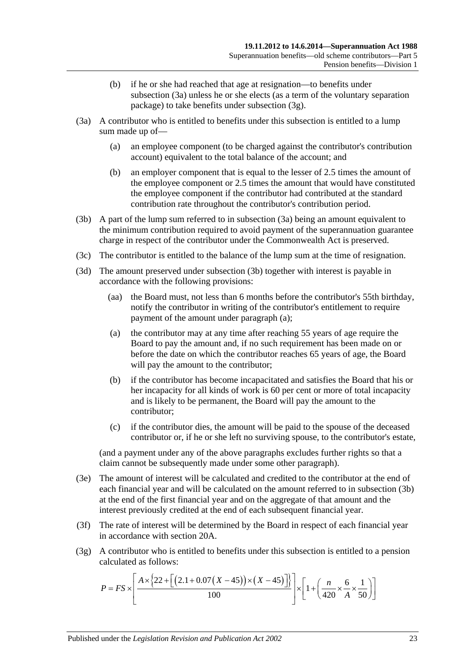- (b) if he or she had reached that age at resignation—to benefits under [subsection](#page-78-0) (3a) unless he or she elects (as a term of the voluntary separation package) to take benefits under [subsection](#page-78-1) (3g).
- <span id="page-78-4"></span><span id="page-78-0"></span>(3a) A contributor who is entitled to benefits under this subsection is entitled to a lump sum made up of—
	- (a) an employee component (to be charged against the contributor's contribution account) equivalent to the total balance of the account; and
	- (b) an employer component that is equal to the lesser of 2.5 times the amount of the employee component or 2.5 times the amount that would have constituted the employee component if the contributor had contributed at the standard contribution rate throughout the contributor's contribution period.
- <span id="page-78-2"></span>(3b) A part of the lump sum referred to in [subsection](#page-78-0) (3a) being an amount equivalent to the minimum contribution required to avoid payment of the superannuation guarantee charge in respect of the contributor under the Commonwealth Act is preserved.
- (3c) The contributor is entitled to the balance of the lump sum at the time of resignation.
- <span id="page-78-3"></span>(3d) The amount preserved under [subsection](#page-78-2) (3b) together with interest is payable in accordance with the following provisions:
	- (aa) the Board must, not less than 6 months before the contributor's 55th birthday, notify the contributor in writing of the contributor's entitlement to require payment of the amount under [paragraph](#page-78-3) (a);
	- (a) the contributor may at any time after reaching 55 years of age require the Board to pay the amount and, if no such requirement has been made on or before the date on which the contributor reaches 65 years of age, the Board will pay the amount to the contributor;
	- (b) if the contributor has become incapacitated and satisfies the Board that his or her incapacity for all kinds of work is 60 per cent or more of total incapacity and is likely to be permanent, the Board will pay the amount to the contributor;
	- (c) if the contributor dies, the amount will be paid to the spouse of the deceased contributor or, if he or she left no surviving spouse, to the contributor's estate,

(and a payment under any of the above paragraphs excludes further rights so that a claim cannot be subsequently made under some other paragraph).

- (3e) The amount of interest will be calculated and credited to the contributor at the end of each financial year and will be calculated on the amount referred to in [subsection](#page-78-2) (3b) at the end of the first financial year and on the aggregate of that amount and the interest previously credited at the end of each subsequent financial year.
- (3f) The rate of interest will be determined by the Board in respect of each financial year in accordance with [section](#page-21-0) 20A.
- <span id="page-78-1"></span>(3g) A contributor who is entitled to benefits under this subsection is entitled to a pension calculated as follows:

$$
P = FS \times \left[ \frac{A \times \left\{ 22 + \left[ \left( 2.1 + 0.07 \left( X - 45 \right) \right) \times \left( X - 45 \right) \right] \right\}}{100} \right] \times \left[ 1 + \left( \frac{n}{420} \times \frac{6}{A} \times \frac{1}{50} \right) \right]
$$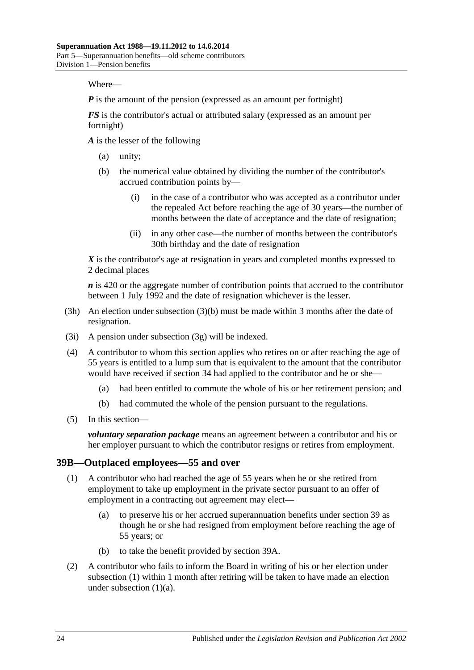Where—

*P* is the amount of the pension (expressed as an amount per fortnight)

*FS* is the contributor's actual or attributed salary (expressed as an amount per fortnight)

*A* is the lesser of the following

- (a) unity;
- (b) the numerical value obtained by dividing the number of the contributor's accrued contribution points by—
	- (i) in the case of a contributor who was accepted as a contributor under the repealed Act before reaching the age of 30 years—the number of months between the date of acceptance and the date of resignation;
	- (ii) in any other case—the number of months between the contributor's 30th birthday and the date of resignation

*X* is the contributor's age at resignation in years and completed months expressed to 2 decimal places

*n* is 420 or the aggregate number of contribution points that accrued to the contributor between 1 July 1992 and the date of resignation whichever is the lesser.

- (3h) An election under [subsection](#page-78-4) (3)(b) must be made within 3 months after the date of resignation.
- (3i) A pension under [subsection](#page-78-1) (3g) will be indexed.
- (4) A contributor to whom this section applies who retires on or after reaching the age of 55 years is entitled to a lump sum that is equivalent to the amount that the contributor would have received if [section](#page-59-0) 34 had applied to the contributor and he or she—
	- (a) had been entitled to commute the whole of his or her retirement pension; and
	- (b) had commuted the whole of the pension pursuant to the regulations.
- (5) In this section—

*voluntary separation package* means an agreement between a contributor and his or her employer pursuant to which the contributor resigns or retires from employment.

#### <span id="page-79-0"></span>**39B—Outplaced employees—55 and over**

- <span id="page-79-1"></span>(1) A contributor who had reached the age of 55 years when he or she retired from employment to take up employment in the private sector pursuant to an offer of employment in a contracting out agreement may elect—
	- (a) to preserve his or her accrued superannuation benefits under [section](#page-71-1) 39 as though he or she had resigned from employment before reaching the age of 55 years; or
	- (b) to take the benefit provided by [section](#page-77-1) 39A.
- <span id="page-79-3"></span><span id="page-79-2"></span>(2) A contributor who fails to inform the Board in writing of his or her election under [subsection](#page-79-0) (1) within 1 month after retiring will be taken to have made an election under [subsection](#page-79-1)  $(1)(a)$ .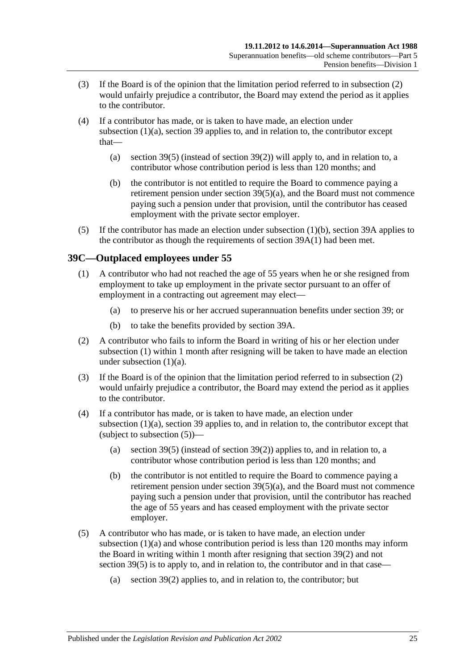- (3) If the Board is of the opinion that the limitation period referred to in [subsection](#page-79-2) (2) would unfairly prejudice a contributor, the Board may extend the period as it applies to the contributor.
- (4) If a contributor has made, or is taken to have made, an election under [subsection](#page-79-1) (1)(a), [section](#page-71-1) 39 applies to, and in relation to, the contributor except that
	- (a) [section](#page-74-2) 39(5) (instead of [section](#page-73-1) 39(2)) will apply to, and in relation to, a contributor whose contribution period is less than 120 months; and
	- (b) the contributor is not entitled to require the Board to commence paying a retirement pension under section [39\(5\)\(a\),](#page-74-1) and the Board must not commence paying such a pension under that provision, until the contributor has ceased employment with the private sector employer.
- (5) If the contributor has made an election under [subsection](#page-79-3) (1)(b), [section](#page-77-1) 39A applies to the contributor as though the requirements of [section](#page-77-2) 39A(1) had been met.

# <span id="page-80-1"></span><span id="page-80-0"></span>**39C—Outplaced employees under 55**

- <span id="page-80-2"></span>(1) A contributor who had not reached the age of 55 years when he or she resigned from employment to take up employment in the private sector pursuant to an offer of employment in a contracting out agreement may elect—
	- (a) to preserve his or her accrued superannuation benefits under [section](#page-71-1) 39; or
	- (b) to take the benefits provided by [section](#page-77-1) 39A.
- <span id="page-80-5"></span><span id="page-80-3"></span>(2) A contributor who fails to inform the Board in writing of his or her election under [subsection](#page-80-1) (1) within 1 month after resigning will be taken to have made an election under [subsection](#page-80-2) (1)(a).
- (3) If the Board is of the opinion that the limitation period referred to in [subsection](#page-80-3) (2) would unfairly prejudice a contributor, the Board may extend the period as it applies to the contributor.
- (4) If a contributor has made, or is taken to have made, an election under [subsection](#page-80-2) (1)(a), [section](#page-71-1) 39 applies to, and in relation to, the contributor except that (subject to [subsection](#page-80-4)  $(5)$ )—
	- (a) [section](#page-74-2) 39(5) (instead of [section](#page-73-1) 39(2)) applies to, and in relation to, a contributor whose contribution period is less than 120 months; and
	- (b) the contributor is not entitled to require the Board to commence paying a retirement pension under section  $39(5)(a)$ , and the Board must not commence paying such a pension under that provision, until the contributor has reached the age of 55 years and has ceased employment with the private sector employer.
- <span id="page-80-4"></span>(5) A contributor who has made, or is taken to have made, an election under [subsection](#page-80-2) (1)(a) and whose contribution period is less than 120 months may inform the Board in writing within 1 month after resigning that [section](#page-73-1) 39(2) and not [section](#page-74-2) 39(5) is to apply to, and in relation to, the contributor and in that case—
	- (a) [section](#page-73-1) 39(2) applies to, and in relation to, the contributor; but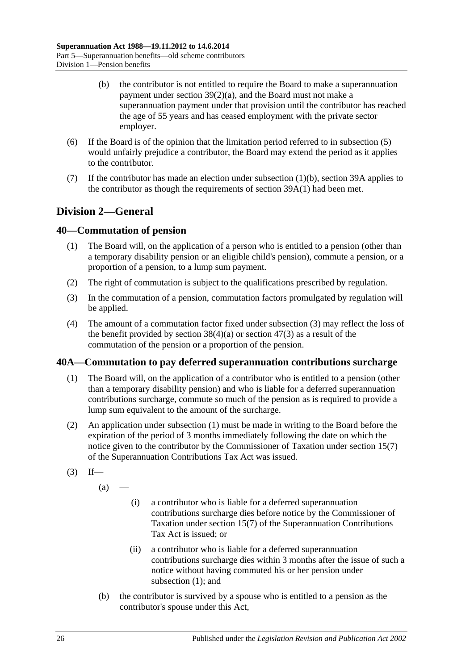- (b) the contributor is not entitled to require the Board to make a superannuation payment under section [39\(2\)\(a\),](#page-73-0) and the Board must not make a superannuation payment under that provision until the contributor has reached the age of 55 years and has ceased employment with the private sector employer.
- (6) If the Board is of the opinion that the limitation period referred to in [subsection](#page-80-4) (5) would unfairly prejudice a contributor, the Board may extend the period as it applies to the contributor.
- (7) If the contributor has made an election under [subsection](#page-80-5)  $(1)(b)$ , [section](#page-77-1) 39A applies to the contributor as though the requirements of [section](#page-77-2) 39A(1) had been met.

# **Division 2—General**

# <span id="page-81-3"></span>**40—Commutation of pension**

- (1) The Board will, on the application of a person who is entitled to a pension (other than a temporary disability pension or an eligible child's pension), commute a pension, or a proportion of a pension, to a lump sum payment.
- (2) The right of commutation is subject to the qualifications prescribed by regulation.
- <span id="page-81-0"></span>(3) In the commutation of a pension, commutation factors promulgated by regulation will be applied.
- (4) The amount of a commutation factor fixed under [subsection](#page-81-0) (3) may reflect the loss of the benefit provided by [section](#page-97-0)  $38(4)(a)$  or section  $47(3)$  as a result of the commutation of the pension or a proportion of the pension.

# <span id="page-81-1"></span>**40A—Commutation to pay deferred superannuation contributions surcharge**

- (1) The Board will, on the application of a contributor who is entitled to a pension (other than a temporary disability pension) and who is liable for a deferred superannuation contributions surcharge, commute so much of the pension as is required to provide a lump sum equivalent to the amount of the surcharge.
- (2) An application under [subsection](#page-81-1) (1) must be made in writing to the Board before the expiration of the period of 3 months immediately following the date on which the notice given to the contributor by the Commissioner of Taxation under section 15(7) of the Superannuation Contributions Tax Act was issued.
- <span id="page-81-2"></span> $(3)$  If—

 $(a)$ 

- (i) a contributor who is liable for a deferred superannuation contributions surcharge dies before notice by the Commissioner of Taxation under section 15(7) of the Superannuation Contributions Tax Act is issued; or
- (ii) a contributor who is liable for a deferred superannuation contributions surcharge dies within 3 months after the issue of such a notice without having commuted his or her pension under [subsection](#page-81-1) (1); and
- (b) the contributor is survived by a spouse who is entitled to a pension as the contributor's spouse under this Act,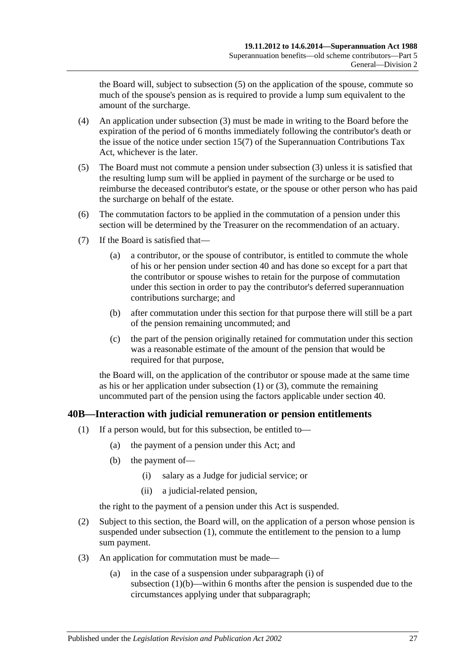the Board will, subject to [subsection](#page-82-0) (5) on the application of the spouse, commute so much of the spouse's pension as is required to provide a lump sum equivalent to the amount of the surcharge.

- (4) An application under [subsection](#page-81-2) (3) must be made in writing to the Board before the expiration of the period of 6 months immediately following the contributor's death or the issue of the notice under section 15(7) of the Superannuation Contributions Tax Act, whichever is the later.
- <span id="page-82-0"></span>(5) The Board must not commute a pension under [subsection](#page-81-2) (3) unless it is satisfied that the resulting lump sum will be applied in payment of the surcharge or be used to reimburse the deceased contributor's estate, or the spouse or other person who has paid the surcharge on behalf of the estate.
- (6) The commutation factors to be applied in the commutation of a pension under this section will be determined by the Treasurer on the recommendation of an actuary.
- (7) If the Board is satisfied that—
	- (a) a contributor, or the spouse of contributor, is entitled to commute the whole of his or her pension under [section](#page-81-3) 40 and has done so except for a part that the contributor or spouse wishes to retain for the purpose of commutation under this section in order to pay the contributor's deferred superannuation contributions surcharge; and
	- (b) after commutation under this section for that purpose there will still be a part of the pension remaining uncommuted; and
	- (c) the part of the pension originally retained for commutation under this section was a reasonable estimate of the amount of the pension that would be required for that purpose,

the Board will, on the application of the contributor or spouse made at the same time as his or her application under [subsection](#page-81-1) (1) or [\(3\),](#page-81-2) commute the remaining uncommuted part of the pension using the factors applicable under [section](#page-81-3) 40.

# <span id="page-82-1"></span>**40B—Interaction with judicial remuneration or pension entitlements**

- <span id="page-82-3"></span><span id="page-82-2"></span>(1) If a person would, but for this subsection, be entitled to—
	- (a) the payment of a pension under this Act; and
	- (b) the payment of—
		- (i) salary as a Judge for judicial service; or
		- (ii) a judicial-related pension,

the right to the payment of a pension under this Act is suspended.

- <span id="page-82-4"></span>(2) Subject to this section, the Board will, on the application of a person whose pension is suspended under [subsection](#page-82-1) (1), commute the entitlement to the pension to a lump sum payment.
- <span id="page-82-5"></span>(3) An application for commutation must be made—
	- (a) in the case of a suspension under [subparagraph](#page-82-2) (i) of [subsection](#page-82-3)  $(1)(b)$ —within 6 months after the pension is suspended due to the circumstances applying under that subparagraph;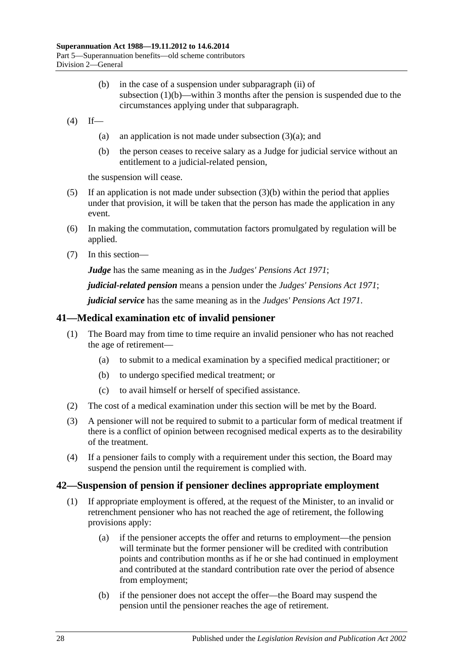- (b) in the case of a suspension under [subparagraph](#page-82-4) (ii) of [subsection](#page-82-3) (1)(b)—within 3 months after the pension is suspended due to the circumstances applying under that subparagraph.
- <span id="page-83-0"></span> $(4)$  If
	- (a) an application is not made under [subsection](#page-82-5)  $(3)(a)$ ; and
	- (b) the person ceases to receive salary as a Judge for judicial service without an entitlement to a judicial-related pension,

the suspension will cease.

- (5) If an application is not made under [subsection](#page-83-0)  $(3)(b)$  within the period that applies under that provision, it will be taken that the person has made the application in any event.
- (6) In making the commutation, commutation factors promulgated by regulation will be applied.
- (7) In this section—

*Judge* has the same meaning as in the *[Judges' Pensions Act](http://www.legislation.sa.gov.au/index.aspx?action=legref&type=act&legtitle=Judges%20Pensions%20Act%201971) 1971*;

*judicial-related pension* means a pension under the *[Judges' Pensions Act](http://www.legislation.sa.gov.au/index.aspx?action=legref&type=act&legtitle=Judges%20Pensions%20Act%201971) 1971*;

*judicial service* has the same meaning as in the *[Judges' Pensions Act](http://www.legislation.sa.gov.au/index.aspx?action=legref&type=act&legtitle=Judges%20Pensions%20Act%201971) 1971*.

## **41—Medical examination etc of invalid pensioner**

- (1) The Board may from time to time require an invalid pensioner who has not reached the age of retirement—
	- (a) to submit to a medical examination by a specified medical practitioner; or
	- (b) to undergo specified medical treatment; or
	- (c) to avail himself or herself of specified assistance.
- (2) The cost of a medical examination under this section will be met by the Board.
- (3) A pensioner will not be required to submit to a particular form of medical treatment if there is a conflict of opinion between recognised medical experts as to the desirability of the treatment.
- (4) If a pensioner fails to comply with a requirement under this section, the Board may suspend the pension until the requirement is complied with.

#### <span id="page-83-1"></span>**42—Suspension of pension if pensioner declines appropriate employment**

- (1) If appropriate employment is offered, at the request of the Minister, to an invalid or retrenchment pensioner who has not reached the age of retirement, the following provisions apply:
	- (a) if the pensioner accepts the offer and returns to employment—the pension will terminate but the former pensioner will be credited with contribution points and contribution months as if he or she had continued in employment and contributed at the standard contribution rate over the period of absence from employment;
	- (b) if the pensioner does not accept the offer—the Board may suspend the pension until the pensioner reaches the age of retirement.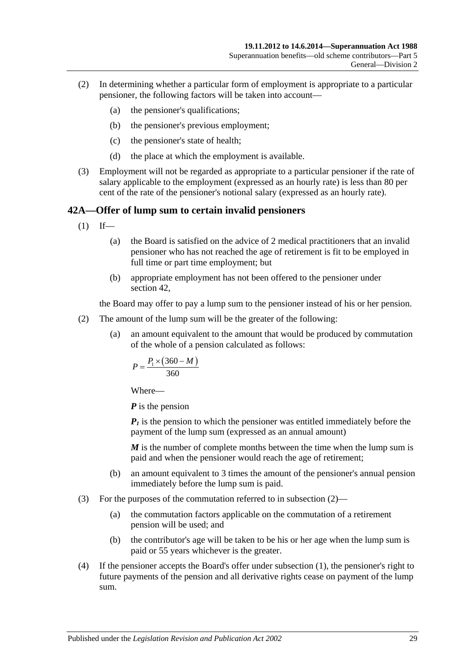- (2) In determining whether a particular form of employment is appropriate to a particular pensioner, the following factors will be taken into account—
	- (a) the pensioner's qualifications;
	- (b) the pensioner's previous employment;
	- (c) the pensioner's state of health;
	- (d) the place at which the employment is available.
- (3) Employment will not be regarded as appropriate to a particular pensioner if the rate of salary applicable to the employment (expressed as an hourly rate) is less than 80 per cent of the rate of the pensioner's notional salary (expressed as an hourly rate).

## <span id="page-84-1"></span>**42A—Offer of lump sum to certain invalid pensioners**

- $(1)$  If—
	- (a) the Board is satisfied on the advice of 2 medical practitioners that an invalid pensioner who has not reached the age of retirement is fit to be employed in full time or part time employment; but
	- (b) appropriate employment has not been offered to the pensioner under [section](#page-83-1) 42,

the Board may offer to pay a lump sum to the pensioner instead of his or her pension.

- <span id="page-84-0"></span>(2) The amount of the lump sum will be the greater of the following:
	- (a) an amount equivalent to the amount that would be produced by commutation of the whole of a pension calculated as follows:

$$
P = \frac{P_1 \times (360 - M)}{360}
$$

Where—

*P* is the pension

 $P_1$  is the pension to which the pensioner was entitled immediately before the payment of the lump sum (expressed as an annual amount)

*M* is the number of complete months between the time when the lump sum is paid and when the pensioner would reach the age of retirement;

- (b) an amount equivalent to 3 times the amount of the pensioner's annual pension immediately before the lump sum is paid.
- (3) For the purposes of the commutation referred to in [subsection](#page-84-0) (2)—
	- (a) the commutation factors applicable on the commutation of a retirement pension will be used; and
	- (b) the contributor's age will be taken to be his or her age when the lump sum is paid or 55 years whichever is the greater.
- (4) If the pensioner accepts the Board's offer under [subsection](#page-84-1) (1), the pensioner's right to future payments of the pension and all derivative rights cease on payment of the lump sum.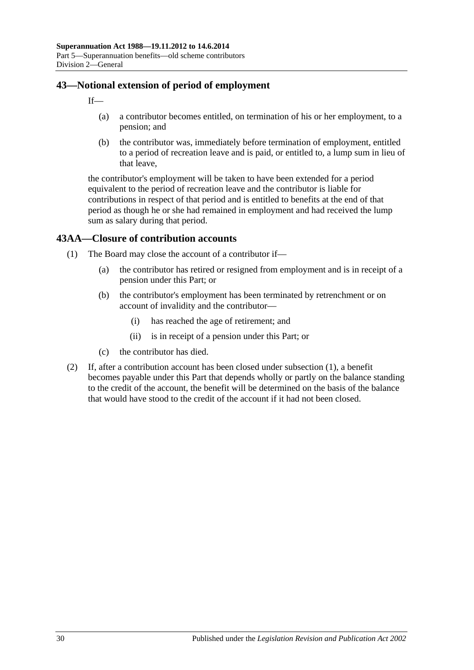# **43—Notional extension of period of employment**

 $If$ 

- (a) a contributor becomes entitled, on termination of his or her employment, to a pension; and
- (b) the contributor was, immediately before termination of employment, entitled to a period of recreation leave and is paid, or entitled to, a lump sum in lieu of that leave,

the contributor's employment will be taken to have been extended for a period equivalent to the period of recreation leave and the contributor is liable for contributions in respect of that period and is entitled to benefits at the end of that period as though he or she had remained in employment and had received the lump sum as salary during that period.

# <span id="page-85-0"></span>**43AA—Closure of contribution accounts**

- (1) The Board may close the account of a contributor if—
	- (a) the contributor has retired or resigned from employment and is in receipt of a pension under this Part; or
	- (b) the contributor's employment has been terminated by retrenchment or on account of invalidity and the contributor—
		- (i) has reached the age of retirement; and
		- (ii) is in receipt of a pension under this Part; or
	- (c) the contributor has died.
- (2) If, after a contribution account has been closed under [subsection](#page-85-0) (1), a benefit becomes payable under this Part that depends wholly or partly on the balance standing to the credit of the account, the benefit will be determined on the basis of the balance that would have stood to the credit of the account if it had not been closed.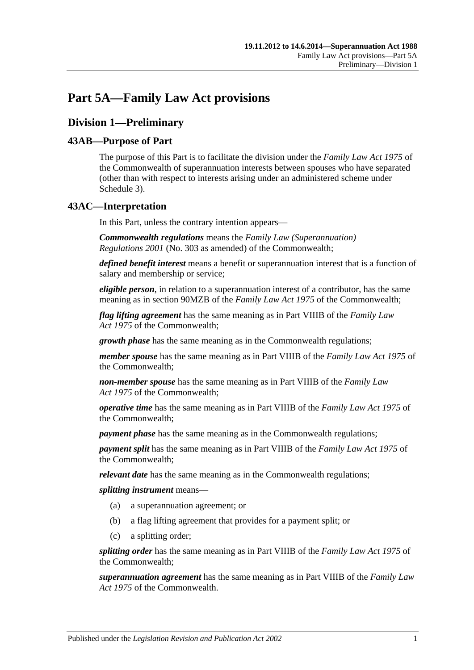# **Part 5A—Family Law Act provisions**

# **Division 1—Preliminary**

# **43AB—Purpose of Part**

The purpose of this Part is to facilitate the division under the *Family Law Act 1975* of the Commonwealth of superannuation interests between spouses who have separated (other than with respect to interests arising under an administered scheme under [Schedule 3\)](#page-128-0).

# **43AC—Interpretation**

In this Part, unless the contrary intention appears—

*Commonwealth regulations* means the *Family Law (Superannuation) Regulations 2001* (No. 303 as amended) of the Commonwealth;

*defined benefit interest* means a benefit or superannuation interest that is a function of salary and membership or service;

*eligible person*, in relation to a superannuation interest of a contributor, has the same meaning as in section 90MZB of the *Family Law Act 1975* of the Commonwealth;

*flag lifting agreement* has the same meaning as in Part VIIIB of the *Family Law Act 1975* of the Commonwealth;

*growth phase* has the same meaning as in the Commonwealth regulations;

*member spouse* has the same meaning as in Part VIIIB of the *Family Law Act 1975* of the Commonwealth;

*non-member spouse* has the same meaning as in Part VIIIB of the *Family Law Act 1975* of the Commonwealth;

*operative time* has the same meaning as in Part VIIIB of the *Family Law Act 1975* of the Commonwealth;

*payment phase* has the same meaning as in the Commonwealth regulations;

*payment split* has the same meaning as in Part VIIIB of the *Family Law Act 1975* of the Commonwealth;

*relevant date* has the same meaning as in the Commonwealth regulations;

*splitting instrument* means—

- (a) a superannuation agreement; or
- (b) a flag lifting agreement that provides for a payment split; or
- (c) a splitting order;

*splitting order* has the same meaning as in Part VIIIB of the *Family Law Act 1975* of the Commonwealth;

*superannuation agreement* has the same meaning as in Part VIIIB of the *Family Law Act 1975* of the Commonwealth.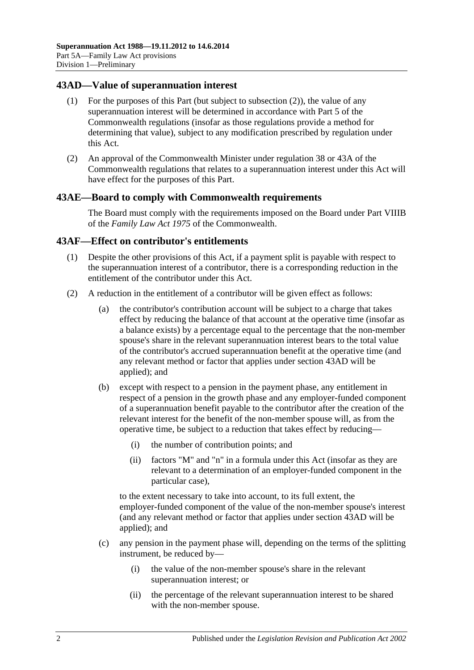## <span id="page-87-1"></span>**43AD—Value of superannuation interest**

- (1) For the purposes of this Part (but subject to [subsection](#page-87-0) (2)), the value of any superannuation interest will be determined in accordance with Part 5 of the Commonwealth regulations (insofar as those regulations provide a method for determining that value), subject to any modification prescribed by regulation under this Act.
- <span id="page-87-0"></span>(2) An approval of the Commonwealth Minister under regulation 38 or 43A of the Commonwealth regulations that relates to a superannuation interest under this Act will have effect for the purposes of this Part.

#### **43AE—Board to comply with Commonwealth requirements**

The Board must comply with the requirements imposed on the Board under Part VIIIB of the *Family Law Act 1975* of the Commonwealth.

#### **43AF—Effect on contributor's entitlements**

- (1) Despite the other provisions of this Act, if a payment split is payable with respect to the superannuation interest of a contributor, there is a corresponding reduction in the entitlement of the contributor under this Act.
- <span id="page-87-2"></span>(2) A reduction in the entitlement of a contributor will be given effect as follows:
	- (a) the contributor's contribution account will be subject to a charge that takes effect by reducing the balance of that account at the operative time (insofar as a balance exists) by a percentage equal to the percentage that the non-member spouse's share in the relevant superannuation interest bears to the total value of the contributor's accrued superannuation benefit at the operative time (and any relevant method or factor that applies under [section](#page-87-1) 43AD will be applied); and
	- (b) except with respect to a pension in the payment phase, any entitlement in respect of a pension in the growth phase and any employer-funded component of a superannuation benefit payable to the contributor after the creation of the relevant interest for the benefit of the non-member spouse will, as from the operative time, be subject to a reduction that takes effect by reducing—
		- (i) the number of contribution points; and
		- (ii) factors "M" and "n" in a formula under this Act (insofar as they are relevant to a determination of an employer-funded component in the particular case),

to the extent necessary to take into account, to its full extent, the employer-funded component of the value of the non-member spouse's interest (and any relevant method or factor that applies under [section](#page-87-1) 43AD will be applied); and

- (c) any pension in the payment phase will, depending on the terms of the splitting instrument, be reduced by—
	- (i) the value of the non-member spouse's share in the relevant superannuation interest; or
	- (ii) the percentage of the relevant superannuation interest to be shared with the non-member spouse.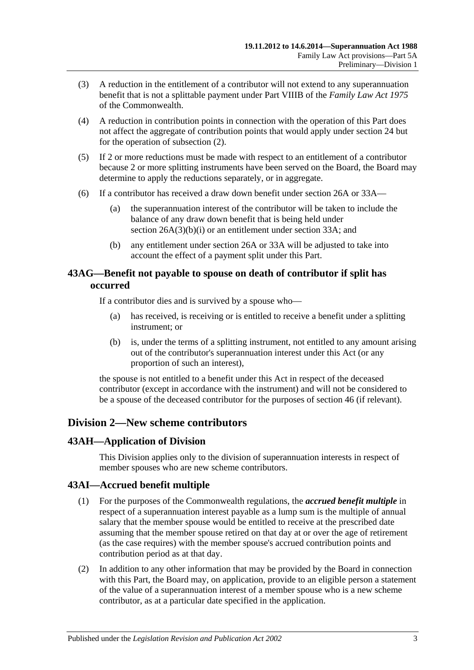- (3) A reduction in the entitlement of a contributor will not extend to any superannuation benefit that is not a splittable payment under Part VIIIB of the *Family Law Act 1975* of the Commonwealth.
- (4) A reduction in contribution points in connection with the operation of this Part does not affect the aggregate of contribution points that would apply under [section](#page-28-0) 24 but for the operation of [subsection](#page-87-2) (2).
- (5) If 2 or more reductions must be made with respect to an entitlement of a contributor because 2 or more splitting instruments have been served on the Board, the Board may determine to apply the reductions separately, or in aggregate.
- (6) If a contributor has received a draw down benefit under [section](#page-30-0) 26A or [33A—](#page-56-0)
	- (a) the superannuation interest of the contributor will be taken to include the balance of any draw down benefit that is being held under section [26A\(3\)\(b\)\(i\)](#page-31-0) or an entitlement under [section](#page-56-0) 33A; and
	- (b) any entitlement under [section](#page-30-0) 26A or [33A](#page-56-0) will be adjusted to take into account the effect of a payment split under this Part.

# **43AG—Benefit not payable to spouse on death of contributor if split has occurred**

If a contributor dies and is survived by a spouse who—

- (a) has received, is receiving or is entitled to receive a benefit under a splitting instrument; or
- (b) is, under the terms of a splitting instrument, not entitled to any amount arising out of the contributor's superannuation interest under this Act (or any proportion of such an interest),

the spouse is not entitled to a benefit under this Act in respect of the deceased contributor (except in accordance with the instrument) and will not be considered to be a spouse of the deceased contributor for the purposes of [section](#page-96-0) 46 (if relevant).

# **Division 2—New scheme contributors**

# **43AH—Application of Division**

This Division applies only to the division of superannuation interests in respect of member spouses who are new scheme contributors.

# **43AI—Accrued benefit multiple**

- (1) For the purposes of the Commonwealth regulations, the *accrued benefit multiple* in respect of a superannuation interest payable as a lump sum is the multiple of annual salary that the member spouse would be entitled to receive at the prescribed date assuming that the member spouse retired on that day at or over the age of retirement (as the case requires) with the member spouse's accrued contribution points and contribution period as at that day.
- (2) In addition to any other information that may be provided by the Board in connection with this Part, the Board may, on application, provide to an eligible person a statement of the value of a superannuation interest of a member spouse who is a new scheme contributor, as at a particular date specified in the application.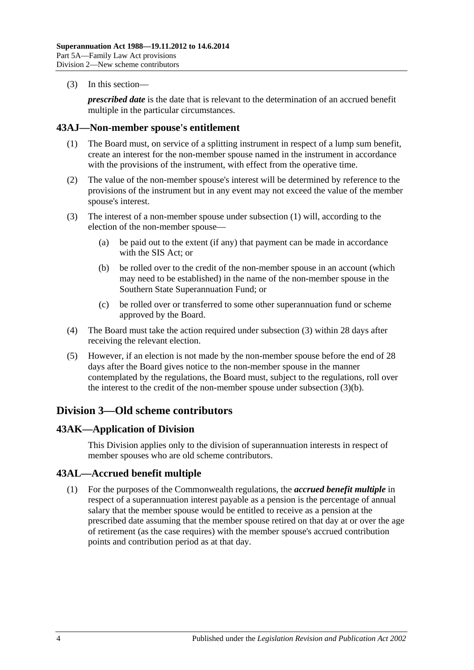(3) In this section—

*prescribed date* is the date that is relevant to the determination of an accrued benefit multiple in the particular circumstances.

#### <span id="page-89-0"></span>**43AJ—Non-member spouse's entitlement**

- (1) The Board must, on service of a splitting instrument in respect of a lump sum benefit, create an interest for the non-member spouse named in the instrument in accordance with the provisions of the instrument, with effect from the operative time.
- (2) The value of the non-member spouse's interest will be determined by reference to the provisions of the instrument but in any event may not exceed the value of the member spouse's interest.
- <span id="page-89-2"></span><span id="page-89-1"></span>(3) The interest of a non-member spouse under [subsection](#page-89-0) (1) will, according to the election of the non-member spouse—
	- (a) be paid out to the extent (if any) that payment can be made in accordance with the SIS Act; or
	- (b) be rolled over to the credit of the non-member spouse in an account (which may need to be established) in the name of the non-member spouse in the Southern State Superannuation Fund; or
	- (c) be rolled over or transferred to some other superannuation fund or scheme approved by the Board.
- (4) The Board must take the action required under [subsection](#page-89-1) (3) within 28 days after receiving the relevant election.
- (5) However, if an election is not made by the non-member spouse before the end of 28 days after the Board gives notice to the non-member spouse in the manner contemplated by the regulations, the Board must, subject to the regulations, roll over the interest to the credit of the non-member spouse under [subsection](#page-89-2) (3)(b).

# **Division 3—Old scheme contributors**

# **43AK—Application of Division**

This Division applies only to the division of superannuation interests in respect of member spouses who are old scheme contributors.

# **43AL—Accrued benefit multiple**

(1) For the purposes of the Commonwealth regulations, the *accrued benefit multiple* in respect of a superannuation interest payable as a pension is the percentage of annual salary that the member spouse would be entitled to receive as a pension at the prescribed date assuming that the member spouse retired on that day at or over the age of retirement (as the case requires) with the member spouse's accrued contribution points and contribution period as at that day.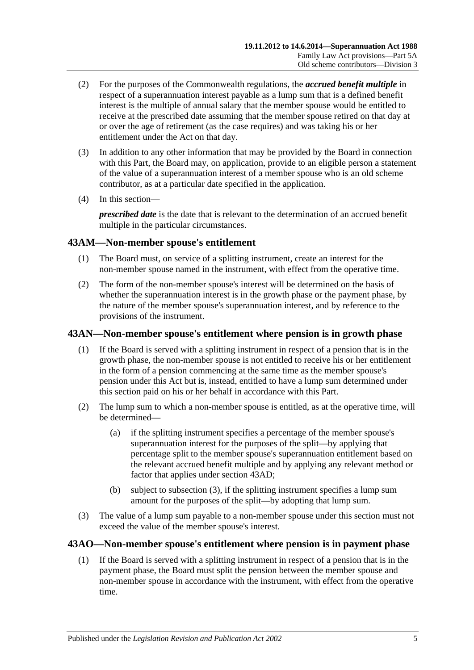- (2) For the purposes of the Commonwealth regulations, the *accrued benefit multiple* in respect of a superannuation interest payable as a lump sum that is a defined benefit interest is the multiple of annual salary that the member spouse would be entitled to receive at the prescribed date assuming that the member spouse retired on that day at or over the age of retirement (as the case requires) and was taking his or her entitlement under the Act on that day.
- (3) In addition to any other information that may be provided by the Board in connection with this Part, the Board may, on application, provide to an eligible person a statement of the value of a superannuation interest of a member spouse who is an old scheme contributor, as at a particular date specified in the application.
- (4) In this section—

*prescribed date* is the date that is relevant to the determination of an accrued benefit multiple in the particular circumstances.

# **43AM—Non-member spouse's entitlement**

- (1) The Board must, on service of a splitting instrument, create an interest for the non-member spouse named in the instrument, with effect from the operative time.
- (2) The form of the non-member spouse's interest will be determined on the basis of whether the superannuation interest is in the growth phase or the payment phase, by the nature of the member spouse's superannuation interest, and by reference to the provisions of the instrument.

# **43AN—Non-member spouse's entitlement where pension is in growth phase**

- (1) If the Board is served with a splitting instrument in respect of a pension that is in the growth phase, the non-member spouse is not entitled to receive his or her entitlement in the form of a pension commencing at the same time as the member spouse's pension under this Act but is, instead, entitled to have a lump sum determined under this section paid on his or her behalf in accordance with this Part.
- (2) The lump sum to which a non-member spouse is entitled, as at the operative time, will be determined—
	- (a) if the splitting instrument specifies a percentage of the member spouse's superannuation interest for the purposes of the split—by applying that percentage split to the member spouse's superannuation entitlement based on the relevant accrued benefit multiple and by applying any relevant method or factor that applies under [section](#page-87-1) 43AD;
	- (b) subject to [subsection](#page-90-0) (3), if the splitting instrument specifies a lump sum amount for the purposes of the split—by adopting that lump sum.
- <span id="page-90-0"></span>(3) The value of a lump sum payable to a non-member spouse under this section must not exceed the value of the member spouse's interest.

# <span id="page-90-1"></span>**43AO—Non-member spouse's entitlement where pension is in payment phase**

(1) If the Board is served with a splitting instrument in respect of a pension that is in the payment phase, the Board must split the pension between the member spouse and non-member spouse in accordance with the instrument, with effect from the operative time.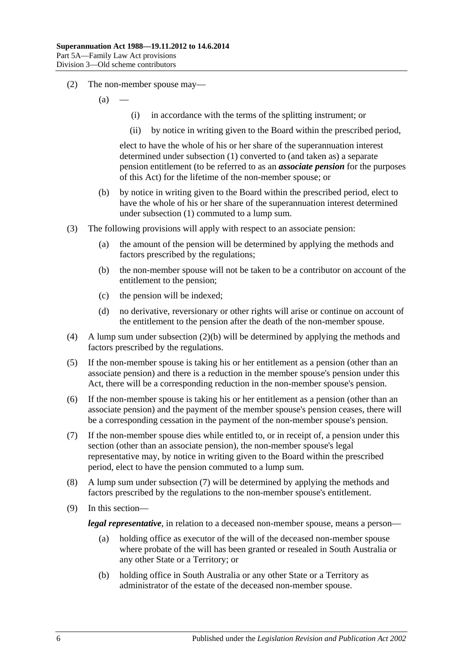- (2) The non-member spouse may—
	- $(a)$
- (i) in accordance with the terms of the splitting instrument; or
- (ii) by notice in writing given to the Board within the prescribed period,

elect to have the whole of his or her share of the superannuation interest determined under [subsection](#page-90-1) (1) converted to (and taken as) a separate pension entitlement (to be referred to as an *associate pension* for the purposes of this Act) for the lifetime of the non-member spouse; or

- <span id="page-91-0"></span>(b) by notice in writing given to the Board within the prescribed period, elect to have the whole of his or her share of the superannuation interest determined under [subsection](#page-90-1) (1) commuted to a lump sum.
- (3) The following provisions will apply with respect to an associate pension:
	- (a) the amount of the pension will be determined by applying the methods and factors prescribed by the regulations;
	- (b) the non-member spouse will not be taken to be a contributor on account of the entitlement to the pension;
	- (c) the pension will be indexed;
	- (d) no derivative, reversionary or other rights will arise or continue on account of the entitlement to the pension after the death of the non-member spouse.
- (4) A lump sum under [subsection](#page-91-0) (2)(b) will be determined by applying the methods and factors prescribed by the regulations.
- (5) If the non-member spouse is taking his or her entitlement as a pension (other than an associate pension) and there is a reduction in the member spouse's pension under this Act, there will be a corresponding reduction in the non-member spouse's pension.
- (6) If the non-member spouse is taking his or her entitlement as a pension (other than an associate pension) and the payment of the member spouse's pension ceases, there will be a corresponding cessation in the payment of the non-member spouse's pension.
- <span id="page-91-1"></span>(7) If the non-member spouse dies while entitled to, or in receipt of, a pension under this section (other than an associate pension), the non-member spouse's legal representative may, by notice in writing given to the Board within the prescribed period, elect to have the pension commuted to a lump sum.
- (8) A lump sum under [subsection](#page-91-1) (7) will be determined by applying the methods and factors prescribed by the regulations to the non-member spouse's entitlement.
- (9) In this section—

*legal representative*, in relation to a deceased non-member spouse, means a person—

- (a) holding office as executor of the will of the deceased non-member spouse where probate of the will has been granted or resealed in South Australia or any other State or a Territory; or
- (b) holding office in South Australia or any other State or a Territory as administrator of the estate of the deceased non-member spouse.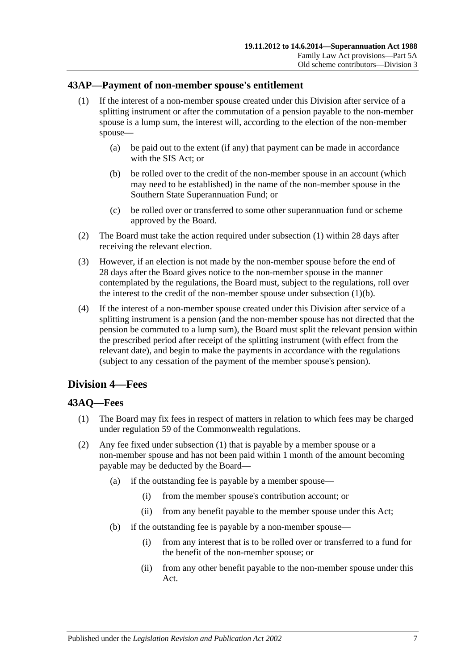# <span id="page-92-0"></span>**43AP—Payment of non-member spouse's entitlement**

- (1) If the interest of a non-member spouse created under this Division after service of a splitting instrument or after the commutation of a pension payable to the non-member spouse is a lump sum, the interest will, according to the election of the non-member spouse—
	- (a) be paid out to the extent (if any) that payment can be made in accordance with the SIS Act; or
	- (b) be rolled over to the credit of the non-member spouse in an account (which may need to be established) in the name of the non-member spouse in the Southern State Superannuation Fund; or
	- (c) be rolled over or transferred to some other superannuation fund or scheme approved by the Board.
- <span id="page-92-1"></span>(2) The Board must take the action required under [subsection](#page-92-0) (1) within 28 days after receiving the relevant election.
- (3) However, if an election is not made by the non-member spouse before the end of 28 days after the Board gives notice to the non-member spouse in the manner contemplated by the regulations, the Board must, subject to the regulations, roll over the interest to the credit of the non-member spouse under [subsection](#page-92-1)  $(1)(b)$ .
- (4) If the interest of a non-member spouse created under this Division after service of a splitting instrument is a pension (and the non-member spouse has not directed that the pension be commuted to a lump sum), the Board must split the relevant pension within the prescribed period after receipt of the splitting instrument (with effect from the relevant date), and begin to make the payments in accordance with the regulations (subject to any cessation of the payment of the member spouse's pension).

# **Division 4—Fees**

# <span id="page-92-2"></span>**43AQ—Fees**

- (1) The Board may fix fees in respect of matters in relation to which fees may be charged under regulation 59 of the Commonwealth regulations.
- (2) Any fee fixed under [subsection](#page-92-2) (1) that is payable by a member spouse or a non-member spouse and has not been paid within 1 month of the amount becoming payable may be deducted by the Board—
	- (a) if the outstanding fee is payable by a member spouse—
		- (i) from the member spouse's contribution account; or
		- (ii) from any benefit payable to the member spouse under this Act;
	- (b) if the outstanding fee is payable by a non-member spouse—
		- (i) from any interest that is to be rolled over or transferred to a fund for the benefit of the non-member spouse; or
		- (ii) from any other benefit payable to the non-member spouse under this Act.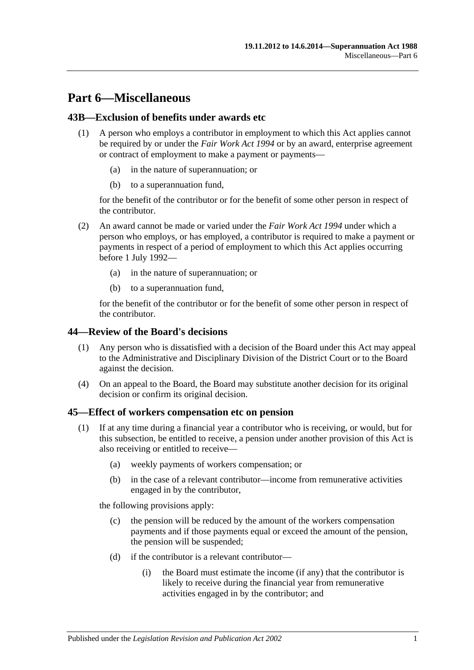# **Part 6—Miscellaneous**

# **43B—Exclusion of benefits under awards etc**

- (1) A person who employs a contributor in employment to which this Act applies cannot be required by or under the *[Fair Work Act](http://www.legislation.sa.gov.au/index.aspx?action=legref&type=act&legtitle=Fair%20Work%20Act%201994) 1994* or by an award, enterprise agreement or contract of employment to make a payment or payments—
	- (a) in the nature of superannuation; or
	- (b) to a superannuation fund,

for the benefit of the contributor or for the benefit of some other person in respect of the contributor.

- (2) An award cannot be made or varied under the *[Fair Work Act](http://www.legislation.sa.gov.au/index.aspx?action=legref&type=act&legtitle=Fair%20Work%20Act%201994) 1994* under which a person who employs, or has employed, a contributor is required to make a payment or payments in respect of a period of employment to which this Act applies occurring before 1 July 1992—
	- (a) in the nature of superannuation; or
	- (b) to a superannuation fund,

for the benefit of the contributor or for the benefit of some other person in respect of the contributor.

#### **44—Review of the Board's decisions**

- (1) Any person who is dissatisfied with a decision of the Board under this Act may appeal to the Administrative and Disciplinary Division of the District Court or to the Board against the decision.
- (4) On an appeal to the Board, the Board may substitute another decision for its original decision or confirm its original decision.

#### <span id="page-94-2"></span><span id="page-94-0"></span>**45—Effect of workers compensation etc on pension**

- <span id="page-94-1"></span>(1) If at any time during a financial year a contributor who is receiving, or would, but for this subsection, be entitled to receive, a pension under another provision of this Act is also receiving or entitled to receive—
	- (a) weekly payments of workers compensation; or
	- (b) in the case of a relevant contributor—income from remunerative activities engaged in by the contributor,

the following provisions apply:

- (c) the pension will be reduced by the amount of the workers compensation payments and if those payments equal or exceed the amount of the pension, the pension will be suspended;
- (d) if the contributor is a relevant contributor—
	- (i) the Board must estimate the income (if any) that the contributor is likely to receive during the financial year from remunerative activities engaged in by the contributor; and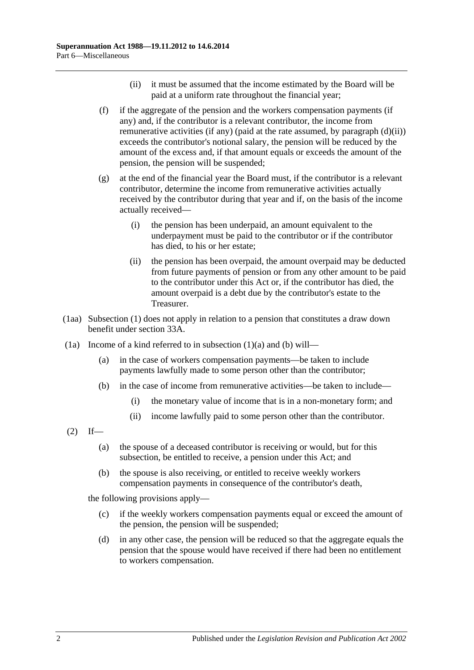- (ii) it must be assumed that the income estimated by the Board will be paid at a uniform rate throughout the financial year;
- <span id="page-95-2"></span><span id="page-95-0"></span>(f) if the aggregate of the pension and the workers compensation payments (if any) and, if the contributor is a relevant contributor, the income from remunerative activities (if any) (paid at the rate assumed, by [paragraph](#page-95-0) (d)(ii)) exceeds the contributor's notional salary, the pension will be reduced by the amount of the excess and, if that amount equals or exceeds the amount of the pension, the pension will be suspended;
- (g) at the end of the financial year the Board must, if the contributor is a relevant contributor, determine the income from remunerative activities actually received by the contributor during that year and if, on the basis of the income actually received—
	- (i) the pension has been underpaid, an amount equivalent to the underpayment must be paid to the contributor or if the contributor has died, to his or her estate;
	- (ii) the pension has been overpaid, the amount overpaid may be deducted from future payments of pension or from any other amount to be paid to the contributor under this Act or, if the contributor has died, the amount overpaid is a debt due by the contributor's estate to the Treasurer.
- (1aa) [Subsection](#page-94-0) (1) does not apply in relation to a pension that constitutes a draw down benefit under [section](#page-56-0) 33A.
- <span id="page-95-1"></span>(1a) Income of a kind referred to in [subsection](#page-94-1)  $(1)(a)$  and  $(b)$  will—
	- (a) in the case of workers compensation payments—be taken to include payments lawfully made to some person other than the contributor;
	- (b) in the case of income from remunerative activities—be taken to include—
		- (i) the monetary value of income that is in a non-monetary form; and
		- (ii) income lawfully paid to some person other than the contributor.
- $(2)$  If—
	- (a) the spouse of a deceased contributor is receiving or would, but for this subsection, be entitled to receive, a pension under this Act; and
	- (b) the spouse is also receiving, or entitled to receive weekly workers compensation payments in consequence of the contributor's death,

the following provisions apply—

- (c) if the weekly workers compensation payments equal or exceed the amount of the pension, the pension will be suspended;
- (d) in any other case, the pension will be reduced so that the aggregate equals the pension that the spouse would have received if there had been no entitlement to workers compensation.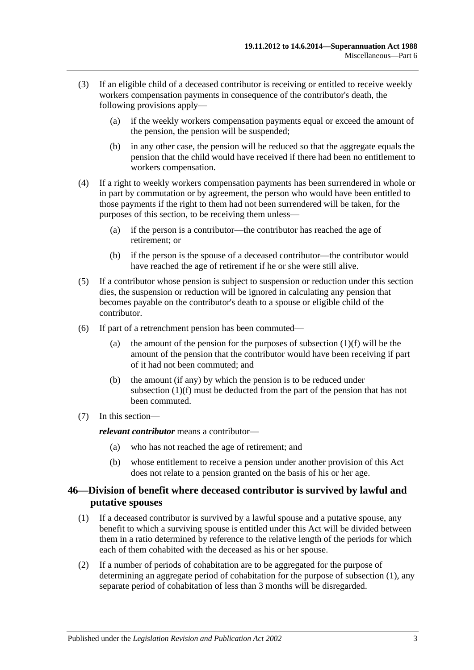- (3) If an eligible child of a deceased contributor is receiving or entitled to receive weekly workers compensation payments in consequence of the contributor's death, the following provisions apply—
	- (a) if the weekly workers compensation payments equal or exceed the amount of the pension, the pension will be suspended;
	- (b) in any other case, the pension will be reduced so that the aggregate equals the pension that the child would have received if there had been no entitlement to workers compensation.
- (4) If a right to weekly workers compensation payments has been surrendered in whole or in part by commutation or by agreement, the person who would have been entitled to those payments if the right to them had not been surrendered will be taken, for the purposes of this section, to be receiving them unless—
	- (a) if the person is a contributor—the contributor has reached the age of retirement; or
	- (b) if the person is the spouse of a deceased contributor—the contributor would have reached the age of retirement if he or she were still alive.
- (5) If a contributor whose pension is subject to suspension or reduction under this section dies, the suspension or reduction will be ignored in calculating any pension that becomes payable on the contributor's death to a spouse or eligible child of the contributor.
- (6) If part of a retrenchment pension has been commuted
	- (a) the amount of the pension for the purposes of [subsection](#page-95-2)  $(1)(f)$  will be the amount of the pension that the contributor would have been receiving if part of it had not been commuted; and
	- (b) the amount (if any) by which the pension is to be reduced under [subsection](#page-95-2) (1)(f) must be deducted from the part of the pension that has not been commuted.
- (7) In this section—

*relevant contributor* means a contributor—

- (a) who has not reached the age of retirement; and
- (b) whose entitlement to receive a pension under another provision of this Act does not relate to a pension granted on the basis of his or her age.

# <span id="page-96-0"></span>**46—Division of benefit where deceased contributor is survived by lawful and putative spouses**

- <span id="page-96-1"></span>(1) If a deceased contributor is survived by a lawful spouse and a putative spouse, any benefit to which a surviving spouse is entitled under this Act will be divided between them in a ratio determined by reference to the relative length of the periods for which each of them cohabited with the deceased as his or her spouse.
- (2) If a number of periods of cohabitation are to be aggregated for the purpose of determining an aggregate period of cohabitation for the purpose of [subsection](#page-96-1) (1), any separate period of cohabitation of less than 3 months will be disregarded.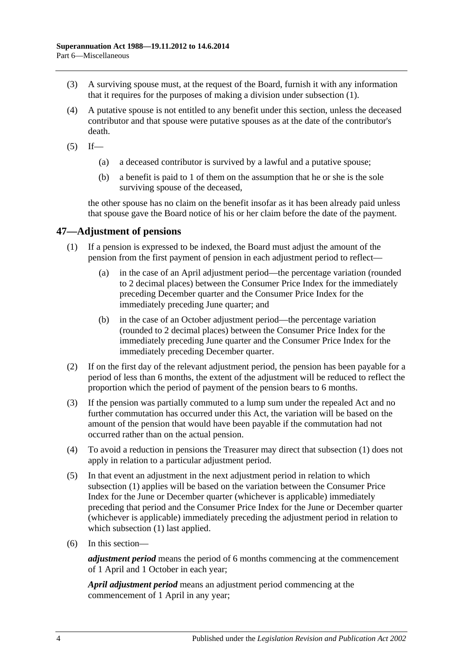- (3) A surviving spouse must, at the request of the Board, furnish it with any information that it requires for the purposes of making a division under [subsection](#page-96-1) (1).
- (4) A putative spouse is not entitled to any benefit under this section, unless the deceased contributor and that spouse were putative spouses as at the date of the contributor's death.
- $(5)$  If—
	- (a) a deceased contributor is survived by a lawful and a putative spouse;
	- (b) a benefit is paid to 1 of them on the assumption that he or she is the sole surviving spouse of the deceased,

the other spouse has no claim on the benefit insofar as it has been already paid unless that spouse gave the Board notice of his or her claim before the date of the payment.

# <span id="page-97-1"></span>**47—Adjustment of pensions**

- (1) If a pension is expressed to be indexed, the Board must adjust the amount of the pension from the first payment of pension in each adjustment period to reflect—
	- (a) in the case of an April adjustment period—the percentage variation (rounded to 2 decimal places) between the Consumer Price Index for the immediately preceding December quarter and the Consumer Price Index for the immediately preceding June quarter; and
	- (b) in the case of an October adjustment period—the percentage variation (rounded to 2 decimal places) between the Consumer Price Index for the immediately preceding June quarter and the Consumer Price Index for the immediately preceding December quarter.
- (2) If on the first day of the relevant adjustment period, the pension has been payable for a period of less than 6 months, the extent of the adjustment will be reduced to reflect the proportion which the period of payment of the pension bears to 6 months.
- <span id="page-97-0"></span>(3) If the pension was partially commuted to a lump sum under the repealed Act and no further commutation has occurred under this Act, the variation will be based on the amount of the pension that would have been payable if the commutation had not occurred rather than on the actual pension.
- (4) To avoid a reduction in pensions the Treasurer may direct that [subsection](#page-97-1) (1) does not apply in relation to a particular adjustment period.
- (5) In that event an adjustment in the next adjustment period in relation to which [subsection](#page-97-1) (1) applies will be based on the variation between the Consumer Price Index for the June or December quarter (whichever is applicable) immediately preceding that period and the Consumer Price Index for the June or December quarter (whichever is applicable) immediately preceding the adjustment period in relation to which [subsection](#page-97-1) (1) last applied.
- (6) In this section—

*adjustment period* means the period of 6 months commencing at the commencement of 1 April and 1 October in each year;

*April adjustment period* means an adjustment period commencing at the commencement of 1 April in any year;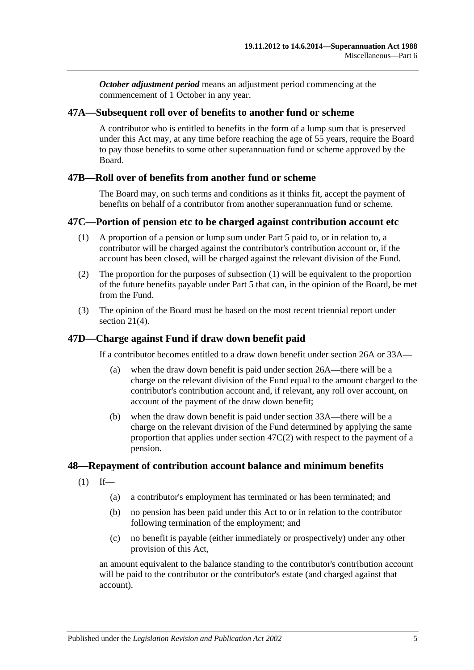*October adjustment period* means an adjustment period commencing at the commencement of 1 October in any year.

## **47A—Subsequent roll over of benefits to another fund or scheme**

A contributor who is entitled to benefits in the form of a lump sum that is preserved under this Act may, at any time before reaching the age of 55 years, require the Board to pay those benefits to some other superannuation fund or scheme approved by the Board.

## **47B—Roll over of benefits from another fund or scheme**

The Board may, on such terms and conditions as it thinks fit, accept the payment of benefits on behalf of a contributor from another superannuation fund or scheme.

## <span id="page-98-0"></span>**47C—Portion of pension etc to be charged against contribution account etc**

- (1) A proportion of a pension or lump sum under [Part 5](#page-56-1) paid to, or in relation to, a contributor will be charged against the contributor's contribution account or, if the account has been closed, will be charged against the relevant division of the Fund.
- <span id="page-98-1"></span>(2) The proportion for the purposes of [subsection](#page-98-0) (1) will be equivalent to the proportion of the future benefits payable under [Part](#page-56-1) 5 that can, in the opinion of the Board, be met from the Fund.
- (3) The opinion of the Board must be based on the most recent triennial report under [section](#page-23-0) 21(4).

# **47D—Charge against Fund if draw down benefit paid**

If a contributor becomes entitled to a draw down benefit under [section](#page-30-0) 26A or [33A—](#page-56-0)

- (a) when the draw down benefit is paid under [section](#page-30-0) 26A—there will be a charge on the relevant division of the Fund equal to the amount charged to the contributor's contribution account and, if relevant, any roll over account, on account of the payment of the draw down benefit;
- (b) when the draw down benefit is paid under [section](#page-56-0) 33A—there will be a charge on the relevant division of the Fund determined by applying the same proportion that applies under [section](#page-98-1) 47C(2) with respect to the payment of a pension.

#### **48—Repayment of contribution account balance and minimum benefits**

- $(1)$  If—
	- (a) a contributor's employment has terminated or has been terminated; and
	- (b) no pension has been paid under this Act to or in relation to the contributor following termination of the employment; and
	- (c) no benefit is payable (either immediately or prospectively) under any other provision of this Act,

an amount equivalent to the balance standing to the contributor's contribution account will be paid to the contributor or the contributor's estate (and charged against that account).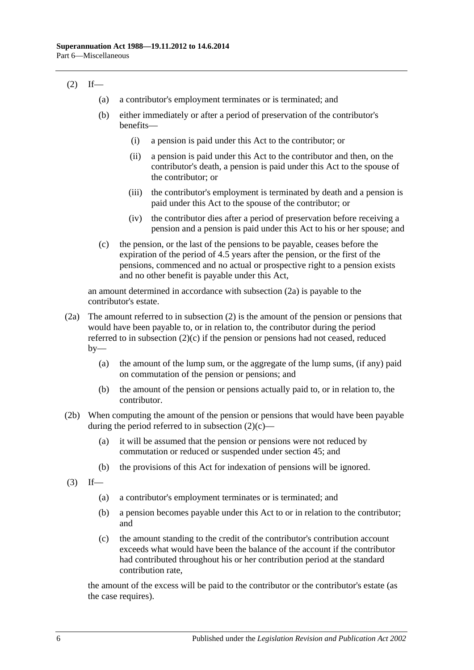# <span id="page-99-1"></span> $(2)$  If—

- (a) a contributor's employment terminates or is terminated; and
- (b) either immediately or after a period of preservation of the contributor's benefits—
	- (i) a pension is paid under this Act to the contributor; or
	- (ii) a pension is paid under this Act to the contributor and then, on the contributor's death, a pension is paid under this Act to the spouse of the contributor; or
	- (iii) the contributor's employment is terminated by death and a pension is paid under this Act to the spouse of the contributor; or
	- (iv) the contributor dies after a period of preservation before receiving a pension and a pension is paid under this Act to his or her spouse; and
- <span id="page-99-2"></span>(c) the pension, or the last of the pensions to be payable, ceases before the expiration of the period of 4.5 years after the pension, or the first of the pensions, commenced and no actual or prospective right to a pension exists and no other benefit is payable under this Act,

an amount determined in accordance with [subsection](#page-99-0) (2a) is payable to the contributor's estate.

- <span id="page-99-0"></span>(2a) The amount referred to in [subsection](#page-99-1) (2) is the amount of the pension or pensions that would have been payable to, or in relation to, the contributor during the period referred to in [subsection](#page-99-2) (2)(c) if the pension or pensions had not ceased, reduced  $by-$ 
	- (a) the amount of the lump sum, or the aggregate of the lump sums, (if any) paid on commutation of the pension or pensions; and
	- (b) the amount of the pension or pensions actually paid to, or in relation to, the contributor.
- (2b) When computing the amount of the pension or pensions that would have been payable during the period referred to in [subsection](#page-99-2)  $(2)(c)$ —
	- (a) it will be assumed that the pension or pensions were not reduced by commutation or reduced or suspended under [section](#page-94-2) 45; and
	- (b) the provisions of this Act for indexation of pensions will be ignored.
- $(3)$  If—
	- (a) a contributor's employment terminates or is terminated; and
	- (b) a pension becomes payable under this Act to or in relation to the contributor; and
	- (c) the amount standing to the credit of the contributor's contribution account exceeds what would have been the balance of the account if the contributor had contributed throughout his or her contribution period at the standard contribution rate,

the amount of the excess will be paid to the contributor or the contributor's estate (as the case requires).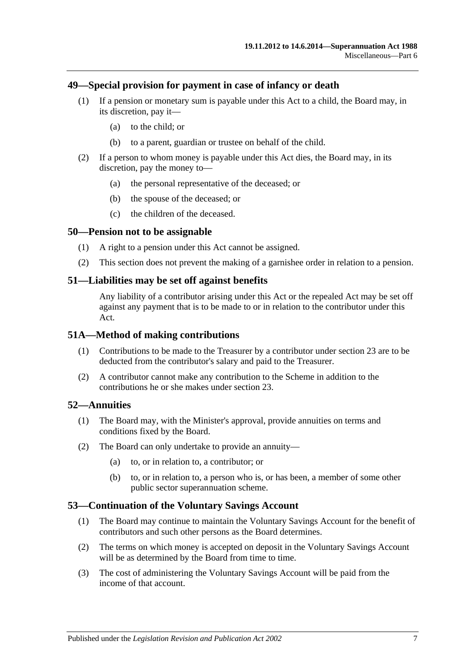#### **49—Special provision for payment in case of infancy or death**

- (1) If a pension or monetary sum is payable under this Act to a child, the Board may, in its discretion, pay it—
	- (a) to the child; or
	- (b) to a parent, guardian or trustee on behalf of the child.
- (2) If a person to whom money is payable under this Act dies, the Board may, in its discretion, pay the money to—
	- (a) the personal representative of the deceased; or
	- (b) the spouse of the deceased; or
	- (c) the children of the deceased.

#### **50—Pension not to be assignable**

- (1) A right to a pension under this Act cannot be assigned.
- (2) This section does not prevent the making of a garnishee order in relation to a pension.

#### **51—Liabilities may be set off against benefits**

Any liability of a contributor arising under this Act or the repealed Act may be set off against any payment that is to be made to or in relation to the contributor under this Act.

#### **51A—Method of making contributions**

- (1) Contributions to be made to the Treasurer by a contributor under [section](#page-26-0) 23 are to be deducted from the contributor's salary and paid to the Treasurer.
- (2) A contributor cannot make any contribution to the Scheme in addition to the contributions he or she makes under [section](#page-26-0) 23.

#### **52—Annuities**

- (1) The Board may, with the Minister's approval, provide annuities on terms and conditions fixed by the Board.
- (2) The Board can only undertake to provide an annuity—
	- (a) to, or in relation to, a contributor; or
	- (b) to, or in relation to, a person who is, or has been, a member of some other public sector superannuation scheme.

#### **53—Continuation of the Voluntary Savings Account**

- (1) The Board may continue to maintain the Voluntary Savings Account for the benefit of contributors and such other persons as the Board determines.
- (2) The terms on which money is accepted on deposit in the Voluntary Savings Account will be as determined by the Board from time to time.
- (3) The cost of administering the Voluntary Savings Account will be paid from the income of that account.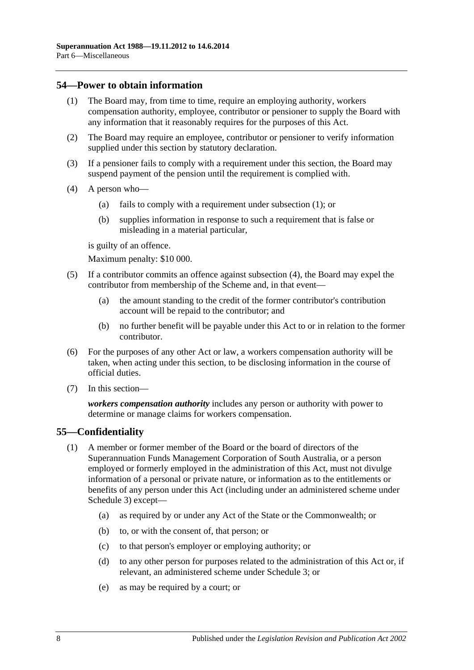## <span id="page-101-0"></span>**54—Power to obtain information**

- (1) The Board may, from time to time, require an employing authority, workers compensation authority, employee, contributor or pensioner to supply the Board with any information that it reasonably requires for the purposes of this Act.
- (2) The Board may require an employee, contributor or pensioner to verify information supplied under this section by statutory declaration.
- (3) If a pensioner fails to comply with a requirement under this section, the Board may suspend payment of the pension until the requirement is complied with.
- <span id="page-101-1"></span>(4) A person who—
	- (a) fails to comply with a requirement under [subsection](#page-101-0) (1); or
	- (b) supplies information in response to such a requirement that is false or misleading in a material particular,

is guilty of an offence.

Maximum penalty: \$10 000.

- (5) If a contributor commits an offence against [subsection](#page-101-1) (4), the Board may expel the contributor from membership of the Scheme and, in that event—
	- (a) the amount standing to the credit of the former contributor's contribution account will be repaid to the contributor; and
	- (b) no further benefit will be payable under this Act to or in relation to the former contributor.
- (6) For the purposes of any other Act or law, a workers compensation authority will be taken, when acting under this section, to be disclosing information in the course of official duties.
- (7) In this section—

*workers compensation authority* includes any person or authority with power to determine or manage claims for workers compensation.

# **55—Confidentiality**

- (1) A member or former member of the Board or the board of directors of the Superannuation Funds Management Corporation of South Australia, or a person employed or formerly employed in the administration of this Act, must not divulge information of a personal or private nature, or information as to the entitlements or benefits of any person under this Act (including under an administered scheme under [Schedule 3\)](#page-128-0) except—
	- (a) as required by or under any Act of the State or the Commonwealth; or
	- (b) to, or with the consent of, that person; or
	- (c) to that person's employer or employing authority; or
	- (d) to any other person for purposes related to the administration of this Act or, if relevant, an administered scheme under [Schedule 3;](#page-128-0) or
	- (e) as may be required by a court; or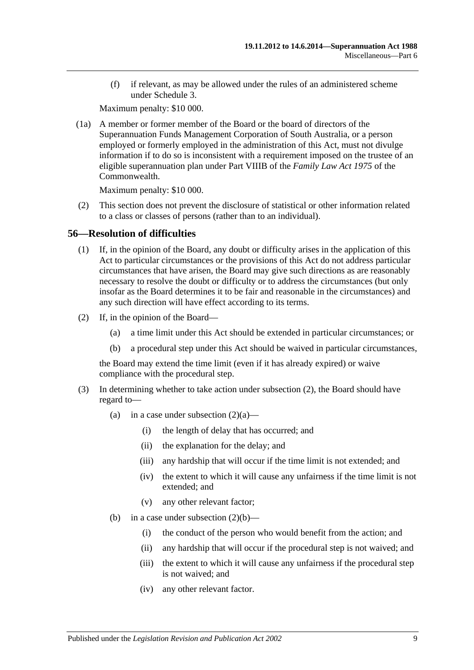(f) if relevant, as may be allowed under the rules of an administered scheme under [Schedule 3.](#page-128-0)

Maximum penalty: \$10 000.

(1a) A member or former member of the Board or the board of directors of the Superannuation Funds Management Corporation of South Australia, or a person employed or formerly employed in the administration of this Act, must not divulge information if to do so is inconsistent with a requirement imposed on the trustee of an eligible superannuation plan under Part VIIIB of the *Family Law Act 1975* of the Commonwealth.

Maximum penalty: \$10 000.

(2) This section does not prevent the disclosure of statistical or other information related to a class or classes of persons (rather than to an individual).

## **56—Resolution of difficulties**

- (1) If, in the opinion of the Board, any doubt or difficulty arises in the application of this Act to particular circumstances or the provisions of this Act do not address particular circumstances that have arisen, the Board may give such directions as are reasonably necessary to resolve the doubt or difficulty or to address the circumstances (but only insofar as the Board determines it to be fair and reasonable in the circumstances) and any such direction will have effect according to its terms.
- <span id="page-102-2"></span><span id="page-102-1"></span><span id="page-102-0"></span>(2) If, in the opinion of the Board—
	- (a) a time limit under this Act should be extended in particular circumstances; or
	- (b) a procedural step under this Act should be waived in particular circumstances,

the Board may extend the time limit (even if it has already expired) or waive compliance with the procedural step.

- <span id="page-102-3"></span>(3) In determining whether to take action under [subsection](#page-102-0) (2), the Board should have regard to
	- (a) in a case under [subsection](#page-102-1)  $(2)(a)$ 
		- (i) the length of delay that has occurred; and
		- (ii) the explanation for the delay; and
		- (iii) any hardship that will occur if the time limit is not extended; and
		- (iv) the extent to which it will cause any unfairness if the time limit is not extended; and
		- (v) any other relevant factor;
	- (b) in a case under [subsection](#page-102-2)  $(2)(b)$ 
		- (i) the conduct of the person who would benefit from the action; and
		- (ii) any hardship that will occur if the procedural step is not waived; and
		- (iii) the extent to which it will cause any unfairness if the procedural step is not waived; and
		- (iv) any other relevant factor.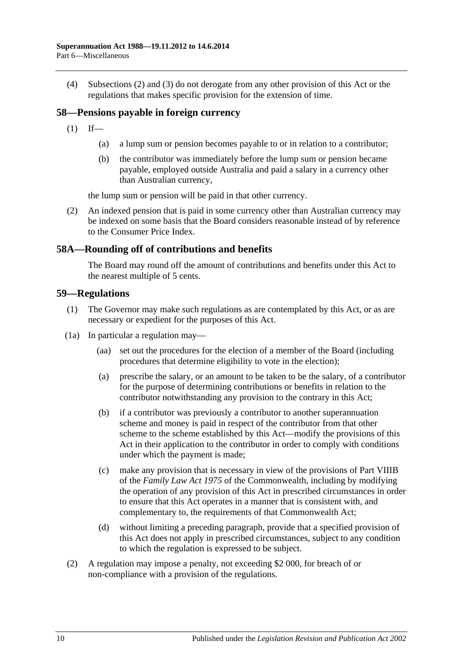(4) [Subsections](#page-102-0) (2) and [\(3\)](#page-102-3) do not derogate from any other provision of this Act or the regulations that makes specific provision for the extension of time.

# **58—Pensions payable in foreign currency**

- $(1)$  If—
	- (a) a lump sum or pension becomes payable to or in relation to a contributor;
	- (b) the contributor was immediately before the lump sum or pension became payable, employed outside Australia and paid a salary in a currency other than Australian currency,

the lump sum or pension will be paid in that other currency.

(2) An indexed pension that is paid in some currency other than Australian currency may be indexed on some basis that the Board considers reasonable instead of by reference to the Consumer Price Index.

#### **58A—Rounding off of contributions and benefits**

The Board may round off the amount of contributions and benefits under this Act to the nearest multiple of 5 cents.

#### **59—Regulations**

- (1) The Governor may make such regulations as are contemplated by this Act, or as are necessary or expedient for the purposes of this Act.
- (1a) In particular a regulation may—
	- (aa) set out the procedures for the election of a member of the Board (including procedures that determine eligibility to vote in the election);
	- (a) prescribe the salary, or an amount to be taken to be the salary, of a contributor for the purpose of determining contributions or benefits in relation to the contributor notwithstanding any provision to the contrary in this Act;
	- (b) if a contributor was previously a contributor to another superannuation scheme and money is paid in respect of the contributor from that other scheme to the scheme established by this Act—modify the provisions of this Act in their application to the contributor in order to comply with conditions under which the payment is made;
	- (c) make any provision that is necessary in view of the provisions of Part VIIIB of the *Family Law Act 1975* of the Commonwealth, including by modifying the operation of any provision of this Act in prescribed circumstances in order to ensure that this Act operates in a manner that is consistent with, and complementary to, the requirements of that Commonwealth Act;
	- (d) without limiting a preceding paragraph, provide that a specified provision of this Act does not apply in prescribed circumstances, subject to any condition to which the regulation is expressed to be subject.
- (2) A regulation may impose a penalty, not exceeding \$2 000, for breach of or non-compliance with a provision of the regulations.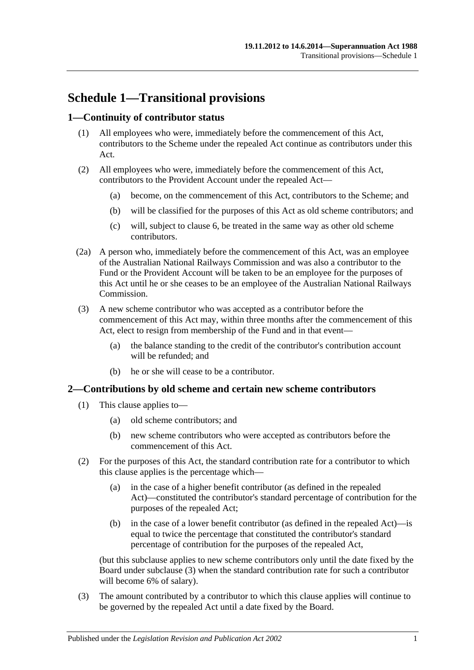# **Schedule 1—Transitional provisions**

# **1—Continuity of contributor status**

- (1) All employees who were, immediately before the commencement of this Act, contributors to the Scheme under the repealed Act continue as contributors under this Act.
- (2) All employees who were, immediately before the commencement of this Act, contributors to the Provident Account under the repealed Act—
	- (a) become, on the commencement of this Act, contributors to the Scheme; and
	- (b) will be classified for the purposes of this Act as old scheme contributors; and
	- (c) will, subject to [clause](#page-107-0) 6, be treated in the same way as other old scheme contributors.
- (2a) A person who, immediately before the commencement of this Act, was an employee of the Australian National Railways Commission and was also a contributor to the Fund or the Provident Account will be taken to be an employee for the purposes of this Act until he or she ceases to be an employee of the Australian National Railways Commission.
- (3) A new scheme contributor who was accepted as a contributor before the commencement of this Act may, within three months after the commencement of this Act, elect to resign from membership of the Fund and in that event—
	- (a) the balance standing to the credit of the contributor's contribution account will be refunded; and
	- (b) he or she will cease to be a contributor.

#### **2—Contributions by old scheme and certain new scheme contributors**

- (1) This clause applies to—
	- (a) old scheme contributors; and
	- (b) new scheme contributors who were accepted as contributors before the commencement of this Act.
- (2) For the purposes of this Act, the standard contribution rate for a contributor to which this clause applies is the percentage which—
	- (a) in the case of a higher benefit contributor (as defined in the repealed Act)—constituted the contributor's standard percentage of contribution for the purposes of the repealed Act;
	- (b) in the case of a lower benefit contributor (as defined in the repealed Act)—is equal to twice the percentage that constituted the contributor's standard percentage of contribution for the purposes of the repealed Act,

(but this subclause applies to new scheme contributors only until the date fixed by the Board under [subclause](#page-104-0) (3) when the standard contribution rate for such a contributor will become 6% of salary).

<span id="page-104-0"></span>(3) The amount contributed by a contributor to which this clause applies will continue to be governed by the repealed Act until a date fixed by the Board.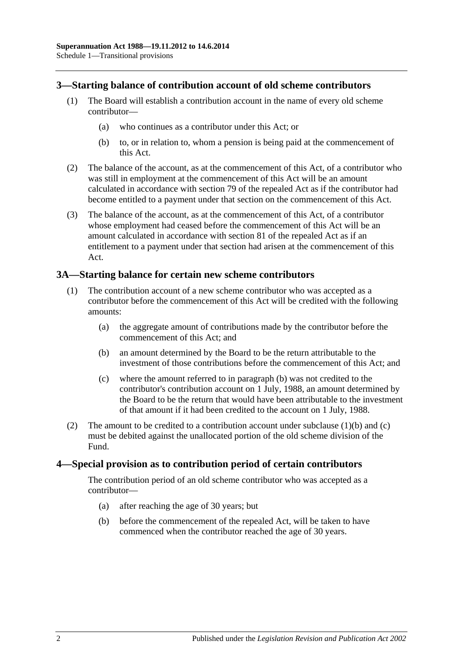## **3—Starting balance of contribution account of old scheme contributors**

- (1) The Board will establish a contribution account in the name of every old scheme contributor—
	- (a) who continues as a contributor under this Act; or
	- (b) to, or in relation to, whom a pension is being paid at the commencement of this Act.
- (2) The balance of the account, as at the commencement of this Act, of a contributor who was still in employment at the commencement of this Act will be an amount calculated in accordance with section 79 of the repealed Act as if the contributor had become entitled to a payment under that section on the commencement of this Act.
- (3) The balance of the account, as at the commencement of this Act, of a contributor whose employment had ceased before the commencement of this Act will be an amount calculated in accordance with section 81 of the repealed Act as if an entitlement to a payment under that section had arisen at the commencement of this Act.

## **3A—Starting balance for certain new scheme contributors**

- <span id="page-105-0"></span>(1) The contribution account of a new scheme contributor who was accepted as a contributor before the commencement of this Act will be credited with the following amounts:
	- (a) the aggregate amount of contributions made by the contributor before the commencement of this Act; and
	- (b) an amount determined by the Board to be the return attributable to the investment of those contributions before the commencement of this Act; and
	- (c) where the amount referred to in [paragraph](#page-105-0) (b) was not credited to the contributor's contribution account on 1 July, 1988, an amount determined by the Board to be the return that would have been attributable to the investment of that amount if it had been credited to the account on 1 July, 1988.
- <span id="page-105-1"></span>(2) The amount to be credited to a contribution account under [subclause](#page-105-0)  $(1)(b)$  and  $(c)$ must be debited against the unallocated portion of the old scheme division of the Fund.

#### **4—Special provision as to contribution period of certain contributors**

The contribution period of an old scheme contributor who was accepted as a contributor—

- (a) after reaching the age of 30 years; but
- (b) before the commencement of the repealed Act, will be taken to have commenced when the contributor reached the age of 30 years.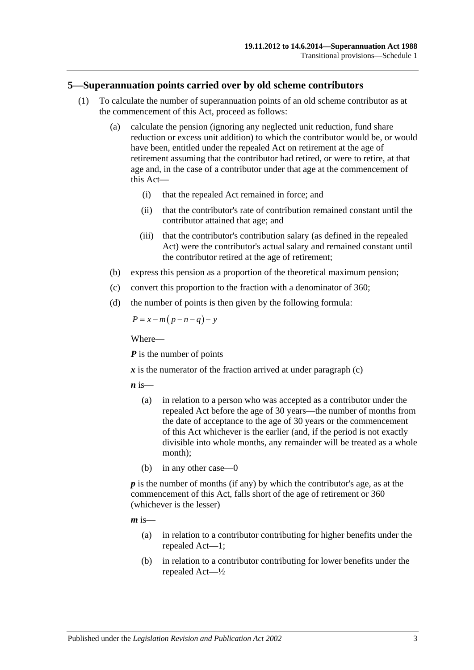#### **5—Superannuation points carried over by old scheme contributors**

- (1) To calculate the number of superannuation points of an old scheme contributor as at the commencement of this Act, proceed as follows:
	- (a) calculate the pension (ignoring any neglected unit reduction, fund share reduction or excess unit addition) to which the contributor would be, or would have been, entitled under the repealed Act on retirement at the age of retirement assuming that the contributor had retired, or were to retire, at that age and, in the case of a contributor under that age at the commencement of this Act—
		- (i) that the repealed Act remained in force; and
		- (ii) that the contributor's rate of contribution remained constant until the contributor attained that age; and
		- (iii) that the contributor's contribution salary (as defined in the repealed Act) were the contributor's actual salary and remained constant until the contributor retired at the age of retirement;
	- (b) express this pension as a proportion of the theoretical maximum pension;
	- (c) convert this proportion to the fraction with a denominator of 360;
	- (d) the number of points is then given by the following formula:

<span id="page-106-0"></span>
$$
P = x - m(p - n - q) - y
$$

Where—

*P* is the number of points

 $\boldsymbol{x}$  is the numerator of the fraction arrived at under [paragraph](#page-106-0) (c)

 $\boldsymbol{n}$  is—

- (a) in relation to a person who was accepted as a contributor under the repealed Act before the age of 30 years—the number of months from the date of acceptance to the age of 30 years or the commencement of this Act whichever is the earlier (and, if the period is not exactly divisible into whole months, any remainder will be treated as a whole month);
- (b) in any other case—0

*p* is the number of months (if any) by which the contributor's age, as at the commencement of this Act, falls short of the age of retirement or 360 (whichever is the lesser)

 $m$  is—

- (a) in relation to a contributor contributing for higher benefits under the repealed Act—1;
- (b) in relation to a contributor contributing for lower benefits under the repealed Act—½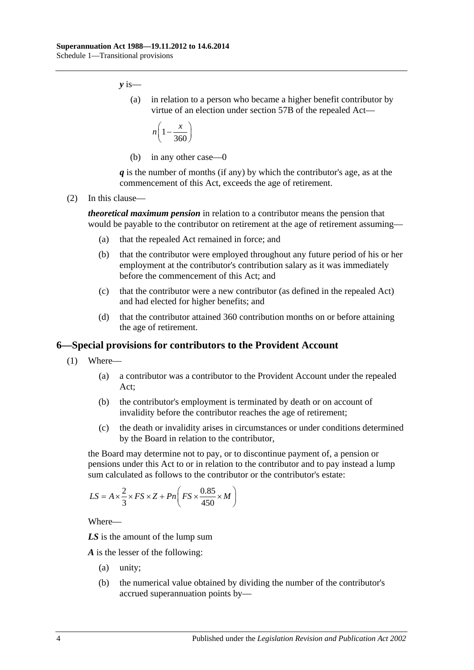*y* is—

(a) in relation to a person who became a higher benefit contributor by virtue of an election under section 57B of the repealed Act—

$$
n\left(1-\frac{x}{360}\right)
$$

(b) in any other case—0

*q* is the number of months (if any) by which the contributor's age, as at the commencement of this Act, exceeds the age of retirement.

(2) In this clause—

*theoretical maximum pension* in relation to a contributor means the pension that would be payable to the contributor on retirement at the age of retirement assuming—

- (a) that the repealed Act remained in force; and
- (b) that the contributor were employed throughout any future period of his or her employment at the contributor's contribution salary as it was immediately before the commencement of this Act; and
- (c) that the contributor were a new contributor (as defined in the repealed Act) and had elected for higher benefits; and
- (d) that the contributor attained 360 contribution months on or before attaining the age of retirement.

#### <span id="page-107-0"></span>**6—Special provisions for contributors to the Provident Account**

- (1) Where—
	- (a) a contributor was a contributor to the Provident Account under the repealed Act;
	- (b) the contributor's employment is terminated by death or on account of invalidity before the contributor reaches the age of retirement;
	- (c) the death or invalidity arises in circumstances or under conditions determined by the Board in relation to the contributor,

the Board may determine not to pay, or to discontinue payment of, a pension or pensions under this Act to or in relation to the contributor and to pay instead a lump sum calculated as follows to the contributor or the contributor's estate:

$$
LS = A \times \frac{2}{3} \times FS \times Z + Pn \left( FS \times \frac{0.85}{450} \times M \right)
$$

Where—

*LS* is the amount of the lump sum

*A* is the lesser of the following:

- (a) unity;
- (b) the numerical value obtained by dividing the number of the contributor's accrued superannuation points by—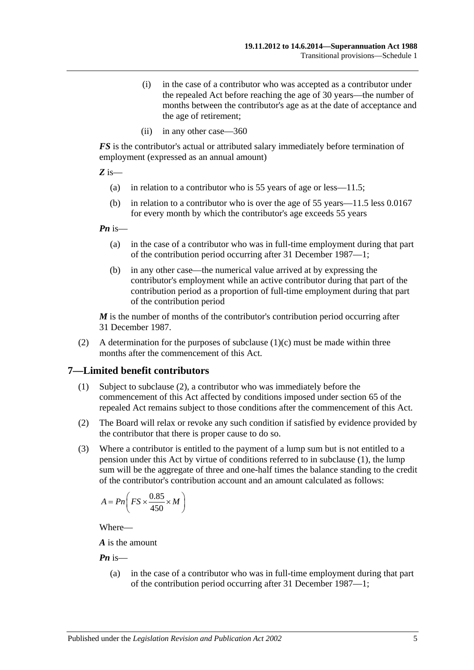- (i) in the case of a contributor who was accepted as a contributor under the repealed Act before reaching the age of 30 years—the number of months between the contributor's age as at the date of acceptance and the age of retirement;
- (ii) in any other case—360

*FS* is the contributor's actual or attributed salary immediately before termination of employment (expressed as an annual amount)

*Z* is—

- (a) in relation to a contributor who is 55 years of age or less—11.5;
- (b) in relation to a contributor who is over the age of 55 years—11.5 less 0.0167 for every month by which the contributor's age exceeds 55 years

*Pn* is—

- (a) in the case of a contributor who was in full-time employment during that part of the contribution period occurring after 31 December 1987—1;
- (b) in any other case—the numerical value arrived at by expressing the contributor's employment while an active contributor during that part of the contribution period as a proportion of full-time employment during that part of the contribution period

*M* is the number of months of the contributor's contribution period occurring after 31 December 1987.

(2) A determination for the purposes of [subclause](#page-107-0)  $(1)(c)$  must be made within three months after the commencement of this Act.

### <span id="page-108-1"></span>**7—Limited benefit contributors**

- (1) Subject to [subclause](#page-108-0) (2), a contributor who was immediately before the commencement of this Act affected by conditions imposed under section 65 of the repealed Act remains subject to those conditions after the commencement of this Act.
- <span id="page-108-0"></span>(2) The Board will relax or revoke any such condition if satisfied by evidence provided by the contributor that there is proper cause to do so.
- (3) Where a contributor is entitled to the payment of a lump sum but is not entitled to a pension under this Act by virtue of conditions referred to in [subclause](#page-108-1) (1), the lump sum will be the aggregate of three and one-half times the balance standing to the credit of the contributor's contribution account and an amount calculated as follows:

$$
A = P n \bigg( FS \times \frac{0.85}{450} \times M \bigg)
$$

Where—

*A* is the amount

*Pn* is—

(a) in the case of a contributor who was in full-time employment during that part of the contribution period occurring after 31 December 1987—1;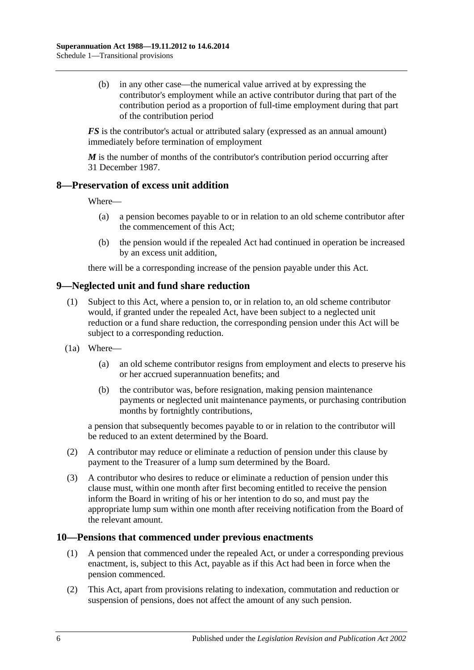(b) in any other case—the numerical value arrived at by expressing the contributor's employment while an active contributor during that part of the contribution period as a proportion of full-time employment during that part of the contribution period

*FS* is the contributor's actual or attributed salary (expressed as an annual amount) immediately before termination of employment

*M* is the number of months of the contributor's contribution period occurring after 31 December 1987.

### **8—Preservation of excess unit addition**

Where—

- (a) a pension becomes payable to or in relation to an old scheme contributor after the commencement of this Act;
- (b) the pension would if the repealed Act had continued in operation be increased by an excess unit addition,

there will be a corresponding increase of the pension payable under this Act.

## **9—Neglected unit and fund share reduction**

- (1) Subject to this Act, where a pension to, or in relation to, an old scheme contributor would, if granted under the repealed Act, have been subject to a neglected unit reduction or a fund share reduction, the corresponding pension under this Act will be subject to a corresponding reduction.
- (1a) Where—
	- (a) an old scheme contributor resigns from employment and elects to preserve his or her accrued superannuation benefits; and
	- (b) the contributor was, before resignation, making pension maintenance payments or neglected unit maintenance payments, or purchasing contribution months by fortnightly contributions,

a pension that subsequently becomes payable to or in relation to the contributor will be reduced to an extent determined by the Board.

- (2) A contributor may reduce or eliminate a reduction of pension under this clause by payment to the Treasurer of a lump sum determined by the Board.
- (3) A contributor who desires to reduce or eliminate a reduction of pension under this clause must, within one month after first becoming entitled to receive the pension inform the Board in writing of his or her intention to do so, and must pay the appropriate lump sum within one month after receiving notification from the Board of the relevant amount.

### **10—Pensions that commenced under previous enactments**

- (1) A pension that commenced under the repealed Act, or under a corresponding previous enactment, is, subject to this Act, payable as if this Act had been in force when the pension commenced.
- (2) This Act, apart from provisions relating to indexation, commutation and reduction or suspension of pensions, does not affect the amount of any such pension.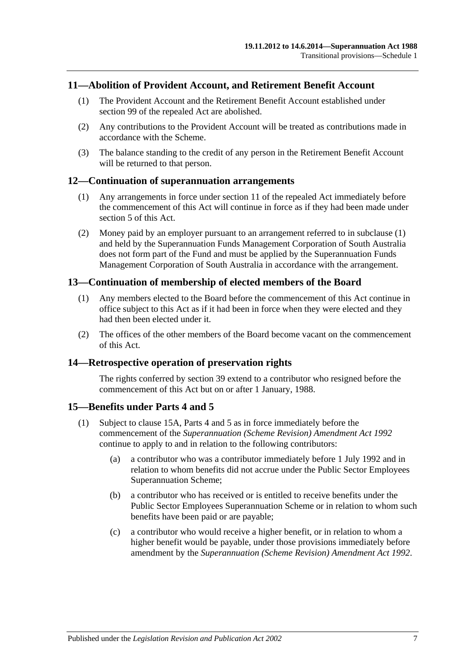### **11—Abolition of Provident Account, and Retirement Benefit Account**

- (1) The Provident Account and the Retirement Benefit Account established under section 99 of the repealed Act are abolished.
- (2) Any contributions to the Provident Account will be treated as contributions made in accordance with the Scheme.
- (3) The balance standing to the credit of any person in the Retirement Benefit Account will be returned to that person.

#### <span id="page-110-0"></span>**12—Continuation of superannuation arrangements**

- (1) Any arrangements in force under section 11 of the repealed Act immediately before the commencement of this Act will continue in force as if they had been made under [section](#page-15-0) 5 of this Act.
- (2) Money paid by an employer pursuant to an arrangement referred to in [subclause](#page-110-0) (1) and held by the Superannuation Funds Management Corporation of South Australia does not form part of the Fund and must be applied by the Superannuation Funds Management Corporation of South Australia in accordance with the arrangement.

### **13—Continuation of membership of elected members of the Board**

- (1) Any members elected to the Board before the commencement of this Act continue in office subject to this Act as if it had been in force when they were elected and they had then been elected under it.
- (2) The offices of the other members of the Board become vacant on the commencement of this Act.

### **14—Retrospective operation of preservation rights**

The rights conferred by [section](#page-71-0) 39 extend to a contributor who resigned before the commencement of this Act but on or after 1 January, 1988.

### <span id="page-110-2"></span>**15—Benefits under [Parts 4](#page-30-0) and [5](#page-56-0)**

- <span id="page-110-1"></span>(1) Subject to [clause](#page-111-0) 15A, [Parts 4](#page-30-0) and [5](#page-56-0) as in force immediately before the commencement of the *[Superannuation \(Scheme Revision\) Amendment Act](http://www.legislation.sa.gov.au/index.aspx?action=legref&type=act&legtitle=Superannuation%20(Scheme%20Revision)%20Amendment%20Act%201992) 1992* continue to apply to and in relation to the following contributors:
	- (a) a contributor who was a contributor immediately before 1 July 1992 and in relation to whom benefits did not accrue under the Public Sector Employees Superannuation Scheme;
	- (b) a contributor who has received or is entitled to receive benefits under the Public Sector Employees Superannuation Scheme or in relation to whom such benefits have been paid or are payable;
	- (c) a contributor who would receive a higher benefit, or in relation to whom a higher benefit would be payable, under those provisions immediately before amendment by the *[Superannuation \(Scheme Revision\) Amendment Act](http://www.legislation.sa.gov.au/index.aspx?action=legref&type=act&legtitle=Superannuation%20(Scheme%20Revision)%20Amendment%20Act%201992) 1992*.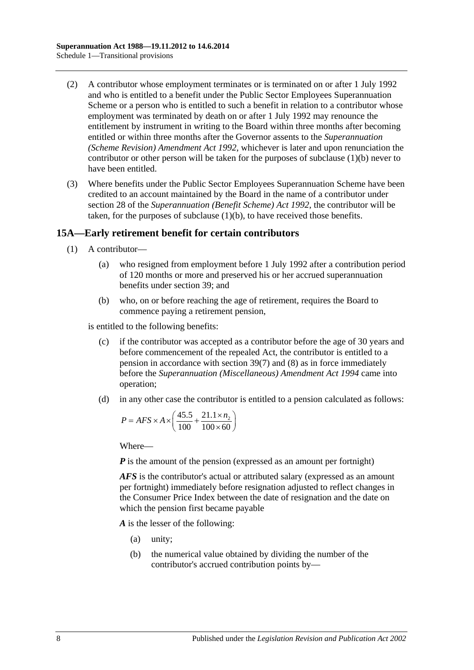- (2) A contributor whose employment terminates or is terminated on or after 1 July 1992 and who is entitled to a benefit under the Public Sector Employees Superannuation Scheme or a person who is entitled to such a benefit in relation to a contributor whose employment was terminated by death on or after 1 July 1992 may renounce the entitlement by instrument in writing to the Board within three months after becoming entitled or within three months after the Governor assents to the *[Superannuation](http://www.legislation.sa.gov.au/index.aspx?action=legref&type=act&legtitle=Superannuation%20(Scheme%20Revision)%20Amendment%20Act%201992)  [\(Scheme Revision\) Amendment Act](http://www.legislation.sa.gov.au/index.aspx?action=legref&type=act&legtitle=Superannuation%20(Scheme%20Revision)%20Amendment%20Act%201992) 1992*, whichever is later and upon renunciation the contributor or other person will be taken for the purposes of [subclause](#page-110-1) (1)(b) never to have been entitled.
- (3) Where benefits under the Public Sector Employees Superannuation Scheme have been credited to an account maintained by the Board in the name of a contributor under section 28 of the *[Superannuation \(Benefit Scheme\) Act](http://www.legislation.sa.gov.au/index.aspx?action=legref&type=act&legtitle=Superannuation%20(Benefit%20Scheme)%20Act%201992) 1992*, the contributor will be taken, for the purposes of [subclause](#page-110-1) (1)(b), to have received those benefits.

## <span id="page-111-0"></span>**15A—Early retirement benefit for certain contributors**

- (1) A contributor—
	- (a) who resigned from employment before 1 July 1992 after a contribution period of 120 months or more and preserved his or her accrued superannuation benefits under [section](#page-71-0) 39; and
	- (b) who, on or before reaching the age of retirement, requires the Board to commence paying a retirement pension,

<span id="page-111-1"></span>is entitled to the following benefits:

- (c) if the contributor was accepted as a contributor before the age of 30 years and before commencement of the repealed Act, the contributor is entitled to a pension in accordance with [section](#page-75-0) 39(7) and [\(8\)](#page-76-0) as in force immediately before the *[Superannuation \(Miscellaneous\) Amendment Act](http://www.legislation.sa.gov.au/index.aspx?action=legref&type=act&legtitle=Superannuation%20(Miscellaneous)%20Amendment%20Act%201994) 1994* came into operation;
- <span id="page-111-2"></span>(d) in any other case the contributor is entitled to a pension calculated as follows:

$$
P = AFS \times A \times \left(\frac{45.5}{100} + \frac{21.1 \times n_2}{100 \times 60}\right)
$$

Where—

*P* is the amount of the pension (expressed as an amount per fortnight)

*AFS* is the contributor's actual or attributed salary (expressed as an amount per fortnight) immediately before resignation adjusted to reflect changes in the Consumer Price Index between the date of resignation and the date on which the pension first became payable

*A* is the lesser of the following:

- (a) unity;
- (b) the numerical value obtained by dividing the number of the contributor's accrued contribution points by—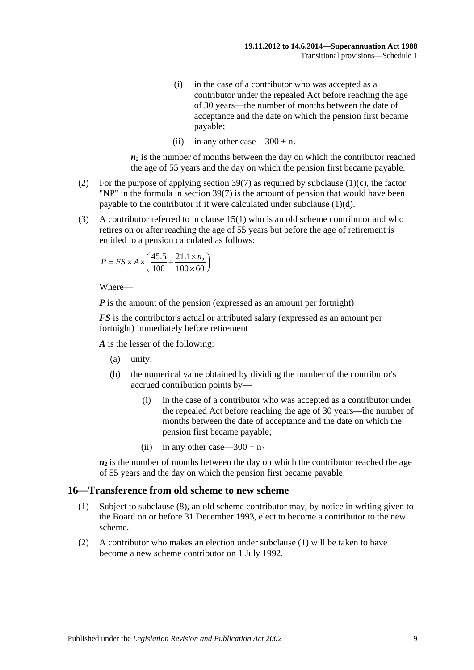- (i) in the case of a contributor who was accepted as a contributor under the repealed Act before reaching the age of 30 years—the number of months between the date of acceptance and the date on which the pension first became payable;
- (ii) in any other case—300 +  $n_2$

 $n_2$  is the number of months between the day on which the contributor reached the age of 55 years and the day on which the pension first became payable.

- (2) For the purpose of applying [section](#page-75-0) 39(7) as required by [subclause](#page-111-1)  $(1)(c)$ , the factor "NP" in the formula in [section](#page-75-0) 39(7) is the amount of pension that would have been payable to the contributor if it were calculated under [subclause](#page-111-2) (1)(d).
- (3) A contributor referred to in [clause](#page-110-2) 15(1) who is an old scheme contributor and who retires on or after reaching the age of 55 years but before the age of retirement is entitled to a pension calculated as follows:

$$
P = FS \times A \times \left(\frac{45.5}{100} + \frac{21.1 \times n_2}{100 \times 60}\right)
$$

Where—

*P* is the amount of the pension (expressed as an amount per fortnight)

*FS* is the contributor's actual or attributed salary (expressed as an amount per fortnight) immediately before retirement

*A* is the lesser of the following:

- (a) unity;
- (b) the numerical value obtained by dividing the number of the contributor's accrued contribution points by—
	- (i) in the case of a contributor who was accepted as a contributor under the repealed Act before reaching the age of 30 years—the number of months between the date of acceptance and the date on which the pension first became payable;
	- (ii) in any other case—300 +  $n_2$

 $n_2$  is the number of months between the day on which the contributor reached the age of 55 years and the day on which the pension first became payable.

#### <span id="page-112-0"></span>**16—Transference from old scheme to new scheme**

- (1) Subject to [subclause](#page-113-0) (8), an old scheme contributor may, by notice in writing given to the Board on or before 31 December 1993, elect to become a contributor to the new scheme.
- (2) A contributor who makes an election under [subclause](#page-112-0) (1) will be taken to have become a new scheme contributor on 1 July 1992.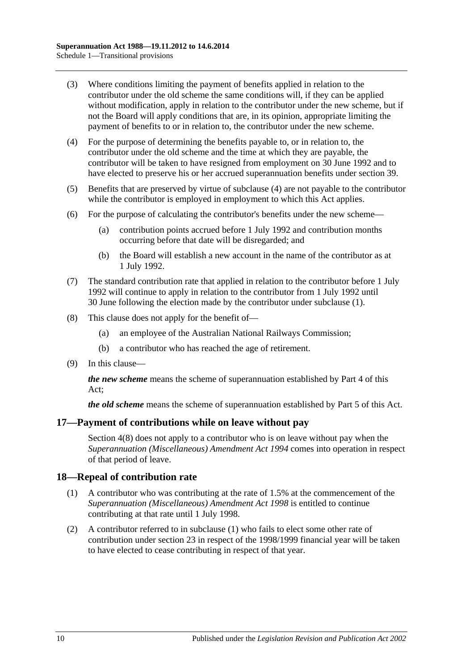- (3) Where conditions limiting the payment of benefits applied in relation to the contributor under the old scheme the same conditions will, if they can be applied without modification, apply in relation to the contributor under the new scheme, but if not the Board will apply conditions that are, in its opinion, appropriate limiting the payment of benefits to or in relation to, the contributor under the new scheme.
- <span id="page-113-1"></span>(4) For the purpose of determining the benefits payable to, or in relation to, the contributor under the old scheme and the time at which they are payable, the contributor will be taken to have resigned from employment on 30 June 1992 and to have elected to preserve his or her accrued superannuation benefits under [section](#page-71-0) 39.
- (5) Benefits that are preserved by virtue of [subclause](#page-113-1) (4) are not payable to the contributor while the contributor is employed in employment to which this Act applies.
- (6) For the purpose of calculating the contributor's benefits under the new scheme—
	- (a) contribution points accrued before 1 July 1992 and contribution months occurring before that date will be disregarded; and
	- (b) the Board will establish a new account in the name of the contributor as at 1 July 1992.
- (7) The standard contribution rate that applied in relation to the contributor before 1 July 1992 will continue to apply in relation to the contributor from 1 July 1992 until 30 June following the election made by the contributor under [subclause](#page-112-0) (1).
- <span id="page-113-0"></span>(8) This clause does not apply for the benefit of—
	- (a) an employee of the Australian National Railways Commission;
	- (b) a contributor who has reached the age of retirement.
- (9) In this clause—

*the new scheme* means the scheme of superannuation established by [Part 4](#page-30-0) of this Act;

*the old scheme* means the scheme of superannuation established by [Part 5](#page-56-0) of this Act.

### **17—Payment of contributions while on leave without pay**

[Section](#page-13-0) 4(8) does not apply to a contributor who is on leave without pay when the *[Superannuation \(Miscellaneous\) Amendment Act](http://www.legislation.sa.gov.au/index.aspx?action=legref&type=act&legtitle=Superannuation%20(Miscellaneous)%20Amendment%20Act%201994) 1994* comes into operation in respect of that period of leave.

### <span id="page-113-2"></span>**18—Repeal of contribution rate**

- (1) A contributor who was contributing at the rate of 1.5% at the commencement of the *[Superannuation \(Miscellaneous\) Amendment Act](http://www.legislation.sa.gov.au/index.aspx?action=legref&type=act&legtitle=Superannuation%20(Miscellaneous)%20Amendment%20Act%201998) 1998* is entitled to continue contributing at that rate until 1 July 1998.
- (2) A contributor referred to in [subclause](#page-113-2) (1) who fails to elect some other rate of contribution under [section](#page-26-0) 23 in respect of the 1998/1999 financial year will be taken to have elected to cease contributing in respect of that year.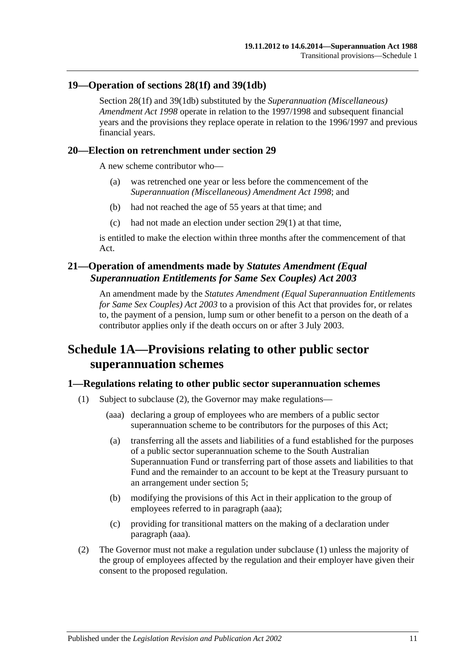### **19—Operation of [sections](#page-35-0) 28(1f) and [39\(1db\)](#page-72-0)**

[Section](#page-35-0) 28(1f) and [39\(1db\)](#page-72-0) substituted by the *[Superannuation \(Miscellaneous\)](http://www.legislation.sa.gov.au/index.aspx?action=legref&type=act&legtitle=Superannuation%20(Miscellaneous)%20Amendment%20Act%201998)  [Amendment Act](http://www.legislation.sa.gov.au/index.aspx?action=legref&type=act&legtitle=Superannuation%20(Miscellaneous)%20Amendment%20Act%201998) 1998* operate in relation to the 1997/1998 and subsequent financial years and the provisions they replace operate in relation to the 1996/1997 and previous financial years.

### **20—Election on retrenchment under [section](#page-40-0) 29**

A new scheme contributor who—

- (a) was retrenched one year or less before the commencement of the *[Superannuation \(Miscellaneous\) Amendment Act](http://www.legislation.sa.gov.au/index.aspx?action=legref&type=act&legtitle=Superannuation%20(Miscellaneous)%20Amendment%20Act%201998) 1998*; and
- (b) had not reached the age of 55 years at that time; and
- (c) had not made an election under [section](#page-40-1) 29(1) at that time,

is entitled to make the election within three months after the commencement of that Act.

## **21—Operation of amendments made by** *Statutes Amendment (Equal Superannuation Entitlements for Same Sex Couples) Act 2003*

An amendment made by the *[Statutes Amendment \(Equal Superannuation Entitlements](http://www.legislation.sa.gov.au/index.aspx?action=legref&type=act&legtitle=Statutes%20Amendment%20(Equal%20Superannuation%20Entitlements%20for%20Same%20Sex%20Couples)%20Act%202003)  [for Same Sex Couples\) Act 2003](http://www.legislation.sa.gov.au/index.aspx?action=legref&type=act&legtitle=Statutes%20Amendment%20(Equal%20Superannuation%20Entitlements%20for%20Same%20Sex%20Couples)%20Act%202003)* to a provision of this Act that provides for, or relates to, the payment of a pension, lump sum or other benefit to a person on the death of a contributor applies only if the death occurs on or after 3 July 2003.

# **Schedule 1A—Provisions relating to other public sector superannuation schemes**

## <span id="page-114-2"></span>**1—Regulations relating to other public sector superannuation schemes**

- <span id="page-114-1"></span>(1) Subject to [subclause](#page-114-0) (2), the Governor may make regulations—
	- (aaa) declaring a group of employees who are members of a public sector superannuation scheme to be contributors for the purposes of this Act;
	- (a) transferring all the assets and liabilities of a fund established for the purposes of a public sector superannuation scheme to the South Australian Superannuation Fund or transferring part of those assets and liabilities to that Fund and the remainder to an account to be kept at the Treasury pursuant to an arrangement under [section](#page-15-0) 5;
	- (b) modifying the provisions of this Act in their application to the group of employees referred to in [paragraph](#page-114-1) (aaa);
	- (c) providing for transitional matters on the making of a declaration under [paragraph](#page-114-1) (aaa).
- <span id="page-114-0"></span>(2) The Governor must not make a regulation under [subclause](#page-114-2) (1) unless the majority of the group of employees affected by the regulation and their employer have given their consent to the proposed regulation.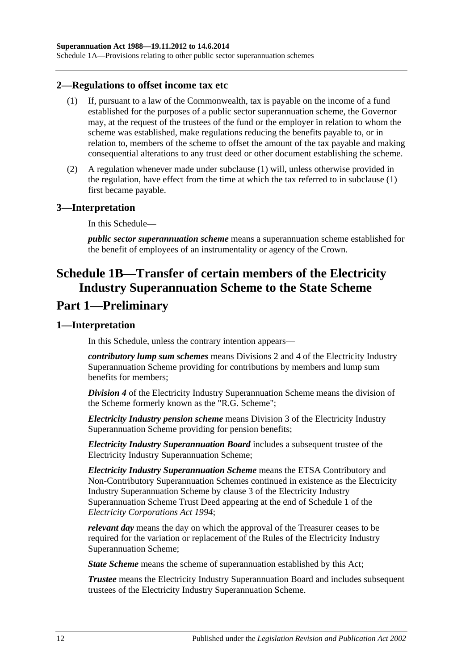Schedule 1A—Provisions relating to other public sector superannuation schemes

#### <span id="page-115-0"></span>**2—Regulations to offset income tax etc**

- (1) If, pursuant to a law of the Commonwealth, tax is payable on the income of a fund established for the purposes of a public sector superannuation scheme, the Governor may, at the request of the trustees of the fund or the employer in relation to whom the scheme was established, make regulations reducing the benefits payable to, or in relation to, members of the scheme to offset the amount of the tax payable and making consequential alterations to any trust deed or other document establishing the scheme.
- (2) A regulation whenever made under [subclause](#page-115-0) (1) will, unless otherwise provided in the regulation, have effect from the time at which the tax referred to in [subclause](#page-115-0) (1) first became payable.

#### **3—Interpretation**

In this Schedule—

*public sector superannuation scheme* means a superannuation scheme established for the benefit of employees of an instrumentality or agency of the Crown.

# **Schedule 1B—Transfer of certain members of the Electricity Industry Superannuation Scheme to the State Scheme Part 1—Preliminary**

#### **1—Interpretation**

In this Schedule, unless the contrary intention appears—

*contributory lump sum schemes* means Divisions 2 and 4 of the Electricity Industry Superannuation Scheme providing for contributions by members and lump sum benefits for members;

*Division 4* of the Electricity Industry Superannuation Scheme means the division of the Scheme formerly known as the "R.G. Scheme";

*Electricity Industry pension scheme* means Division 3 of the Electricity Industry Superannuation Scheme providing for pension benefits;

*Electricity Industry Superannuation Board* includes a subsequent trustee of the Electricity Industry Superannuation Scheme;

*Electricity Industry Superannuation Scheme* means the ETSA Contributory and Non-Contributory Superannuation Schemes continued in existence as the Electricity Industry Superannuation Scheme by clause 3 of the Electricity Industry Superannuation Scheme Trust Deed appearing at the end of Schedule 1 of the *[Electricity Corporations Act](http://www.legislation.sa.gov.au/index.aspx?action=legref&type=act&legtitle=Electricity%20Corporations%20Act%201994) 1994*;

*relevant day* means the day on which the approval of the Treasurer ceases to be required for the variation or replacement of the Rules of the Electricity Industry Superannuation Scheme;

*State Scheme* means the scheme of superannuation established by this Act;

*Trustee* means the Electricity Industry Superannuation Board and includes subsequent trustees of the Electricity Industry Superannuation Scheme.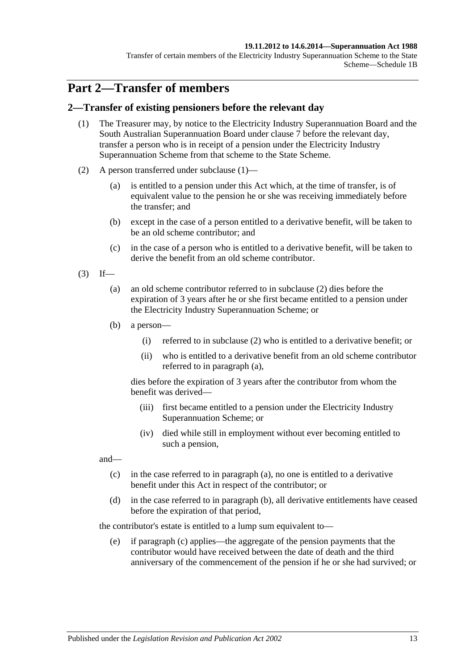#### **19.11.2012 to 14.6.2014—Superannuation Act 1988**

Transfer of certain members of the Electricity Industry Superannuation Scheme to the State Scheme—Schedule 1B

# **Part 2—Transfer of members**

### <span id="page-116-0"></span>**2—Transfer of existing pensioners before the relevant day**

- (1) The Treasurer may, by notice to the Electricity Industry Superannuation Board and the South Australian Superannuation Board under [clause](#page-123-0) 7 before the relevant day, transfer a person who is in receipt of a pension under the Electricity Industry Superannuation Scheme from that scheme to the State Scheme.
- <span id="page-116-1"></span>(2) A person transferred under [subclause](#page-116-0) (1)—
	- (a) is entitled to a pension under this Act which, at the time of transfer, is of equivalent value to the pension he or she was receiving immediately before the transfer; and
	- (b) except in the case of a person entitled to a derivative benefit, will be taken to be an old scheme contributor; and
	- (c) in the case of a person who is entitled to a derivative benefit, will be taken to derive the benefit from an old scheme contributor.
- <span id="page-116-3"></span><span id="page-116-2"></span> $(3)$  If—
	- (a) an old scheme contributor referred to in [subclause](#page-116-1) (2) dies before the expiration of 3 years after he or she first became entitled to a pension under the Electricity Industry Superannuation Scheme; or
	- (b) a person—
		- (i) referred to in [subclause](#page-116-1) (2) who is entitled to a derivative benefit; or
		- (ii) who is entitled to a derivative benefit from an old scheme contributor referred to in [paragraph](#page-116-2) (a),

dies before the expiration of 3 years after the contributor from whom the benefit was derived—

- (iii) first became entitled to a pension under the Electricity Industry Superannuation Scheme; or
- (iv) died while still in employment without ever becoming entitled to such a pension,

<span id="page-116-4"></span>and—

- (c) in the case referred to in [paragraph](#page-116-2) (a), no one is entitled to a derivative benefit under this Act in respect of the contributor; or
- <span id="page-116-5"></span>(d) in the case referred to in [paragraph](#page-116-3) (b), all derivative entitlements have ceased before the expiration of that period,

the contributor's estate is entitled to a lump sum equivalent to—

(e) if [paragraph](#page-116-4) (c) applies—the aggregate of the pension payments that the contributor would have received between the date of death and the third anniversary of the commencement of the pension if he or she had survived; or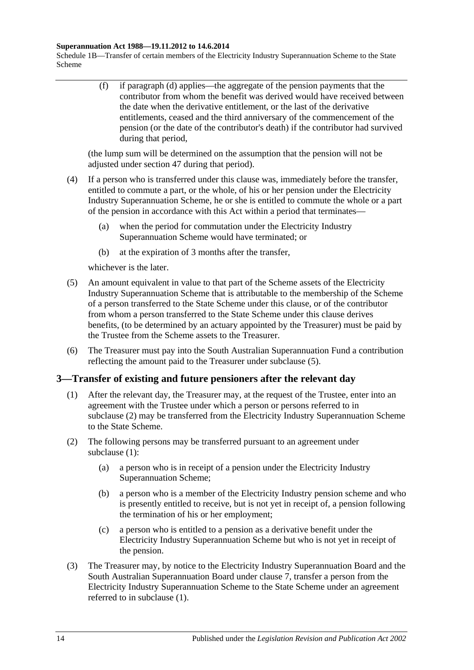#### **Superannuation Act 1988—19.11.2012 to 14.6.2014**

Schedule 1B—Transfer of certain members of the Electricity Industry Superannuation Scheme to the State Scheme

> (f) if [paragraph](#page-116-5) (d) applies—the aggregate of the pension payments that the contributor from whom the benefit was derived would have received between the date when the derivative entitlement, or the last of the derivative entitlements, ceased and the third anniversary of the commencement of the pension (or the date of the contributor's death) if the contributor had survived during that period,

(the lump sum will be determined on the assumption that the pension will not be adjusted under [section](#page-97-0) 47 during that period).

- (4) If a person who is transferred under this clause was, immediately before the transfer, entitled to commute a part, or the whole, of his or her pension under the Electricity Industry Superannuation Scheme, he or she is entitled to commute the whole or a part of the pension in accordance with this Act within a period that terminates—
	- (a) when the period for commutation under the Electricity Industry Superannuation Scheme would have terminated; or
	- (b) at the expiration of 3 months after the transfer,

whichever is the later.

- <span id="page-117-0"></span>(5) An amount equivalent in value to that part of the Scheme assets of the Electricity Industry Superannuation Scheme that is attributable to the membership of the Scheme of a person transferred to the State Scheme under this clause, or of the contributor from whom a person transferred to the State Scheme under this clause derives benefits, (to be determined by an actuary appointed by the Treasurer) must be paid by the Trustee from the Scheme assets to the Treasurer.
- (6) The Treasurer must pay into the South Australian Superannuation Fund a contribution reflecting the amount paid to the Treasurer under [subclause](#page-117-0) (5).

## <span id="page-117-2"></span>**3—Transfer of existing and future pensioners after the relevant day**

- (1) After the relevant day, the Treasurer may, at the request of the Trustee, enter into an agreement with the Trustee under which a person or persons referred to in [subclause](#page-117-1) (2) may be transferred from the Electricity Industry Superannuation Scheme to the State Scheme.
- <span id="page-117-4"></span><span id="page-117-1"></span>(2) The following persons may be transferred pursuant to an agreement under [subclause](#page-117-2) (1):
	- (a) a person who is in receipt of a pension under the Electricity Industry Superannuation Scheme;
	- (b) a person who is a member of the Electricity Industry pension scheme and who is presently entitled to receive, but is not yet in receipt of, a pension following the termination of his or her employment;
	- (c) a person who is entitled to a pension as a derivative benefit under the Electricity Industry Superannuation Scheme but who is not yet in receipt of the pension.
- <span id="page-117-5"></span><span id="page-117-3"></span>(3) The Treasurer may, by notice to the Electricity Industry Superannuation Board and the South Australian Superannuation Board under [clause](#page-123-0) 7, transfer a person from the Electricity Industry Superannuation Scheme to the State Scheme under an agreement referred to in [subclause](#page-117-2) (1).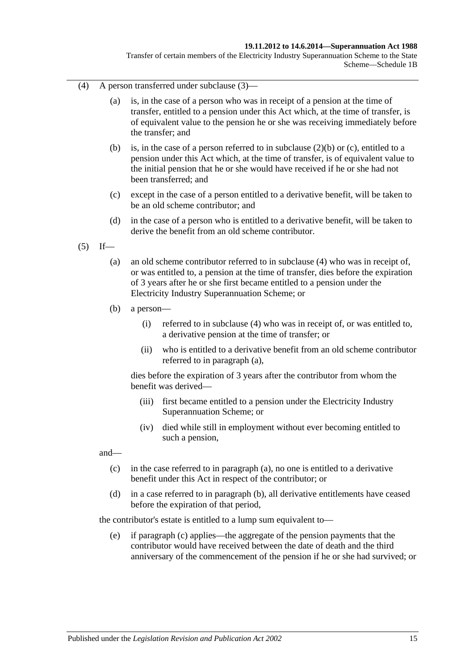#### **19.11.2012 to 14.6.2014—Superannuation Act 1988**

Transfer of certain members of the Electricity Industry Superannuation Scheme to the State Scheme—Schedule 1B

- <span id="page-118-0"></span>(4) A person transferred under [subclause](#page-117-3) (3)—
	- (a) is, in the case of a person who was in receipt of a pension at the time of transfer, entitled to a pension under this Act which, at the time of transfer, is of equivalent value to the pension he or she was receiving immediately before the transfer; and
	- (b) is, in the case of a person referred to in [subclause](#page-117-4) (2)(b) or [\(c\),](#page-117-5) entitled to a pension under this Act which, at the time of transfer, is of equivalent value to the initial pension that he or she would have received if he or she had not been transferred; and
	- (c) except in the case of a person entitled to a derivative benefit, will be taken to be an old scheme contributor; and
	- (d) in the case of a person who is entitled to a derivative benefit, will be taken to derive the benefit from an old scheme contributor.
- <span id="page-118-2"></span><span id="page-118-1"></span> $(5)$  If—
	- (a) an old scheme contributor referred to in [subclause](#page-118-0) (4) who was in receipt of, or was entitled to, a pension at the time of transfer, dies before the expiration of 3 years after he or she first became entitled to a pension under the Electricity Industry Superannuation Scheme; or
	- (b) a person—
		- (i) referred to in [subclause](#page-118-0) (4) who was in receipt of, or was entitled to, a derivative pension at the time of transfer; or
		- (ii) who is entitled to a derivative benefit from an old scheme contributor referred to in [paragraph](#page-118-1) (a),

dies before the expiration of 3 years after the contributor from whom the benefit was derived—

- (iii) first became entitled to a pension under the Electricity Industry Superannuation Scheme; or
- (iv) died while still in employment without ever becoming entitled to such a pension,

<span id="page-118-3"></span>and—

- (c) in the case referred to in [paragraph](#page-118-1) (a), no one is entitled to a derivative benefit under this Act in respect of the contributor; or
- <span id="page-118-4"></span>(d) in a case referred to in [paragraph](#page-118-2) (b), all derivative entitlements have ceased before the expiration of that period,

the contributor's estate is entitled to a lump sum equivalent to—

(e) if [paragraph](#page-118-3) (c) applies—the aggregate of the pension payments that the contributor would have received between the date of death and the third anniversary of the commencement of the pension if he or she had survived; or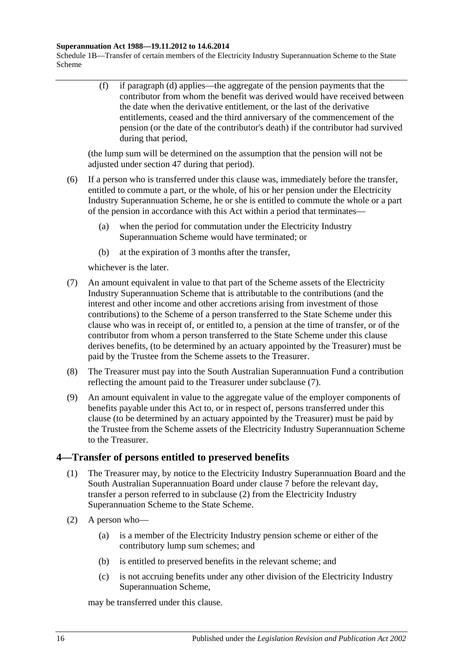#### **Superannuation Act 1988—19.11.2012 to 14.6.2014**

Schedule 1B—Transfer of certain members of the Electricity Industry Superannuation Scheme to the State Scheme

> (f) if [paragraph](#page-118-4) (d) applies—the aggregate of the pension payments that the contributor from whom the benefit was derived would have received between the date when the derivative entitlement, or the last of the derivative entitlements, ceased and the third anniversary of the commencement of the pension (or the date of the contributor's death) if the contributor had survived during that period,

(the lump sum will be determined on the assumption that the pension will not be adjusted under [section](#page-97-0) 47 during that period).

- (6) If a person who is transferred under this clause was, immediately before the transfer, entitled to commute a part, or the whole, of his or her pension under the Electricity Industry Superannuation Scheme, he or she is entitled to commute the whole or a part of the pension in accordance with this Act within a period that terminates—
	- (a) when the period for commutation under the Electricity Industry Superannuation Scheme would have terminated; or
	- (b) at the expiration of 3 months after the transfer,

whichever is the later.

- <span id="page-119-0"></span>(7) An amount equivalent in value to that part of the Scheme assets of the Electricity Industry Superannuation Scheme that is attributable to the contributions (and the interest and other income and other accretions arising from investment of those contributions) to the Scheme of a person transferred to the State Scheme under this clause who was in receipt of, or entitled to, a pension at the time of transfer, or of the contributor from whom a person transferred to the State Scheme under this clause derives benefits, (to be determined by an actuary appointed by the Treasurer) must be paid by the Trustee from the Scheme assets to the Treasurer.
- (8) The Treasurer must pay into the South Australian Superannuation Fund a contribution reflecting the amount paid to the Treasurer under [subclause](#page-119-0) (7).
- (9) An amount equivalent in value to the aggregate value of the employer components of benefits payable under this Act to, or in respect of, persons transferred under this clause (to be determined by an actuary appointed by the Treasurer) must be paid by the Trustee from the Scheme assets of the Electricity Industry Superannuation Scheme to the Treasurer.

## <span id="page-119-2"></span>**4—Transfer of persons entitled to preserved benefits**

- (1) The Treasurer may, by notice to the Electricity Industry Superannuation Board and the South Australian Superannuation Board under [clause](#page-123-0) 7 before the relevant day, transfer a person referred to in [subclause](#page-119-1) (2) from the Electricity Industry Superannuation Scheme to the State Scheme.
- <span id="page-119-1"></span>(2) A person who—
	- (a) is a member of the Electricity Industry pension scheme or either of the contributory lump sum schemes; and
	- (b) is entitled to preserved benefits in the relevant scheme; and
	- (c) is not accruing benefits under any other division of the Electricity Industry Superannuation Scheme,

may be transferred under this clause.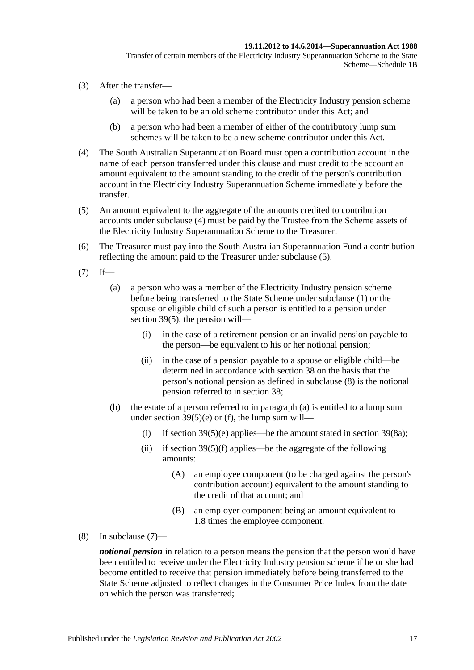(3) After the transfer—

- (a) a person who had been a member of the Electricity Industry pension scheme will be taken to be an old scheme contributor under this Act; and
- (b) a person who had been a member of either of the contributory lump sum schemes will be taken to be a new scheme contributor under this Act.
- <span id="page-120-0"></span>(4) The South Australian Superannuation Board must open a contribution account in the name of each person transferred under this clause and must credit to the account an amount equivalent to the amount standing to the credit of the person's contribution account in the Electricity Industry Superannuation Scheme immediately before the transfer.
- <span id="page-120-1"></span>(5) An amount equivalent to the aggregate of the amounts credited to contribution accounts under [subclause](#page-120-0) (4) must be paid by the Trustee from the Scheme assets of the Electricity Industry Superannuation Scheme to the Treasurer.
- (6) The Treasurer must pay into the South Australian Superannuation Fund a contribution reflecting the amount paid to the Treasurer under [subclause](#page-120-1) (5).
- <span id="page-120-4"></span><span id="page-120-3"></span> $(7)$  If—
	- (a) a person who was a member of the Electricity Industry pension scheme before being transferred to the State Scheme under [subclause](#page-119-2) (1) or the spouse or eligible child of such a person is entitled to a pension under [section](#page-74-0) 39(5), the pension will—
		- (i) in the case of a retirement pension or an invalid pension payable to the person—be equivalent to his or her notional pension;
		- (ii) in the case of a pension payable to a spouse or eligible child—be determined in accordance with [section](#page-68-0) 38 on the basis that the person's notional pension as defined in [subclause](#page-120-2) (8) is the notional pension referred to in [section](#page-68-0) 38;
	- (b) the estate of a person referred to in [paragraph](#page-120-3) (a) is entitled to a lump sum under section  $39(5)(e)$  or [\(f\),](#page-74-2) the lump sum will
		- (i) if [section](#page-76-1)  $39(5)(e)$  applies—be the amount stated in section  $39(8a)$ ;
		- (ii) if section  $39(5)(f)$  applies—be the aggregate of the following amounts:
			- (A) an employee component (to be charged against the person's contribution account) equivalent to the amount standing to the credit of that account; and
			- (B) an employer component being an amount equivalent to 1.8 times the employee component.
- <span id="page-120-2"></span>(8) In [subclause](#page-120-4) (7)—

*notional pension* in relation to a person means the pension that the person would have been entitled to receive under the Electricity Industry pension scheme if he or she had become entitled to receive that pension immediately before being transferred to the State Scheme adjusted to reflect changes in the Consumer Price Index from the date on which the person was transferred;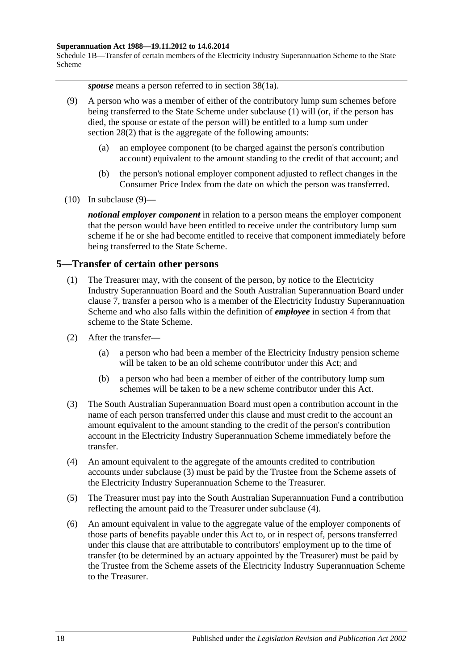#### **Superannuation Act 1988—19.11.2012 to 14.6.2014**

Schedule 1B—Transfer of certain members of the Electricity Industry Superannuation Scheme to the State Scheme

*spouse* means a person referred to in section 38(1a).

- <span id="page-121-0"></span>(9) A person who was a member of either of the contributory lump sum schemes before being transferred to the State Scheme under [subclause](#page-119-2) (1) will (or, if the person has died, the spouse or estate of the person will) be entitled to a lump sum under [section](#page-35-1) 28(2) that is the aggregate of the following amounts:
	- (a) an employee component (to be charged against the person's contribution account) equivalent to the amount standing to the credit of that account; and
	- (b) the person's notional employer component adjusted to reflect changes in the Consumer Price Index from the date on which the person was transferred.
- $(10)$  In [subclause](#page-121-0)  $(9)$ —

*notional employer component* in relation to a person means the employer component that the person would have been entitled to receive under the contributory lump sum scheme if he or she had become entitled to receive that component immediately before being transferred to the State Scheme.

### <span id="page-121-4"></span>**5—Transfer of certain other persons**

- (1) The Treasurer may, with the consent of the person, by notice to the Electricity Industry Superannuation Board and the South Australian Superannuation Board under [clause](#page-123-0) 7, transfer a person who is a member of the Electricity Industry Superannuation Scheme and who also falls within the definition of *employee* in [section](#page-6-0) 4 from that scheme to the State Scheme.
- (2) After the transfer—
	- (a) a person who had been a member of the Electricity Industry pension scheme will be taken to be an old scheme contributor under this Act; and
	- (b) a person who had been a member of either of the contributory lump sum schemes will be taken to be a new scheme contributor under this Act.
- <span id="page-121-1"></span>(3) The South Australian Superannuation Board must open a contribution account in the name of each person transferred under this clause and must credit to the account an amount equivalent to the amount standing to the credit of the person's contribution account in the Electricity Industry Superannuation Scheme immediately before the transfer.
- <span id="page-121-2"></span>(4) An amount equivalent to the aggregate of the amounts credited to contribution accounts under [subclause](#page-121-1) (3) must be paid by the Trustee from the Scheme assets of the Electricity Industry Superannuation Scheme to the Treasurer.
- (5) The Treasurer must pay into the South Australian Superannuation Fund a contribution reflecting the amount paid to the Treasurer under [subclause](#page-121-2) (4).
- <span id="page-121-3"></span>(6) An amount equivalent in value to the aggregate value of the employer components of those parts of benefits payable under this Act to, or in respect of, persons transferred under this clause that are attributable to contributors' employment up to the time of transfer (to be determined by an actuary appointed by the Treasurer) must be paid by the Trustee from the Scheme assets of the Electricity Industry Superannuation Scheme to the Treasurer.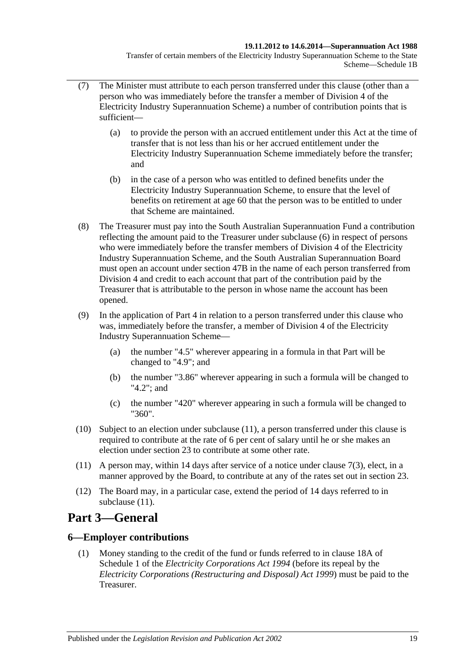Transfer of certain members of the Electricity Industry Superannuation Scheme to the State Scheme—Schedule 1B

- (7) The Minister must attribute to each person transferred under this clause (other than a person who was immediately before the transfer a member of Division 4 of the Electricity Industry Superannuation Scheme) a number of contribution points that is sufficient—
	- (a) to provide the person with an accrued entitlement under this Act at the time of transfer that is not less than his or her accrued entitlement under the Electricity Industry Superannuation Scheme immediately before the transfer; and
	- (b) in the case of a person who was entitled to defined benefits under the Electricity Industry Superannuation Scheme, to ensure that the level of benefits on retirement at age 60 that the person was to be entitled to under that Scheme are maintained.
- (8) The Treasurer must pay into the South Australian Superannuation Fund a contribution reflecting the amount paid to the Treasurer under [subclause](#page-121-3) (6) in respect of persons who were immediately before the transfer members of Division 4 of the Electricity Industry Superannuation Scheme, and the South Australian Superannuation Board must open an account under [section](#page-98-0) 47B in the name of each person transferred from Division 4 and credit to each account that part of the contribution paid by the Treasurer that is attributable to the person in whose name the account has been opened.
- (9) In the application of [Part 4](#page-30-0) in relation to a person transferred under this clause who was, immediately before the transfer, a member of Division 4 of the Electricity Industry Superannuation Scheme—
	- (a) the number "4.5" wherever appearing in a formula in that Part will be changed to "4.9"; and
	- (b) the number "3.86" wherever appearing in such a formula will be changed to "4.2"; and
	- (c) the number "420" wherever appearing in such a formula will be changed to "360".
- (10) Subject to an election under [subclause](#page-122-0) (11), a person transferred under this clause is required to contribute at the rate of 6 per cent of salary until he or she makes an election under [section](#page-26-0) 23 to contribute at some other rate.
- <span id="page-122-0"></span>(11) A person may, within 14 days after service of a notice under [clause](#page-123-1) 7(3), elect, in a manner approved by the Board, to contribute at any of the rates set out in [section](#page-26-0) 23.
- (12) The Board may, in a particular case, extend the period of 14 days referred to in [subclause](#page-122-0) (11).

# **Part 3—General**

## **6—Employer contributions**

(1) Money standing to the credit of the fund or funds referred to in clause 18A of Schedule 1 of the *[Electricity Corporations Act](http://www.legislation.sa.gov.au/index.aspx?action=legref&type=act&legtitle=Electricity%20Corporations%20Act%201994) 1994* (before its repeal by the *[Electricity Corporations \(Restructuring and Disposal\) Act](http://www.legislation.sa.gov.au/index.aspx?action=legref&type=act&legtitle=Electricity%20Corporations%20(Restructuring%20and%20Disposal)%20Act%201999) 1999*) must be paid to the Treasurer.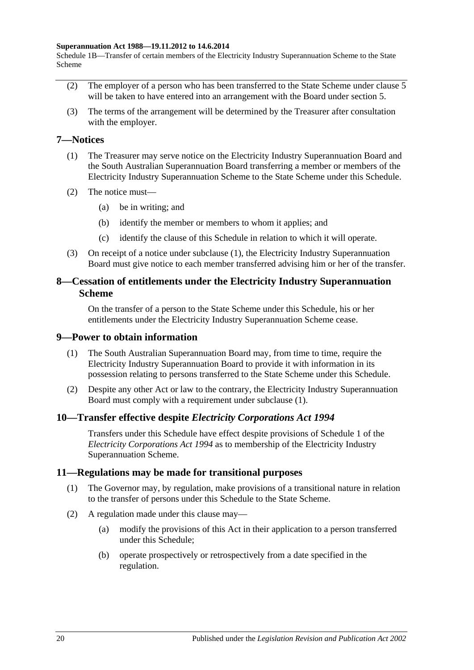#### **Superannuation Act 1988—19.11.2012 to 14.6.2014**

Schedule 1B—Transfer of certain members of the Electricity Industry Superannuation Scheme to the State Scheme

- (2) The employer of a person who has been transferred to the State Scheme under [clause](#page-121-4) 5 will be taken to have entered into an arrangement with the Board under [section](#page-15-0) 5.
- (3) The terms of the arrangement will be determined by the Treasurer after consultation with the employer.

### <span id="page-123-2"></span><span id="page-123-0"></span>**7—Notices**

- (1) The Treasurer may serve notice on the Electricity Industry Superannuation Board and the South Australian Superannuation Board transferring a member or members of the Electricity Industry Superannuation Scheme to the State Scheme under this Schedule.
- (2) The notice must—
	- (a) be in writing; and
	- (b) identify the member or members to whom it applies; and
	- (c) identify the clause of this Schedule in relation to which it will operate.
- <span id="page-123-1"></span>(3) On receipt of a notice under [subclause](#page-123-2) (1), the Electricity Industry Superannuation Board must give notice to each member transferred advising him or her of the transfer.

### **8—Cessation of entitlements under the Electricity Industry Superannuation Scheme**

On the transfer of a person to the State Scheme under this Schedule, his or her entitlements under the Electricity Industry Superannuation Scheme cease.

### <span id="page-123-3"></span>**9—Power to obtain information**

- (1) The South Australian Superannuation Board may, from time to time, require the Electricity Industry Superannuation Board to provide it with information in its possession relating to persons transferred to the State Scheme under this Schedule.
- (2) Despite any other Act or law to the contrary, the Electricity Industry Superannuation Board must comply with a requirement under [subclause](#page-123-3) (1).

### **10—Transfer effective despite** *Electricity Corporations Act 1994*

Transfers under this Schedule have effect despite provisions of Schedule 1 of the *[Electricity Corporations Act](http://www.legislation.sa.gov.au/index.aspx?action=legref&type=act&legtitle=Electricity%20Corporations%20Act%201994) 1994* as to membership of the Electricity Industry Superannuation Scheme.

### **11—Regulations may be made for transitional purposes**

- (1) The Governor may, by regulation, make provisions of a transitional nature in relation to the transfer of persons under this Schedule to the State Scheme.
- (2) A regulation made under this clause may—
	- (a) modify the provisions of this Act in their application to a person transferred under this Schedule;
	- (b) operate prospectively or retrospectively from a date specified in the regulation.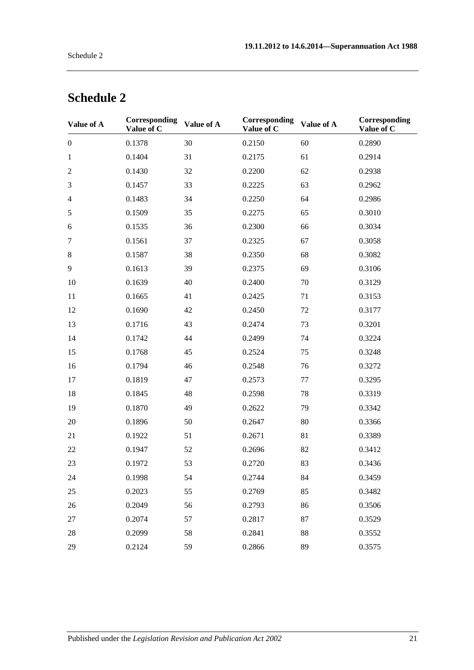| Value of A       | Corresponding<br>Value of C | Value of A | Corresponding<br>Value of C | Value of A | Corresponding<br>Value of C |
|------------------|-----------------------------|------------|-----------------------------|------------|-----------------------------|
| $\boldsymbol{0}$ | 0.1378                      | 30         | 0.2150                      | 60         | 0.2890                      |
| $\mathbf{1}$     | 0.1404                      | 31         | 0.2175                      | 61         | 0.2914                      |
| $\mathfrak{2}$   | 0.1430                      | 32         | 0.2200                      | 62         | 0.2938                      |
| 3                | 0.1457                      | 33         | 0.2225                      | 63         | 0.2962                      |
| $\overline{4}$   | 0.1483                      | 34         | 0.2250                      | 64         | 0.2986                      |
| $\sqrt{5}$       | 0.1509                      | 35         | 0.2275                      | 65         | 0.3010                      |
| 6                | 0.1535                      | 36         | 0.2300                      | 66         | 0.3034                      |
| $\tau$           | 0.1561                      | 37         | 0.2325                      | 67         | 0.3058                      |
| $8\,$            | 0.1587                      | 38         | 0.2350                      | 68         | 0.3082                      |
| 9                | 0.1613                      | 39         | 0.2375                      | 69         | 0.3106                      |
| 10               | 0.1639                      | 40         | 0.2400                      | 70         | 0.3129                      |
| 11               | 0.1665                      | 41         | 0.2425                      | 71         | 0.3153                      |
| 12               | 0.1690                      | 42         | 0.2450                      | 72         | 0.3177                      |
| 13               | 0.1716                      | 43         | 0.2474                      | 73         | 0.3201                      |
| 14               | 0.1742                      | 44         | 0.2499                      | 74         | 0.3224                      |
| 15               | 0.1768                      | 45         | 0.2524                      | 75         | 0.3248                      |
| 16               | 0.1794                      | 46         | 0.2548                      | 76         | 0.3272                      |
| 17               | 0.1819                      | 47         | 0.2573                      | 77         | 0.3295                      |
| 18               | 0.1845                      | 48         | 0.2598                      | 78         | 0.3319                      |
| 19               | 0.1870                      | 49         | 0.2622                      | 79         | 0.3342                      |
| 20               | 0.1896                      | 50         | 0.2647                      | 80         | 0.3366                      |
| 21               | 0.1922                      | 51         | 0.2671                      | 81         | 0.3389                      |
| 22               | 0.1947                      | 52         | 0.2696                      | 82         | 0.3412                      |
| 23               | 0.1972                      | 53         | 0.2720                      | 83         | 0.3436                      |
| 24               | 0.1998                      | 54         | 0.2744                      | 84         | 0.3459                      |
| 25               | 0.2023                      | 55         | 0.2769                      | 85         | 0.3482                      |
| 26               | 0.2049                      | 56         | 0.2793                      | 86         | 0.3506                      |
| 27               | 0.2074                      | 57         | 0.2817                      | 87         | 0.3529                      |
| 28               | 0.2099                      | 58         | 0.2841                      | 88         | 0.3552                      |
| 29               | 0.2124                      | 59         | 0.2866                      | 89         | 0.3575                      |

# **Schedule 2**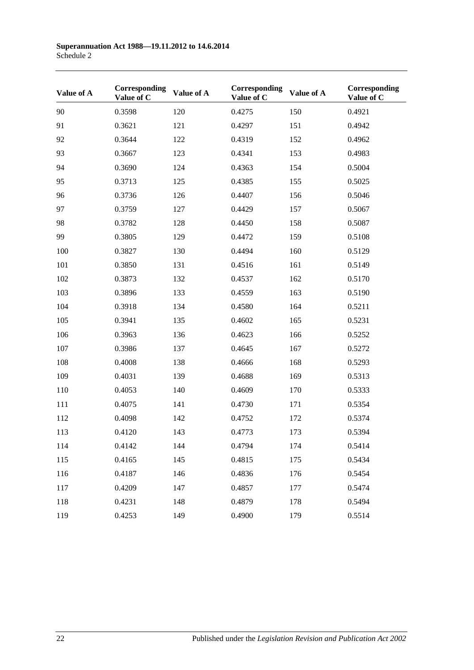| Value of A | Corresponding<br>Value of C | Value of A | Corresponding<br>Value of C | Value of A | Corresponding<br>Value of C |
|------------|-----------------------------|------------|-----------------------------|------------|-----------------------------|
| 90         | 0.3598                      | 120        | 0.4275                      | 150        | 0.4921                      |
| 91         | 0.3621                      | 121        | 0.4297                      | 151        | 0.4942                      |
| 92         | 0.3644                      | 122        | 0.4319                      | 152        | 0.4962                      |
| 93         | 0.3667                      | 123        | 0.4341                      | 153        | 0.4983                      |
| 94         | 0.3690                      | 124        | 0.4363                      | 154        | 0.5004                      |
| 95         | 0.3713                      | 125        | 0.4385                      | 155        | 0.5025                      |
| 96         | 0.3736                      | 126        | 0.4407                      | 156        | 0.5046                      |
| 97         | 0.3759                      | 127        | 0.4429                      | 157        | 0.5067                      |
| 98         | 0.3782                      | 128        | 0.4450                      | 158        | 0.5087                      |
| 99         | 0.3805                      | 129        | 0.4472                      | 159        | 0.5108                      |
| 100        | 0.3827                      | 130        | 0.4494                      | 160        | 0.5129                      |
| 101        | 0.3850                      | 131        | 0.4516                      | 161        | 0.5149                      |
| 102        | 0.3873                      | 132        | 0.4537                      | 162        | 0.5170                      |
| 103        | 0.3896                      | 133        | 0.4559                      | 163        | 0.5190                      |
| 104        | 0.3918                      | 134        | 0.4580                      | 164        | 0.5211                      |
| 105        | 0.3941                      | 135        | 0.4602                      | 165        | 0.5231                      |
| 106        | 0.3963                      | 136        | 0.4623                      | 166        | 0.5252                      |
| 107        | 0.3986                      | 137        | 0.4645                      | 167        | 0.5272                      |
| 108        | 0.4008                      | 138        | 0.4666                      | 168        | 0.5293                      |
| 109        | 0.4031                      | 139        | 0.4688                      | 169        | 0.5313                      |
| 110        | 0.4053                      | 140        | 0.4609                      | 170        | 0.5333                      |
| 111        | 0.4075                      | 141        | 0.4730                      | 171        | 0.5354                      |
| 112        | 0.4098                      | 142        | 0.4752                      | 172        | 0.5374                      |
| 113        | 0.4120                      | 143        | 0.4773                      | 173        | 0.5394                      |
| 114        | 0.4142                      | 144        | 0.4794                      | 174        | 0.5414                      |
| 115        | 0.4165                      | 145        | 0.4815                      | 175        | 0.5434                      |
| 116        | 0.4187                      | 146        | 0.4836                      | 176        | 0.5454                      |
| 117        | 0.4209                      | 147        | 0.4857                      | 177        | 0.5474                      |
| 118        | 0.4231                      | 148        | 0.4879                      | 178        | 0.5494                      |
| 119        | 0.4253                      | 149        | 0.4900                      | 179        | 0.5514                      |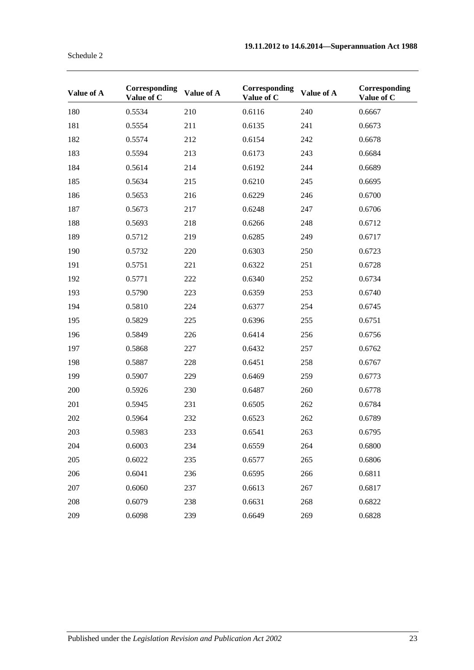| Value of A | Corresponding<br>Value of C | Value of A | Corresponding<br>Value of C | Value of A | Corresponding<br>Value of C |
|------------|-----------------------------|------------|-----------------------------|------------|-----------------------------|
| 180        | 0.5534                      | 210        | 0.6116                      | 240        | 0.6667                      |
| 181        | 0.5554                      | 211        | 0.6135                      | 241        | 0.6673                      |
| 182        | 0.5574                      | 212        | 0.6154                      | 242        | 0.6678                      |
| 183        | 0.5594                      | 213        | 0.6173                      | 243        | 0.6684                      |
| 184        | 0.5614                      | 214        | 0.6192                      | 244        | 0.6689                      |
| 185        | 0.5634                      | 215        | 0.6210                      | 245        | 0.6695                      |
| 186        | 0.5653                      | 216        | 0.6229                      | 246        | 0.6700                      |
| 187        | 0.5673                      | 217        | 0.6248                      | 247        | 0.6706                      |
| 188        | 0.5693                      | 218        | 0.6266                      | 248        | 0.6712                      |
| 189        | 0.5712                      | 219        | 0.6285                      | 249        | 0.6717                      |
| 190        | 0.5732                      | 220        | 0.6303                      | 250        | 0.6723                      |
| 191        | 0.5751                      | 221        | 0.6322                      | 251        | 0.6728                      |
| 192        | 0.5771                      | 222        | 0.6340                      | 252        | 0.6734                      |
| 193        | 0.5790                      | 223        | 0.6359                      | 253        | 0.6740                      |
| 194        | 0.5810                      | 224        | 0.6377                      | 254        | 0.6745                      |
| 195        | 0.5829                      | 225        | 0.6396                      | 255        | 0.6751                      |
| 196        | 0.5849                      | 226        | 0.6414                      | 256        | 0.6756                      |
| 197        | 0.5868                      | 227        | 0.6432                      | 257        | 0.6762                      |
| 198        | 0.5887                      | 228        | 0.6451                      | 258        | 0.6767                      |
| 199        | 0.5907                      | 229        | 0.6469                      | 259        | 0.6773                      |
| 200        | 0.5926                      | 230        | 0.6487                      | 260        | 0.6778                      |
| 201        | 0.5945                      | 231        | 0.6505                      | 262        | 0.6784                      |
| 202        | 0.5964                      | 232        | 0.6523                      | 262        | 0.6789                      |
| 203        | 0.5983                      | 233        | 0.6541                      | 263        | 0.6795                      |
| 204        | 0.6003                      | 234        | 0.6559                      | 264        | 0.6800                      |
| 205        | 0.6022                      | 235        | 0.6577                      | 265        | 0.6806                      |
| 206        | 0.6041                      | 236        | 0.6595                      | 266        | 0.6811                      |
| 207        | 0.6060                      | 237        | 0.6613                      | 267        | 0.6817                      |
| 208        | 0.6079                      | 238        | 0.6631                      | 268        | 0.6822                      |
| 209        | 0.6098                      | 239        | 0.6649                      | 269        | 0.6828                      |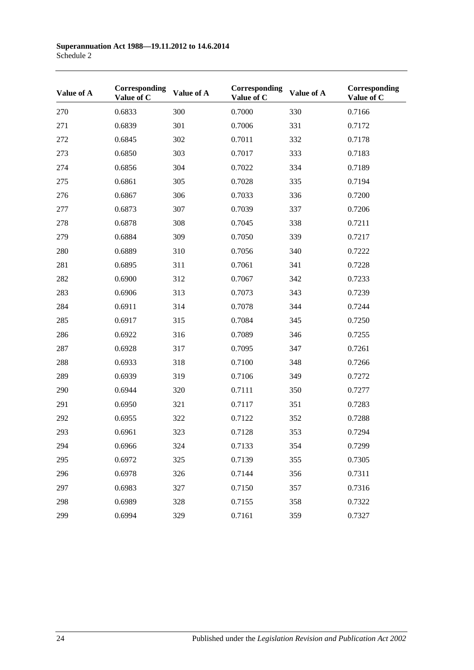| Value of A | Corresponding<br>Value of C | Value of A | Corresponding<br>Value of C | Value of A | Corresponding<br>Value of C |
|------------|-----------------------------|------------|-----------------------------|------------|-----------------------------|
| 270        | 0.6833                      | 300        | 0.7000                      | 330        | 0.7166                      |
| 271        | 0.6839                      | 301        | 0.7006                      | 331        | 0.7172                      |
| 272        | 0.6845                      | 302        | 0.7011                      | 332        | 0.7178                      |
| 273        | 0.6850                      | 303        | 0.7017                      | 333        | 0.7183                      |
| 274        | 0.6856                      | 304        | 0.7022                      | 334        | 0.7189                      |
| 275        | 0.6861                      | 305        | 0.7028                      | 335        | 0.7194                      |
| 276        | 0.6867                      | 306        | 0.7033                      | 336        | 0.7200                      |
| 277        | 0.6873                      | 307        | 0.7039                      | 337        | 0.7206                      |
| 278        | 0.6878                      | 308        | 0.7045                      | 338        | 0.7211                      |
| 279        | 0.6884                      | 309        | 0.7050                      | 339        | 0.7217                      |
| 280        | 0.6889                      | 310        | 0.7056                      | 340        | 0.7222                      |
| 281        | 0.6895                      | 311        | 0.7061                      | 341        | 0.7228                      |
| 282        | 0.6900                      | 312        | 0.7067                      | 342        | 0.7233                      |
| 283        | 0.6906                      | 313        | 0.7073                      | 343        | 0.7239                      |
| 284        | 0.6911                      | 314        | 0.7078                      | 344        | 0.7244                      |
| 285        | 0.6917                      | 315        | 0.7084                      | 345        | 0.7250                      |
| 286        | 0.6922                      | 316        | 0.7089                      | 346        | 0.7255                      |
| 287        | 0.6928                      | 317        | 0.7095                      | 347        | 0.7261                      |
| 288        | 0.6933                      | 318        | 0.7100                      | 348        | 0.7266                      |
| 289        | 0.6939                      | 319        | 0.7106                      | 349        | 0.7272                      |
| 290        | 0.6944                      | 320        | 0.7111                      | 350        | 0.7277                      |
| 291        | 0.6950                      | 321        | 0.7117                      | 351        | 0.7283                      |
| 292        | 0.6955                      | 322        | 0.7122                      | 352        | 0.7288                      |
| 293        | 0.6961                      | 323        | 0.7128                      | 353        | 0.7294                      |
| 294        | 0.6966                      | 324        | 0.7133                      | 354        | 0.7299                      |
| 295        | 0.6972                      | 325        | 0.7139                      | 355        | 0.7305                      |
| 296        | 0.6978                      | 326        | 0.7144                      | 356        | 0.7311                      |
| 297        | 0.6983                      | 327        | 0.7150                      | 357        | 0.7316                      |
| 298        | 0.6989                      | 328        | 0.7155                      | 358        | 0.7322                      |
| 299        | 0.6994                      | 329        | 0.7161                      | 359        | 0.7327                      |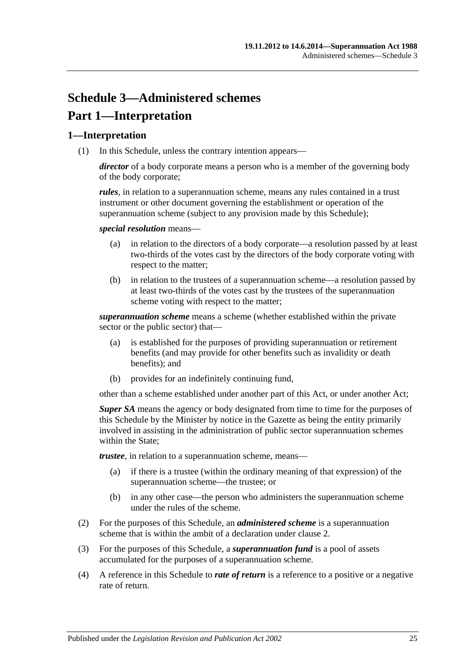# **Schedule 3—Administered schemes Part 1—Interpretation**

## **1—Interpretation**

(1) In this Schedule, unless the contrary intention appears—

*director* of a body corporate means a person who is a member of the governing body of the body corporate;

*rules*, in relation to a superannuation scheme, means any rules contained in a trust instrument or other document governing the establishment or operation of the superannuation scheme (subject to any provision made by this Schedule);

*special resolution* means—

- (a) in relation to the directors of a body corporate—a resolution passed by at least two-thirds of the votes cast by the directors of the body corporate voting with respect to the matter;
- (b) in relation to the trustees of a superannuation scheme—a resolution passed by at least two-thirds of the votes cast by the trustees of the superannuation scheme voting with respect to the matter;

*superannuation scheme* means a scheme (whether established within the private sector or the public sector) that—

- (a) is established for the purposes of providing superannuation or retirement benefits (and may provide for other benefits such as invalidity or death benefits); and
- (b) provides for an indefinitely continuing fund,

other than a scheme established under another part of this Act, or under another Act;

*Super SA* means the agency or body designated from time to time for the purposes of this Schedule by the Minister by notice in the Gazette as being the entity primarily involved in assisting in the administration of public sector superannuation schemes within the State:

*trustee*, in relation to a superannuation scheme, means—

- (a) if there is a trustee (within the ordinary meaning of that expression) of the superannuation scheme—the trustee; or
- (b) in any other case—the person who administers the superannuation scheme under the rules of the scheme.
- (2) For the purposes of this Schedule, an *administered scheme* is a superannuation scheme that is within the ambit of a declaration under [clause](#page-129-0) 2.
- (3) For the purposes of this Schedule, a *superannuation fund* is a pool of assets accumulated for the purposes of a superannuation scheme.
- (4) A reference in this Schedule to *rate of return* is a reference to a positive or a negative rate of return.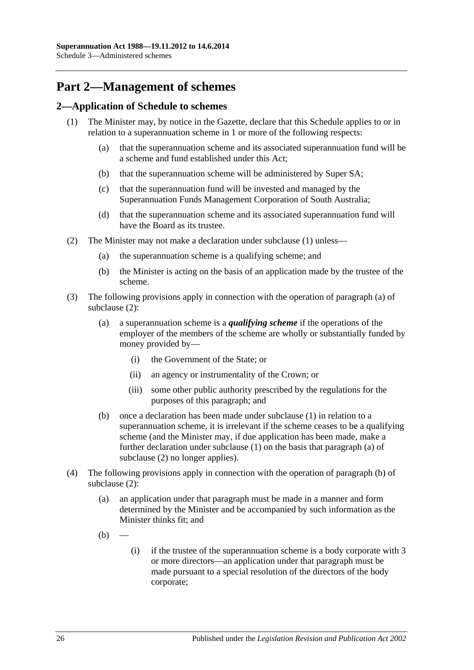# **Part 2—Management of schemes**

## <span id="page-129-1"></span><span id="page-129-0"></span>**2—Application of Schedule to schemes**

- <span id="page-129-6"></span><span id="page-129-5"></span>(1) The Minister may, by notice in the Gazette, declare that this Schedule applies to or in relation to a superannuation scheme in 1 or more of the following respects:
	- (a) that the superannuation scheme and its associated superannuation fund will be a scheme and fund established under this Act;
	- (b) that the superannuation scheme will be administered by Super SA;
	- (c) that the superannuation fund will be invested and managed by the Superannuation Funds Management Corporation of South Australia;
	- (d) that the superannuation scheme and its associated superannuation fund will have the Board as its trustee.
- <span id="page-129-8"></span><span id="page-129-7"></span><span id="page-129-4"></span><span id="page-129-3"></span><span id="page-129-2"></span>(2) The Minister may not make a declaration under [subclause](#page-129-1) (1) unless—
	- (a) the superannuation scheme is a qualifying scheme; and
	- (b) the Minister is acting on the basis of an application made by the trustee of the scheme.
- (3) The following provisions apply in connection with the operation of [paragraph](#page-129-2) (a) of [subclause](#page-129-3) (2):
	- (a) a superannuation scheme is a *qualifying scheme* if the operations of the employer of the members of the scheme are wholly or substantially funded by money provided by—
		- (i) the Government of the State; or
		- (ii) an agency or instrumentality of the Crown; or
		- (iii) some other public authority prescribed by the regulations for the purposes of this paragraph; and
	- (b) once a declaration has been made under [subclause](#page-129-1) (1) in relation to a superannuation scheme, it is irrelevant if the scheme ceases to be a qualifying scheme (and the Minister may, if due application has been made, make a further declaration under [subclause](#page-129-1) (1) on the basis that [paragraph](#page-129-2) (a) of [subclause](#page-129-3) (2) no longer applies).
- (4) The following provisions apply in connection with the operation of [paragraph](#page-129-4) (b) of [subclause](#page-129-3) (2):
	- (a) an application under that paragraph must be made in a manner and form determined by the Minister and be accompanied by such information as the Minister thinks fit; and
	- $(b)$
- (i) if the trustee of the superannuation scheme is a body corporate with 3 or more directors—an application under that paragraph must be made pursuant to a special resolution of the directors of the body corporate;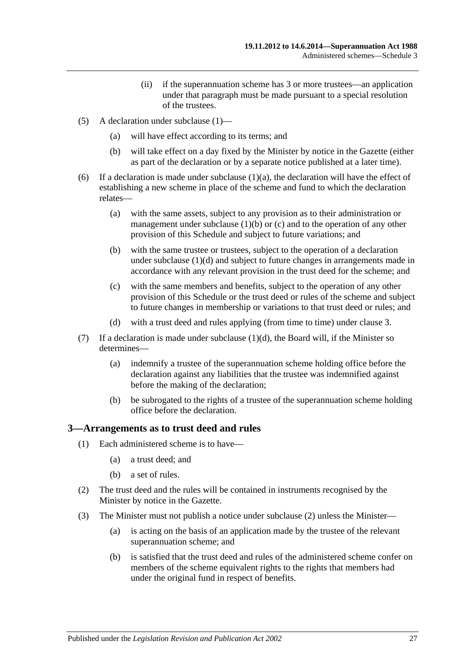- (ii) if the superannuation scheme has 3 or more trustees—an application under that paragraph must be made pursuant to a special resolution of the trustees.
- (5) A declaration under [subclause](#page-129-1) (1)—
	- (a) will have effect according to its terms; and
	- (b) will take effect on a day fixed by the Minister by notice in the Gazette (either as part of the declaration or by a separate notice published at a later time).
- (6) If a declaration is made under [subclause](#page-129-5)  $(1)(a)$ , the declaration will have the effect of establishing a new scheme in place of the scheme and fund to which the declaration relates—
	- (a) with the same assets, subject to any provision as to their administration or management under [subclause](#page-129-6)  $(1)(b)$  or  $(c)$  and to the operation of any other provision of this Schedule and subject to future variations; and
	- (b) with the same trustee or trustees, subject to the operation of a declaration under [subclause](#page-129-8) (1)(d) and subject to future changes in arrangements made in accordance with any relevant provision in the trust deed for the scheme; and
	- (c) with the same members and benefits, subject to the operation of any other provision of this Schedule or the trust deed or rules of the scheme and subject to future changes in membership or variations to that trust deed or rules; and
	- (d) with a trust deed and rules applying (from time to time) under [clause](#page-130-0) 3.
- (7) If a declaration is made under [subclause](#page-129-8)  $(1)(d)$ , the Board will, if the Minister so determines—
	- (a) indemnify a trustee of the superannuation scheme holding office before the declaration against any liabilities that the trustee was indemnified against before the making of the declaration;
	- (b) be subrogated to the rights of a trustee of the superannuation scheme holding office before the declaration.

### <span id="page-130-0"></span>**3—Arrangements as to trust deed and rules**

- (1) Each administered scheme is to have—
	- (a) a trust deed; and
	- (b) a set of rules.
- <span id="page-130-1"></span>(2) The trust deed and the rules will be contained in instruments recognised by the Minister by notice in the Gazette.
- <span id="page-130-2"></span>(3) The Minister must not publish a notice under [subclause](#page-130-1) (2) unless the Minister—
	- (a) is acting on the basis of an application made by the trustee of the relevant superannuation scheme; and
	- (b) is satisfied that the trust deed and rules of the administered scheme confer on members of the scheme equivalent rights to the rights that members had under the original fund in respect of benefits.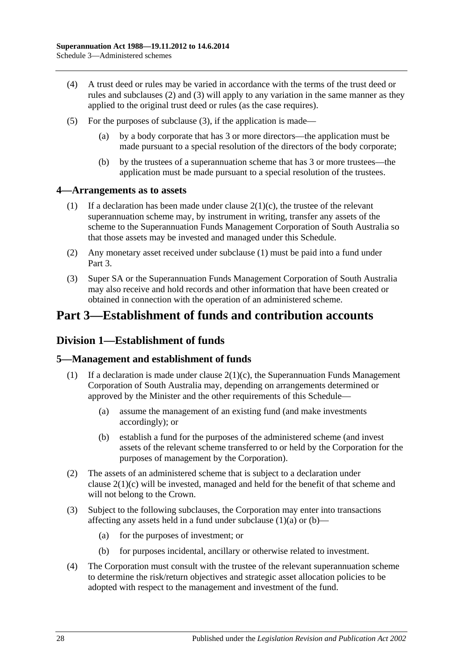- (4) A trust deed or rules may be varied in accordance with the terms of the trust deed or rules and [subclauses](#page-130-1) (2) and [\(3\)](#page-130-2) will apply to any variation in the same manner as they applied to the original trust deed or rules (as the case requires).
- (5) For the purposes of [subclause](#page-130-2) (3), if the application is made—
	- (a) by a body corporate that has 3 or more directors—the application must be made pursuant to a special resolution of the directors of the body corporate;
	- (b) by the trustees of a superannuation scheme that has 3 or more trustees—the application must be made pursuant to a special resolution of the trustees.

## <span id="page-131-0"></span>**4—Arrangements as to assets**

- (1) If a declaration has been made under clause  $2(1)(c)$ , the trustee of the relevant superannuation scheme may, by instrument in writing, transfer any assets of the scheme to the Superannuation Funds Management Corporation of South Australia so that those assets may be invested and managed under this Schedule.
- (2) Any monetary asset received under [subclause](#page-131-0) (1) must be paid into a fund under Part 3.
- (3) Super SA or the Superannuation Funds Management Corporation of South Australia may also receive and hold records and other information that have been created or obtained in connection with the operation of an administered scheme.

# **Part 3—Establishment of funds and contribution accounts**

## **Division 1—Establishment of funds**

## **5—Management and establishment of funds**

- <span id="page-131-1"></span>(1) If a declaration is made under clause  $2(1)(c)$ , the Superannuation Funds Management Corporation of South Australia may, depending on arrangements determined or approved by the Minister and the other requirements of this Schedule—
	- (a) assume the management of an existing fund (and make investments accordingly); or
	- (b) establish a fund for the purposes of the administered scheme (and invest assets of the relevant scheme transferred to or held by the Corporation for the purposes of management by the Corporation).
- <span id="page-131-2"></span>(2) The assets of an administered scheme that is subject to a declaration under clause [2\(1\)\(c\)](#page-129-7) will be invested, managed and held for the benefit of that scheme and will not belong to the Crown.
- (3) Subject to the following subclauses, the Corporation may enter into transactions affecting any assets held in a fund under [subclause](#page-131-1)  $(1)(a)$  or  $(b)$ —
	- (a) for the purposes of investment; or
	- (b) for purposes incidental, ancillary or otherwise related to investment.
- (4) The Corporation must consult with the trustee of the relevant superannuation scheme to determine the risk/return objectives and strategic asset allocation policies to be adopted with respect to the management and investment of the fund.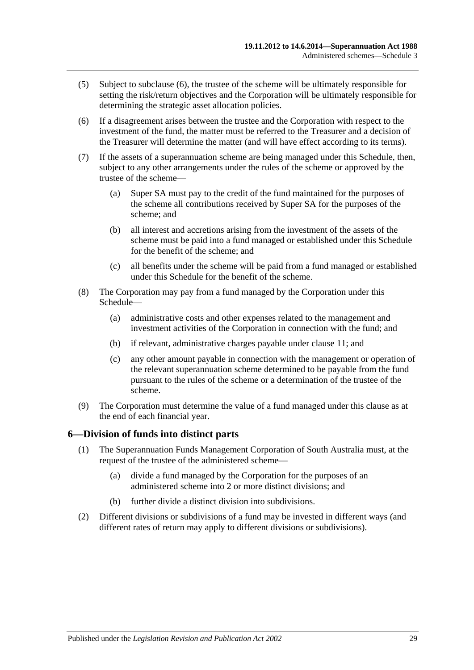- (5) Subject to [subclause](#page-132-0) (6), the trustee of the scheme will be ultimately responsible for setting the risk/return objectives and the Corporation will be ultimately responsible for determining the strategic asset allocation policies.
- <span id="page-132-0"></span>(6) If a disagreement arises between the trustee and the Corporation with respect to the investment of the fund, the matter must be referred to the Treasurer and a decision of the Treasurer will determine the matter (and will have effect according to its terms).
- (7) If the assets of a superannuation scheme are being managed under this Schedule, then, subject to any other arrangements under the rules of the scheme or approved by the trustee of the scheme—
	- (a) Super SA must pay to the credit of the fund maintained for the purposes of the scheme all contributions received by Super SA for the purposes of the scheme; and
	- (b) all interest and accretions arising from the investment of the assets of the scheme must be paid into a fund managed or established under this Schedule for the benefit of the scheme; and
	- (c) all benefits under the scheme will be paid from a fund managed or established under this Schedule for the benefit of the scheme.
- (8) The Corporation may pay from a fund managed by the Corporation under this Schedule—
	- (a) administrative costs and other expenses related to the management and investment activities of the Corporation in connection with the fund; and
	- (b) if relevant, administrative charges payable under [clause](#page-134-0) 11; and
	- (c) any other amount payable in connection with the management or operation of the relevant superannuation scheme determined to be payable from the fund pursuant to the rules of the scheme or a determination of the trustee of the scheme.
- (9) The Corporation must determine the value of a fund managed under this clause as at the end of each financial year.

### **6—Division of funds into distinct parts**

- (1) The Superannuation Funds Management Corporation of South Australia must, at the request of the trustee of the administered scheme—
	- (a) divide a fund managed by the Corporation for the purposes of an administered scheme into 2 or more distinct divisions; and
	- (b) further divide a distinct division into subdivisions.
- (2) Different divisions or subdivisions of a fund may be invested in different ways (and different rates of return may apply to different divisions or subdivisions).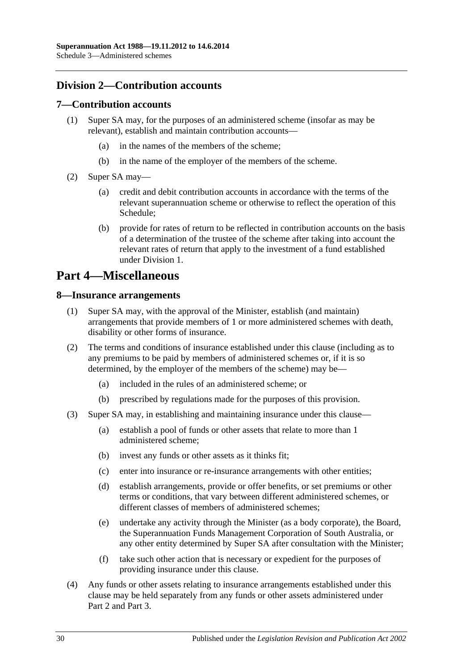## **Division 2—Contribution accounts**

### **7—Contribution accounts**

- (1) Super SA may, for the purposes of an administered scheme (insofar as may be relevant), establish and maintain contribution accounts—
	- (a) in the names of the members of the scheme;
	- (b) in the name of the employer of the members of the scheme.
- (2) Super SA may—
	- (a) credit and debit contribution accounts in accordance with the terms of the relevant superannuation scheme or otherwise to reflect the operation of this Schedule;
	- (b) provide for rates of return to be reflected in contribution accounts on the basis of a determination of the trustee of the scheme after taking into account the relevant rates of return that apply to the investment of a fund established under Division 1.

## **Part 4—Miscellaneous**

### **8—Insurance arrangements**

- (1) Super SA may, with the approval of the Minister, establish (and maintain) arrangements that provide members of 1 or more administered schemes with death, disability or other forms of insurance.
- (2) The terms and conditions of insurance established under this clause (including as to any premiums to be paid by members of administered schemes or, if it is so determined, by the employer of the members of the scheme) may be—
	- (a) included in the rules of an administered scheme; or
	- (b) prescribed by regulations made for the purposes of this provision.
- (3) Super SA may, in establishing and maintaining insurance under this clause—
	- (a) establish a pool of funds or other assets that relate to more than 1 administered scheme;
	- (b) invest any funds or other assets as it thinks fit;
	- (c) enter into insurance or re-insurance arrangements with other entities;
	- (d) establish arrangements, provide or offer benefits, or set premiums or other terms or conditions, that vary between different administered schemes, or different classes of members of administered schemes;
	- (e) undertake any activity through the Minister (as a body corporate), the Board, the Superannuation Funds Management Corporation of South Australia, or any other entity determined by Super SA after consultation with the Minister;
	- (f) take such other action that is necessary or expedient for the purposes of providing insurance under this clause.
- (4) Any funds or other assets relating to insurance arrangements established under this clause may be held separately from any funds or other assets administered under Part 2 and Part 3.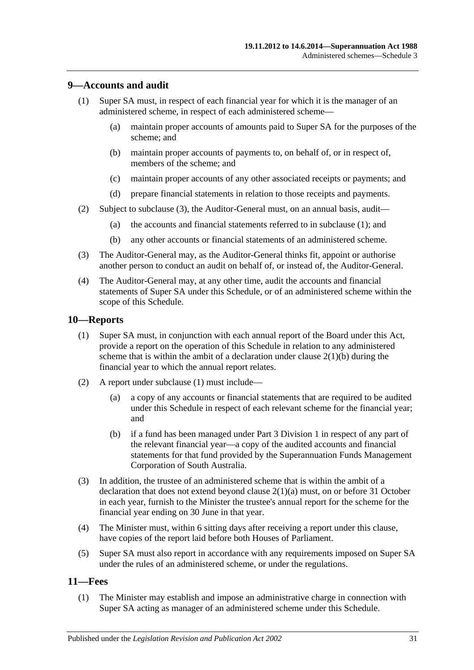## <span id="page-134-2"></span>**9—Accounts and audit**

- (1) Super SA must, in respect of each financial year for which it is the manager of an administered scheme, in respect of each administered scheme—
	- (a) maintain proper accounts of amounts paid to Super SA for the purposes of the scheme; and
	- (b) maintain proper accounts of payments to, on behalf of, or in respect of, members of the scheme; and
	- (c) maintain proper accounts of any other associated receipts or payments; and
	- (d) prepare financial statements in relation to those receipts and payments.
- (2) Subject to [subclause](#page-134-1) (3), the Auditor-General must, on an annual basis, audit—
	- (a) the accounts and financial statements referred to in [subclause](#page-134-2) (1); and
	- (b) any other accounts or financial statements of an administered scheme.
- <span id="page-134-1"></span>(3) The Auditor-General may, as the Auditor-General thinks fit, appoint or authorise another person to conduct an audit on behalf of, or instead of, the Auditor-General.
- (4) The Auditor-General may, at any other time, audit the accounts and financial statements of Super SA under this Schedule, or of an administered scheme within the scope of this Schedule.

### <span id="page-134-3"></span>**10—Reports**

- (1) Super SA must, in conjunction with each annual report of the Board under this Act, provide a report on the operation of this Schedule in relation to any administered scheme that is within the ambit of a declaration under clause  $2(1)(b)$  during the financial year to which the annual report relates.
- (2) A report under [subclause](#page-134-3) (1) must include—
	- (a) a copy of any accounts or financial statements that are required to be audited under this Schedule in respect of each relevant scheme for the financial year; and
	- (b) if a fund has been managed under Part 3 Division 1 in respect of any part of the relevant financial year—a copy of the audited accounts and financial statements for that fund provided by the Superannuation Funds Management Corporation of South Australia.
- (3) In addition, the trustee of an administered scheme that is within the ambit of a declaration that does not extend beyond clause [2\(1\)\(a\)](#page-129-5) must, on or before 31 October in each year, furnish to the Minister the trustee's annual report for the scheme for the financial year ending on 30 June in that year.
- (4) The Minister must, within 6 sitting days after receiving a report under this clause, have copies of the report laid before both Houses of Parliament.
- (5) Super SA must also report in accordance with any requirements imposed on Super SA under the rules of an administered scheme, or under the regulations.

### <span id="page-134-4"></span><span id="page-134-0"></span>**11—Fees**

(1) The Minister may establish and impose an administrative charge in connection with Super SA acting as manager of an administered scheme under this Schedule.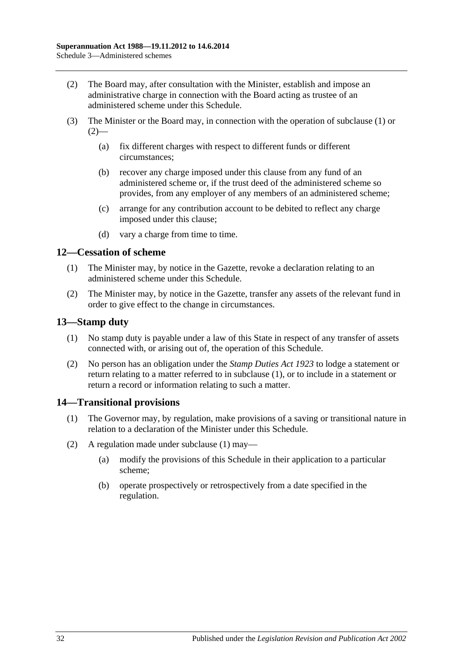- <span id="page-135-0"></span>(2) The Board may, after consultation with the Minister, establish and impose an administrative charge in connection with the Board acting as trustee of an administered scheme under this Schedule.
- (3) The Minister or the Board may, in connection with the operation of [subclause](#page-134-4) (1) or  $(2)$ —
	- (a) fix different charges with respect to different funds or different circumstances;
	- (b) recover any charge imposed under this clause from any fund of an administered scheme or, if the trust deed of the administered scheme so provides, from any employer of any members of an administered scheme;
	- (c) arrange for any contribution account to be debited to reflect any charge imposed under this clause;
	- (d) vary a charge from time to time.

## **12—Cessation of scheme**

- (1) The Minister may, by notice in the Gazette, revoke a declaration relating to an administered scheme under this Schedule.
- (2) The Minister may, by notice in the Gazette, transfer any assets of the relevant fund in order to give effect to the change in circumstances.

## <span id="page-135-1"></span>**13—Stamp duty**

- (1) No stamp duty is payable under a law of this State in respect of any transfer of assets connected with, or arising out of, the operation of this Schedule.
- (2) No person has an obligation under the *[Stamp Duties Act](http://www.legislation.sa.gov.au/index.aspx?action=legref&type=act&legtitle=Stamp%20Duties%20Act%201923) 1923* to lodge a statement or return relating to a matter referred to in [subclause](#page-135-1) (1), or to include in a statement or return a record or information relating to such a matter.

## <span id="page-135-2"></span>**14—Transitional provisions**

- (1) The Governor may, by regulation, make provisions of a saving or transitional nature in relation to a declaration of the Minister under this Schedule.
- (2) A regulation made under [subclause](#page-135-2) (1) may—
	- (a) modify the provisions of this Schedule in their application to a particular scheme;
	- (b) operate prospectively or retrospectively from a date specified in the regulation.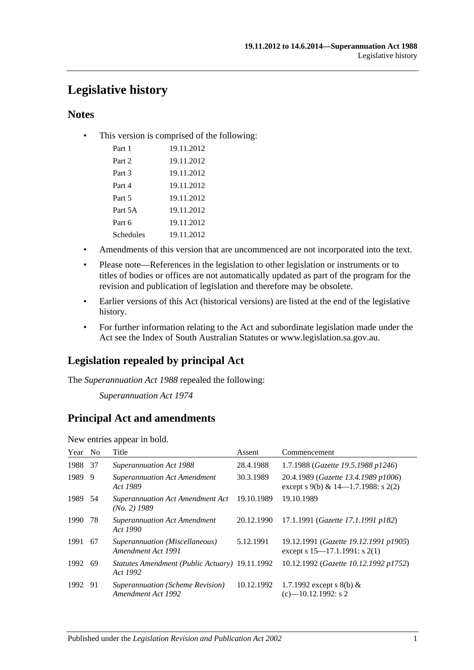# **Legislative history**

## **Notes**

• This version is comprised of the following:

| Part 1    | 19.11.2012 |
|-----------|------------|
| Part 2    | 19.11.2012 |
| Part 3    | 19.11.2012 |
| Part 4    | 19.11.2012 |
| Part 5    | 19.11.2012 |
| Part 5A   | 19.11.2012 |
| Part 6    | 19.11.2012 |
| Schedules | 19.11.2012 |

- Amendments of this version that are uncommenced are not incorporated into the text.
- Please note—References in the legislation to other legislation or instruments or to titles of bodies or offices are not automatically updated as part of the program for the revision and publication of legislation and therefore may be obsolete.
- Earlier versions of this Act (historical versions) are listed at the end of the legislative history.
- For further information relating to the Act and subordinate legislation made under the Act see the Index of South Australian Statutes or www.legislation.sa.gov.au.

## **Legislation repealed by principal Act**

The *Superannuation Act 1988* repealed the following:

*Superannuation Act 1974*

## **Principal Act and amendments**

New entries appear in bold.

| Year No |     | Title                                                      | Assent     | Commencement                                                                  |
|---------|-----|------------------------------------------------------------|------------|-------------------------------------------------------------------------------|
| 1988    | -37 | <b>Superannuation Act 1988</b>                             | 28.4.1988  | 1.7.1988 (Gazette 19.5.1988 p1246)                                            |
| 1989    | -9  | <b>Superannuation Act Amendment</b><br>Act 1989            | 30.3.1989  | 20.4.1989 (Gazette 13.4.1989 p1006)<br>except s 9(b) & $14-1.7.1988$ : s 2(2) |
| 1989 54 |     | Superannuation Act Amendment Act<br>$(No. 2)$ 1989         | 19.10.1989 | 19.10.1989                                                                    |
| 1990    | 78  | <b>Superannuation Act Amendment</b><br>Act 1990            | 20.12.1990 | 17.1.1991 (Gazette 17.1.1991 p182)                                            |
| 1991    | -67 | Superannuation (Miscellaneous)<br>Amendment Act 1991       | 5.12.1991  | 19.12.1991 (Gazette 19.12.1991 p1905)<br>except s 15–17.1.1991: s 2(1)        |
| 1992    | -69 | Statutes Amendment (Public Actuary) 19.11.1992<br>Act 1992 |            | 10.12.1992 (Gazette 10.12.1992 p1752)                                         |
| 1992 91 |     | Superannuation (Scheme Revision)<br>Amendment Act 1992     | 10.12.1992 | 1.7.1992 except s 8(b) $&$<br>$(c)$ -10.12.1992: s 2                          |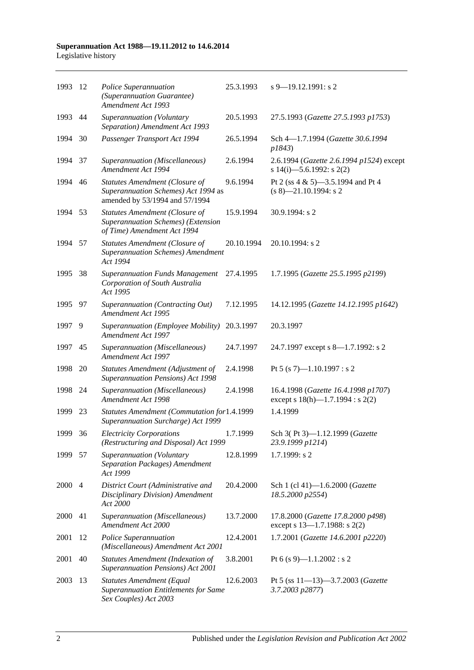#### **Superannuation Act 1988—19.11.2012 to 14.6.2014** Legislative history

| 1993    | -12            | Police Superannuation<br>(Superannuation Guarantee)<br>Amendment Act 1993                                      | 25.3.1993  | $s$ 9–19.12.1991: s 2                                                        |
|---------|----------------|----------------------------------------------------------------------------------------------------------------|------------|------------------------------------------------------------------------------|
| 1993    | 44             | Superannuation (Voluntary<br>Separation) Amendment Act 1993                                                    | 20.5.1993  | 27.5.1993 (Gazette 27.5.1993 p1753)                                          |
| 1994    | 30             | Passenger Transport Act 1994                                                                                   | 26.5.1994  | Sch 4-1.7.1994 (Gazette 30.6.1994<br>p1843)                                  |
| 1994    | 37             | Superannuation (Miscellaneous)<br>Amendment Act 1994                                                           | 2.6.1994   | 2.6.1994 (Gazette 2.6.1994 p1524) except<br>s 14(i)-5.6.1992: s 2(2)         |
| 1994    | 46             | <b>Statutes Amendment (Closure of</b><br>Superannuation Schemes) Act 1994 as<br>amended by 53/1994 and 57/1994 | 9.6.1994   | Pt 2 (ss 4 & 5)-3.5.1994 and Pt 4<br>$(s 8)$ —21.10.1994: s 2                |
| 1994    | 53             | <b>Statutes Amendment (Closure of</b><br>Superannuation Schemes) (Extension<br>of Time) Amendment Act 1994     | 15.9.1994  | 30.9.1994: s 2                                                               |
| 1994    | 57             | <b>Statutes Amendment (Closure of</b><br><b>Superannuation Schemes</b> ) Amendment<br>Act 1994                 | 20.10.1994 | 20.10.1994: s 2                                                              |
| 1995    | 38             | <b>Superannuation Funds Management</b><br>Corporation of South Australia<br>Act 1995                           | 27.4.1995  | 1.7.1995 (Gazette 25.5.1995 p2199)                                           |
| 1995    | 97             | Superannuation (Contracting Out)<br>Amendment Act 1995                                                         | 7.12.1995  | 14.12.1995 (Gazette 14.12.1995 p1642)                                        |
| 1997    | 9              | Superannuation (Employee Mobility)<br>Amendment Act 1997                                                       | 20.3.1997  | 20.3.1997                                                                    |
| 1997    | 45             | Superannuation (Miscellaneous)<br>Amendment Act 1997                                                           | 24.7.1997  | 24.7.1997 except s 8—1.7.1992: s 2                                           |
| 1998    | 20             | <b>Statutes Amendment (Adjustment of</b><br><b>Superannuation Pensions) Act 1998</b>                           | 2.4.1998   | Pt 5 (s 7)-1.10.1997 : s 2                                                   |
| 1998    | 24             | Superannuation (Miscellaneous)<br>Amendment Act 1998                                                           | 2.4.1998   | 16.4.1998 (Gazette 16.4.1998 p1707)<br>except s $18(h)$ —1.7.1994 : s $2(2)$ |
| 1999    | 23             | Statutes Amendment (Commutation for1.4.1999<br>Superannuation Surcharge) Act 1999                              |            | 1.4.1999                                                                     |
| 1999 36 |                | <b>Electricity Corporations</b><br>(Restructuring and Disposal) Act 1999                                       | 1.7.1999   | Sch 3(Pt 3)-1.12.1999 (Gazette<br>23.9.1999 p1214)                           |
| 1999    | - 57           | Superannuation (Voluntary<br>Separation Packages) Amendment<br>Act 1999                                        | 12.8.1999  | 1.7.1999: s 2                                                                |
| 2000    | $\overline{4}$ | District Court (Administrative and<br>Disciplinary Division) Amendment<br>Act 2000                             | 20.4.2000  | Sch 1 (cl 41)-1.6.2000 (Gazette<br>18.5.2000 p2554)                          |
| 2000    | 41             | Superannuation (Miscellaneous)<br>Amendment Act 2000                                                           | 13.7.2000  | 17.8.2000 (Gazette 17.8.2000 p498)<br>except s 13-1.7.1988: s 2(2)           |
| 2001    | 12             | Police Superannuation<br>(Miscellaneous) Amendment Act 2001                                                    | 12.4.2001  | 1.7.2001 (Gazette 14.6.2001 p2220)                                           |
| 2001    | 40             | <b>Statutes Amendment (Indexation of</b><br>Superannuation Pensions) Act 2001                                  | 3.8.2001   | Pt 6 (s 9)-1.1.2002 : s 2                                                    |
| 2003    | 13             | <b>Statutes Amendment (Equal</b><br><b>Superannuation Entitlements for Same</b><br>Sex Couples) Act 2003       | 12.6.2003  | Pt 5 (ss 11-13)-3.7.2003 (Gazette<br>3.7.2003 p2877)                         |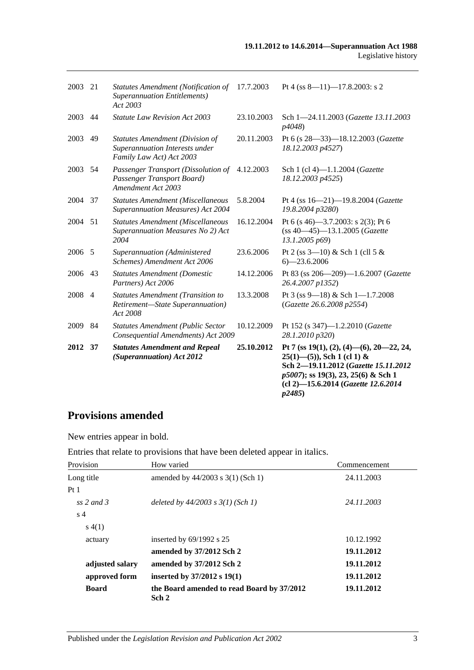| 2003    | 21             | <b>Statutes Amendment (Notification of</b><br><b>Superannuation Entitlements)</b><br>Act 2003        | 17.7.2003  | Pt 4 (ss $8-11$ )-17.8.2003: s 2                                                                                                                                                                                                         |
|---------|----------------|------------------------------------------------------------------------------------------------------|------------|------------------------------------------------------------------------------------------------------------------------------------------------------------------------------------------------------------------------------------------|
| 2003    | 44             | <b>Statute Law Revision Act 2003</b>                                                                 | 23.10.2003 | Sch 1-24.11.2003 (Gazette 13.11.2003<br>p4048)                                                                                                                                                                                           |
| 2003    | 49             | <b>Statutes Amendment (Division of</b><br>Superannuation Interests under<br>Family Law Act) Act 2003 | 20.11.2003 | Pt 6 (s 28-33)-18.12.2003 (Gazette<br>18.12.2003 p4527)                                                                                                                                                                                  |
| 2003    | 54             | Passenger Transport (Dissolution of<br>Passenger Transport Board)<br>Amendment Act 2003              | 4.12.2003  | Sch 1 (cl 4)-1.1.2004 (Gazette<br>18.12.2003 p4525)                                                                                                                                                                                      |
| 2004    | 37             | <b>Statutes Amendment (Miscellaneous</b><br>Superannuation Measures) Act 2004                        | 5.8.2004   | Pt 4 (ss 16-21)-19.8.2004 (Gazette<br>19.8.2004 p3280)                                                                                                                                                                                   |
| 2004    | 51             | <b>Statutes Amendment (Miscellaneous</b><br>Superannuation Measures No 2) Act<br>2004                | 16.12.2004 | Pt 6 (s 46)–3.7.2003: s 2(3); Pt 6<br>$(ss 40-45) - 13.1.2005$ (Gazette<br>13.1.2005 p69)                                                                                                                                                |
| 2006 5  |                | Superannuation (Administered<br>Schemes) Amendment Act 2006                                          | 23.6.2006  | Pt 2 (ss $3-10$ ) & Sch 1 (cll 5 &<br>$6 - 23.6.2006$                                                                                                                                                                                    |
| 2006 43 |                | <b>Statutes Amendment (Domestic</b><br>Partners) Act 2006                                            | 14.12.2006 | Pt 83 (ss 206-209)-1.6.2007 (Gazette<br>26.4.2007 p1352)                                                                                                                                                                                 |
| 2008    | $\overline{4}$ | <b>Statutes Amendment (Transition to</b><br>Retirement-State Superannuation)<br>Act 2008             | 13.3.2008  | Pt 3 (ss 9-18) & Sch 1-1.7.2008<br>(Gazette 26.6.2008 p2554)                                                                                                                                                                             |
| 2009    | 84             | <b>Statutes Amendment (Public Sector</b><br>Consequential Amendments) Act 2009                       | 10.12.2009 | Pt 152 (s 347)-1.2.2010 (Gazette<br>28.1.2010 p320)                                                                                                                                                                                      |
| 2012    | 37             | <b>Statutes Amendment and Repeal</b><br>(Superannuation) Act 2012                                    | 25.10.2012 | Pt 7 (ss $19(1)$ , $(2)$ , $(4)$ — $(6)$ , $20$ — $22$ , $24$ ,<br>$25(1)$ —(5)), Sch 1 (cl 1) &<br>Sch 2-19.11.2012 (Gazette 15.11.2012<br>p5007); ss 19(3), 23, 25(6) & Sch 1<br>(cl 2)-15.6.2014 (Gazette 12.6.2014<br><i>p2485</i> ) |

# **Provisions amended**

New entries appear in bold.

Entries that relate to provisions that have been deleted appear in italics.

| Provision       | How varied                                          | Commencement |
|-----------------|-----------------------------------------------------|--------------|
| Long title      | amended by $44/2003$ s $3(1)$ (Sch 1)               | 24.11.2003   |
| Pt1             |                                                     |              |
| ss 2 and 3      | deleted by $44/2003$ s $3(1)$ (Sch 1)               | 24.11.2003   |
| s <sub>4</sub>  |                                                     |              |
| s(4(1))         |                                                     |              |
| actuary         | inserted by $69/1992$ s 25                          | 10.12.1992   |
|                 | amended by 37/2012 Sch 2                            | 19.11.2012   |
| adjusted salary | amended by 37/2012 Sch 2                            | 19.11.2012   |
| approved form   | inserted by $37/2012$ s $19(1)$                     | 19.11.2012   |
| <b>Board</b>    | the Board amended to read Board by 37/2012<br>Sch 2 | 19.11.2012   |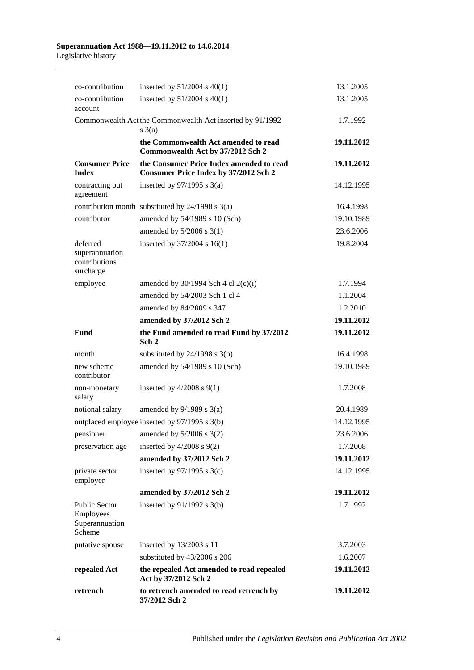#### **Superannuation Act 1988—19.11.2012 to 14.6.2014** Legislative history

| co-contribution                                               | inserted by $51/2004$ s $40(1)$                                                          | 13.1.2005  |
|---------------------------------------------------------------|------------------------------------------------------------------------------------------|------------|
| co-contribution<br>account                                    | inserted by $51/2004$ s $40(1)$                                                          | 13.1.2005  |
|                                                               | Commonwealth Act the Commonwealth Act inserted by 91/1992<br>$s \; 3(a)$                 | 1.7.1992   |
|                                                               | the Commonwealth Act amended to read<br>Commonwealth Act by 37/2012 Sch 2                | 19.11.2012 |
| <b>Consumer Price</b><br><b>Index</b>                         | the Consumer Price Index amended to read<br><b>Consumer Price Index by 37/2012 Sch 2</b> | 19.11.2012 |
| contracting out<br>agreement                                  | inserted by $97/1995$ s 3(a)                                                             | 14.12.1995 |
|                                                               | contribution month substituted by $24/1998$ s $3(a)$                                     | 16.4.1998  |
| contributor                                                   | amended by 54/1989 s 10 (Sch)                                                            | 19.10.1989 |
|                                                               | amended by $5/2006$ s 3(1)                                                               | 23.6.2006  |
| deferred<br>superannuation<br>contributions<br>surcharge      | inserted by 37/2004 s 16(1)                                                              | 19.8.2004  |
| employee                                                      | amended by $30/1994$ Sch 4 cl 2(c)(i)                                                    | 1.7.1994   |
|                                                               | amended by 54/2003 Sch 1 cl 4                                                            | 1.1.2004   |
|                                                               | amended by 84/2009 s 347                                                                 | 1.2.2010   |
|                                                               | amended by 37/2012 Sch 2                                                                 | 19.11.2012 |
| <b>Fund</b>                                                   | the Fund amended to read Fund by 37/2012<br>Sch <sub>2</sub>                             | 19.11.2012 |
| month                                                         | substituted by $24/1998$ s $3(b)$                                                        | 16.4.1998  |
| new scheme<br>contributor                                     | amended by 54/1989 s 10 (Sch)                                                            | 19.10.1989 |
| non-monetary<br>salary                                        | inserted by $4/2008$ s $9(1)$                                                            | 1.7.2008   |
|                                                               |                                                                                          |            |
| notional salary                                               | amended by $9/1989$ s $3(a)$                                                             | 20.4.1989  |
|                                                               | outplaced employee inserted by 97/1995 s 3(b)                                            | 14.12.1995 |
|                                                               | pensioner amended by 5/2006 s 3(2)                                                       | 23.6.2006  |
| preservation age                                              | inserted by $4/2008$ s $9(2)$                                                            | 1.7.2008   |
|                                                               | amended by 37/2012 Sch 2                                                                 | 19.11.2012 |
| private sector<br>employer                                    | inserted by $97/1995$ s 3(c)                                                             | 14.12.1995 |
|                                                               | amended by 37/2012 Sch 2                                                                 | 19.11.2012 |
| <b>Public Sector</b><br>Employees<br>Superannuation<br>Scheme | inserted by 91/1992 s 3(b)                                                               | 1.7.1992   |
| putative spouse                                               | inserted by 13/2003 s 11                                                                 | 3.7.2003   |
|                                                               | substituted by 43/2006 s 206                                                             | 1.6.2007   |
| repealed Act                                                  | the repealed Act amended to read repealed<br>Act by 37/2012 Sch 2                        | 19.11.2012 |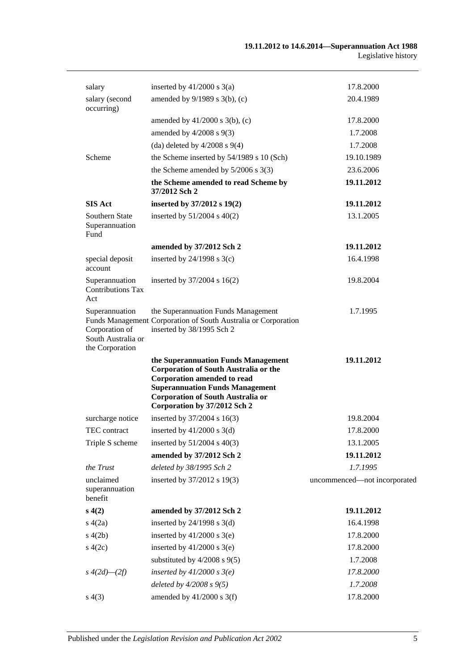| salary                                                                    | inserted by $41/2000$ s $3(a)$                                                                                                                                                                                                                  | 17.8.2000                    |
|---------------------------------------------------------------------------|-------------------------------------------------------------------------------------------------------------------------------------------------------------------------------------------------------------------------------------------------|------------------------------|
| salary (second<br>occurring)                                              | amended by 9/1989 s 3(b), (c)                                                                                                                                                                                                                   | 20.4.1989                    |
|                                                                           | amended by $41/2000$ s $3(b)$ , (c)                                                                                                                                                                                                             | 17.8.2000                    |
|                                                                           | amended by $4/2008$ s $9(3)$                                                                                                                                                                                                                    | 1.7.2008                     |
|                                                                           | (da) deleted by $4/2008$ s $9(4)$                                                                                                                                                                                                               | 1.7.2008                     |
| Scheme                                                                    | the Scheme inserted by 54/1989 s 10 (Sch)                                                                                                                                                                                                       | 19.10.1989                   |
|                                                                           | the Scheme amended by $5/2006$ s 3(3)                                                                                                                                                                                                           | 23.6.2006                    |
|                                                                           | the Scheme amended to read Scheme by<br>37/2012 Sch 2                                                                                                                                                                                           | 19.11.2012                   |
| <b>SIS Act</b>                                                            | inserted by 37/2012 s 19(2)                                                                                                                                                                                                                     | 19.11.2012                   |
| Southern State<br>Superannuation<br>Fund                                  | inserted by $51/2004$ s $40(2)$                                                                                                                                                                                                                 | 13.1.2005                    |
|                                                                           | amended by 37/2012 Sch 2                                                                                                                                                                                                                        | 19.11.2012                   |
| special deposit<br>account                                                | inserted by $24/1998$ s $3(c)$                                                                                                                                                                                                                  | 16.4.1998                    |
| Superannuation<br><b>Contributions Tax</b><br>Act                         | inserted by 37/2004 s 16(2)                                                                                                                                                                                                                     | 19.8.2004                    |
| Superannuation<br>Corporation of<br>South Australia or<br>the Corporation | the Superannuation Funds Management<br>Funds Management Corporation of South Australia or Corporation<br>inserted by 38/1995 Sch 2                                                                                                              | 1.7.1995                     |
|                                                                           | the Superannuation Funds Management<br><b>Corporation of South Australia or the</b><br><b>Corporation amended to read</b><br><b>Superannuation Funds Management</b><br><b>Corporation of South Australia or</b><br>Corporation by 37/2012 Sch 2 | 19.11.2012                   |
| surcharge notice                                                          | inserted by 37/2004 s 16(3)                                                                                                                                                                                                                     | 19.8.2004                    |
| TEC contract                                                              | inserted by $41/2000$ s 3(d)                                                                                                                                                                                                                    | 17.8.2000                    |
| Triple S scheme                                                           | inserted by $51/2004$ s $40(3)$                                                                                                                                                                                                                 | 13.1.2005                    |
|                                                                           | amended by 37/2012 Sch 2                                                                                                                                                                                                                        | 19.11.2012                   |
| the Trust                                                                 | deleted by 38/1995 Sch 2                                                                                                                                                                                                                        | 1.7.1995                     |
| unclaimed<br>superannuation<br>benefit                                    | inserted by 37/2012 s 19(3)                                                                                                                                                                                                                     | uncommenced-not incorporated |
| s(4(2)                                                                    | amended by 37/2012 Sch 2                                                                                                                                                                                                                        | 19.11.2012                   |
| s(4(2a))                                                                  | inserted by $24/1998$ s $3(d)$                                                                                                                                                                                                                  | 16.4.1998                    |
| s(4(2b))                                                                  | inserted by $41/2000$ s $3(e)$                                                                                                                                                                                                                  | 17.8.2000                    |
| s(4(2c))                                                                  | inserted by $41/2000$ s 3(e)                                                                                                                                                                                                                    | 17.8.2000                    |
|                                                                           | substituted by $4/2008$ s $9(5)$                                                                                                                                                                                                                | 1.7.2008                     |
| $s\;4(2d)$ — $(2f)$                                                       | inserted by $41/2000$ s $3(e)$                                                                                                                                                                                                                  | 17.8.2000                    |
|                                                                           | deleted by $4/2008 s 9(5)$                                                                                                                                                                                                                      | 1.7.2008                     |
| s(4(3))                                                                   | amended by $41/2000$ s 3(f)                                                                                                                                                                                                                     | 17.8.2000                    |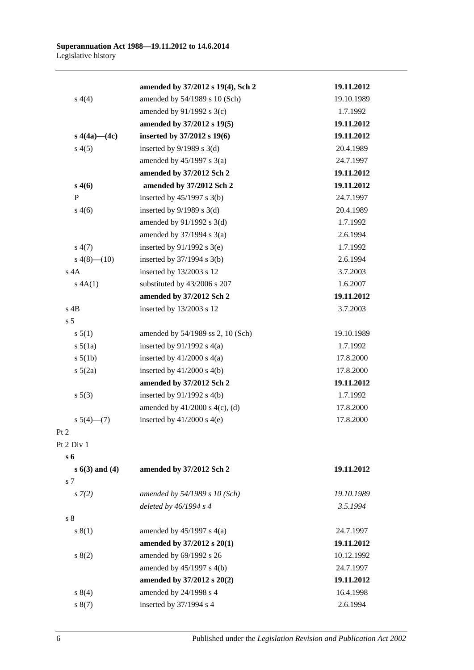|                    | amended by 37/2012 s 19(4), Sch 2   | 19.11.2012 |
|--------------------|-------------------------------------|------------|
| s(4(4)             | amended by 54/1989 s 10 (Sch)       | 19.10.1989 |
|                    | amended by 91/1992 s 3(c)           | 1.7.1992   |
|                    | amended by 37/2012 s 19(5)          | 19.11.2012 |
| s $4(4a)$ — $(4c)$ | inserted by 37/2012 s 19(6)         | 19.11.2012 |
| s(4(5)             | inserted by $9/1989$ s 3(d)         | 20.4.1989  |
|                    | amended by $45/1997$ s 3(a)         | 24.7.1997  |
|                    | amended by 37/2012 Sch 2            | 19.11.2012 |
| s(46)              | amended by 37/2012 Sch 2            | 19.11.2012 |
| P                  | inserted by $45/1997$ s 3(b)        | 24.7.1997  |
| s(4(6)             | inserted by $9/1989$ s 3(d)         | 20.4.1989  |
|                    | amended by $91/1992$ s $3(d)$       | 1.7.1992   |
|                    | amended by $37/1994$ s $3(a)$       | 2.6.1994   |
| s(4(7))            | inserted by $91/1992$ s 3(e)        | 1.7.1992   |
| $s\ 4(8)$ - $(10)$ | inserted by $37/1994$ s $3(b)$      | 2.6.1994   |
| $s$ 4A             | inserted by 13/2003 s 12            | 3.7.2003   |
| s 4A(1)            | substituted by 43/2006 s 207        | 1.6.2007   |
|                    | amended by 37/2012 Sch 2            | 19.11.2012 |
| $s$ 4B             | inserted by 13/2003 s 12            | 3.7.2003   |
| s <sub>5</sub>     |                                     |            |
| s 5(1)             | amended by 54/1989 ss 2, 10 (Sch)   | 19.10.1989 |
| $s\ 5(1a)$         | inserted by $91/1992$ s $4(a)$      | 1.7.1992   |
| $s\ 5(1b)$         | inserted by $41/2000$ s $4(a)$      | 17.8.2000  |
| $s\ 5(2a)$         | inserted by $41/2000$ s $4(b)$      | 17.8.2000  |
|                    | amended by 37/2012 Sch 2            | 19.11.2012 |
| $s \ 5(3)$         | inserted by $91/1992$ s $4(b)$      | 1.7.1992   |
|                    | amended by $41/2000$ s $4(c)$ , (d) | 17.8.2000  |
| $s\ 5(4)$ (7)      | inserted by $41/2000$ s $4(e)$      | 17.8.2000  |
| Pt 2               |                                     |            |
| Pt 2 Div 1         |                                     |            |
| s 6                |                                     |            |
| $s 6(3)$ and $(4)$ | amended by 37/2012 Sch 2            | 19.11.2012 |
| s 7                |                                     |            |
| $s \, 7(2)$        | amended by 54/1989 s 10 (Sch)       | 19.10.1989 |
|                    | deleted by $46/1994 s 4$            | 3.5.1994   |
| s <sub>8</sub>     |                                     |            |
| s(1)               | amended by $45/1997$ s $4(a)$       | 24.7.1997  |
|                    | amended by 37/2012 s 20(1)          | 19.11.2012 |
| s(2)               | amended by 69/1992 s 26             | 10.12.1992 |
|                    | amended by 45/1997 s 4(b)           | 24.7.1997  |
|                    | amended by 37/2012 s 20(2)          | 19.11.2012 |
| s 8(4)             | amended by 24/1998 s 4              | 16.4.1998  |
| s(7)               | inserted by 37/1994 s 4             | 2.6.1994   |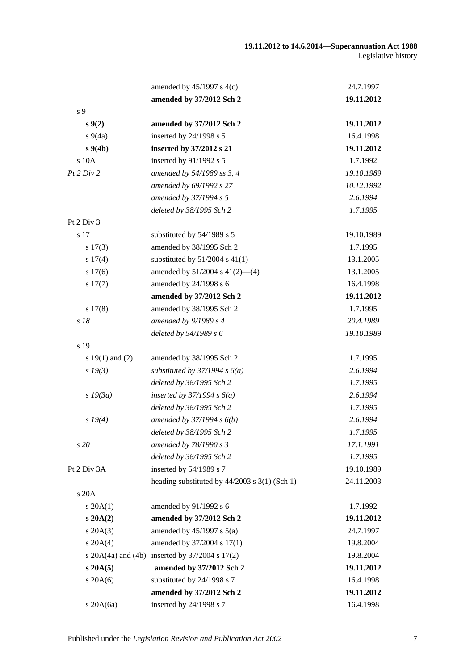|                     | amended by $45/1997$ s $4(c)$                          | 24.7.1997  |
|---------------------|--------------------------------------------------------|------------|
|                     | amended by 37/2012 Sch 2                               | 19.11.2012 |
| s 9                 |                                                        |            |
| s(2)                | amended by 37/2012 Sch 2                               | 19.11.2012 |
| $s\,9(4a)$          | inserted by 24/1998 s 5                                | 16.4.1998  |
| $s\,9(4b)$          | inserted by 37/2012 s 21                               | 19.11.2012 |
| s 10A               | inserted by 91/1992 s 5                                | 1.7.1992   |
| Pt 2 Div 2          | amended by 54/1989 ss 3, 4                             | 19.10.1989 |
|                     | amended by 69/1992 s 27                                | 10.12.1992 |
|                     | amended by 37/1994 s 5                                 | 2.6.1994   |
|                     | deleted by 38/1995 Sch 2                               | 1.7.1995   |
| Pt 2 Div 3          |                                                        |            |
| s 17                | substituted by 54/1989 s 5                             | 19.10.1989 |
| s 17(3)             | amended by 38/1995 Sch 2                               | 1.7.1995   |
| s 17(4)             | substituted by $51/2004$ s $41(1)$                     | 13.1.2005  |
| s 17(6)             | amended by 51/2004 s 41(2)-(4)                         | 13.1.2005  |
| s 17(7)             | amended by 24/1998 s 6                                 | 16.4.1998  |
|                     | amended by 37/2012 Sch 2                               | 19.11.2012 |
| s 17(8)             | amended by 38/1995 Sch 2                               | 1.7.1995   |
| s 18                | amended by $9/1989 s 4$                                | 20.4.1989  |
|                     | deleted by 54/1989 s 6                                 | 19.10.1989 |
| s 19                |                                                        |            |
| s $19(1)$ and $(2)$ | amended by 38/1995 Sch 2                               | 1.7.1995   |
| $s\,19(3)$          | substituted by $37/1994 s 6(a)$                        | 2.6.1994   |
|                     | deleted by 38/1995 Sch 2                               | 1.7.1995   |
| $s$ 19 $(3a)$       | inserted by $37/1994 s 6(a)$                           | 2.6.1994   |
|                     | deleted by 38/1995 Sch 2                               | 1.7.1995   |
| s 19(4)             | amended by $37/1994 s 6(b)$                            | 2.6.1994   |
|                     | deleted by 38/1995 Sch 2                               | 1.7.1995   |
| s 20                | amended by 78/1990 s 3                                 | 17.1.1991  |
|                     | deleted by 38/1995 Sch 2                               | 1.7.1995   |
| Pt 2 Div 3A         | inserted by 54/1989 s 7                                | 19.10.1989 |
|                     | heading substituted by $44/2003$ s 3(1) (Sch 1)        | 24.11.2003 |
| s 20A               |                                                        |            |
| $s \, 20A(1)$       | amended by 91/1992 s 6                                 | 1.7.1992   |
| $s$ 20A $(2)$       | amended by 37/2012 Sch 2                               | 19.11.2012 |
| $s \, 20A(3)$       | amended by $45/1997$ s $5(a)$                          | 24.7.1997  |
| s 20A(4)            | amended by 37/2004 s 17(1)                             | 19.8.2004  |
|                     | s $20A(4a)$ and $(4b)$ inserted by $37/2004$ s $17(2)$ | 19.8.2004  |
| s 20A(5)            | amended by 37/2012 Sch 2                               | 19.11.2012 |
| $s$ 20A $(6)$       | substituted by 24/1998 s 7                             | 16.4.1998  |
|                     | amended by 37/2012 Sch 2                               | 19.11.2012 |
| s 20A(6a)           | inserted by 24/1998 s 7                                | 16.4.1998  |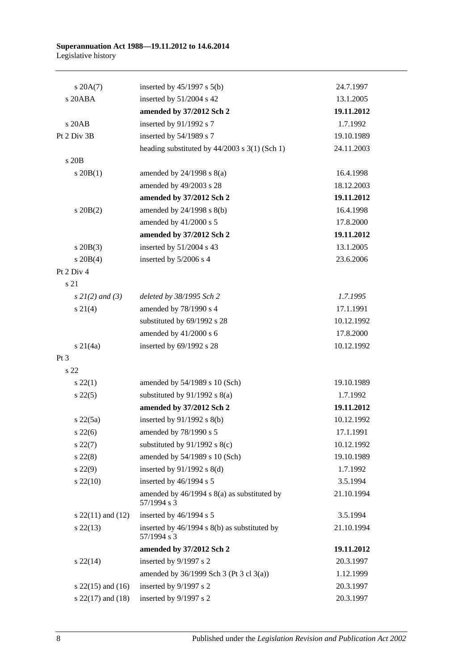#### **Superannuation Act 1988—19.11.2012 to 14.6.2014** Legislative history

| $s \, 20A(7)$         | inserted by $45/1997$ s $5(b)$                                  | 24.7.1997  |
|-----------------------|-----------------------------------------------------------------|------------|
| s 20ABA               | inserted by 51/2004 s 42                                        | 13.1.2005  |
|                       | amended by 37/2012 Sch 2                                        | 19.11.2012 |
| s 20AB                | inserted by 91/1992 s 7                                         | 1.7.1992   |
| Pt 2 Div 3B           | inserted by 54/1989 s 7                                         | 19.10.1989 |
|                       | heading substituted by $44/2003$ s $3(1)$ (Sch 1)               | 24.11.2003 |
| s 20B                 |                                                                 |            |
| $s$ 20 $B(1)$         | amended by $24/1998$ s $8(a)$                                   | 16.4.1998  |
|                       | amended by 49/2003 s 28                                         | 18.12.2003 |
|                       | amended by 37/2012 Sch 2                                        | 19.11.2012 |
| $s$ 20B $(2)$         | amended by $24/1998$ s $8(b)$                                   | 16.4.1998  |
|                       | amended by 41/2000 s 5                                          | 17.8.2000  |
|                       | amended by 37/2012 Sch 2                                        | 19.11.2012 |
| $s$ 20B $(3)$         | inserted by 51/2004 s 43                                        | 13.1.2005  |
| $s \ 20B(4)$          | inserted by 5/2006 s 4                                          | 23.6.2006  |
| Pt 2 Div 4            |                                                                 |            |
| s 21                  |                                                                 |            |
| $s \, 2l(2)$ and (3)  | deleted by 38/1995 Sch 2                                        | 1.7.1995   |
| $s \ 21(4)$           | amended by 78/1990 s 4                                          | 17.1.1991  |
|                       | substituted by 69/1992 s 28                                     | 10.12.1992 |
|                       | amended by 41/2000 s 6                                          | 17.8.2000  |
| $s \, 21(4a)$         | inserted by 69/1992 s 28                                        | 10.12.1992 |
| Pt <sub>3</sub>       |                                                                 |            |
| s <sub>22</sub>       |                                                                 |            |
| $s\,22(1)$            | amended by 54/1989 s 10 (Sch)                                   | 19.10.1989 |
| $s\,22(5)$            | substituted by $91/1992$ s $8(a)$                               | 1.7.1992   |
|                       | amended by 37/2012 Sch 2                                        | 19.11.2012 |
| s22(5a)               | inserted by $91/1992$ s $8(b)$                                  | 10.12.1992 |
| $s\,22(6)$            | amended by 78/1990 s 5                                          | 17.1.1991  |
| $s\,22(7)$            | substituted by $91/1992$ s 8(c)                                 | 10.12.1992 |
| $s\ 22(8)$            | amended by 54/1989 s 10 (Sch)                                   | 19.10.1989 |
| $s\,22(9)$            | inserted by $91/1992$ s $8(d)$                                  | 1.7.1992   |
| $s\,22(10)$           | inserted by 46/1994 s 5                                         | 3.5.1994   |
|                       | amended by $46/1994$ s $8(a)$ as substituted by<br>57/1994 s 3  | 21.10.1994 |
| s $22(11)$ and $(12)$ | inserted by 46/1994 s 5                                         | 3.5.1994   |
| $s\,22(13)$           | inserted by $46/1994$ s $8(b)$ as substituted by<br>57/1994 s 3 | 21.10.1994 |
|                       | amended by 37/2012 Sch 2                                        | 19.11.2012 |
| $s\,22(14)$           | inserted by 9/1997 s 2                                          | 20.3.1997  |
|                       | amended by 36/1999 Sch 3 (Pt 3 cl 3(a))                         | 1.12.1999  |
| s $22(15)$ and $(16)$ | inserted by 9/1997 s 2                                          | 20.3.1997  |
| s $22(17)$ and $(18)$ | inserted by 9/1997 s 2                                          | 20.3.1997  |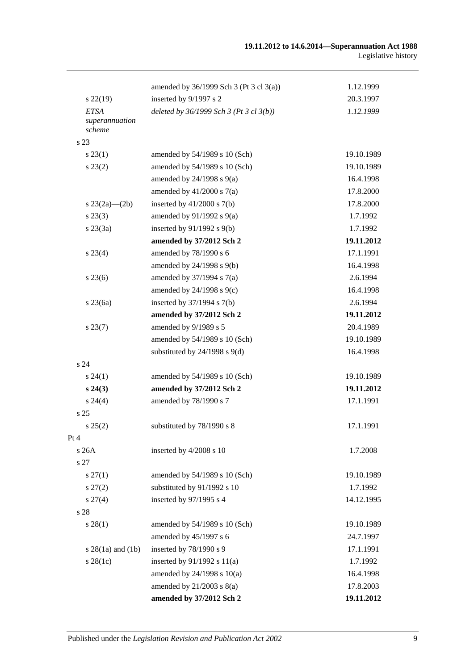|                                         | amended by $36/1999$ Sch 3 (Pt 3 cl 3(a)) | 1.12.1999  |
|-----------------------------------------|-------------------------------------------|------------|
| $s\,22(19)$                             | inserted by 9/1997 s 2                    | 20.3.1997  |
| <b>ETSA</b><br>superannuation<br>scheme | deleted by $36/1999$ Sch 3 (Pt 3 cl 3(b)) | 1.12.1999  |
| s 23                                    |                                           |            |
| $s\,23(1)$                              | amended by 54/1989 s 10 (Sch)             | 19.10.1989 |
| $s\,23(2)$                              | amended by 54/1989 s 10 (Sch)             | 19.10.1989 |
|                                         | amended by $24/1998$ s $9(a)$             | 16.4.1998  |
|                                         | amended by $41/2000$ s $7(a)$             | 17.8.2000  |
| s $23(2a)$ — $(2b)$                     | inserted by $41/2000$ s $7(b)$            | 17.8.2000  |
| $s\,23(3)$                              | amended by $91/1992$ s $9(a)$             | 1.7.1992   |
| $s\,23(3a)$                             | inserted by $91/1992$ s $9(b)$            | 1.7.1992   |
|                                         | amended by 37/2012 Sch 2                  | 19.11.2012 |
| $s\,23(4)$                              | amended by 78/1990 s 6                    | 17.1.1991  |
|                                         | amended by 24/1998 s 9(b)                 | 16.4.1998  |
| $s\,23(6)$                              | amended by $37/1994$ s $7(a)$             | 2.6.1994   |
|                                         | amended by $24/1998$ s $9(c)$             | 16.4.1998  |
| $s\,23(6a)$                             | inserted by $37/1994$ s $7(b)$            | 2.6.1994   |
|                                         | amended by 37/2012 Sch 2                  | 19.11.2012 |
| $s\,23(7)$                              | amended by 9/1989 s 5                     | 20.4.1989  |
|                                         | amended by 54/1989 s 10 (Sch)             | 19.10.1989 |
|                                         | substituted by $24/1998$ s $9(d)$         | 16.4.1998  |
| s 24                                    |                                           |            |
| $s\,24(1)$                              | amended by 54/1989 s 10 (Sch)             | 19.10.1989 |
| $s\,24(3)$                              | amended by 37/2012 Sch 2                  | 19.11.2012 |
| $s\,24(4)$                              | amended by 78/1990 s 7                    | 17.1.1991  |
| s <sub>25</sub>                         |                                           |            |
| s 25(2)                                 | substituted by 78/1990 s 8                | 17.1.1991  |
| Pt 4                                    |                                           |            |
| s26A                                    | inserted by 4/2008 s 10                   | 1.7.2008   |
| s 27                                    |                                           |            |
| $s\,27(1)$                              | amended by 54/1989 s 10 (Sch)             | 19.10.1989 |
| $s\,27(2)$                              | substituted by 91/1992 s 10               | 1.7.1992   |
| $s\,27(4)$                              | inserted by 97/1995 s 4                   | 14.12.1995 |
| s 28                                    |                                           |            |
| $s\,28(1)$                              | amended by 54/1989 s 10 (Sch)             | 19.10.1989 |
|                                         | amended by 45/1997 s 6                    | 24.7.1997  |
| $s 28(1a)$ and $(1b)$                   | inserted by 78/1990 s 9                   | 17.1.1991  |
| $s\,28(1c)$                             | inserted by $91/1992$ s $11(a)$           | 1.7.1992   |
|                                         | amended by $24/1998$ s $10(a)$            | 16.4.1998  |
|                                         | amended by $21/2003$ s $8(a)$             | 17.8.2003  |
|                                         | amended by 37/2012 Sch 2                  | 19.11.2012 |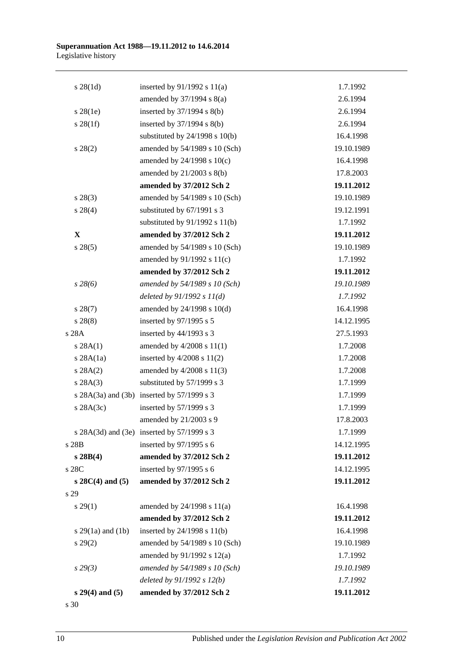| $s \, 28(1d)$         | inserted by $91/1992$ s $11(a)$                  | 1.7.1992   |
|-----------------------|--------------------------------------------------|------------|
|                       | amended by $37/1994$ s $8(a)$                    | 2.6.1994   |
| $s\,28(1e)$           | inserted by $37/1994$ s $8(b)$                   | 2.6.1994   |
| $s \, 28(1f)$         | inserted by $37/1994$ s $8(b)$                   | 2.6.1994   |
|                       | substituted by $24/1998$ s $10(b)$               | 16.4.1998  |
| $s\,28(2)$            | amended by 54/1989 s 10 (Sch)                    | 19.10.1989 |
|                       | amended by 24/1998 s 10(c)                       | 16.4.1998  |
|                       | amended by $21/2003$ s $8(b)$                    | 17.8.2003  |
|                       | amended by 37/2012 Sch 2                         | 19.11.2012 |
| $s\,28(3)$            | amended by 54/1989 s 10 (Sch)                    | 19.10.1989 |
| $s\ 28(4)$            | substituted by 67/1991 s 3                       | 19.12.1991 |
|                       | substituted by $91/1992$ s $11(b)$               | 1.7.1992   |
| $\mathbf{X}$          | amended by 37/2012 Sch 2                         | 19.11.2012 |
| $s\,28(5)$            | amended by 54/1989 s 10 (Sch)                    | 19.10.1989 |
|                       | amended by 91/1992 s 11(c)                       | 1.7.1992   |
|                       | amended by 37/2012 Sch 2                         | 19.11.2012 |
| $s\,28(6)$            | amended by 54/1989 s 10 (Sch)                    | 19.10.1989 |
|                       | deleted by $91/1992 s 11(d)$                     | 1.7.1992   |
| $s\,28(7)$            | amended by 24/1998 s 10(d)                       | 16.4.1998  |
| $s\,28(8)$            | inserted by 97/1995 s 5                          | 14.12.1995 |
| s 28A                 | inserted by $44/1993$ s 3                        | 27.5.1993  |
| s 28A(1)              | amended by $4/2008$ s $11(1)$                    | 1.7.2008   |
| $s$ 28A $(1a)$        | inserted by $4/2008$ s $11(2)$                   | 1.7.2008   |
| s 28A(2)              | amended by $4/2008$ s $11(3)$                    | 1.7.2008   |
| s 28A(3)              | substituted by 57/1999 s 3                       | 1.7.1999   |
|                       | s $28A(3a)$ and $(3b)$ inserted by $57/1999$ s 3 | 1.7.1999   |
| $s$ 28A $(3c)$        | inserted by 57/1999 s 3                          | 1.7.1999   |
|                       | amended by 21/2003 s 9                           | 17.8.2003  |
|                       | s $28A(3d)$ and $(3e)$ inserted by $57/1999$ s 3 | 1.7.1999   |
| s 28B                 | inserted by $97/1995$ s 6                        | 14.12.1995 |
| s 28B(4)              | amended by 37/2012 Sch 2                         | 19.11.2012 |
| s 28C                 | inserted by 97/1995 s 6                          | 14.12.1995 |
| $s$ 28C(4) and (5)    | amended by 37/2012 Sch 2                         | 19.11.2012 |
| s 29                  |                                                  |            |
| $s\,29(1)$            | amended by 24/1998 s 11(a)                       | 16.4.1998  |
|                       | amended by 37/2012 Sch 2                         | 19.11.2012 |
| s $29(1a)$ and $(1b)$ | inserted by $24/1998$ s $11(b)$                  | 16.4.1998  |
| $s\,29(2)$            | amended by 54/1989 s 10 (Sch)                    | 19.10.1989 |
|                       | amended by 91/1992 s 12(a)                       | 1.7.1992   |
| s 29(3)               | amended by 54/1989 s 10 (Sch)                    | 19.10.1989 |
|                       | deleted by 91/1992 s 12(b)                       | 1.7.1992   |
| $s 29(4)$ and $(5)$   | amended by 37/2012 Sch 2                         | 19.11.2012 |
|                       |                                                  |            |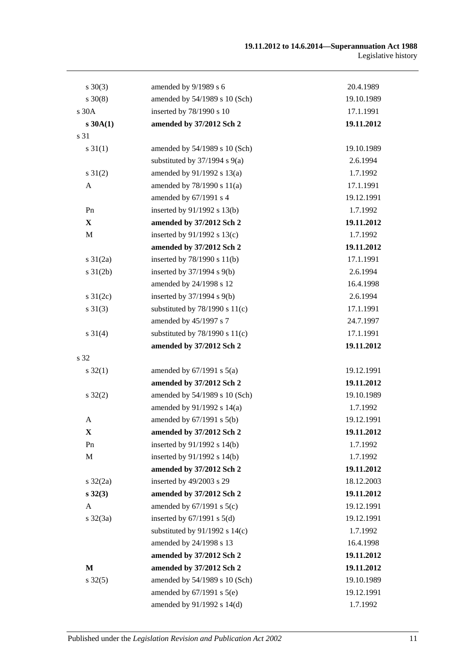| $s \ 30(3)$       | amended by 9/1989 s 6              | 20.4.1989  |
|-------------------|------------------------------------|------------|
| $s \ 30(8)$       | amended by 54/1989 s 10 (Sch)      | 19.10.1989 |
| s 30A             | inserted by 78/1990 s 10           | 17.1.1991  |
| s30A(1)           | amended by 37/2012 Sch 2           | 19.11.2012 |
| s 31              |                                    |            |
| $s \, 31(1)$      | amended by 54/1989 s 10 (Sch)      | 19.10.1989 |
|                   | substituted by $37/1994$ s $9(a)$  | 2.6.1994   |
| $s \, 31(2)$      | amended by 91/1992 s 13(a)         | 1.7.1992   |
| A                 | amended by 78/1990 s 11(a)         | 17.1.1991  |
|                   | amended by 67/1991 s 4             | 19.12.1991 |
| Pn                | inserted by 91/1992 s 13(b)        | 1.7.1992   |
| $\mathbf{X}$      | amended by 37/2012 Sch 2           | 19.11.2012 |
| $\mathbf M$       | inserted by $91/1992$ s $13(c)$    | 1.7.1992   |
|                   | amended by 37/2012 Sch 2           | 19.11.2012 |
| $s \frac{31}{2a}$ | inserted by $78/1990$ s $11(b)$    | 17.1.1991  |
| $s \, 31(2b)$     | inserted by $37/1994$ s $9(b)$     | 2.6.1994   |
|                   | amended by 24/1998 s 12            | 16.4.1998  |
| s $31(2c)$        | inserted by $37/1994$ s $9(b)$     | 2.6.1994   |
| $s \ 31(3)$       | substituted by $78/1990$ s $11(c)$ | 17.1.1991  |
|                   | amended by 45/1997 s 7             | 24.7.1997  |
| $s \ 31(4)$       | substituted by $78/1990$ s $11(c)$ | 17.1.1991  |
|                   | amended by 37/2012 Sch 2           | 19.11.2012 |
| s 32              |                                    |            |
| $s \, 32(1)$      | amended by $67/1991$ s $5(a)$      | 19.12.1991 |
|                   | amended by 37/2012 Sch 2           | 19.11.2012 |
| $s \, 32(2)$      | amended by 54/1989 s 10 (Sch)      | 19.10.1989 |
|                   | amended by 91/1992 s 14(a)         | 1.7.1992   |
| A                 | amended by 67/1991 s 5(b)          | 19.12.1991 |
| X                 | amended by 37/2012 Sch 2           | 19.11.2012 |
| Pn                | inserted by 91/1992 s 14(b)        | 1.7.1992   |
| $\mathbf M$       | inserted by 91/1992 s 14(b)        | 1.7.1992   |
|                   | amended by 37/2012 Sch 2           | 19.11.2012 |
| $s \frac{32}{2a}$ | inserted by 49/2003 s 29           | 18.12.2003 |
| $s\,32(3)$        | amended by 37/2012 Sch 2           | 19.11.2012 |
| A                 | amended by $67/1991$ s $5(c)$      | 19.12.1991 |
| $s \frac{32}{3a}$ | inserted by $67/1991$ s $5(d)$     | 19.12.1991 |
|                   | substituted by $91/1992$ s $14(c)$ | 1.7.1992   |
|                   | amended by 24/1998 s 13            | 16.4.1998  |
|                   | amended by 37/2012 Sch 2           | 19.11.2012 |
| M                 | amended by 37/2012 Sch 2           | 19.11.2012 |
| $s \, 32(5)$      | amended by 54/1989 s 10 (Sch)      | 19.10.1989 |
|                   | amended by $67/1991$ s $5(e)$      | 19.12.1991 |
|                   | amended by 91/1992 s 14(d)         | 1.7.1992   |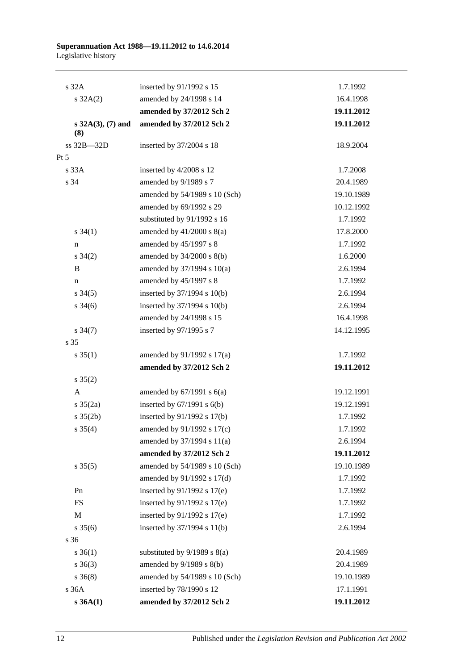| $s$ 32 $A$           | inserted by 91/1992 s 15         | 1.7.1992   |
|----------------------|----------------------------------|------------|
| $s \, 32A(2)$        | amended by 24/1998 s 14          | 16.4.1998  |
|                      | amended by 37/2012 Sch 2         | 19.11.2012 |
| s $32A(3)$ , (7) and | amended by 37/2012 Sch 2         | 19.11.2012 |
| (8)                  |                                  |            |
| ss 32B-32D           | inserted by 37/2004 s 18         | 18.9.2004  |
| $Pt\,5$              |                                  |            |
| s 33A                | inserted by 4/2008 s 12          | 1.7.2008   |
| s 34                 | amended by 9/1989 s 7            | 20.4.1989  |
|                      | amended by 54/1989 s 10 (Sch)    | 19.10.1989 |
|                      | amended by 69/1992 s 29          | 10.12.1992 |
|                      | substituted by 91/1992 s 16      | 1.7.1992   |
| $s \; 34(1)$         | amended by $41/2000$ s $8(a)$    | 17.8.2000  |
| n                    | amended by 45/1997 s 8           | 1.7.1992   |
| $s \; 34(2)$         | amended by 34/2000 s 8(b)        | 1.6.2000   |
| B                    | amended by 37/1994 s 10(a)       | 2.6.1994   |
| $\mathbf n$          | amended by 45/1997 s 8           | 1.7.1992   |
| $s \, 34(5)$         | inserted by 37/1994 s 10(b)      | 2.6.1994   |
| $s \frac{34(6)}{2}$  | inserted by $37/1994$ s $10(b)$  | 2.6.1994   |
|                      | amended by 24/1998 s 15          | 16.4.1998  |
| $s \frac{34(7)}{2}$  | inserted by 97/1995 s 7          | 14.12.1995 |
| s 35                 |                                  |            |
| $s \, 35(1)$         | amended by 91/1992 s 17(a)       | 1.7.1992   |
|                      | amended by 37/2012 Sch 2         | 19.11.2012 |
| $s \, 35(2)$         |                                  |            |
| A                    | amended by $67/1991$ s $6(a)$    | 19.12.1991 |
| $s \frac{35(2a)}{2}$ | inserted by $67/1991$ s $6(b)$   | 19.12.1991 |
| $s \; 35(2b)$        | inserted by $91/1992$ s $17(b)$  | 1.7.1992   |
| $s \; 35(4)$         | amended by 91/1992 s 17(c)       | 1.7.1992   |
|                      | amended by 37/1994 s 11(a)       | 2.6.1994   |
|                      | amended by 37/2012 Sch 2         | 19.11.2012 |
| $s \, 35(5)$         | amended by 54/1989 s 10 (Sch)    | 19.10.1989 |
|                      | amended by 91/1992 s 17(d)       | 1.7.1992   |
| Pn                   | inserted by $91/1992$ s $17(e)$  | 1.7.1992   |
| <b>FS</b>            | inserted by $91/1992$ s $17(e)$  | 1.7.1992   |
| M                    | inserted by $91/1992$ s $17(e)$  | 1.7.1992   |
| $s \; 35(6)$         | inserted by 37/1994 s 11(b)      | 2.6.1994   |
| s 36                 |                                  |            |
| $s \; 36(1)$         | substituted by $9/1989$ s $8(a)$ | 20.4.1989  |
| $s \; 36(3)$         | amended by $9/1989$ s $8(b)$     | 20.4.1989  |
| $s \; 36(8)$         | amended by 54/1989 s 10 (Sch)    | 19.10.1989 |
| s 36A                | inserted by 78/1990 s 12         | 17.1.1991  |
| s 36A(1)             | amended by 37/2012 Sch 2         | 19.11.2012 |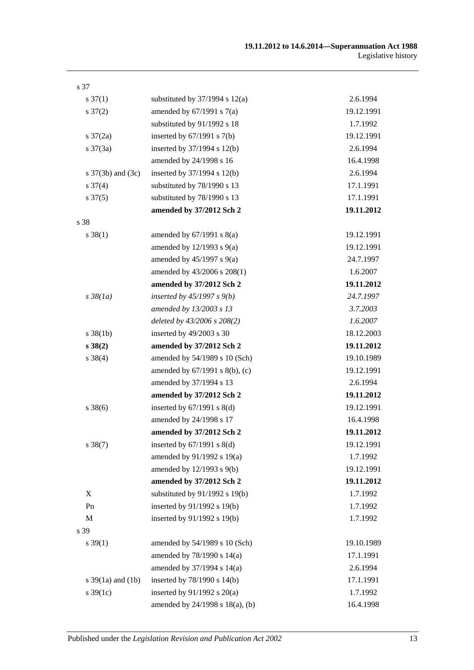| s 37                  |                                    |            |
|-----------------------|------------------------------------|------------|
| $s \frac{37(1)}{2}$   | substituted by $37/1994$ s $12(a)$ | 2.6.1994   |
| $s \frac{37(2)}{2}$   | amended by $67/1991$ s $7(a)$      | 19.12.1991 |
|                       | substituted by 91/1992 s 18        | 1.7.1992   |
| $s \frac{37}{2a}$     | inserted by $67/1991$ s $7(b)$     | 19.12.1991 |
| $s \frac{37(3a)}{2}$  | inserted by 37/1994 s 12(b)        | 2.6.1994   |
|                       | amended by 24/1998 s 16            | 16.4.1998  |
| s $37(3b)$ and $(3c)$ | inserted by 37/1994 s 12(b)        | 2.6.1994   |
| $s \frac{37(4)}{2}$   | substituted by 78/1990 s 13        | 17.1.1991  |
| $s \frac{37(5)}{2}$   | substituted by 78/1990 s 13        | 17.1.1991  |
|                       | amended by 37/2012 Sch 2           | 19.11.2012 |
| s 38                  |                                    |            |
| $s \ 38(1)$           | amended by $67/1991$ s $8(a)$      | 19.12.1991 |
|                       | amended by $12/1993$ s $9(a)$      | 19.12.1991 |
|                       | amended by $45/1997$ s $9(a)$      | 24.7.1997  |
|                       | amended by 43/2006 s 208(1)        | 1.6.2007   |
|                       | amended by 37/2012 Sch 2           | 19.11.2012 |
| $s\,38(1a)$           | inserted by $45/1997 s 9(b)$       | 24.7.1997  |
|                       | amended by 13/2003 s 13            | 3.7.2003   |
|                       | deleted by 43/2006 s 208(2)        | 1.6.2007   |
| $s \, 38(1b)$         | inserted by 49/2003 s 30           | 18.12.2003 |
| $s \, 38(2)$          | amended by 37/2012 Sch 2           | 19.11.2012 |
| $s \ 38(4)$           | amended by 54/1989 s 10 (Sch)      | 19.10.1989 |
|                       | amended by 67/1991 s 8(b), (c)     | 19.12.1991 |
|                       | amended by 37/1994 s 13            | 2.6.1994   |
|                       | amended by 37/2012 Sch 2           | 19.11.2012 |
| $s \, 38(6)$          | inserted by $67/1991$ s $8(d)$     | 19.12.1991 |
|                       | amended by 24/1998 s 17            | 16.4.1998  |
|                       | amended by 37/2012 Sch 2           | 19.11.2012 |
| $s \, 38(7)$          | inserted by $67/1991$ s $8(d)$     | 19.12.1991 |
|                       | amended by 91/1992 s 19(a)         | 1.7.1992   |
|                       | amended by 12/1993 s 9(b)          | 19.12.1991 |
|                       | amended by 37/2012 Sch 2           | 19.11.2012 |
| X                     | substituted by $91/1992$ s $19(b)$ | 1.7.1992   |
| Pn                    | inserted by 91/1992 s 19(b)        | 1.7.1992   |
| $\mathbf M$           | inserted by 91/1992 s 19(b)        | 1.7.1992   |
| s 39                  |                                    |            |
| $s \, 39(1)$          | amended by 54/1989 s 10 (Sch)      | 19.10.1989 |
|                       | amended by 78/1990 s 14(a)         | 17.1.1991  |
|                       | amended by 37/1994 s 14(a)         | 2.6.1994   |
| s $39(1a)$ and $(1b)$ | inserted by 78/1990 s 14(b)        | 17.1.1991  |
| s $39(1c)$            | inserted by $91/1992$ s $20(a)$    | 1.7.1992   |
|                       | amended by 24/1998 s 18(a), (b)    | 16.4.1998  |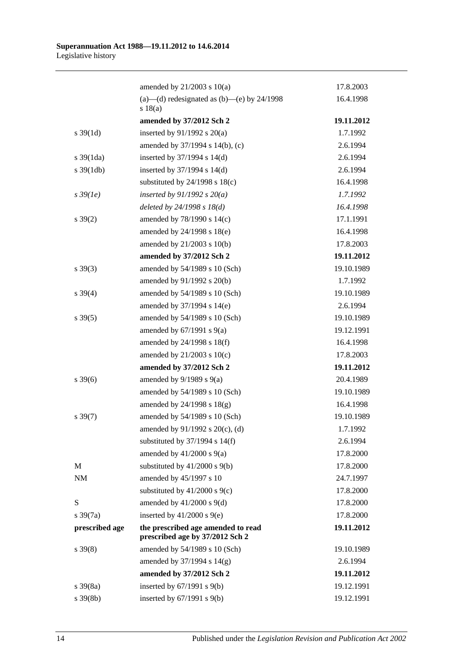|                       | amended by 21/2003 s 10(a)                                            | 17.8.2003  |
|-----------------------|-----------------------------------------------------------------------|------------|
|                       | (a)—(d) redesignated as (b)—(e) by $24/1998$<br>s 18(a)               | 16.4.1998  |
|                       | amended by 37/2012 Sch 2                                              | 19.11.2012 |
| $s \, 39(1d)$         | inserted by $91/1992$ s $20(a)$                                       | 1.7.1992   |
|                       | amended by 37/1994 s 14(b), (c)                                       | 2.6.1994   |
| $s \frac{39(1da)}{2}$ | inserted by 37/1994 s 14(d)                                           | 2.6.1994   |
| $s \frac{39(1db)}{2}$ | inserted by $37/1994$ s $14(d)$                                       | 2.6.1994   |
|                       | substituted by $24/1998$ s $18(c)$                                    | 16.4.1998  |
| $s\,39(1e)$           | inserted by $91/1992$ s $20(a)$                                       | 1.7.1992   |
|                       | deleted by $24/1998 s 18(d)$                                          | 16.4.1998  |
| $s \, 39(2)$          | amended by 78/1990 s 14(c)                                            | 17.1.1991  |
|                       | amended by $24/1998$ s $18(e)$                                        | 16.4.1998  |
|                       | amended by 21/2003 s 10(b)                                            | 17.8.2003  |
|                       | amended by 37/2012 Sch 2                                              | 19.11.2012 |
| $s \ 39(3)$           | amended by 54/1989 s 10 (Sch)                                         | 19.10.1989 |
|                       | amended by 91/1992 s 20(b)                                            | 1.7.1992   |
| $s \, 39(4)$          | amended by 54/1989 s 10 (Sch)                                         | 19.10.1989 |
|                       | amended by 37/1994 s 14(e)                                            | 2.6.1994   |
| $s \, 39(5)$          | amended by 54/1989 s 10 (Sch)                                         | 19.10.1989 |
|                       | amended by $67/1991$ s $9(a)$                                         | 19.12.1991 |
|                       | amended by 24/1998 s 18(f)                                            | 16.4.1998  |
|                       | amended by $21/2003$ s $10(c)$                                        | 17.8.2003  |
|                       | amended by 37/2012 Sch 2                                              | 19.11.2012 |
| $s \, 39(6)$          | amended by $9/1989$ s $9(a)$                                          | 20.4.1989  |
|                       | amended by 54/1989 s 10 (Sch)                                         | 19.10.1989 |
|                       | amended by $24/1998$ s $18(g)$                                        | 16.4.1998  |
| $s \, 39(7)$          | amended by 54/1989 s 10 (Sch)                                         | 19.10.1989 |
|                       | amended by 91/1992 s 20(c), (d)                                       | 1.7.1992   |
|                       | substituted by $37/1994$ s $14(f)$                                    | 2.6.1994   |
|                       | amended by $41/2000$ s $9(a)$                                         | 17.8.2000  |
| M                     | substituted by $41/2000$ s $9(b)$                                     | 17.8.2000  |
| $\rm{NM}$             | amended by 45/1997 s 10                                               | 24.7.1997  |
|                       | substituted by $41/2000$ s $9(c)$                                     | 17.8.2000  |
| S                     | amended by $41/2000$ s $9(d)$                                         | 17.8.2000  |
| $s \frac{39(7a)}{2}$  | inserted by $41/2000$ s $9(e)$                                        | 17.8.2000  |
| prescribed age        | the prescribed age amended to read<br>prescribed age by 37/2012 Sch 2 | 19.11.2012 |
| $s \, 39(8)$          | amended by 54/1989 s 10 (Sch)                                         | 19.10.1989 |
|                       | amended by $37/1994$ s $14(g)$                                        | 2.6.1994   |
|                       | amended by 37/2012 Sch 2                                              | 19.11.2012 |
| $s \frac{39(8a)}{2}$  | inserted by $67/1991$ s $9(b)$                                        | 19.12.1991 |
| $s \, 39(8b)$         | inserted by $67/1991$ s $9(b)$                                        | 19.12.1991 |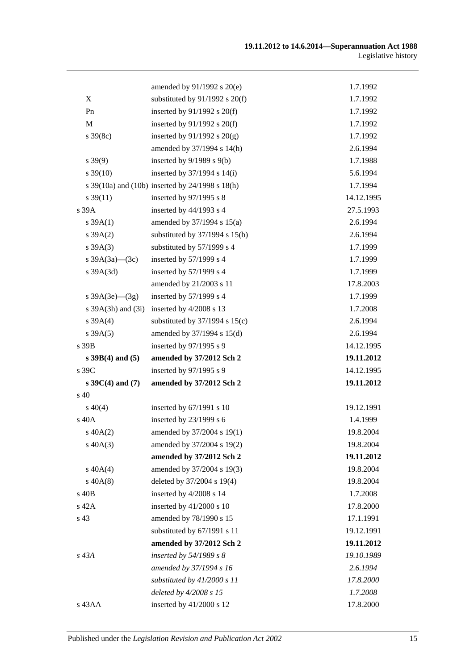|                        | amended by 91/1992 s 20(e)                      | 1.7.1992   |
|------------------------|-------------------------------------------------|------------|
| X                      | substituted by $91/1992$ s $20(f)$              | 1.7.1992   |
| Pn                     | inserted by $91/1992$ s $20(f)$                 | 1.7.1992   |
| $\mathbf M$            | inserted by $91/1992$ s $20(f)$                 | 1.7.1992   |
| $s \, 39(8c)$          | inserted by $91/1992$ s $20(g)$                 | 1.7.1992   |
|                        | amended by 37/1994 s 14(h)                      | 2.6.1994   |
| $s\,39(9)$             | inserted by $9/1989$ s $9(b)$                   | 1.7.1988   |
| $s \frac{39(10)}{2}$   | inserted by $37/1994$ s $14(i)$                 | 5.6.1994   |
|                        | s 39(10a) and (10b) inserted by 24/1998 s 18(h) | 1.7.1994   |
| $s \, 39(11)$          | inserted by 97/1995 s 8                         | 14.12.1995 |
| s 39A                  | inserted by $44/1993$ s 4                       | 27.5.1993  |
| $s \, 39A(1)$          | amended by 37/1994 s 15(a)                      | 2.6.1994   |
| $s \, 39A(2)$          | substituted by $37/1994$ s $15(b)$              | 2.6.1994   |
| $s \, 39A(3)$          | substituted by 57/1999 s 4                      | 1.7.1999   |
| s $39A(3a)$ (3c)       | inserted by 57/1999 s 4                         | 1.7.1999   |
| $s$ 39A $(3d)$         | inserted by 57/1999 s 4                         | 1.7.1999   |
|                        | amended by 21/2003 s 11                         | 17.8.2003  |
| s $39A(3e)$ — $(3g)$   | inserted by 57/1999 s 4                         | 1.7.1999   |
| s $39A(3h)$ and $(3i)$ | inserted by 4/2008 s 13                         | 1.7.2008   |
| $s \, 39A(4)$          | substituted by $37/1994$ s $15(c)$              | 2.6.1994   |
| s 39A(5)               | amended by 37/1994 s 15(d)                      | 2.6.1994   |
| s 39B                  | inserted by 97/1995 s 9                         | 14.12.1995 |
| $s$ 39B(4) and (5)     | amended by 37/2012 Sch 2                        | 19.11.2012 |
| s 39C                  | inserted by 97/1995 s 9                         | 14.12.1995 |
| $s \, 39C(4)$ and (7)  | amended by 37/2012 Sch 2                        | 19.11.2012 |
| $\sin 40$              |                                                 |            |
| $s\ 40(4)$             | inserted by 67/1991 s 10                        | 19.12.1991 |
| s 40A                  | inserted by 23/1999 s 6                         | 1.4.1999   |
| $s\,40A(2)$            | amended by 37/2004 s 19(1)                      | 19.8.2004  |
| $s\,40A(3)$            | amended by 37/2004 s 19(2)                      | 19.8.2004  |
|                        | amended by 37/2012 Sch 2                        | 19.11.2012 |
| $s\ 40A(4)$            | amended by 37/2004 s 19(3)                      | 19.8.2004  |
| $s\,40A(8)$            | deleted by 37/2004 s 19(4)                      | 19.8.2004  |
| s 40B                  | inserted by 4/2008 s 14                         | 1.7.2008   |
| s 42A                  | inserted by 41/2000 s 10                        | 17.8.2000  |
| s 43                   | amended by 78/1990 s 15                         | 17.1.1991  |
|                        | substituted by 67/1991 s 11                     | 19.12.1991 |
|                        | amended by 37/2012 Sch 2                        | 19.11.2012 |
| $s\,43A$               | inserted by $54/1989 s 8$                       | 19.10.1989 |
|                        | amended by 37/1994 s 16                         | 2.6.1994   |
|                        | substituted by 41/2000 s 11                     | 17.8.2000  |
|                        | deleted by 4/2008 s 15                          | 1.7.2008   |
| s 43AA                 | inserted by 41/2000 s 12                        | 17.8.2000  |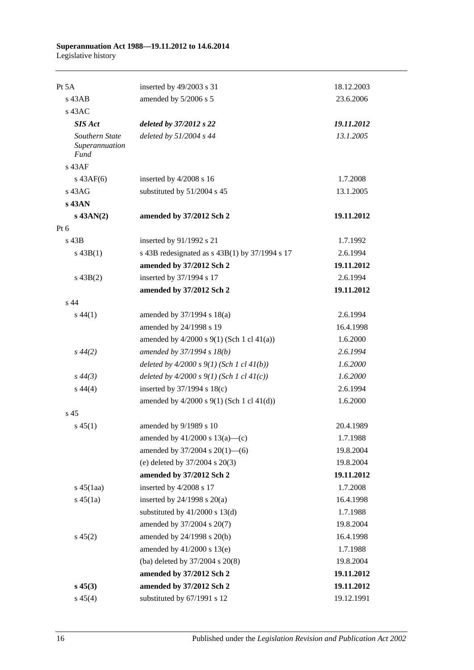| Pt 5A                                           | inserted by 49/2003 s 31                         | 18.12.2003 |
|-------------------------------------------------|--------------------------------------------------|------------|
| $s$ 43AB                                        | amended by 5/2006 s 5                            | 23.6.2006  |
| $s$ 43AC                                        |                                                  |            |
| <b>SIS Act</b>                                  | deleted by 37/2012 s 22                          | 19.11.2012 |
| Southern State<br>Superannuation<br><b>Fund</b> | deleted by 51/2004 s 44                          | 13.1.2005  |
| $s$ 43AF                                        |                                                  |            |
| $s\,43AF(6)$                                    | inserted by 4/2008 s 16                          | 1.7.2008   |
| s 43AG                                          | substituted by 51/2004 s 45                      | 13.1.2005  |
| $s$ 43AN                                        |                                                  |            |
| $s$ 43AN(2)                                     | amended by 37/2012 Sch 2                         | 19.11.2012 |
| Pt $6$                                          |                                                  |            |
| $s$ 43B                                         | inserted by 91/1992 s 21                         | 1.7.1992   |
| $s\,43B(1)$                                     | s 43B redesignated as s 43B(1) by 37/1994 s 17   | 2.6.1994   |
|                                                 | amended by 37/2012 Sch 2                         | 19.11.2012 |
| $s\ 43B(2)$                                     | inserted by 37/1994 s 17                         | 2.6.1994   |
|                                                 | amended by 37/2012 Sch 2                         | 19.11.2012 |
| s 44                                            |                                                  |            |
| $s\,44(1)$                                      | amended by 37/1994 s 18(a)                       | 2.6.1994   |
|                                                 | amended by 24/1998 s 19                          | 16.4.1998  |
|                                                 | amended by $4/2000$ s $9(1)$ (Sch 1 cl $41(a)$ ) | 1.6.2000   |
| $s\,44(2)$                                      | amended by 37/1994 s 18(b)                       | 2.6.1994   |
|                                                 | deleted by $4/2000 s 9(1)$ (Sch 1 cl $41(b)$ )   | 1.6.2000   |
| $s\,44(3)$                                      | deleted by $4/2000 s 9(1)$ (Sch 1 cl $41(c)$ )   | 1.6.2000   |
| $s\,44(4)$                                      | inserted by $37/1994$ s $18(c)$                  | 2.6.1994   |
|                                                 | amended by $4/2000$ s $9(1)$ (Sch 1 cl $41(d)$ ) | 1.6.2000   |
| s <sub>45</sub>                                 |                                                  |            |
| $s\,45(1)$                                      | amended by 9/1989 s 10                           | 20.4.1989  |
|                                                 | amended by $41/2000$ s $13(a)$ —(c)              | 1.7.1988   |
|                                                 | amended by 37/2004 s 20(1)-6)                    | 19.8.2004  |
|                                                 | (e) deleted by $37/2004$ s $20(3)$               | 19.8.2004  |
|                                                 | amended by 37/2012 Sch 2                         | 19.11.2012 |
| $s\,45(1aa)$                                    | inserted by 4/2008 s 17                          | 1.7.2008   |
| $s\,45(1a)$                                     | inserted by $24/1998$ s $20(a)$                  | 16.4.1998  |
|                                                 | substituted by $41/2000$ s $13(d)$               | 1.7.1988   |
|                                                 | amended by 37/2004 s 20(7)                       | 19.8.2004  |
| $s\,45(2)$                                      | amended by 24/1998 s 20(b)                       | 16.4.1998  |
|                                                 | amended by 41/2000 s 13(e)                       | 1.7.1988   |
|                                                 | (ba) deleted by 37/2004 s 20(8)                  | 19.8.2004  |
|                                                 | amended by 37/2012 Sch 2                         | 19.11.2012 |
| $s\,45(3)$                                      | amended by 37/2012 Sch 2                         | 19.11.2012 |
| $s\,45(4)$                                      | substituted by 67/1991 s 12                      | 19.12.1991 |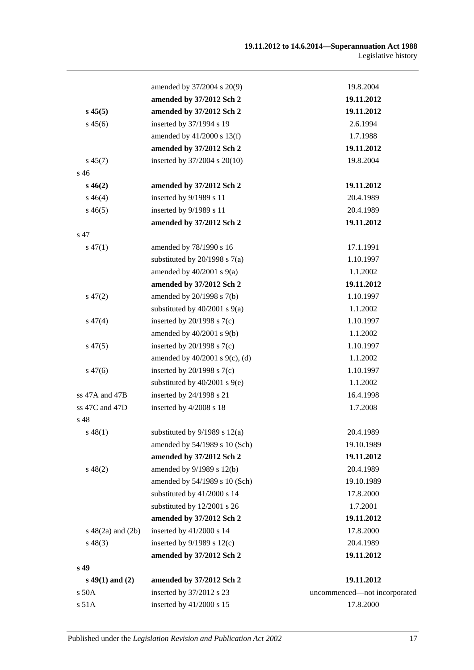|                        | amended by 37/2004 s 20(9)          | 19.8.2004                    |
|------------------------|-------------------------------------|------------------------------|
|                        | amended by 37/2012 Sch 2            | 19.11.2012                   |
| $s\,45(5)$             | amended by 37/2012 Sch 2            | 19.11.2012                   |
| $s\,45(6)$             | inserted by 37/1994 s 19            | 2.6.1994                     |
|                        | amended by $41/2000$ s $13(f)$      | 1.7.1988                     |
|                        | amended by 37/2012 Sch 2            | 19.11.2012                   |
| $s\,45(7)$             | inserted by 37/2004 s 20(10)        | 19.8.2004                    |
| s 46                   |                                     |                              |
| $s\,46(2)$             | amended by 37/2012 Sch 2            | 19.11.2012                   |
| $s\,46(4)$             | inserted by 9/1989 s 11             | 20.4.1989                    |
| $s\,46(5)$             | inserted by 9/1989 s 11             | 20.4.1989                    |
|                        | amended by 37/2012 Sch 2            | 19.11.2012                   |
| s 47                   |                                     |                              |
| $s\,47(1)$             | amended by 78/1990 s 16             | 17.1.1991                    |
|                        | substituted by $20/1998$ s $7(a)$   | 1.10.1997                    |
|                        | amended by $40/2001$ s $9(a)$       | 1.1.2002                     |
|                        | amended by 37/2012 Sch 2            | 19.11.2012                   |
| $s\,47(2)$             | amended by 20/1998 s 7(b)           | 1.10.1997                    |
|                        | substituted by $40/2001$ s $9(a)$   | 1.1.2002                     |
| $s\,47(4)$             | inserted by $20/1998$ s $7(c)$      | 1.10.1997                    |
|                        | amended by $40/2001$ s $9(b)$       | 1.1.2002                     |
| $s\,47(5)$             | inserted by $20/1998$ s $7(c)$      | 1.10.1997                    |
|                        | amended by $40/2001$ s $9(c)$ , (d) | 1.1.2002                     |
| $s\,47(6)$             | inserted by $20/1998$ s $7(c)$      | 1.10.1997                    |
|                        | substituted by $40/2001$ s $9(e)$   | 1.1.2002                     |
| ss 47A and 47B         | inserted by 24/1998 s 21            | 16.4.1998                    |
| ss 47C and 47D         | inserted by 4/2008 s 18             | 1.7.2008                     |
| s 48                   |                                     |                              |
| $s\,48(1)$             | substituted by $9/1989$ s $12(a)$   | 20.4.1989                    |
|                        | amended by 54/1989 s 10 (Sch)       | 19.10.1989                   |
|                        | amended by 37/2012 Sch 2            | 19.11.2012                   |
| $s\,48(2)$             | amended by 9/1989 s 12(b)           | 20.4.1989                    |
|                        | amended by 54/1989 s 10 (Sch)       | 19.10.1989                   |
|                        | substituted by 41/2000 s 14         | 17.8.2000                    |
|                        | substituted by 12/2001 s 26         | 1.7.2001                     |
|                        | amended by 37/2012 Sch 2            | 19.11.2012                   |
| $s\ 48(2a)$ and $(2b)$ | inserted by 41/2000 s 14            | 17.8.2000                    |
| $s\,48(3)$             | inserted by $9/1989$ s $12(c)$      | 20.4.1989                    |
|                        | amended by 37/2012 Sch 2            | 19.11.2012                   |
| s 49                   |                                     |                              |
| $s\ 49(1)$ and (2)     | amended by 37/2012 Sch 2            | 19.11.2012                   |
| s 50A                  | inserted by 37/2012 s 23            | uncommenced-not incorporated |
| s 51A                  | inserted by 41/2000 s 15            | 17.8.2000                    |
|                        |                                     |                              |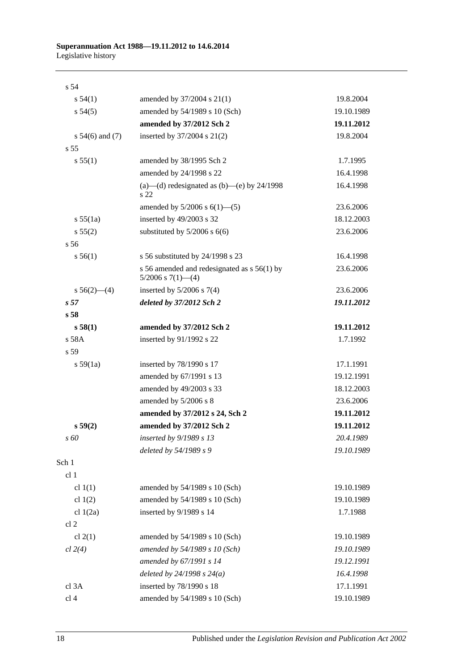| s <sub>54</sub>     |                                                                       |            |
|---------------------|-----------------------------------------------------------------------|------------|
| s 54(1)             | amended by 37/2004 s 21(1)                                            | 19.8.2004  |
| $s\,54(5)$          | amended by 54/1989 s 10 (Sch)                                         | 19.10.1989 |
|                     | amended by 37/2012 Sch 2                                              | 19.11.2012 |
| s $54(6)$ and $(7)$ | inserted by 37/2004 s 21(2)                                           | 19.8.2004  |
| s <sub>55</sub>     |                                                                       |            |
| s 55(1)             | amended by 38/1995 Sch 2                                              | 1.7.1995   |
|                     | amended by 24/1998 s 22                                               | 16.4.1998  |
|                     | (a)—(d) redesignated as (b)—(e) by $24/1998$<br>s 22                  | 16.4.1998  |
|                     | amended by $5/2006$ s $6(1)$ —(5)                                     | 23.6.2006  |
| s 55(1a)            | inserted by 49/2003 s 32                                              | 18.12.2003 |
| s 55(2)             | substituted by $5/2006$ s $6(6)$                                      | 23.6.2006  |
| s 56                |                                                                       |            |
| s 56(1)             | s 56 substituted by 24/1998 s 23                                      | 16.4.1998  |
|                     | s 56 amended and redesignated as s 56(1) by<br>$5/2006$ s $7(1)$ —(4) | 23.6.2006  |
| $s 56(2)$ (4)       | inserted by $5/2006$ s $7(4)$                                         | 23.6.2006  |
| s <sub>57</sub>     | deleted by 37/2012 Sch 2                                              | 19.11.2012 |
| s <sub>58</sub>     |                                                                       |            |
| s 58(1)             | amended by 37/2012 Sch 2                                              | 19.11.2012 |
| s 58A               | inserted by 91/1992 s 22                                              | 1.7.1992   |
| s 59                |                                                                       |            |
| s 59(1a)            | inserted by 78/1990 s 17                                              | 17.1.1991  |
|                     | amended by 67/1991 s 13                                               | 19.12.1991 |
|                     | amended by 49/2003 s 33                                               | 18.12.2003 |
|                     | amended by 5/2006 s 8                                                 | 23.6.2006  |
|                     | amended by 37/2012 s 24, Sch 2                                        | 19.11.2012 |
| s 59(2)             | amended by 37/2012 Sch 2                                              | 19.11.2012 |
| s 60                | inserted by 9/1989 s 13                                               | 20.4.1989  |
|                     | deleted by 54/1989 s 9                                                | 19.10.1989 |
| Sch 1               |                                                                       |            |
| cl 1                |                                                                       |            |
| cl $1(1)$           | amended by 54/1989 s 10 (Sch)                                         | 19.10.1989 |
| cl $1(2)$           | amended by 54/1989 s 10 (Sch)                                         | 19.10.1989 |
| cl $1(2a)$          | inserted by 9/1989 s 14                                               | 1.7.1988   |
| cl <sub>2</sub>     |                                                                       |            |
| cl $2(1)$           | amended by 54/1989 s 10 (Sch)                                         | 19.10.1989 |
| cl 2(4)             | amended by 54/1989 s 10 (Sch)                                         | 19.10.1989 |
|                     | amended by 67/1991 s 14                                               | 19.12.1991 |
|                     | deleted by $24/1998 s 24(a)$                                          | 16.4.1998  |
| cl 3A               | inserted by 78/1990 s 18                                              | 17.1.1991  |
| cl 4                | amended by 54/1989 s 10 (Sch)                                         | 19.10.1989 |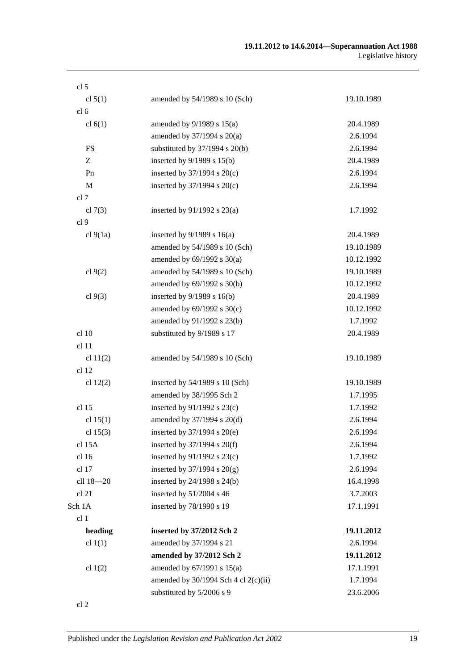| cl <sub>5</sub>  |                                          |            |
|------------------|------------------------------------------|------------|
| cl $5(1)$        | amended by 54/1989 s 10 (Sch)            | 19.10.1989 |
| cl <sub>6</sub>  |                                          |            |
| cl $6(1)$        | amended by $9/1989$ s $15(a)$            | 20.4.1989  |
|                  | amended by 37/1994 s 20(a)               | 2.6.1994   |
| <b>FS</b>        | substituted by $37/1994$ s $20(b)$       | 2.6.1994   |
| Z                | inserted by 9/1989 s 15(b)               | 20.4.1989  |
| Pn               | inserted by $37/1994$ s $20(c)$          | 2.6.1994   |
| M                | inserted by $37/1994$ s $20(c)$          | 2.6.1994   |
| cl 7             |                                          |            |
| cl $7(3)$        | inserted by $91/1992$ s $23(a)$          | 1.7.1992   |
| cl <sub>9</sub>  |                                          |            |
| cl $9(1a)$       | inserted by $9/1989$ s 16(a)             | 20.4.1989  |
|                  | amended by 54/1989 s 10 (Sch)            | 19.10.1989 |
|                  | amended by $69/1992$ s $30(a)$           | 10.12.1992 |
| cl $9(2)$        | amended by 54/1989 s 10 (Sch)            | 19.10.1989 |
|                  | amended by 69/1992 s 30(b)               | 10.12.1992 |
| cl $9(3)$        | inserted by $9/1989$ s $16(b)$           | 20.4.1989  |
|                  | amended by 69/1992 s 30(c)               | 10.12.1992 |
|                  | amended by 91/1992 s 23(b)               | 1.7.1992   |
| cl 10            | substituted by 9/1989 s 17               | 20.4.1989  |
| cl 11            |                                          |            |
| cl $11(2)$       | amended by 54/1989 s 10 (Sch)            | 19.10.1989 |
| cl <sub>12</sub> |                                          |            |
| cl $12(2)$       | inserted by $54/1989$ s 10 (Sch)         | 19.10.1989 |
|                  | amended by 38/1995 Sch 2                 | 1.7.1995   |
| cl 15            | inserted by $91/1992$ s $23(c)$          | 1.7.1992   |
| cl $15(1)$       | amended by 37/1994 s 20(d)               | 2.6.1994   |
| cl $15(3)$       | inserted by $37/1994$ s $20(e)$          | 2.6.1994   |
| cl 15A           | inserted by $37/1994$ s $20(f)$          | 2.6.1994   |
| cl 16            | inserted by $91/1992$ s $23(c)$          | 1.7.1992   |
| cl 17            | inserted by $37/1994$ s $20(g)$          | 2.6.1994   |
| cll 18-20        | inserted by 24/1998 s 24(b)              | 16.4.1998  |
| cl 21            | inserted by 51/2004 s 46                 | 3.7.2003   |
| Sch 1A           | inserted by 78/1990 s 19                 | 17.1.1991  |
| cl 1             |                                          |            |
| heading          | inserted by 37/2012 Sch 2                | 19.11.2012 |
| cl $1(1)$        | amended by 37/1994 s 21                  | 2.6.1994   |
|                  | amended by 37/2012 Sch 2                 | 19.11.2012 |
| cl $1(2)$        | amended by 67/1991 s 15(a)               | 17.1.1991  |
|                  | amended by $30/1994$ Sch 4 cl $2(c)(ii)$ | 1.7.1994   |
|                  | substituted by 5/2006 s 9                | 23.6.2006  |
| cl 2             |                                          |            |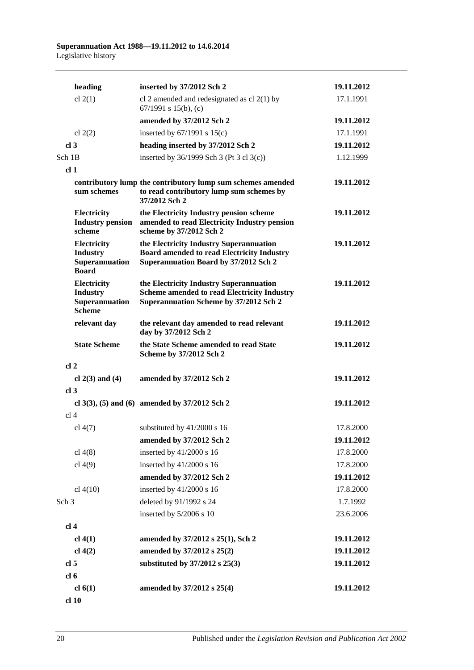|                  | heading                                                                  | inserted by 37/2012 Sch 2                                                                                                               | 19.11.2012 |
|------------------|--------------------------------------------------------------------------|-----------------------------------------------------------------------------------------------------------------------------------------|------------|
|                  | cl $2(1)$                                                                | cl 2 amended and redesignated as cl $2(1)$ by<br>67/1991 s 15(b), (c)                                                                   | 17.1.1991  |
|                  |                                                                          | amended by 37/2012 Sch 2                                                                                                                | 19.11.2012 |
|                  | cl $2(2)$                                                                | inserted by $67/1991$ s $15(c)$                                                                                                         | 17.1.1991  |
| cl <sub>3</sub>  |                                                                          | heading inserted by 37/2012 Sch 2                                                                                                       | 19.11.2012 |
| Sch 1B           |                                                                          | inserted by $36/1999$ Sch 3 (Pt 3 cl 3(c))                                                                                              | 1.12.1999  |
| cl <sub>1</sub>  |                                                                          |                                                                                                                                         |            |
|                  | sum schemes                                                              | contributory lump the contributory lump sum schemes amended<br>to read contributory lump sum schemes by<br>37/2012 Sch 2                | 19.11.2012 |
|                  | Electricity<br><b>Industry pension</b><br>scheme                         | the Electricity Industry pension scheme<br>amended to read Electricity Industry pension<br>scheme by 37/2012 Sch 2                      | 19.11.2012 |
|                  | <b>Electricity</b><br><b>Industry</b><br>Superannuation<br><b>Board</b>  | the Electricity Industry Superannuation<br><b>Board amended to read Electricity Industry</b><br>Superannuation Board by 37/2012 Sch 2   | 19.11.2012 |
|                  | <b>Electricity</b><br><b>Industry</b><br>Superannuation<br><b>Scheme</b> | the Electricity Industry Superannuation<br><b>Scheme amended to read Electricity Industry</b><br>Superannuation Scheme by 37/2012 Sch 2 | 19.11.2012 |
|                  | relevant day                                                             | the relevant day amended to read relevant<br>day by 37/2012 Sch 2                                                                       | 19.11.2012 |
|                  | <b>State Scheme</b>                                                      | the State Scheme amended to read State<br>Scheme by 37/2012 Sch 2                                                                       | 19.11.2012 |
| cl <sub>2</sub>  |                                                                          |                                                                                                                                         |            |
|                  | cl $2(3)$ and $(4)$                                                      | amended by 37/2012 Sch 2                                                                                                                | 19.11.2012 |
| cl <sub>3</sub>  |                                                                          |                                                                                                                                         |            |
|                  |                                                                          | cl 3(3), (5) and (6) amended by $37/2012$ Sch 2                                                                                         | 19.11.2012 |
| cl <sub>4</sub>  |                                                                          |                                                                                                                                         |            |
|                  | cl 4(7)                                                                  | substituted by 41/2000 s 16                                                                                                             | 17.8.2000  |
|                  |                                                                          | amended by 37/2012 Sch 2                                                                                                                | 19.11.2012 |
|                  | cl $4(8)$                                                                | inserted by 41/2000 s 16                                                                                                                | 17.8.2000  |
|                  | cl $4(9)$                                                                | inserted by 41/2000 s 16                                                                                                                | 17.8.2000  |
|                  |                                                                          | amended by 37/2012 Sch 2                                                                                                                | 19.11.2012 |
|                  | cl 4(10)                                                                 | inserted by 41/2000 s 16                                                                                                                | 17.8.2000  |
| Sch <sub>3</sub> |                                                                          | deleted by 91/1992 s 24                                                                                                                 | 1.7.1992   |
|                  |                                                                          | inserted by 5/2006 s 10                                                                                                                 | 23.6.2006  |
| cl <sub>4</sub>  |                                                                          |                                                                                                                                         |            |
|                  | $cl$ 4(1)                                                                | amended by 37/2012 s 25(1), Sch 2                                                                                                       | 19.11.2012 |
|                  | $cl$ 4(2)                                                                | amended by 37/2012 s 25(2)                                                                                                              | 19.11.2012 |
| cl <sub>5</sub>  |                                                                          | substituted by $37/2012$ s $25(3)$                                                                                                      | 19.11.2012 |
| cl <sub>6</sub>  |                                                                          |                                                                                                                                         |            |
|                  | cl $6(1)$                                                                | amended by 37/2012 s 25(4)                                                                                                              | 19.11.2012 |
|                  | cl 10                                                                    |                                                                                                                                         |            |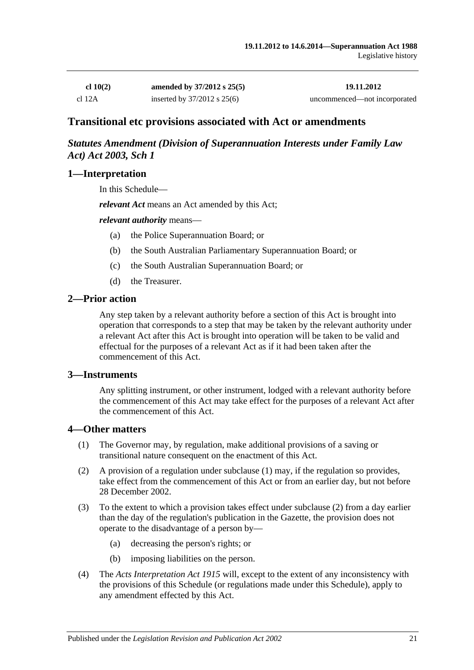| cl 10(2) | amended by $37/2012$ s $25(5)$  | 19.11.2012                   |
|----------|---------------------------------|------------------------------|
| cl 12A   | inserted by $37/2012$ s $25(6)$ | uncommenced—not incorporated |

# **Transitional etc provisions associated with Act or amendments**

## *Statutes Amendment (Division of Superannuation Interests under Family Law Act) Act 2003, Sch 1*

#### **1—Interpretation**

In this Schedule—

*relevant Act* means an Act amended by this Act;

#### *relevant authority* means—

- (a) the Police Superannuation Board; or
- (b) the South Australian Parliamentary Superannuation Board; or
- (c) the South Australian Superannuation Board; or
- (d) the Treasurer.

#### **2—Prior action**

Any step taken by a relevant authority before a section of this Act is brought into operation that corresponds to a step that may be taken by the relevant authority under a relevant Act after this Act is brought into operation will be taken to be valid and effectual for the purposes of a relevant Act as if it had been taken after the commencement of this Act.

#### **3—Instruments**

Any splitting instrument, or other instrument, lodged with a relevant authority before the commencement of this Act may take effect for the purposes of a relevant Act after the commencement of this Act.

#### **4—Other matters**

- (1) The Governor may, by regulation, make additional provisions of a saving or transitional nature consequent on the enactment of this Act.
- (2) A provision of a regulation under subclause (1) may, if the regulation so provides, take effect from the commencement of this Act or from an earlier day, but not before 28 December 2002.
- (3) To the extent to which a provision takes effect under subclause (2) from a day earlier than the day of the regulation's publication in the Gazette, the provision does not operate to the disadvantage of a person by—
	- (a) decreasing the person's rights; or
	- (b) imposing liabilities on the person.
- (4) The *[Acts Interpretation Act](http://www.legislation.sa.gov.au/index.aspx?action=legref&type=act&legtitle=Acts%20Interpretation%20Act%201915) 1915* will, except to the extent of any inconsistency with the provisions of this Schedule (or regulations made under this Schedule), apply to any amendment effected by this Act.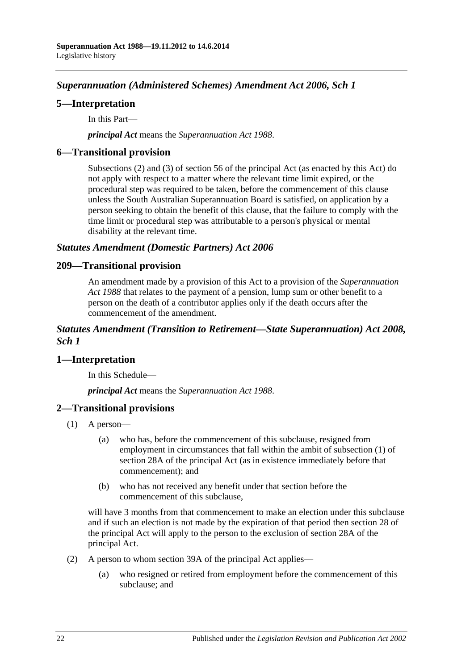# *Superannuation (Administered Schemes) Amendment Act 2006, Sch 1*

## **5—Interpretation**

In this Part—

*principal Act* means the *[Superannuation Act](http://www.legislation.sa.gov.au/index.aspx?action=legref&type=act&legtitle=Superannuation%20Act%201988) 1988*.

## **6—Transitional provision**

Subsections (2) and (3) of section 56 of the principal Act (as enacted by this Act) do not apply with respect to a matter where the relevant time limit expired, or the procedural step was required to be taken, before the commencement of this clause unless the South Australian Superannuation Board is satisfied, on application by a person seeking to obtain the benefit of this clause, that the failure to comply with the time limit or procedural step was attributable to a person's physical or mental disability at the relevant time.

### *Statutes Amendment (Domestic Partners) Act 2006*

### **209—Transitional provision**

An amendment made by a provision of this Act to a provision of the *[Superannuation](http://www.legislation.sa.gov.au/index.aspx?action=legref&type=act&legtitle=Superannuation%20Act%201988)  Act [1988](http://www.legislation.sa.gov.au/index.aspx?action=legref&type=act&legtitle=Superannuation%20Act%201988)* that relates to the payment of a pension, lump sum or other benefit to a person on the death of a contributor applies only if the death occurs after the commencement of the amendment.

### *Statutes Amendment (Transition to Retirement—State Superannuation) Act 2008, Sch 1*

## **1—Interpretation**

In this Schedule—

*principal Act* means the *[Superannuation Act](http://www.legislation.sa.gov.au/index.aspx?action=legref&type=act&legtitle=Superannuation%20Act%201988) 1988*.

## **2—Transitional provisions**

- (1) A person—
	- (a) who has, before the commencement of this subclause, resigned from employment in circumstances that fall within the ambit of subsection (1) of section 28A of the principal Act (as in existence immediately before that commencement); and
	- (b) who has not received any benefit under that section before the commencement of this subclause,

will have 3 months from that commencement to make an election under this subclause and if such an election is not made by the expiration of that period then section 28 of the principal Act will apply to the person to the exclusion of section 28A of the principal Act.

- (2) A person to whom section 39A of the principal Act applies—
	- (a) who resigned or retired from employment before the commencement of this subclause; and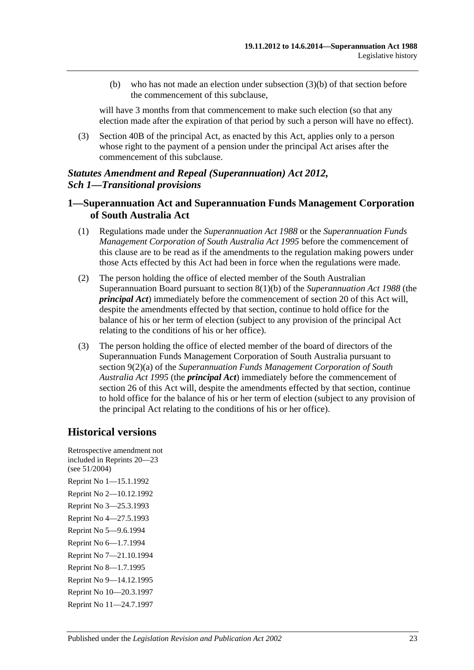(b) who has not made an election under subsection (3)(b) of that section before the commencement of this subclause,

will have 3 months from that commencement to make such election (so that any election made after the expiration of that period by such a person will have no effect).

(3) Section 40B of the principal Act, as enacted by this Act, applies only to a person whose right to the payment of a pension under the principal Act arises after the commencement of this subclause.

## *Statutes Amendment and Repeal (Superannuation) Act 2012, Sch 1—Transitional provisions*

# **1—Superannuation Act and Superannuation Funds Management Corporation of South Australia Act**

- (1) Regulations made under the *[Superannuation Act](http://www.legislation.sa.gov.au/index.aspx?action=legref&type=act&legtitle=Superannuation%20Act%201988) 1988* or the *[Superannuation Funds](http://www.legislation.sa.gov.au/index.aspx?action=legref&type=act&legtitle=Superannuation%20Funds%20Management%20Corporation%20of%20South%20Australia%20Act%201995)  [Management Corporation of South Australia Act](http://www.legislation.sa.gov.au/index.aspx?action=legref&type=act&legtitle=Superannuation%20Funds%20Management%20Corporation%20of%20South%20Australia%20Act%201995) 1995* before the commencement of this clause are to be read as if the amendments to the regulation making powers under those Acts effected by this Act had been in force when the regulations were made.
- (2) The person holding the office of elected member of the South Australian Superannuation Board pursuant to section 8(1)(b) of the *[Superannuation Act](http://www.legislation.sa.gov.au/index.aspx?action=legref&type=act&legtitle=Superannuation%20Act%201988) 1988* (the *principal Act*) immediately before the commencement of section 20 of this Act will, despite the amendments effected by that section, continue to hold office for the balance of his or her term of election (subject to any provision of the principal Act relating to the conditions of his or her office).
- (3) The person holding the office of elected member of the board of directors of the Superannuation Funds Management Corporation of South Australia pursuant to section 9(2)(a) of the *[Superannuation Funds Management Corporation of South](http://www.legislation.sa.gov.au/index.aspx?action=legref&type=act&legtitle=Superannuation%20Funds%20Management%20Corporation%20of%20South%20Australia%20Act%201995)  [Australia Act](http://www.legislation.sa.gov.au/index.aspx?action=legref&type=act&legtitle=Superannuation%20Funds%20Management%20Corporation%20of%20South%20Australia%20Act%201995) 1995* (the *principal Act*) immediately before the commencement of section 26 of this Act will, despite the amendments effected by that section, continue to hold office for the balance of his or her term of election (subject to any provision of the principal Act relating to the conditions of his or her office).

# **Historical versions**

Retrospective amendment not included in Reprints 20—23 (see 51/2004) Reprint No 1—15.1.1992 Reprint No 2—10.12.1992 Reprint No 3—25.3.1993 Reprint No 4—27.5.1993 Reprint No 5—9.6.1994 Reprint No 6—1.7.1994 Reprint No 7—21.10.1994 Reprint No 8—1.7.1995 Reprint No 9—14.12.1995 Reprint No 10—20.3.1997 Reprint No 11—24.7.1997